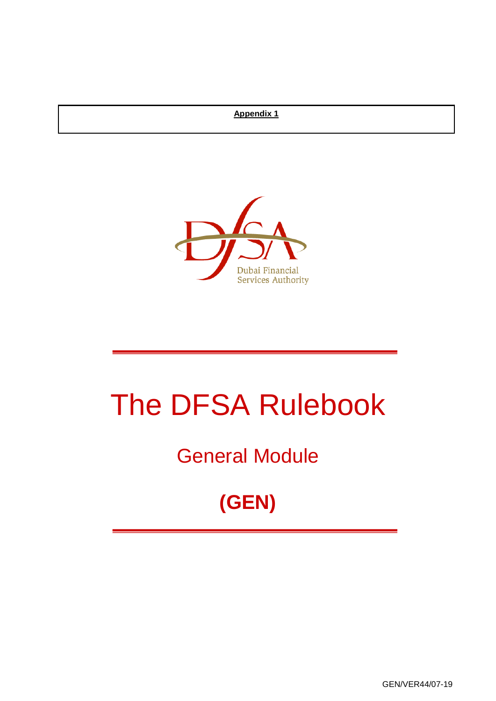## **Appendix 1**



# The DFSA Rulebook

## General Module

## **(GEN)**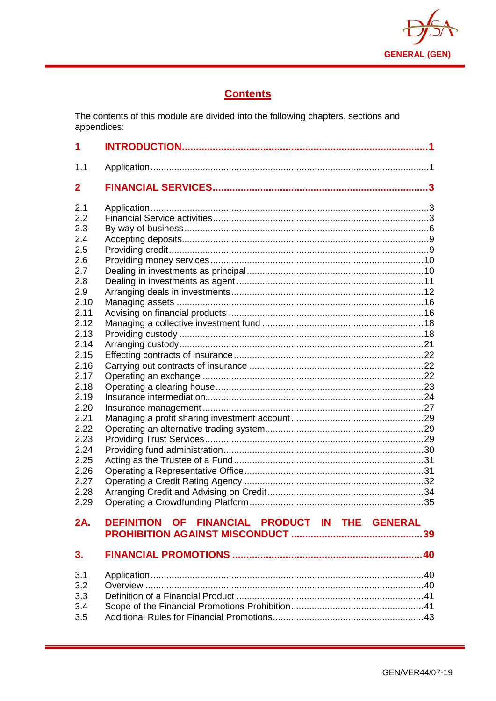

## **Contents**

The contents of this module are divided into the following chapters, sections and appendices:

| 1.1                                                                                                                                                                                                                         |                                                |  |
|-----------------------------------------------------------------------------------------------------------------------------------------------------------------------------------------------------------------------------|------------------------------------------------|--|
| 2                                                                                                                                                                                                                           |                                                |  |
| 2.1<br>2.2<br>2.3<br>2.4<br>2.5<br>2.6<br>2.7<br>2.8<br>2.9<br>2.10<br>2.11<br>2.12<br>2.13<br>2.14<br>2.15<br>2.16<br>2.17<br>2.18<br>2.19<br>2.20<br>2.21<br>2.22<br>2.23<br>2.24<br>2.25<br>2.26<br>2.27<br>2.28<br>2.29 |                                                |  |
| 2A.                                                                                                                                                                                                                         | DEFINITION OF FINANCIAL PRODUCT IN THE GENERAL |  |
|                                                                                                                                                                                                                             |                                                |  |
| 3.                                                                                                                                                                                                                          |                                                |  |
| 3.1<br>3.2<br>3.3<br>3.4<br>3.5                                                                                                                                                                                             |                                                |  |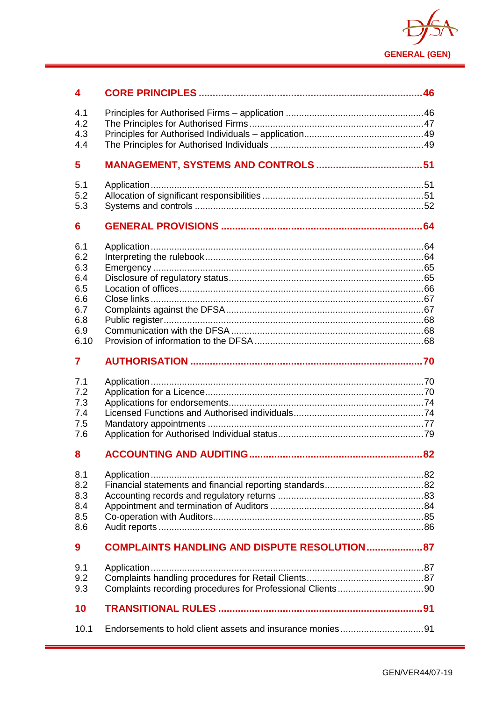

| 4                                                                   |                                                      |  |
|---------------------------------------------------------------------|------------------------------------------------------|--|
| 4.1<br>4.2<br>4.3<br>4.4                                            |                                                      |  |
| 5                                                                   |                                                      |  |
| 5.1<br>5.2<br>5.3                                                   |                                                      |  |
| 6                                                                   |                                                      |  |
| 6.1<br>6.2<br>6.3<br>6.4<br>6.5<br>6.6<br>6.7<br>6.8<br>6.9<br>6.10 |                                                      |  |
| 7                                                                   |                                                      |  |
| 7.1<br>7.2<br>7.3<br>7.4<br>7.5<br>7.6                              |                                                      |  |
| 8                                                                   |                                                      |  |
| 8.1<br>8.2<br>8.3<br>8.4<br>8.5<br>8.6                              |                                                      |  |
| 9                                                                   | <b>COMPLAINTS HANDLING AND DISPUTE RESOLUTION 87</b> |  |
| 9.1<br>9.2<br>9.3                                                   |                                                      |  |
| 10                                                                  |                                                      |  |
| 10.1                                                                |                                                      |  |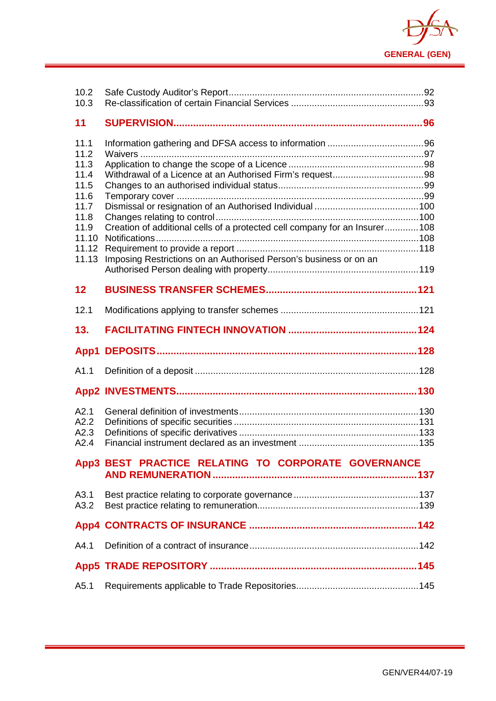

| 10.2<br>10.3                                                                                    |                                                                                                                                                 |  |
|-------------------------------------------------------------------------------------------------|-------------------------------------------------------------------------------------------------------------------------------------------------|--|
| 11                                                                                              |                                                                                                                                                 |  |
| 11.1<br>11.2<br>11.3<br>11.4<br>11.5<br>11.6<br>11.7<br>11.8<br>11.9<br>11.10<br>11.12<br>11.13 | Creation of additional cells of a protected cell company for an Insurer108<br>Imposing Restrictions on an Authorised Person's business or on an |  |
| 12                                                                                              |                                                                                                                                                 |  |
| 12.1                                                                                            |                                                                                                                                                 |  |
| 13.                                                                                             |                                                                                                                                                 |  |
|                                                                                                 |                                                                                                                                                 |  |
| App1                                                                                            |                                                                                                                                                 |  |
| A1.1                                                                                            |                                                                                                                                                 |  |
|                                                                                                 |                                                                                                                                                 |  |
| A2.1<br>A2.2<br>A2.3<br>A2.4                                                                    |                                                                                                                                                 |  |
|                                                                                                 | App3 BEST PRACTICE RELATING TO CORPORATE GOVERNANCE                                                                                             |  |
| A3.1<br>A3.2                                                                                    |                                                                                                                                                 |  |
|                                                                                                 |                                                                                                                                                 |  |
| A4.1                                                                                            |                                                                                                                                                 |  |
|                                                                                                 |                                                                                                                                                 |  |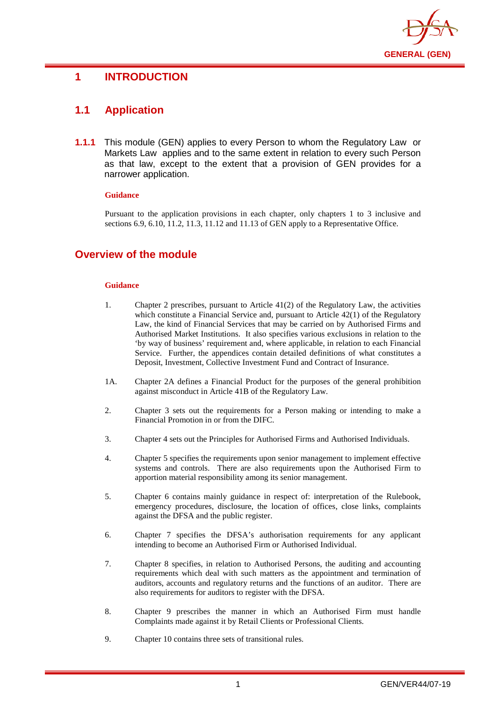

## <span id="page-4-0"></span>**1 INTRODUCTION**

## <span id="page-4-1"></span>**1.1 Application**

**1.1.1** This module (GEN) applies to every Person to whom the Regulatory Law or Markets Law applies and to the same extent in relation to every such Person as that law, except to the extent that a provision of GEN provides for a narrower application.

#### **Guidance**

Pursuant to the application provisions in each chapter, only chapters 1 to 3 inclusive and sections 6.9, 6.10, 11.2, 11.3, 11.12 and 11.13 of GEN apply to a Representative Office.

## **Overview of the module**

#### **Guidance**

- 1. Chapter 2 prescribes, pursuant to Article 41(2) of the Regulatory Law, the activities which constitute a Financial Service and, pursuant to Article 42(1) of the Regulatory Law, the kind of Financial Services that may be carried on by Authorised Firms and Authorised Market Institutions. It also specifies various exclusions in relation to the 'by way of business' requirement and, where applicable, in relation to each Financial Service. Further, the appendices contain detailed definitions of what constitutes a Deposit, Investment, Collective Investment Fund and Contract of Insurance.
- 1A. Chapter 2A defines a Financial Product for the purposes of the general prohibition against misconduct in Article 41B of the Regulatory Law.
- 2. Chapter 3 sets out the requirements for a Person making or intending to make a Financial Promotion in or from the DIFC.
- 3. Chapter 4 sets out the Principles for Authorised Firms and Authorised Individuals.
- 4. Chapter 5 specifies the requirements upon senior management to implement effective systems and controls. There are also requirements upon the Authorised Firm to apportion material responsibility among its senior management.
- 5. Chapter 6 contains mainly guidance in respect of: interpretation of the Rulebook, emergency procedures, disclosure, the location of offices, close links, complaints against the DFSA and the public register.
- 6. Chapter 7 specifies the DFSA's authorisation requirements for any applicant intending to become an Authorised Firm or Authorised Individual.
- 7. Chapter 8 specifies, in relation to Authorised Persons, the auditing and accounting requirements which deal with such matters as the appointment and termination of auditors, accounts and regulatory returns and the functions of an auditor. There are also requirements for auditors to register with the DFSA.
- 8. Chapter 9 prescribes the manner in which an Authorised Firm must handle Complaints made against it by Retail Clients or Professional Clients.
- 9. Chapter 10 contains three sets of transitional rules.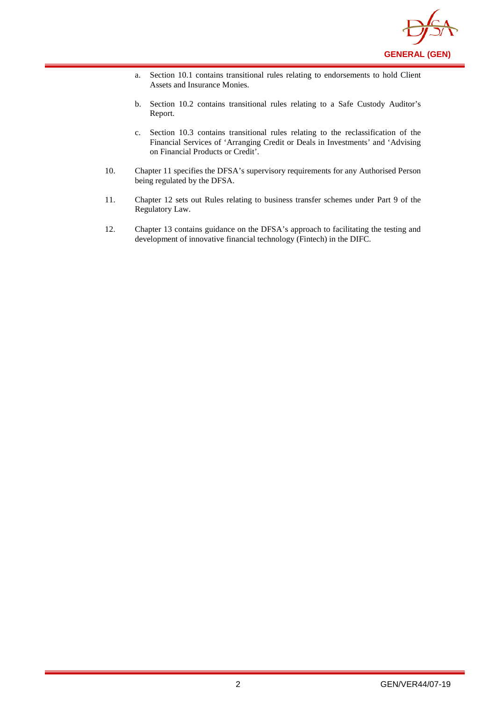

- a. Section 10.1 contains transitional rules relating to endorsements to hold Client Assets and Insurance Monies.
- b. Section 10.2 contains transitional rules relating to a Safe Custody Auditor's Report.
- c. Section 10.3 contains transitional rules relating to the reclassification of the Financial Services of 'Arranging Credit or Deals in Investments' and 'Advising on Financial Products or Credit'.
- 10. Chapter 11 specifies the DFSA's supervisory requirements for any Authorised Person being regulated by the DFSA.
- 11. Chapter 12 sets out Rules relating to business transfer schemes under Part 9 of the Regulatory Law.
- 12. Chapter 13 contains guidance on the DFSA's approach to facilitating the testing and development of innovative financial technology (Fintech) in the DIFC.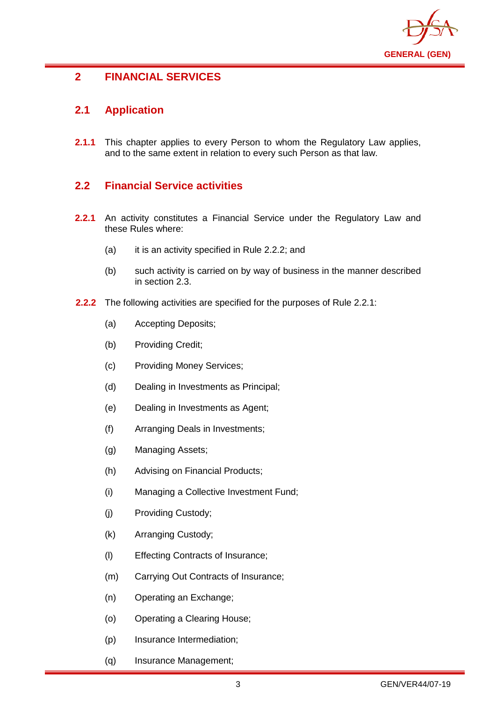

## <span id="page-6-0"></span>**2 FINANCIAL SERVICES**

## <span id="page-6-1"></span>**2.1 Application**

**2.1.1** This chapter applies to every Person to whom the Regulatory Law applies, and to the same extent in relation to every such Person as that law.

## <span id="page-6-2"></span>**2.2 Financial Service activities**

- **2.2.1** An activity constitutes a Financial Service under the Regulatory Law and these Rules where:
	- (a) it is an activity specified in Rule 2.2.2; and
	- (b) such activity is carried on by way of business in the manner described in section 2.3.
- **2.2.2** The following activities are specified for the purposes of Rule 2.2.1:
	- (a) Accepting Deposits;
	- (b) Providing Credit;
	- (c) Providing Money Services;
	- (d) Dealing in Investments as Principal;
	- (e) Dealing in Investments as Agent;
	- (f) Arranging Deals in Investments;
	- (g) Managing Assets;
	- (h) Advising on Financial Products;
	- (i) Managing a Collective Investment Fund;
	- (j) Providing Custody;
	- (k) Arranging Custody;
	- (l) Effecting Contracts of Insurance;
	- (m) Carrying Out Contracts of Insurance;
	- (n) Operating an Exchange;
	- (o) Operating a Clearing House;
	- (p) Insurance Intermediation;
	- (q) Insurance Management;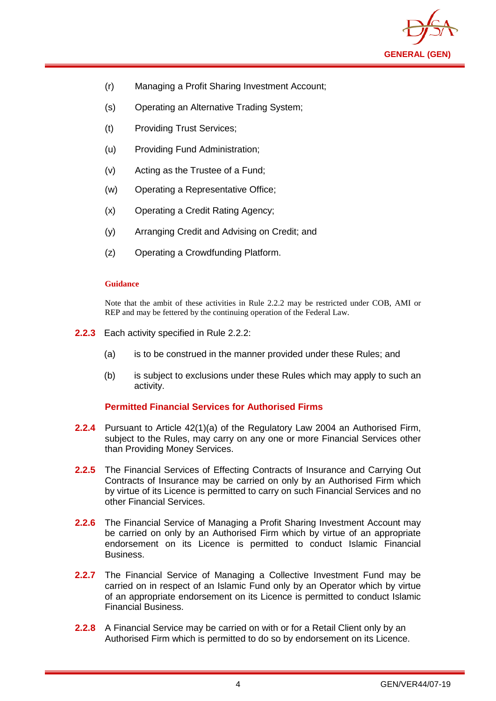

- (r) Managing a Profit Sharing Investment Account;
- (s) Operating an Alternative Trading System;
- (t) Providing Trust Services;
- (u) Providing Fund Administration;
- (v) Acting as the Trustee of a Fund;
- (w) Operating a Representative Office;
- (x) Operating a Credit Rating Agency;
- (y) Arranging Credit and Advising on Credit; and
- (z) Operating a Crowdfunding Platform.

Note that the ambit of these activities in Rule 2.2.2 may be restricted under COB, AMI or REP and may be fettered by the continuing operation of the Federal Law.

- **2.2.3** Each activity specified in Rule 2.2.2:
	- (a) is to be construed in the manner provided under these Rules; and
	- (b) is subject to exclusions under these Rules which may apply to such an activity.

#### **Permitted Financial Services for Authorised Firms**

- **2.2.4** Pursuant to Article 42(1)(a) of the Regulatory Law 2004 an Authorised Firm, subject to the Rules, may carry on any one or more Financial Services other than Providing Money Services.
- **2.2.5** The Financial Services of Effecting Contracts of Insurance and Carrying Out Contracts of Insurance may be carried on only by an Authorised Firm which by virtue of its Licence is permitted to carry on such Financial Services and no other Financial Services.
- **2.2.6** The Financial Service of Managing a Profit Sharing Investment Account may be carried on only by an Authorised Firm which by virtue of an appropriate endorsement on its Licence is permitted to conduct Islamic Financial Business.
- **2.2.7** The Financial Service of Managing a Collective Investment Fund may be carried on in respect of an Islamic Fund only by an Operator which by virtue of an appropriate endorsement on its Licence is permitted to conduct Islamic Financial Business.
- **2.2.8** A Financial Service may be carried on with or for a Retail Client only by an Authorised Firm which is permitted to do so by endorsement on its Licence.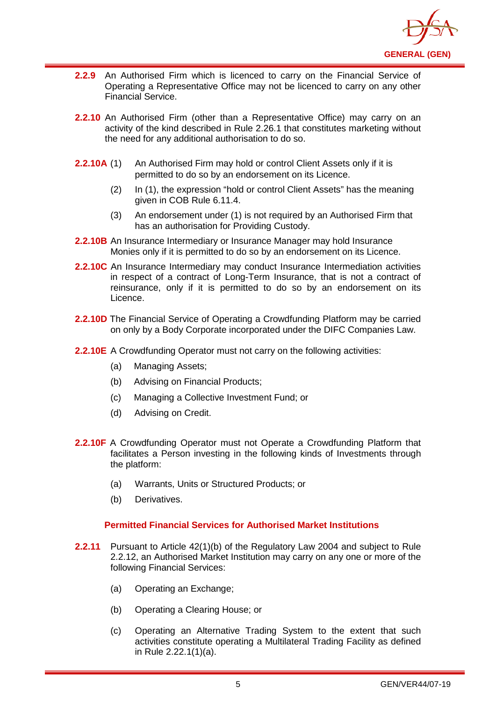

- **2.2.9** An Authorised Firm which is licenced to carry on the Financial Service of Operating a Representative Office may not be licenced to carry on any other Financial Service.
- **2.2.10** An Authorised Firm (other than a Representative Office) may carry on an activity of the kind described in Rule 2.26.1 that constitutes marketing without the need for any additional authorisation to do so.
- **2.2.10A** (1) An Authorised Firm may hold or control Client Assets only if it is permitted to do so by an endorsement on its Licence.
	- (2) In (1), the expression "hold or control Client Assets" has the meaning given in COB Rule 6.11.4.
	- (3) An endorsement under (1) is not required by an Authorised Firm that has an authorisation for Providing Custody.
- **2.2.10B** An Insurance Intermediary or Insurance Manager may hold Insurance Monies only if it is permitted to do so by an endorsement on its Licence.
- **2.2.10C** An Insurance Intermediary may conduct Insurance Intermediation activities in respect of a contract of Long-Term Insurance, that is not a contract of reinsurance, only if it is permitted to do so by an endorsement on its Licence.
- **2.2.10D** The Financial Service of Operating a Crowdfunding Platform may be carried on only by a Body Corporate incorporated under the DIFC Companies Law.
- **2.2.10E** A Crowdfunding Operator must not carry on the following activities:
	- (a) Managing Assets;
	- (b) Advising on Financial Products;
	- (c) Managing a Collective Investment Fund; or
	- (d) Advising on Credit.
- **2.2.10F** A Crowdfunding Operator must not Operate a Crowdfunding Platform that facilitates a Person investing in the following kinds of Investments through the platform:
	- (a) Warrants, Units or Structured Products; or
	- (b) Derivatives.

#### **Permitted Financial Services for Authorised Market Institutions**

- **2.2.11** Pursuant to Article 42(1)(b) of the Regulatory Law 2004 and subject to Rule 2.2.12, an Authorised Market Institution may carry on any one or more of the following Financial Services:
	- (a) Operating an Exchange;
	- (b) Operating a Clearing House; or
	- (c) Operating an Alternative Trading System to the extent that such activities constitute operating a Multilateral Trading Facility as defined in Rule 2.22.1(1)(a).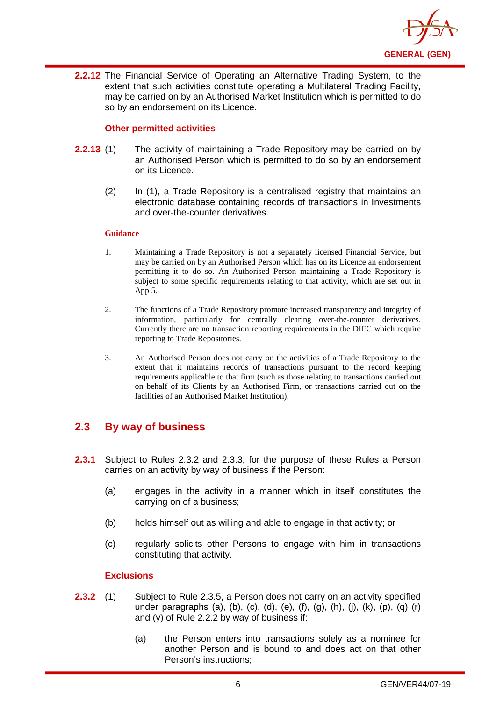

**2.2.12** The Financial Service of Operating an Alternative Trading System, to the extent that such activities constitute operating a Multilateral Trading Facility, may be carried on by an Authorised Market Institution which is permitted to do so by an endorsement on its Licence.

#### **Other permitted activities**

- **2.2.13** (1) The activity of maintaining a Trade Repository may be carried on by an Authorised Person which is permitted to do so by an endorsement on its Licence.
	- (2) In (1), a Trade Repository is a centralised registry that maintains an electronic database containing records of transactions in Investments and over-the-counter derivatives.

#### **Guidance**

- 1. Maintaining a Trade Repository is not a separately licensed Financial Service, but may be carried on by an Authorised Person which has on its Licence an endorsement permitting it to do so. An Authorised Person maintaining a Trade Repository is subject to some specific requirements relating to that activity, which are set out in App 5.
- 2. The functions of a Trade Repository promote increased transparency and integrity of information, particularly for centrally clearing over-the-counter derivatives. Currently there are no transaction reporting requirements in the DIFC which require reporting to Trade Repositories.
- 3. An Authorised Person does not carry on the activities of a Trade Repository to the extent that it maintains records of transactions pursuant to the record keeping requirements applicable to that firm (such as those relating to transactions carried out on behalf of its Clients by an Authorised Firm, or transactions carried out on the facilities of an Authorised Market Institution).

## <span id="page-9-0"></span>**2.3 By way of business**

- **2.3.1** Subject to Rules 2.3.2 and 2.3.3, for the purpose of these Rules a Person carries on an activity by way of business if the Person:
	- (a) engages in the activity in a manner which in itself constitutes the carrying on of a business;
	- (b) holds himself out as willing and able to engage in that activity; or
	- (c) regularly solicits other Persons to engage with him in transactions constituting that activity.

#### **Exclusions**

- **2.3.2** (1) Subject to Rule 2.3.5, a Person does not carry on an activity specified under paragraphs (a), (b), (c), (d), (e), (f), (g), (h), (j), (k), (p), (q) (r) and (y) of Rule 2.2.2 by way of business if:
	- (a) the Person enters into transactions solely as a nominee for another Person and is bound to and does act on that other Person's instructions;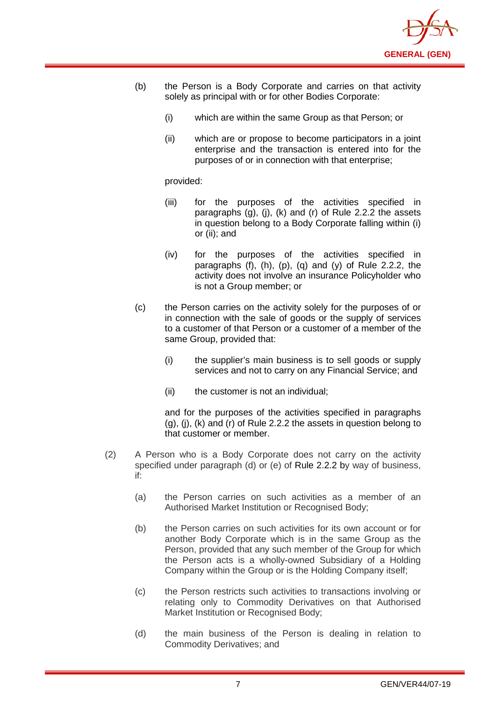

- (b) the Person is a Body Corporate and carries on that activity solely as principal with or for other Bodies Corporate:
	- (i) which are within the same Group as that Person; or
	- (ii) which are or propose to become participators in a joint enterprise and the transaction is entered into for the purposes of or in connection with that enterprise;

provided:

- (iii) for the purposes of the activities specified in paragraphs (g), (j), (k) and (r) of Rule 2.2.2 the assets in question belong to a Body Corporate falling within (i) or (ii); and
- (iv) for the purposes of the activities specified in paragraphs  $(f)$ ,  $(h)$ ,  $(p)$ ,  $(q)$  and  $(y)$  of Rule 2.2.2, the activity does not involve an insurance Policyholder who is not a Group member; or
- (c) the Person carries on the activity solely for the purposes of or in connection with the sale of goods or the supply of services to a customer of that Person or a customer of a member of the same Group, provided that:
	- (i) the supplier's main business is to sell goods or supply services and not to carry on any Financial Service; and
	- (ii) the customer is not an individual;

and for the purposes of the activities specified in paragraphs (g), (j), (k) and (r) of Rule 2.2.2 the assets in question belong to that customer or member.

- (2) A Person who is a Body Corporate does not carry on the activity specified under paragraph (d) or (e) of [Rule 2.2.2](http://www.complinet.com/dfsa/display/display.html?rbid=1547&element_id=1854) by way of business, if:
	- (a) the Person carries on such activities as a member of an Authorised Market Institution or Recognised Body;
	- (b) the Person carries on such activities for its own account or for another Body Corporate which is in the same Group as the Person, provided that any such member of the Group for which the Person acts is a wholly-owned Subsidiary of a Holding Company within the Group or is the Holding Company itself;
	- (c) the Person restricts such activities to transactions involving or relating only to Commodity Derivatives on that Authorised Market Institution or Recognised Body;
	- (d) the main business of the Person is dealing in relation to Commodity Derivatives; and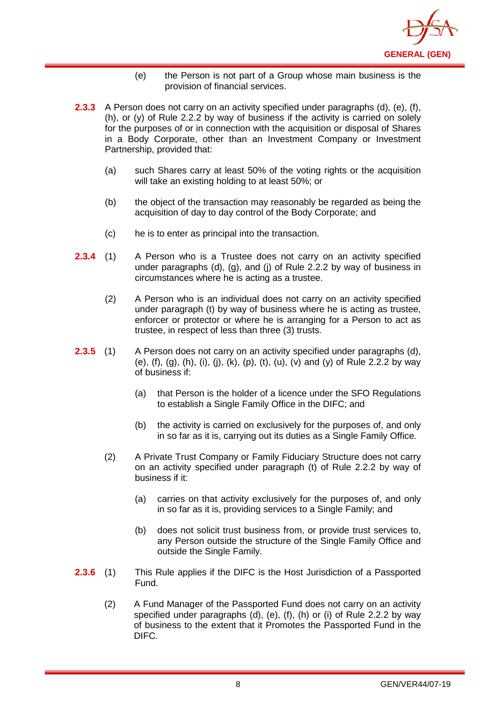

- (e) the Person is not part of a Group whose main business is the provision of financial services.
- **2.3.3** A Person does not carry on an activity specified under paragraphs (d), (e), (f), (h), or (y) of Rule 2.2.2 by way of business if the activity is carried on solely for the purposes of or in connection with the acquisition or disposal of Shares in a Body Corporate, other than an Investment Company or Investment Partnership, provided that:
	- (a) such Shares carry at least 50% of the voting rights or the acquisition will take an existing holding to at least 50%; or
	- (b) the object of the transaction may reasonably be regarded as being the acquisition of day to day control of the Body Corporate; and
	- (c) he is to enter as principal into the transaction.
- **2.3.4** (1) A Person who is a Trustee does not carry on an activity specified under paragraphs (d), (g), and (j) of Rule 2.2.2 by way of business in circumstances where he is acting as a trustee.
	- (2) A Person who is an individual does not carry on an activity specified under paragraph (t) by way of business where he is acting as trustee, enforcer or protector or where he is arranging for a Person to act as trustee, in respect of less than three (3) trusts.
- **2.3.5** (1) A Person does not carry on an activity specified under paragraphs (d), (e), (f), (g), (h), (i), (i), (k), (p), (t), (u), (v) and (y) of Rule 2.2.2 by way of business if:
	- (a) that Person is the holder of a licence under the SFO Regulations to establish a Single Family Office in the DIFC; and
	- (b) the activity is carried on exclusively for the purposes of, and only in so far as it is, carrying out its duties as a Single Family Office.
	- (2) A Private Trust Company or Family Fiduciary Structure does not carry on an activity specified under paragraph (t) of Rule 2.2.2 by way of business if it:
		- (a) carries on that activity exclusively for the purposes of, and only in so far as it is, providing services to a Single Family; and
		- (b) does not solicit trust business from, or provide trust services to, any Person outside the structure of the Single Family Office and outside the Single Family.
- **2.3.6** (1) This Rule applies if the DIFC is the Host Jurisdiction of a Passported Fund.
	- (2) A Fund Manager of the Passported Fund does not carry on an activity specified under paragraphs (d), (e), (f), (h) or (i) of Rule 2.2.2 by way of business to the extent that it Promotes the Passported Fund in the DIFC.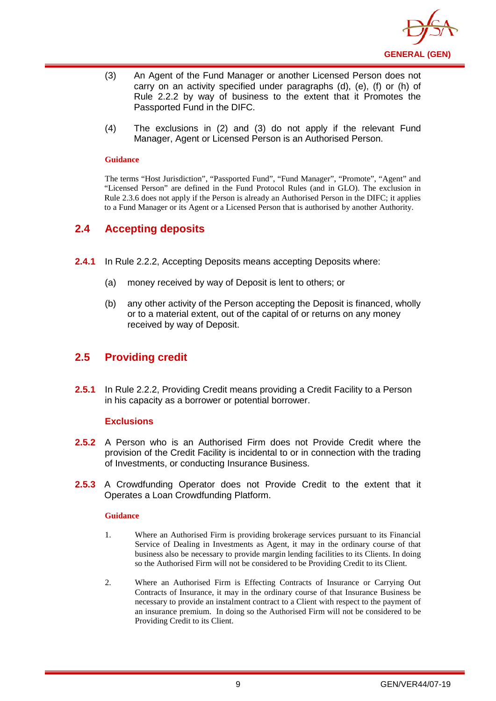

- (3) An Agent of the Fund Manager or another Licensed Person does not carry on an activity specified under paragraphs (d), (e), (f) or (h) of Rule 2.2.2 by way of business to the extent that it Promotes the Passported Fund in the DIFC.
- (4) The exclusions in (2) and (3) do not apply if the relevant Fund Manager, Agent or Licensed Person is an Authorised Person.

The terms "Host Jurisdiction", "Passported Fund", "Fund Manager", "Promote", "Agent" and "Licensed Person" are defined in the Fund Protocol Rules (and in GLO). The exclusion in Rule 2.3.6 does not apply if the Person is already an Authorised Person in the DIFC; it applies to a Fund Manager or its Agent or a Licensed Person that is authorised by another Authority.

## <span id="page-12-0"></span>**2.4 Accepting deposits**

- **2.4.1** In Rule 2.2.2, Accepting Deposits means accepting Deposits where:
	- (a) money received by way of Deposit is lent to others; or
	- (b) any other activity of the Person accepting the Deposit is financed, wholly or to a material extent, out of the capital of or returns on any money received by way of Deposit.

## <span id="page-12-1"></span>**2.5 Providing credit**

**2.5.1** In Rule 2.2.2, Providing Credit means providing a Credit Facility to a Person in his capacity as a borrower or potential borrower.

#### **Exclusions**

- **2.5.2** A Person who is an Authorised Firm does not Provide Credit where the provision of the Credit Facility is incidental to or in connection with the trading of Investments, or conducting Insurance Business.
- **2.5.3** A Crowdfunding Operator does not Provide Credit to the extent that it Operates a Loan Crowdfunding Platform.

#### **Guidance**

- 1. Where an Authorised Firm is providing brokerage services pursuant to its Financial Service of Dealing in Investments as Agent, it may in the ordinary course of that business also be necessary to provide margin lending facilities to its Clients. In doing so the Authorised Firm will not be considered to be Providing Credit to its Client.
- 2. Where an Authorised Firm is Effecting Contracts of Insurance or Carrying Out Contracts of Insurance, it may in the ordinary course of that Insurance Business be necessary to provide an instalment contract to a Client with respect to the payment of an insurance premium. In doing so the Authorised Firm will not be considered to be Providing Credit to its Client.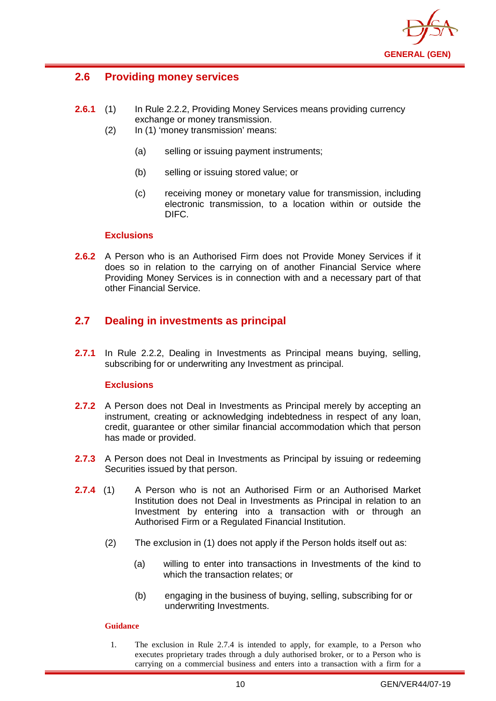

## <span id="page-13-0"></span>**2.6 Providing money services**

- **2.6.1** (1) In Rule 2.2.2, Providing Money Services means providing currency exchange or money transmission.
	- (2) In (1) 'money transmission' means:
		- (a) selling or issuing payment instruments;
		- (b) selling or issuing stored value; or
		- (c) receiving money or monetary value for transmission, including electronic transmission, to a location within or outside the DIFC.

#### **Exclusions**

**2.6.2** A Person who is an Authorised Firm does not Provide Money Services if it does so in relation to the carrying on of another Financial Service where Providing Money Services is in connection with and a necessary part of that other Financial Service.

## <span id="page-13-1"></span>**2.7 Dealing in investments as principal**

**2.7.1** In Rule 2.2.2, Dealing in Investments as Principal means buying, selling, subscribing for or underwriting any Investment as principal.

#### **Exclusions**

- **2.7.2** A Person does not Deal in Investments as Principal merely by accepting an instrument, creating or acknowledging indebtedness in respect of any loan, credit, guarantee or other similar financial accommodation which that person has made or provided.
- **2.7.3** A Person does not Deal in Investments as Principal by issuing or redeeming Securities issued by that person.
- **2.7.4** (1) A Person who is not an Authorised Firm or an Authorised Market Institution does not Deal in Investments as Principal in relation to an Investment by entering into a transaction with or through an Authorised Firm or a Regulated Financial Institution.
	- (2) The exclusion in (1) does not apply if the Person holds itself out as:
		- (a) willing to enter into transactions in Investments of the kind to which the transaction relates; or
		- (b) engaging in the business of buying, selling, subscribing for or underwriting Investments.

#### **Guidance**

1. The exclusion in Rule 2.7.4 is intended to apply, for example, to a Person who executes proprietary trades through a duly authorised broker, or to a Person who is carrying on a commercial business and enters into a transaction with a firm for a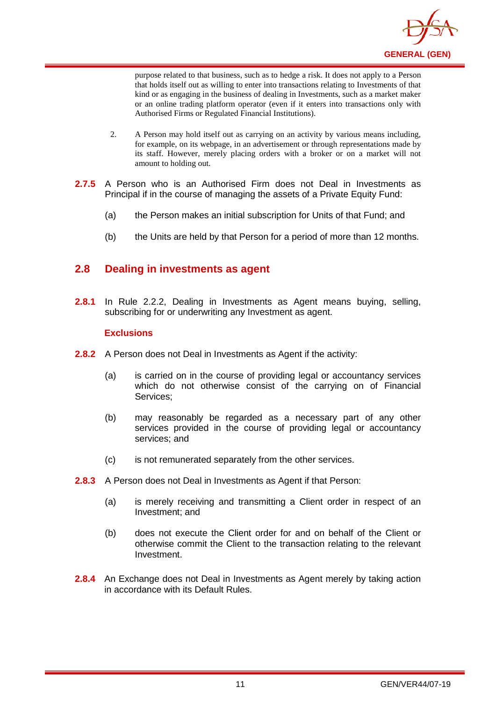

purpose related to that business, such as to hedge a risk. It does not apply to a Person that holds itself out as willing to enter into transactions relating to Investments of that kind or as engaging in the business of dealing in Investments, such as a market maker or an online trading platform operator (even if it enters into transactions only with Authorised Firms or Regulated Financial Institutions).

- 2. A Person may hold itself out as carrying on an activity by various means including, for example, on its webpage, in an advertisement or through representations made by its staff. However, merely placing orders with a broker or on a market will not amount to holding out.
- **2.7.5** A Person who is an Authorised Firm does not Deal in Investments as Principal if in the course of managing the assets of a Private Equity Fund:
	- (a) the Person makes an initial subscription for Units of that Fund; and
	- (b) the Units are held by that Person for a period of more than 12 months.

## <span id="page-14-0"></span>**2.8 Dealing in investments as agent**

**2.8.1** In Rule 2.2.2, Dealing in Investments as Agent means buying, selling, subscribing for or underwriting any Investment as agent.

#### **Exclusions**

- **2.8.2** A Person does not Deal in Investments as Agent if the activity:
	- (a) is carried on in the course of providing legal or accountancy services which do not otherwise consist of the carrying on of Financial Services;
	- (b) may reasonably be regarded as a necessary part of any other services provided in the course of providing legal or accountancy services; and
	- (c) is not remunerated separately from the other services.
- **2.8.3** A Person does not Deal in Investments as Agent if that Person:
	- (a) is merely receiving and transmitting a Client order in respect of an Investment; and
	- (b) does not execute the Client order for and on behalf of the Client or otherwise commit the Client to the transaction relating to the relevant Investment.
- **2.8.4** An Exchange does not Deal in Investments as Agent merely by taking action in accordance with its Default Rules.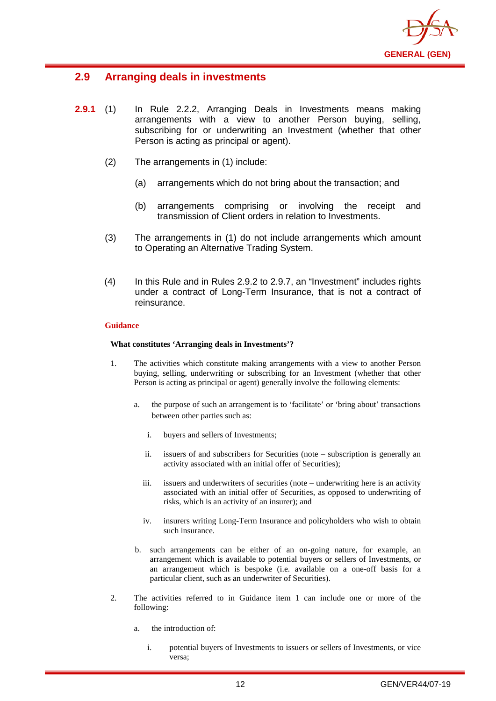

## <span id="page-15-0"></span>**2.9 Arranging deals in investments**

- **2.9.1** (1) In Rule 2.2.2, Arranging Deals in Investments means making arrangements with a view to another Person buying, selling, subscribing for or underwriting an Investment (whether that other Person is acting as principal or agent).
	- (2) The arrangements in (1) include:
		- (a) arrangements which do not bring about the transaction; and
		- (b) arrangements comprising or involving the receipt and transmission of Client orders in relation to Investments.
	- (3) The arrangements in (1) do not include arrangements which amount to Operating an Alternative Trading System.
	- (4) In this Rule and in Rules 2.9.2 to 2.9.7, an "Investment" includes rights under a contract of Long-Term Insurance, that is not a contract of reinsurance.

#### **Guidance**

#### **What constitutes 'Arranging deals in Investments'?**

- 1. The activities which constitute making arrangements with a view to another Person buying, selling, underwriting or subscribing for an Investment (whether that other Person is acting as principal or agent) generally involve the following elements:
	- a. the purpose of such an arrangement is to 'facilitate' or 'bring about' transactions between other parties such as:
		- i. buyers and sellers of Investments;
		- ii. issuers of and subscribers for Securities (note subscription is generally an activity associated with an initial offer of Securities);
		- iii. issuers and underwriters of securities (note underwriting here is an activity associated with an initial offer of Securities, as opposed to underwriting of risks, which is an activity of an insurer); and
		- iv. insurers writing Long-Term Insurance and policyholders who wish to obtain such insurance.
	- b. such arrangements can be either of an on-going nature, for example, an arrangement which is available to potential buyers or sellers of Investments, or an arrangement which is bespoke (i.e. available on a one-off basis for a particular client, such as an underwriter of Securities).
- 2. The activities referred to in Guidance item 1 can include one or more of the following:
	- a. the introduction of:
		- i. potential buyers of Investments to issuers or sellers of Investments, or vice versa;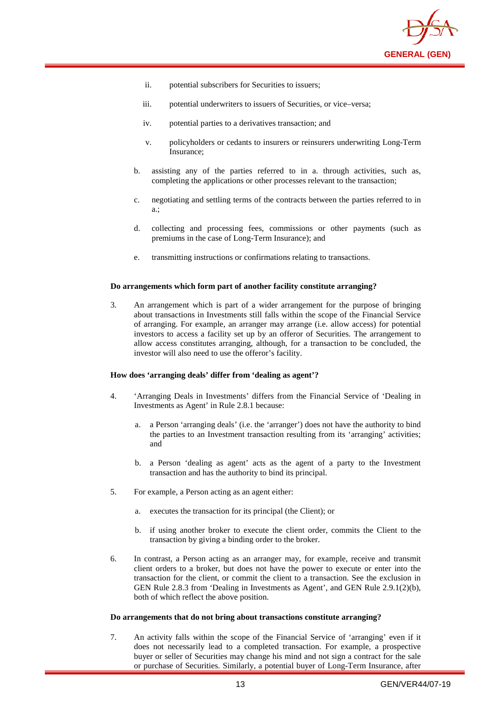

- ii. potential subscribers for Securities to issuers;
- iii. potential underwriters to issuers of Securities, or vice–versa;
- iv. potential parties to a derivatives transaction; and
- v. policyholders or cedants to insurers or reinsurers underwriting Long-Term Insurance;
- b. assisting any of the parties referred to in a. through activities, such as, completing the applications or other processes relevant to the transaction;
- c. negotiating and settling terms of the contracts between the parties referred to in a.;
- d. collecting and processing fees, commissions or other payments (such as premiums in the case of Long-Term Insurance); and
- e. transmitting instructions or confirmations relating to transactions.

#### **Do arrangements which form part of another facility constitute arranging?**

3. An arrangement which is part of a wider arrangement for the purpose of bringing about transactions in Investments still falls within the scope of the Financial Service of arranging. For example, an arranger may arrange (i.e. allow access) for potential investors to access a facility set up by an offeror of Securities. The arrangement to allow access constitutes arranging, although, for a transaction to be concluded, the investor will also need to use the offeror's facility.

#### **How does 'arranging deals' differ from 'dealing as agent'?**

- 4. 'Arranging Deals in Investments' differs from the Financial Service of 'Dealing in Investments as Agent' in Rule 2.8.1 because:
	- a. a Person 'arranging deals' (i.e. the 'arranger') does not have the authority to bind the parties to an Investment transaction resulting from its 'arranging' activities; and
	- b. a Person 'dealing as agent' acts as the agent of a party to the Investment transaction and has the authority to bind its principal.
- 5. For example, a Person acting as an agent either:
	- a. executes the transaction for its principal (the Client); or
	- b. if using another broker to execute the client order, commits the Client to the transaction by giving a binding order to the broker.
- 6. In contrast, a Person acting as an arranger may, for example, receive and transmit client orders to a broker, but does not have the power to execute or enter into the transaction for the client, or commit the client to a transaction. See the exclusion in GEN Rule 2.8.3 from 'Dealing in Investments as Agent', and GEN Rule 2.9.1(2)(b), both of which reflect the above position.

#### **Do arrangements that do not bring about transactions constitute arranging?**

7. An activity falls within the scope of the Financial Service of 'arranging' even if it does not necessarily lead to a completed transaction. For example, a prospective buyer or seller of Securities may change his mind and not sign a contract for the sale or purchase of Securities. Similarly, a potential buyer of Long-Term Insurance, after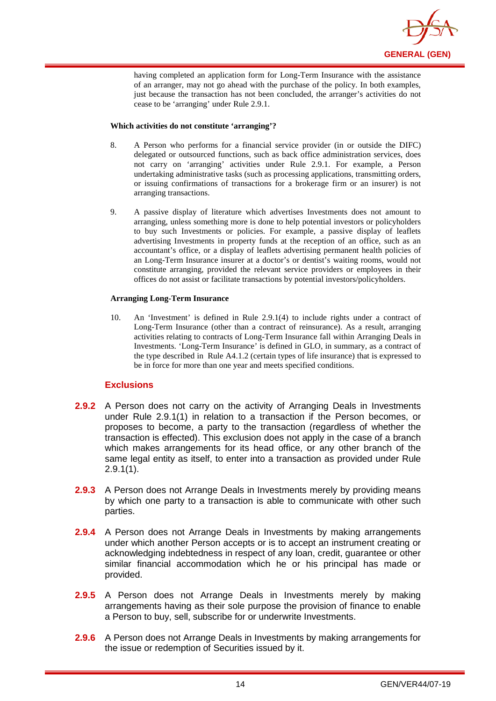

having completed an application form for Long-Term Insurance with the assistance of an arranger, may not go ahead with the purchase of the policy. In both examples, just because the transaction has not been concluded, the arranger's activities do not cease to be 'arranging' under Rule 2.9.1.

#### **Which activities do not constitute 'arranging'?**

- 8. A Person who performs for a financial service provider (in or outside the DIFC) delegated or outsourced functions, such as back office administration services, does not carry on 'arranging' activities under Rule 2.9.1. For example, a Person undertaking administrative tasks (such as processing applications, transmitting orders, or issuing confirmations of transactions for a brokerage firm or an insurer) is not arranging transactions.
- 9. A passive display of literature which advertises Investments does not amount to arranging, unless something more is done to help potential investors or policyholders to buy such Investments or policies. For example, a passive display of leaflets advertising Investments in property funds at the reception of an office, such as an accountant's office, or a display of leaflets advertising permanent health policies of an Long-Term Insurance insurer at a doctor's or dentist's waiting rooms, would not constitute arranging, provided the relevant service providers or employees in their offices do not assist or facilitate transactions by potential investors/policyholders.

#### **Arranging Long-Term Insurance**

10. An 'Investment' is defined in Rule 2.9.1(4) to include rights under a contract of Long-Term Insurance (other than a contract of reinsurance). As a result, arranging activities relating to contracts of Long-Term Insurance fall within Arranging Deals in Investments. 'Long-Term Insurance' is defined in GLO, in summary, as a contract of the type described in Rule A4.1.2 (certain types of life insurance) that is expressed to be in force for more than one year and meets specified conditions.

#### **Exclusions**

- **2.9.2** A Person does not carry on the activity of Arranging Deals in Investments under Rule 2.9.1(1) in relation to a transaction if the Person becomes, or proposes to become, a party to the transaction (regardless of whether the transaction is effected). This exclusion does not apply in the case of a branch which makes arrangements for its head office, or any other branch of the same legal entity as itself, to enter into a transaction as provided under Rule 2.9.1(1).
- **2.9.3** A Person does not Arrange Deals in Investments merely by providing means by which one party to a transaction is able to communicate with other such parties.
- **2.9.4** A Person does not Arrange Deals in Investments by making arrangements under which another Person accepts or is to accept an instrument creating or acknowledging indebtedness in respect of any loan, credit, guarantee or other similar financial accommodation which he or his principal has made or provided.
- **2.9.5** A Person does not Arrange Deals in Investments merely by making arrangements having as their sole purpose the provision of finance to enable a Person to buy, sell, subscribe for or underwrite Investments.
- **2.9.6** A Person does not Arrange Deals in Investments by making arrangements for the issue or redemption of Securities issued by it.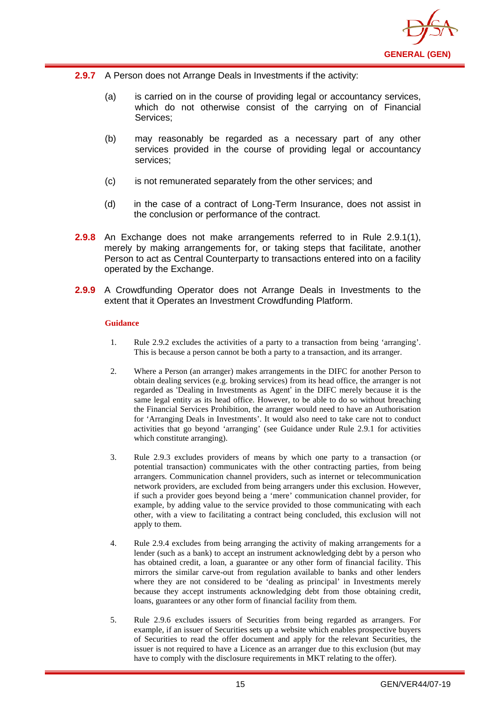

- **2.9.7** A Person does not Arrange Deals in Investments if the activity:
	- (a) is carried on in the course of providing legal or accountancy services, which do not otherwise consist of the carrying on of Financial Services;
	- (b) may reasonably be regarded as a necessary part of any other services provided in the course of providing legal or accountancy services;
	- (c) is not remunerated separately from the other services; and
	- (d) in the case of a contract of Long-Term Insurance, does not assist in the conclusion or performance of the contract.
- **2.9.8** An Exchange does not make arrangements referred to in Rule 2.9.1(1), merely by making arrangements for, or taking steps that facilitate, another Person to act as Central Counterparty to transactions entered into on a facility operated by the Exchange.
- **2.9.9** A Crowdfunding Operator does not Arrange Deals in Investments to the extent that it Operates an Investment Crowdfunding Platform.

- 1. Rule 2.9.2 excludes the activities of a party to a transaction from being 'arranging'. This is because a person cannot be both a party to a transaction, and its arranger.
- 2. Where a Person (an arranger) makes arrangements in the DIFC for another Person to obtain dealing services (e.g. broking services) from its head office, the arranger is not regarded as 'Dealing in Investments as Agent' in the DIFC merely because it is the same legal entity as its head office. However, to be able to do so without breaching the Financial Services Prohibition, the arranger would need to have an Authorisation for 'Arranging Deals in Investments'. It would also need to take care not to conduct activities that go beyond 'arranging' (see Guidance under Rule 2.9.1 for activities which constitute arranging).
- 3. Rule 2.9.3 excludes providers of means by which one party to a transaction (or potential transaction) communicates with the other contracting parties, from being arrangers. Communication channel providers, such as internet or telecommunication network providers, are excluded from being arrangers under this exclusion. However, if such a provider goes beyond being a 'mere' communication channel provider, for example, by adding value to the service provided to those communicating with each other, with a view to facilitating a contract being concluded, this exclusion will not apply to them.
- 4. Rule 2.9.4 excludes from being arranging the activity of making arrangements for a lender (such as a bank) to accept an instrument acknowledging debt by a person who has obtained credit, a loan, a guarantee or any other form of financial facility. This mirrors the similar carve-out from regulation available to banks and other lenders where they are not considered to be 'dealing as principal' in Investments merely because they accept instruments acknowledging debt from those obtaining credit, loans, guarantees or any other form of financial facility from them.
- 5. Rule 2.9.6 excludes issuers of Securities from being regarded as arrangers. For example, if an issuer of Securities sets up a website which enables prospective buyers of Securities to read the offer document and apply for the relevant Securities, the issuer is not required to have a Licence as an arranger due to this exclusion (but may have to comply with the disclosure requirements in MKT relating to the offer).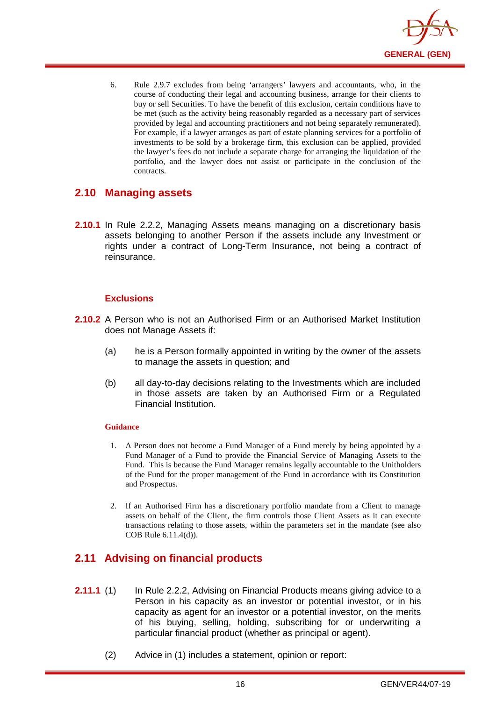

6. Rule 2.9.7 excludes from being 'arrangers' lawyers and accountants, who, in the course of conducting their legal and accounting business, arrange for their clients to buy or sell Securities. To have the benefit of this exclusion, certain conditions have to be met (such as the activity being reasonably regarded as a necessary part of services provided by legal and accounting practitioners and not being separately remunerated). For example, if a lawyer arranges as part of estate planning services for a portfolio of investments to be sold by a brokerage firm, this exclusion can be applied, provided the lawyer's fees do not include a separate charge for arranging the liquidation of the portfolio, and the lawyer does not assist or participate in the conclusion of the contracts.

## <span id="page-19-0"></span>**2.10 Managing assets**

**2.10.1** In Rule 2.2.2, Managing Assets means managing on a discretionary basis assets belonging to another Person if the assets include any Investment or rights under a contract of Long-Term Insurance, not being a contract of reinsurance.

#### **Exclusions**

- **2.10.2** A Person who is not an Authorised Firm or an Authorised Market Institution does not Manage Assets if:
	- (a) he is a Person formally appointed in writing by the owner of the assets to manage the assets in question; and
	- (b) all day-to-day decisions relating to the Investments which are included in those assets are taken by an Authorised Firm or a Regulated Financial Institution.

#### **Guidance**

- 1. A Person does not become a Fund Manager of a Fund merely by being appointed by a Fund Manager of a Fund to provide the Financial Service of Managing Assets to the Fund. This is because the Fund Manager remains legally accountable to the Unitholders of the Fund for the proper management of the Fund in accordance with its Constitution and Prospectus.
- 2. If an Authorised Firm has a discretionary portfolio mandate from a Client to manage assets on behalf of the Client, the firm controls those Client Assets as it can execute transactions relating to those assets, within the parameters set in the mandate (see also COB Rule 6.11.4(d)).

## <span id="page-19-1"></span>**2.11 Advising on financial products**

- **2.11.1** (1) In Rule 2.2.2, Advising on Financial Products means giving advice to a Person in his capacity as an investor or potential investor, or in his capacity as agent for an investor or a potential investor, on the merits of his buying, selling, holding, subscribing for or underwriting a particular financial product (whether as principal or agent).
	- (2) Advice in (1) includes a statement, opinion or report: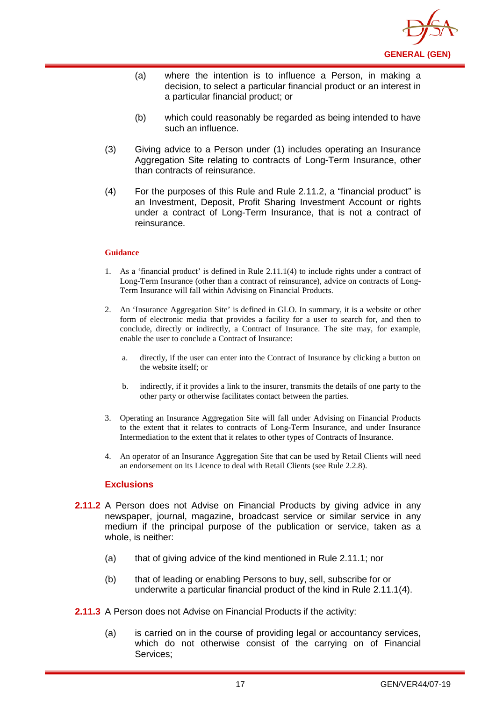

- (a) where the intention is to influence a Person, in making a decision, to select a particular financial product or an interest in a particular financial product; or
- (b) which could reasonably be regarded as being intended to have such an influence.
- (3) Giving advice to a Person under (1) includes operating an Insurance Aggregation Site relating to contracts of Long-Term Insurance, other than contracts of reinsurance.
- (4) For the purposes of this Rule and Rule 2.11.2, a "financial product" is an Investment, Deposit, Profit Sharing Investment Account or rights under a contract of Long-Term Insurance, that is not a contract of reinsurance.

- 1. As a 'financial product' is defined in Rule 2.11.1(4) to include rights under a contract of Long-Term Insurance (other than a contract of reinsurance), advice on contracts of Long-Term Insurance will fall within Advising on Financial Products.
- 2. An 'Insurance Aggregation Site' is defined in GLO. In summary, it is a website or other form of electronic media that provides a facility for a user to search for, and then to conclude, directly or indirectly, a Contract of Insurance. The site may, for example, enable the user to conclude a Contract of Insurance:
	- a. directly, if the user can enter into the Contract of Insurance by clicking a button on the website itself; or
	- b. indirectly, if it provides a link to the insurer, transmits the details of one party to the other party or otherwise facilitates contact between the parties.
- 3. Operating an Insurance Aggregation Site will fall under Advising on Financial Products to the extent that it relates to contracts of Long-Term Insurance, and under Insurance Intermediation to the extent that it relates to other types of Contracts of Insurance.
- 4. An operator of an Insurance Aggregation Site that can be used by Retail Clients will need an endorsement on its Licence to deal with Retail Clients (see Rule 2.2.8).

#### **Exclusions**

- **2.11.2** A Person does not Advise on Financial Products by giving advice in any newspaper, journal, magazine, broadcast service or similar service in any medium if the principal purpose of the publication or service, taken as a whole, is neither:
	- (a) that of giving advice of the kind mentioned in Rule 2.11.1; nor
	- (b) that of leading or enabling Persons to buy, sell, subscribe for or underwrite a particular financial product of the kind in Rule 2.11.1(4).
- **2.11.3** A Person does not Advise on Financial Products if the activity:
	- (a) is carried on in the course of providing legal or accountancy services, which do not otherwise consist of the carrying on of Financial Services;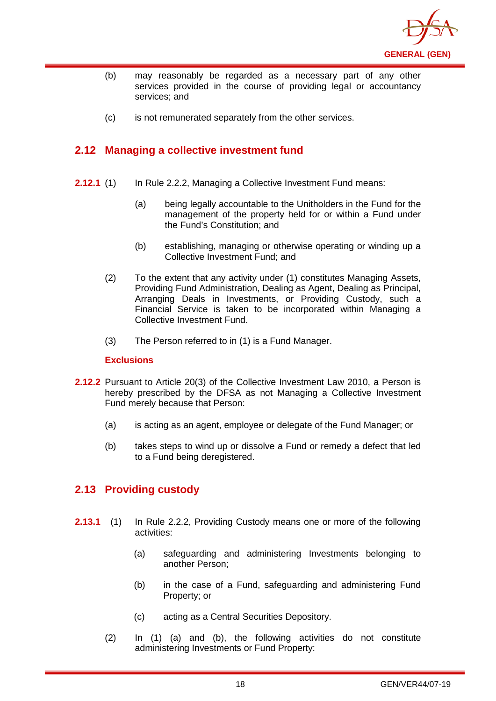

- (b) may reasonably be regarded as a necessary part of any other services provided in the course of providing legal or accountancy services; and
- (c) is not remunerated separately from the other services.

## <span id="page-21-0"></span>**2.12 Managing a collective investment fund**

- **2.12.1** (1) In Rule 2.2.2, Managing a Collective Investment Fund means:
	- (a) being legally accountable to the Unitholders in the Fund for the management of the property held for or within a Fund under the Fund's Constitution; and
	- (b) establishing, managing or otherwise operating or winding up a Collective Investment Fund; and
	- (2) To the extent that any activity under (1) constitutes Managing Assets, Providing Fund Administration, Dealing as Agent, Dealing as Principal, Arranging Deals in Investments, or Providing Custody, such a Financial Service is taken to be incorporated within Managing a Collective Investment Fund.
	- (3) The Person referred to in (1) is a Fund Manager.

#### **Exclusions**

- **2.12.2** Pursuant to Article 20(3) of the Collective Investment Law 2010, a Person is hereby prescribed by the DFSA as not Managing a Collective Investment Fund merely because that Person:
	- (a) is acting as an agent, employee or delegate of the Fund Manager; or
	- (b) takes steps to wind up or dissolve a Fund or remedy a defect that led to a Fund being deregistered.

## <span id="page-21-1"></span>**2.13 Providing custody**

- **2.13.1** (1) In Rule 2.2.2, Providing Custody means one or more of the following activities:
	- (a) safeguarding and administering Investments belonging to another Person;
	- (b) in the case of a Fund, safeguarding and administering Fund Property; or
	- (c) acting as a Central Securities Depository.
	- (2) In (1) (a) and (b), the following activities do not constitute administering Investments or Fund Property: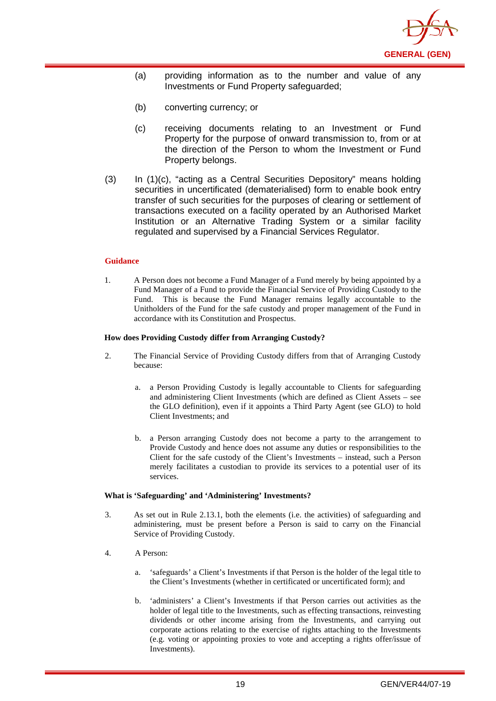

- (a) providing information as to the number and value of any Investments or Fund Property safeguarded;
- (b) converting currency; or
- (c) receiving documents relating to an Investment or Fund Property for the purpose of onward transmission to, from or at the direction of the Person to whom the Investment or Fund Property belongs.
- (3) In (1)(c), "acting as a Central Securities Depository" means holding securities in uncertificated (dematerialised) form to enable [book entry](http://en.wikipedia.org/wiki/Book_entry) transfer of such securities for the purposes of clearing or settlement of transactions executed on a facility operated by an Authorised Market Institution or an Alternative Trading System or a similar facility regulated and supervised by a Financial Services Regulator.

1. A Person does not become a Fund Manager of a Fund merely by being appointed by a Fund Manager of a Fund to provide the Financial Service of Providing Custody to the Fund. This is because the Fund Manager remains legally accountable to the Unitholders of the Fund for the safe custody and proper management of the Fund in accordance with its Constitution and Prospectus.

#### **How does Providing Custody differ from Arranging Custody?**

- 2. The Financial Service of Providing Custody differs from that of Arranging Custody because:
	- a. a Person Providing Custody is legally accountable to Clients for safeguarding and administering Client Investments (which are defined as Client Assets – see the GLO definition), even if it appoints a Third Party Agent (see GLO) to hold Client Investments; and
	- b. a Person arranging Custody does not become a party to the arrangement to Provide Custody and hence does not assume any duties or responsibilities to the Client for the safe custody of the Client's Investments – instead, such a Person merely facilitates a custodian to provide its services to a potential user of its services.

#### **What is 'Safeguarding' and 'Administering' Investments?**

- 3. As set out in Rule 2.13.1, both the elements (i.e. the activities) of safeguarding and administering, must be present before a Person is said to carry on the Financial Service of Providing Custody.
- 4. A Person:
	- a. 'safeguards' a Client's Investments if that Person is the holder of the legal title to the Client's Investments (whether in certificated or uncertificated form); and
	- b. 'administers' a Client's Investments if that Person carries out activities as the holder of legal title to the Investments, such as effecting transactions, reinvesting dividends or other income arising from the Investments, and carrying out corporate actions relating to the exercise of rights attaching to the Investments (e.g. voting or appointing proxies to vote and accepting a rights offer/issue of Investments).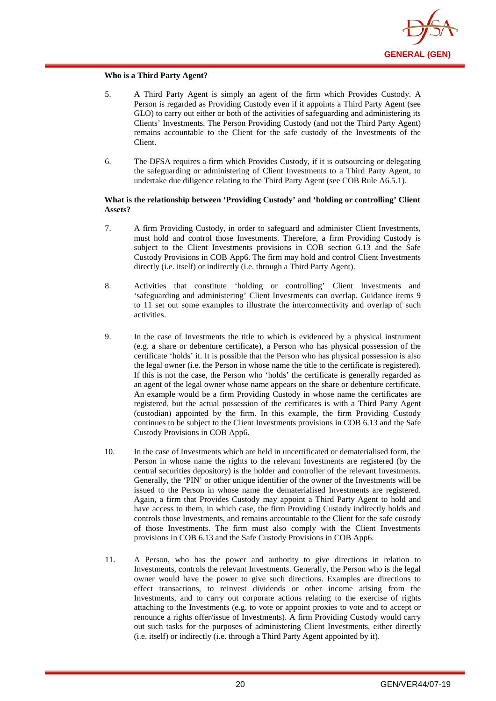

#### **Who is a Third Party Agent?**

- 5. A Third Party Agent is simply an agent of the firm which Provides Custody. A Person is regarded as Providing Custody even if it appoints a Third Party Agent (see GLO) to carry out either or both of the activities of safeguarding and administering its Clients' Investments. The Person Providing Custody (and not the Third Party Agent) remains accountable to the Client for the safe custody of the Investments of the Client.
- 6. The DFSA requires a firm which Provides Custody, if it is outsourcing or delegating the safeguarding or administering of Client Investments to a Third Party Agent, to undertake due diligence relating to the Third Party Agent (see COB Rule A6.5.1).

#### **What is the relationship between 'Providing Custody' and 'holding or controlling' Client Assets?**

- 7. A firm Providing Custody, in order to safeguard and administer Client Investments, must hold and control those Investments. Therefore, a firm Providing Custody is subject to the Client Investments provisions in COB section 6.13 and the Safe Custody Provisions in COB App6. The firm may hold and control Client Investments directly (i.e. itself) or indirectly (i.e. through a Third Party Agent).
- 8. Activities that constitute 'holding or controlling' Client Investments and 'safeguarding and administering' Client Investments can overlap. Guidance items 9 to 11 set out some examples to illustrate the interconnectivity and overlap of such activities.
- 9. In the case of Investments the title to which is evidenced by a physical instrument (e.g. a share or debenture certificate), a Person who has physical possession of the certificate 'holds' it. It is possible that the Person who has physical possession is also the legal owner (i.e. the Person in whose name the title to the certificate is registered). If this is not the case, the Person who 'holds' the certificate is generally regarded as an agent of the legal owner whose name appears on the share or debenture certificate. An example would be a firm Providing Custody in whose name the certificates are registered, but the actual possession of the certificates is with a Third Party Agent (custodian) appointed by the firm. In this example, the firm Providing Custody continues to be subject to the Client Investments provisions in COB 6.13 and the Safe Custody Provisions in COB App6.
- 10. In the case of Investments which are held in uncertificated or dematerialised form, the Person in whose name the rights to the relevant Investments are registered (by the central securities depository) is the holder and controller of the relevant Investments. Generally, the 'PIN' or other unique identifier of the owner of the Investments will be issued to the Person in whose name the dematerialised Investments are registered. Again, a firm that Provides Custody may appoint a Third Party Agent to hold and have access to them, in which case, the firm Providing Custody indirectly holds and controls those Investments, and remains accountable to the Client for the safe custody of those Investments. The firm must also comply with the Client Investments provisions in COB 6.13 and the Safe Custody Provisions in COB App6.
- 11. A Person, who has the power and authority to give directions in relation to Investments, controls the relevant Investments. Generally, the Person who is the legal owner would have the power to give such directions. Examples are directions to effect transactions, to reinvest dividends or other income arising from the Investments, and to carry out corporate actions relating to the exercise of rights attaching to the Investments (e.g. to vote or appoint proxies to vote and to accept or renounce a rights offer/issue of Investments). A firm Providing Custody would carry out such tasks for the purposes of administering Client Investments, either directly (i.e. itself) or indirectly (i.e. through a Third Party Agent appointed by it).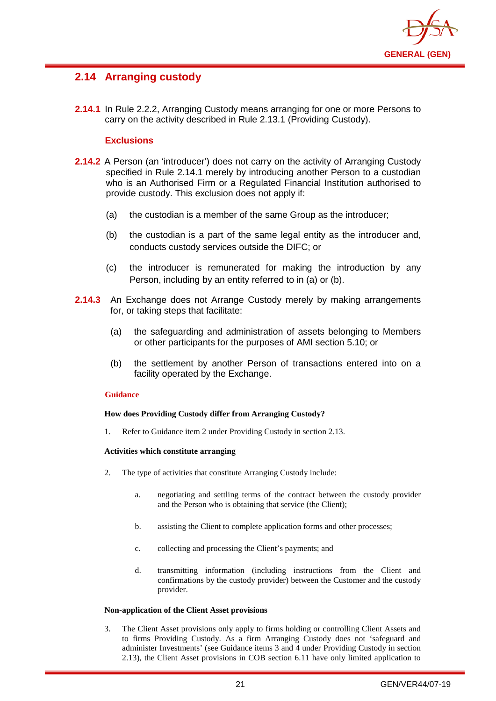

## <span id="page-24-0"></span>**2.14 Arranging custody**

**2.14.1** In Rule 2.2.2, Arranging Custody means arranging for one or more Persons to carry on the activity described in Rule 2.13.1 (Providing Custody).

#### **Exclusions**

- **2.14.2** A Person (an 'introducer') does not carry on the activity of Arranging Custody specified in Rule 2.14.1 merely by introducing another Person to a custodian who is an Authorised Firm or a Regulated Financial Institution authorised to provide custody. This exclusion does not apply if:
	- (a) the custodian is a member of the same Group as the introducer;
	- (b) the custodian is a part of the same legal entity as the introducer and, conducts custody services outside the DIFC; or
	- (c) the introducer is remunerated for making the introduction by any Person, including by an entity referred to in (a) or (b).
- **2.14.3** An Exchange does not Arrange Custody merely by making arrangements for, or taking steps that facilitate:
	- (a) the safeguarding and administration of assets belonging to Members or other participants for the purposes of AMI section 5.10; or
	- (b) the settlement by another Person of transactions entered into on a facility operated by the Exchange.

#### **Guidance**

#### **How does Providing Custody differ from Arranging Custody?**

1. Refer to Guidance item 2 under Providing Custody in section 2.13.

#### **Activities which constitute arranging**

- 2. The type of activities that constitute Arranging Custody include:
	- a. negotiating and settling terms of the contract between the custody provider and the Person who is obtaining that service (the Client);
	- b. assisting the Client to complete application forms and other processes;
	- c. collecting and processing the Client's payments; and
	- d. transmitting information (including instructions from the Client and confirmations by the custody provider) between the Customer and the custody provider.

#### **Non-application of the Client Asset provisions**

3. The Client Asset provisions only apply to firms holding or controlling Client Assets and to firms Providing Custody. As a firm Arranging Custody does not 'safeguard and administer Investments' (see Guidance items 3 and 4 under Providing Custody in section 2.13), the Client Asset provisions in COB section 6.11 have only limited application to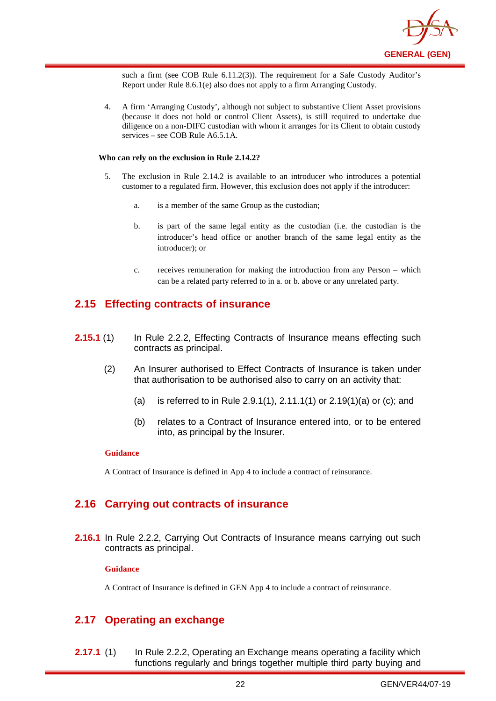

such a firm (see COB Rule 6.11.2(3)). The requirement for a Safe Custody Auditor's Report under Rule 8.6.1(e) also does not apply to a firm Arranging Custody.

4. A firm 'Arranging Custody', although not subject to substantive Client Asset provisions (because it does not hold or control Client Assets), is still required to undertake due diligence on a non-DIFC custodian with whom it arranges for its Client to obtain custody services – see COB Rule A6.5.1A.

#### **Who can rely on the exclusion in Rule 2.14.2?**

- 5. The exclusion in Rule 2.14.2 is available to an introducer who introduces a potential customer to a regulated firm. However, this exclusion does not apply if the introducer:
	- a. is a member of the same Group as the custodian;
	- b. is part of the same legal entity as the custodian (i.e. the custodian is the introducer's head office or another branch of the same legal entity as the introducer); or
	- c. receives remuneration for making the introduction from any Person which can be a related party referred to in a. or b. above or any unrelated party.

## <span id="page-25-0"></span>**2.15 Effecting contracts of insurance**

- **2.15.1** (1) In Rule 2.2.2, Effecting Contracts of Insurance means effecting such contracts as principal.
	- (2) An Insurer authorised to Effect Contracts of Insurance is taken under that authorisation to be authorised also to carry on an activity that:
		- (a) is referred to in Rule 2.9.1(1), 2.11.1(1) or 2.19(1)(a) or (c); and
		- (b) relates to a Contract of Insurance entered into, or to be entered into, as principal by the Insurer.

#### **Guidance**

A Contract of Insurance is defined in App 4 to include a contract of reinsurance.

## <span id="page-25-1"></span>**2.16 Carrying out contracts of insurance**

**2.16.1** In Rule 2.2.2, Carrying Out Contracts of Insurance means carrying out such contracts as principal.

#### **Guidance**

A Contract of Insurance is defined in GEN App 4 to include a contract of reinsurance.

## <span id="page-25-2"></span>**2.17 Operating an exchange**

**2.17.1** (1) In Rule 2.2.2, Operating an Exchange means operating a facility which functions regularly and brings together multiple third party buying and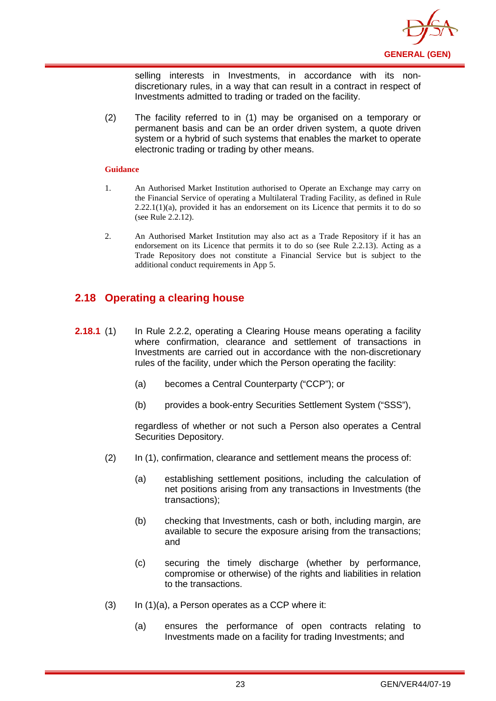

selling interests in Investments, in accordance with its nondiscretionary rules, in a way that can result in a contract in respect of Investments admitted to trading or traded on the facility.

(2) The facility referred to in (1) may be organised on a temporary or permanent basis and can be an order driven system, a quote driven system or a hybrid of such systems that enables the market to operate electronic trading or trading by other means.

#### **Guidance**

- 1. An Authorised Market Institution authorised to Operate an Exchange may carry on the Financial Service of operating a Multilateral Trading Facility, as defined in Rule  $2.22.1(1)(a)$ , provided it has an endorsement on its Licence that permits it to do so (see Rule 2.2.12).
- 2. An Authorised Market Institution may also act as a Trade Repository if it has an endorsement on its Licence that permits it to do so (see Rule 2.2.13). Acting as a Trade Repository does not constitute a Financial Service but is subject to the additional conduct requirements in App 5.

## <span id="page-26-0"></span>**2.18 Operating a clearing house**

- **2.18.1** (1) In Rule 2.2.2, operating a Clearing House means operating a facility where confirmation, clearance and settlement of transactions in Investments are carried out in accordance with the non-discretionary rules of the facility, under which the Person operating the facility:
	- (a) becomes a Central Counterparty ("CCP"); or
	- (b) provides a book-entry Securities Settlement System ("SSS"),

regardless of whether or not such a Person also operates a Central Securities Depository.

- (2) In (1), confirmation, clearance and settlement means the process of:
	- (a) establishing settlement positions, including the calculation of net positions arising from any transactions in Investments (the transactions);
	- (b) checking that Investments, cash or both, including margin, are available to secure the exposure arising from the transactions; and
	- (c) securing the timely discharge (whether by performance, compromise or otherwise) of the rights and liabilities in relation to the transactions.
- $(3)$  In  $(1)(a)$ , a Person operates as a CCP where it:
	- (a) ensures the performance of open contracts relating to Investments made on a facility for trading Investments; and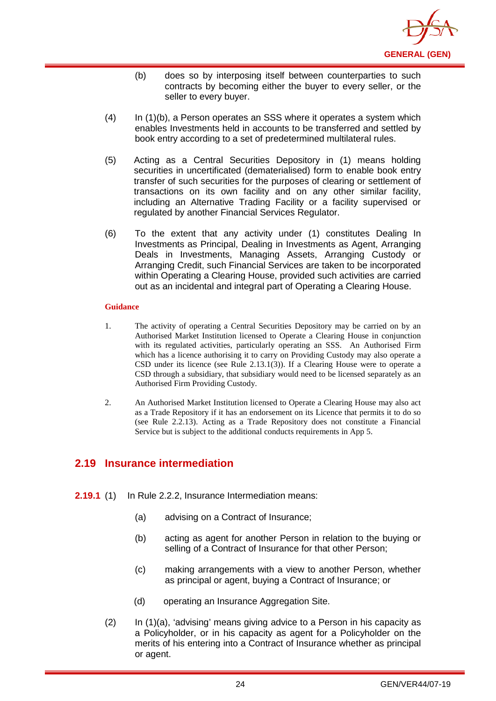

- (b) does so by interposing itself between counterparties to such contracts by becoming either the buyer to every seller, or the seller to every buyer.
- (4) In (1)(b), a Person operates an SSS where it operates a system which enables Investments held in accounts to be transferred and settled by book entry according to a set of predetermined multilateral rules.
- (5) Acting as a Central Securities Depository in (1) means holding securities in uncertificated (dematerialised) form to enable [book entry](http://en.wikipedia.org/wiki/Book_entry) transfer of such securities for the purposes of clearing or settlement of transactions on its own facility and on any other similar facility, including an Alternative Trading Facility or a facility supervised or regulated by another Financial Services Regulator.
- (6) To the extent that any activity under (1) constitutes Dealing In Investments as Principal, Dealing in Investments as Agent, Arranging Deals in Investments, Managing Assets, Arranging Custody or Arranging Credit, such Financial Services are taken to be incorporated within Operating a Clearing House, provided such activities are carried out as an incidental and integral part of Operating a Clearing House.

- 1. The activity of operating a Central Securities Depository may be carried on by an Authorised Market Institution licensed to Operate a Clearing House in conjunction with its regulated activities, particularly operating an SSS. An Authorised Firm which has a licence authorising it to carry on Providing Custody may also operate a CSD under its licence (see Rule 2.13.1(3)). If a Clearing House were to operate a CSD through a subsidiary, that subsidiary would need to be licensed separately as an Authorised Firm Providing Custody.
- 2. An Authorised Market Institution licensed to Operate a Clearing House may also act as a Trade Repository if it has an endorsement on its Licence that permits it to do so (see Rule 2.2.13). Acting as a Trade Repository does not constitute a Financial Service but is subject to the additional conducts requirements in App 5.

## <span id="page-27-0"></span>**2.19 Insurance intermediation**

- **2.19.1** (1) In Rule 2.2.2, Insurance Intermediation means:
	- (a) advising on a Contract of Insurance;
	- (b) acting as agent for another Person in relation to the buying or selling of a Contract of Insurance for that other Person;
	- (c) making arrangements with a view to another Person, whether as principal or agent, buying a Contract of Insurance; or
	- (d) operating an Insurance Aggregation Site.
	- (2) In (1)(a), 'advising' means giving advice to a Person in his capacity as a Policyholder, or in his capacity as agent for a Policyholder on the merits of his entering into a Contract of Insurance whether as principal or agent.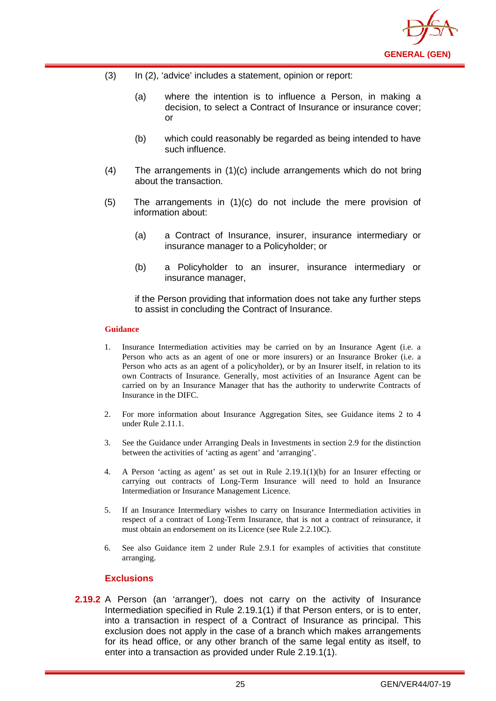

- (3) In (2), 'advice' includes a statement, opinion or report:
	- (a) where the intention is to influence a Person, in making a decision, to select a Contract of Insurance or insurance cover; or
	- (b) which could reasonably be regarded as being intended to have such influence.
- (4) The arrangements in (1)(c) include arrangements which do not bring about the transaction.
- (5) The arrangements in (1)(c) do not include the mere provision of information about:
	- (a) a Contract of Insurance, insurer, insurance intermediary or insurance manager to a Policyholder; or
	- (b) a Policyholder to an insurer, insurance intermediary or insurance manager,

if the Person providing that information does not take any further steps to assist in concluding the Contract of Insurance.

#### **Guidance**

- 1. Insurance Intermediation activities may be carried on by an Insurance Agent (i.e. a Person who acts as an agent of one or more insurers) or an Insurance Broker (i.e. a Person who acts as an agent of a policyholder), or by an Insurer itself, in relation to its own Contracts of Insurance. Generally, most activities of an Insurance Agent can be carried on by an Insurance Manager that has the authority to underwrite Contracts of Insurance in the DIFC.
- 2. For more information about Insurance Aggregation Sites, see Guidance items 2 to 4 under Rule 2.11.1.
- 3. See the Guidance under Arranging Deals in Investments in section 2.9 for the distinction between the activities of 'acting as agent' and 'arranging'.
- 4. A Person 'acting as agent' as set out in Rule 2.19.1(1)(b) for an Insurer effecting or carrying out contracts of Long-Term Insurance will need to hold an Insurance Intermediation or Insurance Management Licence.
- 5. If an Insurance Intermediary wishes to carry on Insurance Intermediation activities in respect of a contract of Long-Term Insurance, that is not a contract of reinsurance, it must obtain an endorsement on its Licence (see Rule 2.2.10C).
- 6. See also Guidance item 2 under Rule 2.9.1 for examples of activities that constitute arranging.

## **Exclusions**

**2.19.2** A Person (an 'arranger'), does not carry on the activity of Insurance Intermediation specified in Rule 2.19.1(1) if that Person enters, or is to enter, into a transaction in respect of a Contract of Insurance as principal. This exclusion does not apply in the case of a branch which makes arrangements for its head office, or any other branch of the same legal entity as itself, to enter into a transaction as provided under Rule 2.19.1(1).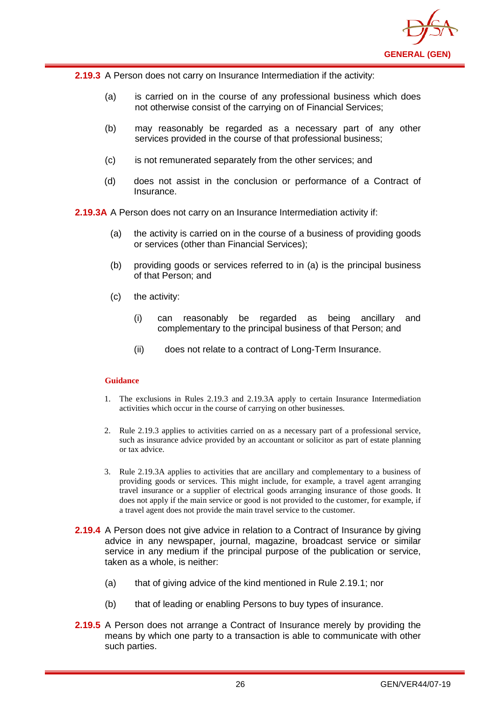

**2.19.3** A Person does not carry on Insurance Intermediation if the activity:

- (a) is carried on in the course of any professional business which does not otherwise consist of the carrying on of Financial Services;
- (b) may reasonably be regarded as a necessary part of any other services provided in the course of that professional business;
- (c) is not remunerated separately from the other services; and
- (d) does not assist in the conclusion or performance of a Contract of Insurance.

**2.19.3A** A Person does not carry on an Insurance Intermediation activity if:

- (a) the activity is carried on in the course of a business of providing goods or services (other than Financial Services);
- (b) providing goods or services referred to in (a) is the principal business of that Person; and
- (c) the activity:
	- (i) can reasonably be regarded as being ancillary and complementary to the principal business of that Person; and
	- (ii) does not relate to a contract of Long-Term Insurance.

#### **Guidance**

- 1. The exclusions in Rules 2.19.3 and 2.19.3A apply to certain Insurance Intermediation activities which occur in the course of carrying on other businesses.
- 2. Rule 2.19.3 applies to activities carried on as a necessary part of a professional service, such as insurance advice provided by an accountant or solicitor as part of estate planning or tax advice.
- 3. Rule 2.19.3A applies to activities that are ancillary and complementary to a business of providing goods or services. This might include, for example, a travel agent arranging travel insurance or a supplier of electrical goods arranging insurance of those goods. It does not apply if the main service or good is not provided to the customer, for example, if a travel agent does not provide the main travel service to the customer.
- **2.19.4** A Person does not give advice in relation to a Contract of Insurance by giving advice in any newspaper, journal, magazine, broadcast service or similar service in any medium if the principal purpose of the publication or service, taken as a whole, is neither:
	- (a) that of giving advice of the kind mentioned in Rule 2.19.1; nor
	- (b) that of leading or enabling Persons to buy types of insurance.
- **2.19.5** A Person does not arrange a Contract of Insurance merely by providing the means by which one party to a transaction is able to communicate with other such parties.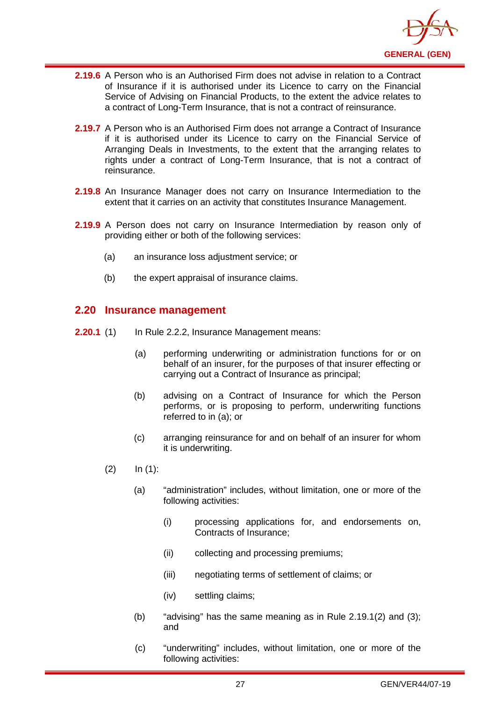

- **2.19.6** A Person who is an Authorised Firm does not advise in relation to a Contract of Insurance if it is authorised under its Licence to carry on the Financial Service of Advising on Financial Products, to the extent the advice relates to a contract of Long-Term Insurance, that is not a contract of reinsurance.
- **2.19.7** A Person who is an Authorised Firm does not arrange a Contract of Insurance if it is authorised under its Licence to carry on the Financial Service of Arranging Deals in Investments, to the extent that the arranging relates to rights under a contract of Long-Term Insurance, that is not a contract of reinsurance.
- **2.19.8** An Insurance Manager does not carry on Insurance Intermediation to the extent that it carries on an activity that constitutes Insurance Management.
- **2.19.9** A Person does not carry on Insurance Intermediation by reason only of providing either or both of the following services:
	- (a) an insurance loss adjustment service; or
	- (b) the expert appraisal of insurance claims.

## <span id="page-30-0"></span>**2.20 Insurance management**

- **2.20.1** (1) In Rule 2.2.2, Insurance Management means:
	- (a) performing underwriting or administration functions for or on behalf of an insurer, for the purposes of that insurer effecting or carrying out a Contract of Insurance as principal;
	- (b) advising on a Contract of Insurance for which the Person performs, or is proposing to perform, underwriting functions referred to in (a); or
	- (c) arranging reinsurance for and on behalf of an insurer for whom it is underwriting.
	- $(2)$  In  $(1)$ :
		- (a) "administration" includes, without limitation, one or more of the following activities:
			- (i) processing applications for, and endorsements on, Contracts of Insurance;
			- (ii) collecting and processing premiums;
			- (iii) negotiating terms of settlement of claims; or
			- (iv) settling claims;
		- (b) "advising" has the same meaning as in Rule  $2.19.1(2)$  and  $(3)$ ; and
		- (c) "underwriting" includes, without limitation, one or more of the following activities: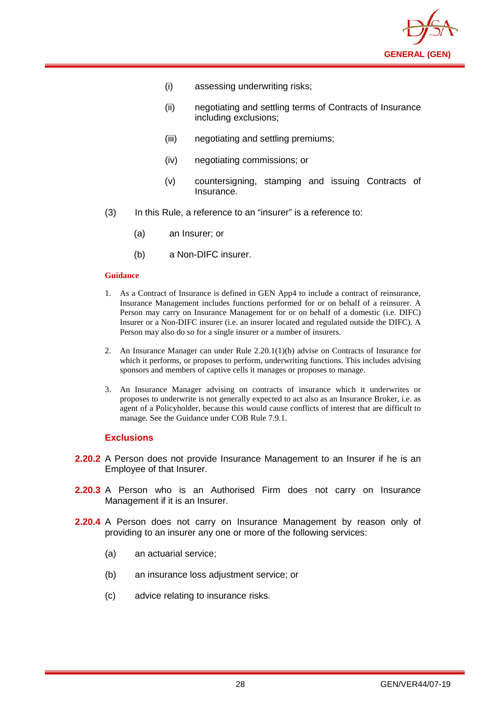

- (i) assessing underwriting risks;
- (ii) negotiating and settling terms of Contracts of Insurance including exclusions;
- (iii) negotiating and settling premiums;
- (iv) negotiating commissions; or
- (v) countersigning, stamping and issuing Contracts of Insurance.
- (3) In this Rule, a reference to an "insurer" is a reference to:
	- (a) an Insurer; or
	- (b) a Non-DIFC insurer.

- 1. As a Contract of Insurance is defined in GEN App4 to include a contract of reinsurance, Insurance Management includes functions performed for or on behalf of a reinsurer. A Person may carry on Insurance Management for or on behalf of a domestic (i.e. DIFC) Insurer or a Non-DIFC insurer (i.e. an insurer located and regulated outside the DIFC). A Person may also do so for a single insurer or a number of insurers.
- 2. An Insurance Manager can under Rule 2.20.1(1)(b) advise on Contracts of Insurance for which it performs, or proposes to perform, underwriting functions. This includes advising sponsors and members of captive cells it manages or proposes to manage.
- 3. An Insurance Manager advising on contracts of insurance which it underwrites or proposes to underwrite is not generally expected to act also as an Insurance Broker, i.e. as agent of a Policyholder, because this would cause conflicts of interest that are difficult to manage. See the Guidance under COB Rule 7.9.1.

#### **Exclusions**

- **2.20.2** A Person does not provide Insurance Management to an Insurer if he is an Employee of that Insurer.
- **2.20.3** A Person who is an Authorised Firm does not carry on Insurance Management if it is an Insurer.
- **2.20.4** A Person does not carry on Insurance Management by reason only of providing to an insurer any one or more of the following services:
	- (a) an actuarial service;
	- (b) an insurance loss adjustment service; or
	- (c) advice relating to insurance risks.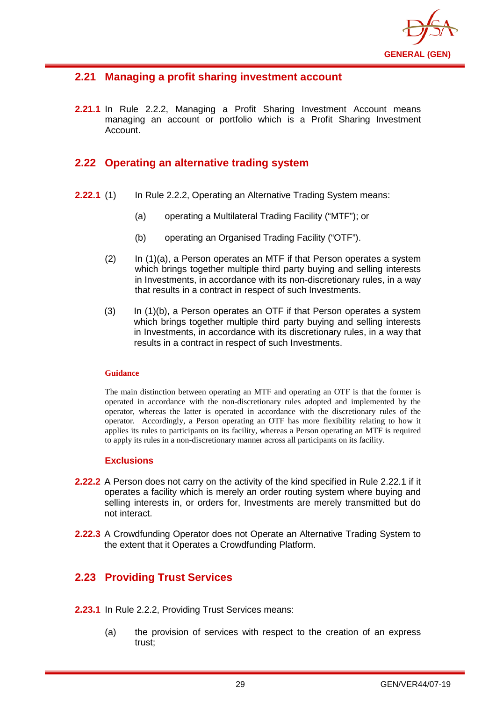

## <span id="page-32-0"></span>**2.21 Managing a profit sharing investment account**

**2.21.1** In Rule 2.2.2, Managing a Profit Sharing Investment Account means managing an account or portfolio which is a Profit Sharing Investment Account.

## <span id="page-32-1"></span>**2.22 Operating an alternative trading system**

- **2.22.1** (1) In Rule 2.2.2, Operating an Alternative Trading System means:
	- (a) operating a Multilateral Trading Facility ("MTF"); or
	- (b) operating an Organised Trading Facility ("OTF").
	- (2) In (1)(a), a Person operates an MTF if that Person operates a system which brings together multiple third party buying and selling interests in Investments, in accordance with its non-discretionary rules, in a way that results in a contract in respect of such Investments.
	- (3) In (1)(b), a Person operates an OTF if that Person operates a system which brings together multiple third party buying and selling interests in Investments, in accordance with its discretionary rules, in a way that results in a contract in respect of such Investments.

#### **Guidance**

The main distinction between operating an MTF and operating an OTF is that the former is operated in accordance with the non-discretionary rules adopted and implemented by the operator, whereas the latter is operated in accordance with the discretionary rules of the operator. Accordingly, a Person operating an OTF has more flexibility relating to how it applies its rules to participants on its facility, whereas a Person operating an MTF is required to apply its rules in a non-discretionary manner across all participants on its facility.

#### **Exclusions**

- **2.22.2** A Person does not carry on the activity of the kind specified in Rule 2.22.1 if it operates a facility which is merely an order routing system where buying and selling interests in, or orders for, Investments are merely transmitted but do not interact.
- **2.22.3** A Crowdfunding Operator does not Operate an Alternative Trading System to the extent that it Operates a Crowdfunding Platform.

## <span id="page-32-2"></span>**2.23 Providing Trust Services**

- **2.23.1** In Rule 2.2.2, Providing Trust Services means:
	- (a) the provision of services with respect to the creation of an express trust;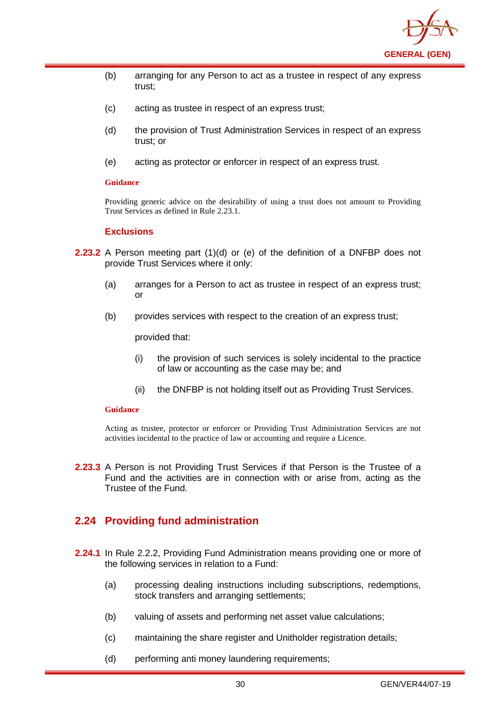

- (b) arranging for any Person to act as a trustee in respect of any express trust;
- (c) acting as trustee in respect of an express trust;
- (d) the provision of Trust Administration Services in respect of an express trust; or
- (e) acting as protector or enforcer in respect of an express trust.

Providing generic advice on the desirability of using a trust does not amount to Providing Trust Services as defined in Rule 2.23.1.

#### **Exclusions**

- **2.23.2** A Person meeting part (1)(d) or (e) of the definition of a DNFBP does not provide Trust Services where it only:
	- (a) arranges for a Person to act as trustee in respect of an express trust; or
	- (b) provides services with respect to the creation of an express trust;

provided that:

- (i) the provision of such services is solely incidental to the practice of law or accounting as the case may be; and
- (ii) the DNFBP is not holding itself out as Providing Trust Services.

#### **Guidance**

Acting as trustee, protector or enforcer or Providing Trust Administration Services are not activities incidental to the practice of law or accounting and require a Licence.

**2.23.3** A Person is not Providing Trust Services if that Person is the Trustee of a Fund and the activities are in connection with or arise from, acting as the Trustee of the Fund.

## <span id="page-33-0"></span>**2.24 Providing fund administration**

- **2.24.1** In Rule 2.2.2, Providing Fund Administration means providing one or more of the following services in relation to a Fund:
	- (a) processing dealing instructions including subscriptions, redemptions, stock transfers and arranging settlements;
	- (b) valuing of assets and performing net asset value calculations;
	- (c) maintaining the share register and Unitholder registration details;
	- (d) performing anti money laundering requirements;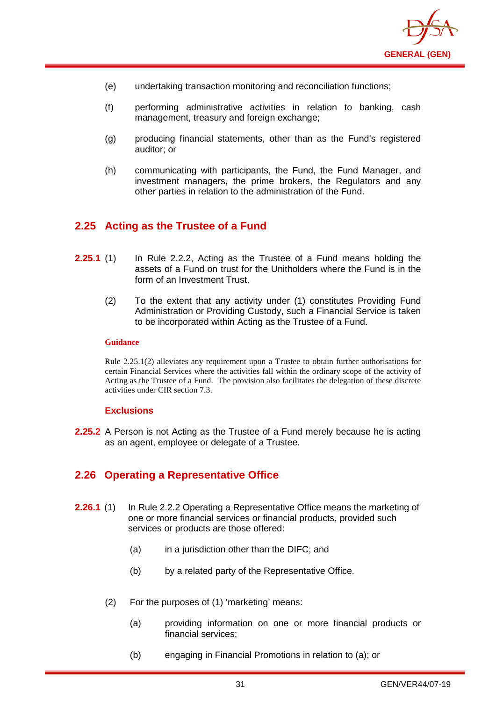

- (e) undertaking transaction monitoring and reconciliation functions;
- (f) performing administrative activities in relation to banking, cash management, treasury and foreign exchange;
- (g) producing financial statements, other than as the Fund's registered auditor; or
- (h) communicating with participants, the Fund, the Fund Manager, and investment managers, the prime brokers, the Regulators and any other parties in relation to the administration of the Fund.

## <span id="page-34-0"></span>**2.25 Acting as the Trustee of a Fund**

- **2.25.1** (1) In Rule 2.2.2, Acting as the Trustee of a Fund means holding the assets of a Fund on trust for the Unitholders where the Fund is in the form of an Investment Trust.
	- (2) To the extent that any activity under (1) constitutes Providing Fund Administration or Providing Custody, such a Financial Service is taken to be incorporated within Acting as the Trustee of a Fund.

#### **Guidance**

Rule 2.25.1(2) alleviates any requirement upon a Trustee to obtain further authorisations for certain Financial Services where the activities fall within the ordinary scope of the activity of Acting as the Trustee of a Fund. The provision also facilitates the delegation of these discrete activities under CIR section 7.3.

#### **Exclusions**

**2.25.2** A Person is not Acting as the Trustee of a Fund merely because he is acting as an agent, employee or delegate of a Trustee.

## <span id="page-34-1"></span>**2.26 Operating a Representative Office**

- **2.26.1** (1) In Rule 2.2.2 Operating a Representative Office means the marketing of one or more financial services or financial products, provided such services or products are those offered:
	- (a) in a jurisdiction other than the DIFC; and
	- (b) by a related party of the Representative Office.
	- (2) For the purposes of (1) 'marketing' means:
		- (a) providing information on one or more financial products or financial services;
		- (b) engaging in Financial Promotions in relation to (a); or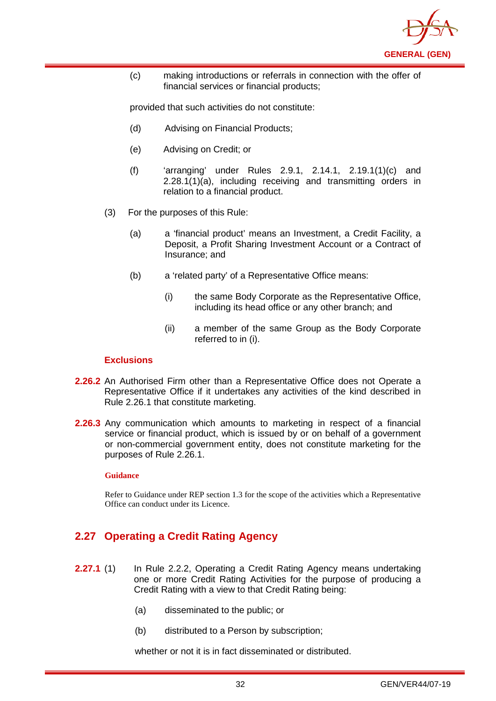

(c) making introductions or referrals in connection with the offer of financial services or financial products;

provided that such activities do not constitute:

- (d) Advising on Financial Products;
- (e) Advising on Credit; or
- (f) 'arranging' under Rules 2.9.1, 2.14.1, 2.19.1(1)(c) and 2.28.1(1)(a), including receiving and transmitting orders in relation to a financial product.
- (3) For the purposes of this Rule:
	- (a) a 'financial product' means an Investment, a Credit Facility, a Deposit, a Profit Sharing Investment Account or a Contract of Insurance; and
	- (b) a 'related party' of a Representative Office means:
		- (i) the same Body Corporate as the Representative Office, including its head office or any other branch; and
		- (ii) a member of the same Group as the Body Corporate referred to in (i).

#### **Exclusions**

- **2.26.2** An Authorised Firm other than a Representative Office does not Operate a Representative Office if it undertakes any activities of the kind described in Rule 2.26.1 that constitute marketing.
- **2.26.3** Any communication which amounts to marketing in respect of a financial service or financial product, which is issued by or on behalf of a government or non-commercial government entity, does not constitute marketing for the purposes of Rule 2.26.1.

#### **Guidance**

Refer to Guidance under REP section 1.3 for the scope of the activities which a Representative Office can conduct under its Licence.

## <span id="page-35-0"></span>**2.27 Operating a Credit Rating Agency**

- **2.27.1** (1) In Rule 2.2.2, Operating a Credit Rating Agency means undertaking one or more Credit Rating Activities for the purpose of producing a Credit Rating with a view to that Credit Rating being:
	- (a) disseminated to the public; or
	- (b) distributed to a Person by subscription;

whether or not it is in fact disseminated or distributed.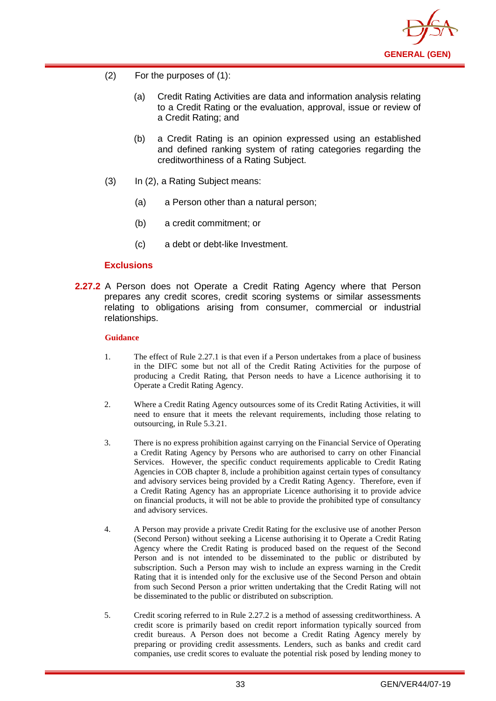

- (2) For the purposes of (1):
	- (a) Credit Rating Activities are data and information analysis relating to a Credit Rating or the evaluation, approval, issue or review of a Credit Rating; and
	- (b) a Credit Rating is an opinion expressed using an established and defined ranking system of rating categories regarding the creditworthiness of a Rating Subject.
- (3) In (2), a Rating Subject means:
	- (a) a Person other than a natural person;
	- (b) a credit commitment; or
	- (c) a debt or debt-like Investment.

#### **Exclusions**

**2.27.2** A Person does not Operate a Credit Rating Agency where that Person prepares any credit scores, credit scoring systems or similar assessments relating to obligations arising from consumer, commercial or industrial relationships.

#### **Guidance**

- 1. The effect of Rule 2.27.1 is that even if a Person undertakes from a place of business in the DIFC some but not all of the Credit Rating Activities for the purpose of producing a Credit Rating, that Person needs to have a Licence authorising it to Operate a Credit Rating Agency.
- 2. Where a Credit Rating Agency outsources some of its Credit Rating Activities, it will need to ensure that it meets the relevant requirements, including those relating to outsourcing, in Rule 5.3.21.
- 3. There is no express prohibition against carrying on the Financial Service of Operating a Credit Rating Agency by Persons who are authorised to carry on other Financial Services. However, the specific conduct requirements applicable to Credit Rating Agencies in COB chapter 8, include a prohibition against certain types of consultancy and advisory services being provided by a Credit Rating Agency. Therefore, even if a Credit Rating Agency has an appropriate Licence authorising it to provide advice on financial products, it will not be able to provide the prohibited type of consultancy and advisory services.
- 4. A Person may provide a private Credit Rating for the exclusive use of another Person (Second Person) without seeking a License authorising it to Operate a Credit Rating Agency where the Credit Rating is produced based on the request of the Second Person and is not intended to be disseminated to the public or distributed by subscription. Such a Person may wish to include an express warning in the Credit Rating that it is intended only for the exclusive use of the Second Person and obtain from such Second Person a prior written undertaking that the Credit Rating will not be disseminated to the public or distributed on subscription.
- 5. Credit scoring referred to in Rule 2.27.2 is a method of assessing creditworthiness. A credit score is primarily based on credit report information typically sourced from credit bureaus. A Person does not become a Credit Rating Agency merely by preparing or providing credit assessments. Lenders, such as banks and credit card companies, use credit scores to evaluate the potential risk posed by lending money to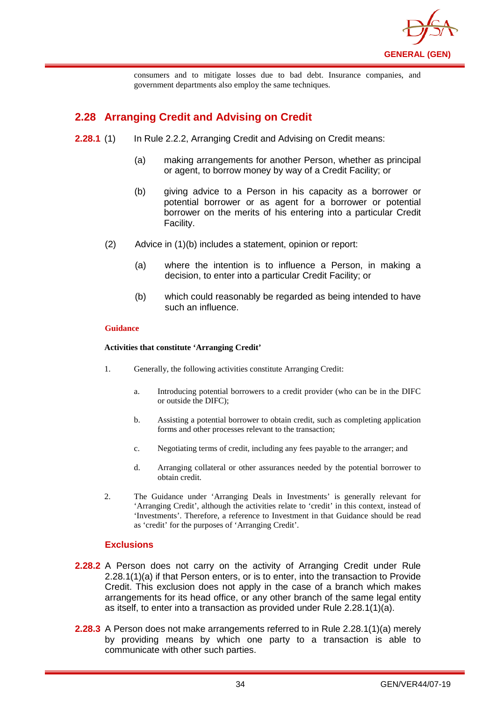

consumers and to mitigate losses due to bad debt. Insurance companies, and government departments also employ the same techniques.

# **2.28 Arranging Credit and Advising on Credit**

- **2.28.1** (1) In Rule 2.2.2, Arranging Credit and Advising on Credit means:
	- (a) making arrangements for another Person, whether as principal or agent, to borrow money by way of a Credit Facility; or
	- (b) giving advice to a Person in his capacity as a borrower or potential borrower or as agent for a borrower or potential borrower on the merits of his entering into a particular Credit Facility.
	- (2) Advice in (1)(b) includes a statement, opinion or report:
		- (a) where the intention is to influence a Person, in making a decision, to enter into a particular Credit Facility; or
		- (b) which could reasonably be regarded as being intended to have such an influence.

#### **Guidance**

#### **Activities that constitute 'Arranging Credit'**

- 1. Generally, the following activities constitute Arranging Credit:
	- a. Introducing potential borrowers to a credit provider (who can be in the DIFC or outside the DIFC);
	- b. Assisting a potential borrower to obtain credit, such as completing application forms and other processes relevant to the transaction;
	- c. Negotiating terms of credit, including any fees payable to the arranger; and
	- d. Arranging collateral or other assurances needed by the potential borrower to obtain credit.
- 2. The Guidance under 'Arranging Deals in Investments' is generally relevant for 'Arranging Credit', although the activities relate to 'credit' in this context, instead of 'Investments'. Therefore, a reference to Investment in that Guidance should be read as 'credit' for the purposes of 'Arranging Credit'.

### **Exclusions**

- **2.28.2** A Person does not carry on the activity of Arranging Credit under Rule 2.28.1(1)(a) if that Person enters, or is to enter, into the transaction to Provide Credit. This exclusion does not apply in the case of a branch which makes arrangements for its head office, or any other branch of the same legal entity as itself, to enter into a transaction as provided under Rule 2.28.1(1)(a).
- **2.28.3** A Person does not make arrangements referred to in Rule 2.28.1(1)(a) merely by providing means by which one party to a transaction is able to communicate with other such parties.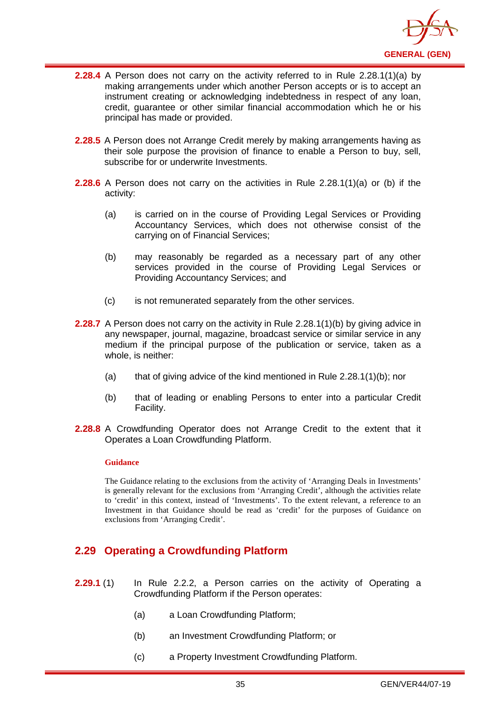

- **2.28.4** A Person does not carry on the activity referred to in Rule 2.28.1(1)(a) by making arrangements under which another Person accepts or is to accept an instrument creating or acknowledging indebtedness in respect of any loan, credit, guarantee or other similar financial accommodation which he or his principal has made or provided.
- **2.28.5** A Person does not Arrange Credit merely by making arrangements having as their sole purpose the provision of finance to enable a Person to buy, sell, subscribe for or underwrite Investments.
- **2.28.6** A Person does not carry on the activities in Rule 2.28.1(1)(a) or (b) if the activity:
	- (a) is carried on in the course of Providing Legal Services or Providing Accountancy Services, which does not otherwise consist of the carrying on of Financial Services;
	- (b) may reasonably be regarded as a necessary part of any other services provided in the course of Providing Legal Services or Providing Accountancy Services; and
	- (c) is not remunerated separately from the other services.
- **2.28.7** A Person does not carry on the activity in Rule 2.28.1(1)(b) by giving advice in any newspaper, journal, magazine, broadcast service or similar service in any medium if the principal purpose of the publication or service, taken as a whole, is neither:
	- (a) that of giving advice of the kind mentioned in Rule  $2.28.1(1)(b)$ ; nor
	- (b) that of leading or enabling Persons to enter into a particular Credit Facility.
- **2.28.8** A Crowdfunding Operator does not Arrange Credit to the extent that it Operates a Loan Crowdfunding Platform.

The Guidance relating to the exclusions from the activity of 'Arranging Deals in Investments' is generally relevant for the exclusions from 'Arranging Credit', although the activities relate to 'credit' in this context, instead of 'Investments'. To the extent relevant, a reference to an Investment in that Guidance should be read as 'credit' for the purposes of Guidance on exclusions from 'Arranging Credit'.

## **2.29 Operating a Crowdfunding Platform**

- **2.29.1** (1) In Rule 2.2.2, a Person carries on the activity of Operating a Crowdfunding Platform if the Person operates:
	- (a) a Loan Crowdfunding Platform;
	- (b) an Investment Crowdfunding Platform; or
	- (c) a Property Investment Crowdfunding Platform.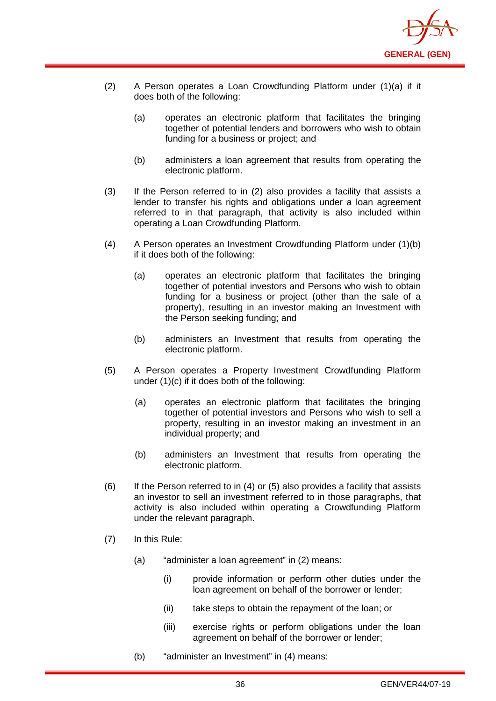

- (2) A Person operates a Loan Crowdfunding Platform under (1)(a) if it does both of the following:
	- (a) operates an electronic platform that facilitates the bringing together of potential lenders and borrowers who wish to obtain funding for a business or project; and
	- (b) administers a loan agreement that results from operating the electronic platform.
- (3) If the Person referred to in (2) also provides a facility that assists a lender to transfer his rights and obligations under a loan agreement referred to in that paragraph, that activity is also included within operating a Loan Crowdfunding Platform.
- (4) A Person operates an Investment Crowdfunding Platform under (1)(b) if it does both of the following:
	- (a) operates an electronic platform that facilitates the bringing together of potential investors and Persons who wish to obtain funding for a business or project (other than the sale of a property), resulting in an investor making an Investment with the Person seeking funding; and
	- (b) administers an Investment that results from operating the electronic platform.
- (5) A Person operates a Property Investment Crowdfunding Platform under (1)(c) if it does both of the following:
	- (a) operates an electronic platform that facilitates the bringing together of potential investors and Persons who wish to sell a property, resulting in an investor making an investment in an individual property; and
	- (b) administers an Investment that results from operating the electronic platform.
- $(6)$  If the Person referred to in (4) or (5) also provides a facility that assists an investor to sell an investment referred to in those paragraphs, that activity is also included within operating a Crowdfunding Platform under the relevant paragraph.
- (7) In this Rule:
	- (a) "administer a loan agreement" in (2) means:
		- (i) provide information or perform other duties under the loan agreement on behalf of the borrower or lender;
		- (ii) take steps to obtain the repayment of the loan; or
		- (iii) exercise rights or perform obligations under the loan agreement on behalf of the borrower or lender;
	- (b) "administer an Investment" in (4) means: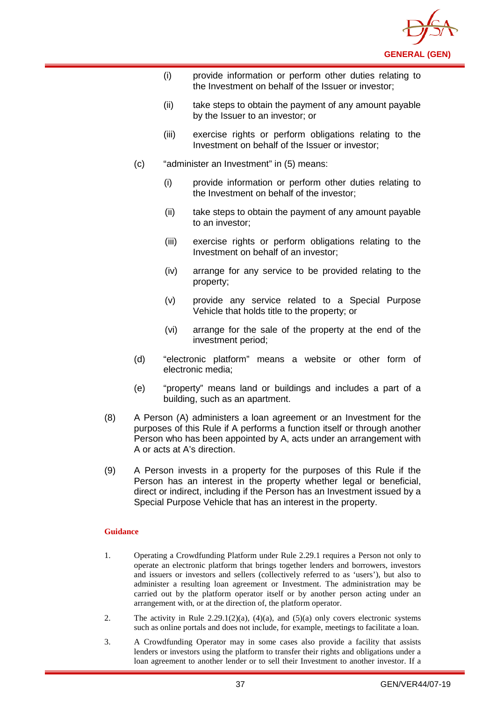

- (i) provide information or perform other duties relating to the Investment on behalf of the Issuer or investor;
- (ii) take steps to obtain the payment of any amount payable by the Issuer to an investor; or
- (iii) exercise rights or perform obligations relating to the Investment on behalf of the Issuer or investor;
- (c) "administer an Investment" in (5) means:
	- (i) provide information or perform other duties relating to the Investment on behalf of the investor;
	- (ii) take steps to obtain the payment of any amount payable to an investor;
	- (iii) exercise rights or perform obligations relating to the Investment on behalf of an investor;
	- (iv) arrange for any service to be provided relating to the property;
	- (v) provide any service related to a Special Purpose Vehicle that holds title to the property; or
	- (vi) arrange for the sale of the property at the end of the investment period;
- (d) "electronic platform" means a website or other form of electronic media;
- (e) "property" means land or buildings and includes a part of a building, such as an apartment.
- (8) A Person (A) administers a loan agreement or an Investment for the purposes of this Rule if A performs a function itself or through another Person who has been appointed by A, acts under an arrangement with A or acts at A's direction.
- (9) A Person invests in a property for the purposes of this Rule if the Person has an interest in the property whether legal or beneficial, direct or indirect, including if the Person has an Investment issued by a Special Purpose Vehicle that has an interest in the property.

- 1. Operating a Crowdfunding Platform under Rule 2.29.1 requires a Person not only to operate an electronic platform that brings together lenders and borrowers, investors and issuers or investors and sellers (collectively referred to as 'users'), but also to administer a resulting loan agreement or Investment. The administration may be carried out by the platform operator itself or by another person acting under an arrangement with, or at the direction of, the platform operator.
- 2. The activity in Rule 2.29.1(2)(a), (4)(a), and (5)(a) only covers electronic systems such as online portals and does not include, for example, meetings to facilitate a loan.
- 3. A Crowdfunding Operator may in some cases also provide a facility that assists lenders or investors using the platform to transfer their rights and obligations under a loan agreement to another lender or to sell their Investment to another investor. If a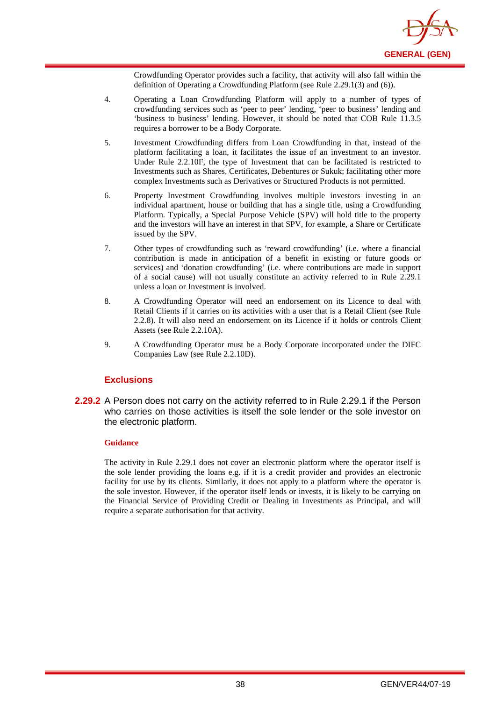

Crowdfunding Operator provides such a facility, that activity will also fall within the definition of Operating a Crowdfunding Platform (see Rule 2.29.1(3) and (6)).

- 4. Operating a Loan Crowdfunding Platform will apply to a number of types of crowdfunding services such as 'peer to peer' lending, 'peer to business' lending and 'business to business' lending. However, it should be noted that COB Rule 11.3.5 requires a borrower to be a Body Corporate.
- 5. Investment Crowdfunding differs from Loan Crowdfunding in that, instead of the platform facilitating a loan, it facilitates the issue of an investment to an investor. Under Rule 2.2.10F, the type of Investment that can be facilitated is restricted to Investments such as Shares, Certificates, Debentures or Sukuk; facilitating other more complex Investments such as Derivatives or Structured Products is not permitted.
- 6. Property Investment Crowdfunding involves multiple investors investing in an individual apartment, house or building that has a single title, using a Crowdfunding Platform. Typically, a Special Purpose Vehicle (SPV) will hold title to the property and the investors will have an interest in that SPV, for example, a Share or Certificate issued by the SPV.
- 7. Other types of crowdfunding such as 'reward crowdfunding' (i.e. where a financial contribution is made in anticipation of a benefit in existing or future goods or services) and 'donation crowdfunding' (i.e. where contributions are made in support of a social cause) will not usually constitute an activity referred to in Rule 2.29.1 unless a loan or Investment is involved.
- 8. A Crowdfunding Operator will need an endorsement on its Licence to deal with Retail Clients if it carries on its activities with a user that is a Retail Client (see Rule 2.2.8). It will also need an endorsement on its Licence if it holds or controls Client Assets (see Rule 2.2.10A).
- 9. A Crowdfunding Operator must be a Body Corporate incorporated under the DIFC Companies Law (see Rule 2.2.10D).

### **Exclusions**

**2.29.2** A Person does not carry on the activity referred to in Rule 2.29.1 if the Person who carries on those activities is itself the sole lender or the sole investor on the electronic platform.

#### **Guidance**

The activity in Rule 2.29.1 does not cover an electronic platform where the operator itself is the sole lender providing the loans e.g. if it is a credit provider and provides an electronic facility for use by its clients. Similarly, it does not apply to a platform where the operator is the sole investor. However, if the operator itself lends or invests, it is likely to be carrying on the Financial Service of Providing Credit or Dealing in Investments as Principal, and will require a separate authorisation for that activity.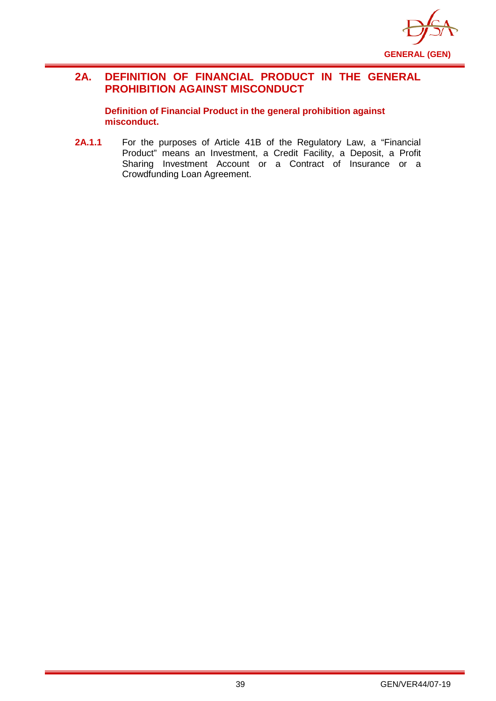

## **2A. DEFINITION OF FINANCIAL PRODUCT IN THE GENERAL PROHIBITION AGAINST MISCONDUCT**

**Definition of Financial Product in the general prohibition against misconduct.**

**2A.1.1** For the purposes of Article 41B of the Regulatory Law, a "Financial Product" means an Investment, a Credit Facility, a Deposit, a Profit Sharing Investment Account or a Contract of Insurance or a Crowdfunding Loan Agreement.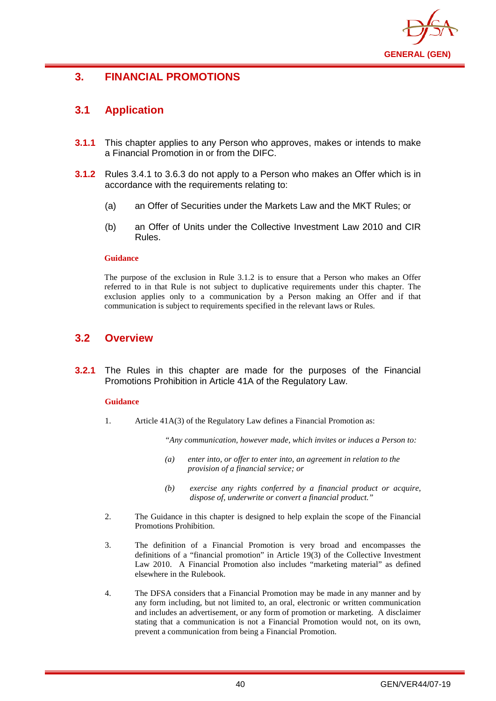

# **3. FINANCIAL PROMOTIONS**

## **3.1 Application**

- **3.1.1** This chapter applies to any Person who approves, makes or intends to make a Financial Promotion in or from the DIFC.
- **3.1.2** Rules 3.4.1 to 3.6.3 do not apply to a Person who makes an Offer which is in accordance with the requirements relating to:
	- (a) an Offer of Securities under the Markets Law and the MKT Rules; or
	- (b) an Offer of Units under the Collective Investment Law 2010 and CIR Rules.

#### **Guidance**

The purpose of the exclusion in Rule 3.1.2 is to ensure that a Person who makes an Offer referred to in that Rule is not subject to duplicative requirements under this chapter. The exclusion applies only to a communication by a Person making an Offer and if that communication is subject to requirements specified in the relevant laws or Rules.

## **3.2 Overview**

**3.2.1** The Rules in this chapter are made for the purposes of the Financial Promotions Prohibition in Article 41A of the Regulatory Law.

#### **Guidance**

1. Article 41A(3) of the Regulatory Law defines a Financial Promotion as:

*"Any communication, however made, which invites or induces a Person to:*

- *(a) enter into, or offer to enter into, an agreement in relation to the provision of a financial service; or*
- *(b) exercise any rights conferred by a financial product or acquire, dispose of, underwrite or convert a financial product."*
- 2. The Guidance in this chapter is designed to help explain the scope of the Financial Promotions Prohibition.
- 3. The definition of a Financial Promotion is very broad and encompasses the definitions of a "financial promotion" in Article 19(3) of the Collective Investment Law 2010. A Financial Promotion also includes "marketing material" as defined elsewhere in the Rulebook.
- 4. The DFSA considers that a Financial Promotion may be made in any manner and by any form including, but not limited to, an oral, electronic or written communication and includes an advertisement, or any form of promotion or marketing. A disclaimer stating that a communication is not a Financial Promotion would not, on its own, prevent a communication from being a Financial Promotion.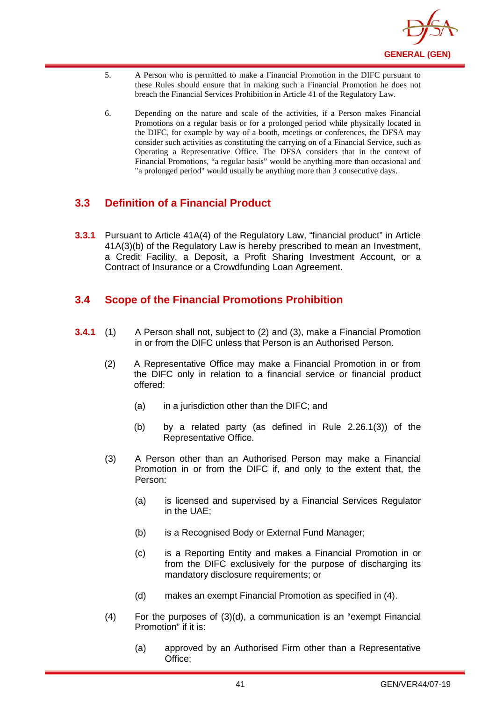

- 5. A Person who is permitted to make a Financial Promotion in the DIFC pursuant to these Rules should ensure that in making such a Financial Promotion he does not breach the Financial Services Prohibition in Article 41 of the Regulatory Law.
- 6. Depending on the nature and scale of the activities, if a Person makes Financial Promotions on a regular basis or for a prolonged period while physically located in the DIFC, for example by way of a booth, meetings or conferences, the DFSA may consider such activities as constituting the carrying on of a Financial Service, such as Operating a Representative Office. The DFSA considers that in the context of Financial Promotions, "a regular basis" would be anything more than occasional and "a prolonged period" would usually be anything more than 3 consecutive days.

# **3.3 Definition of a Financial Product**

**3.3.1** Pursuant to Article 41A(4) of the Regulatory Law, "financial product" in Article 41A(3)(b) of the Regulatory Law is hereby prescribed to mean an Investment, a Credit Facility, a Deposit, a Profit Sharing Investment Account, or a Contract of Insurance or a Crowdfunding Loan Agreement.

# **3.4 Scope of the Financial Promotions Prohibition**

- **3.4.1** (1) A Person shall not, subject to (2) and (3), make a Financial Promotion in or from the DIFC unless that Person is an Authorised Person.
	- (2) A Representative Office may make a Financial Promotion in or from the DIFC only in relation to a financial service or financial product offered:
		- (a) in a jurisdiction other than the DIFC; and
		- (b) by a related party (as defined in Rule 2.26.1(3)) of the Representative Office.
	- (3) A Person other than an Authorised Person may make a Financial Promotion in or from the DIFC if, and only to the extent that, the Person:
		- (a) is licensed and supervised by a Financial Services Regulator in the UAE;
		- (b) is a Recognised Body or External Fund Manager;
		- (c) is a Reporting Entity and makes a Financial Promotion in or from the DIFC exclusively for the purpose of discharging its mandatory disclosure requirements; or
		- (d) makes an exempt Financial Promotion as specified in (4).
	- (4) For the purposes of (3)(d), a communication is an "exempt Financial Promotion" if it is:
		- (a) approved by an Authorised Firm other than a Representative Office;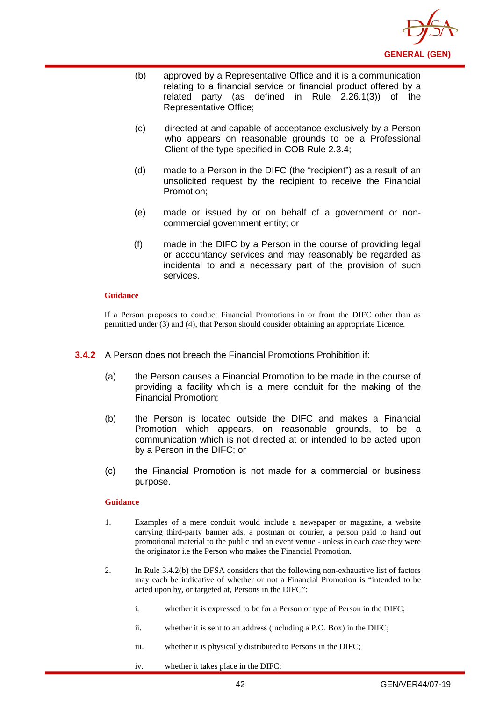

- (b) approved by a Representative Office and it is a communication relating to a financial service or financial product offered by a related party (as defined in Rule 2.26.1(3)) of the Representative Office;
- (c) directed at and capable of acceptance exclusively by a Person who appears on reasonable grounds to be a Professional Client of the type specified in COB Rule 2.3.4;
- (d) made to a Person in the DIFC (the "recipient") as a result of an unsolicited request by the recipient to receive the Financial Promotion;
- (e) made or issued by or on behalf of a government or noncommercial government entity; or
- (f) made in the DIFC by a Person in the course of providing legal or accountancy services and may reasonably be regarded as incidental to and a necessary part of the provision of such services.

If a Person proposes to conduct Financial Promotions in or from the DIFC other than as permitted under (3) and (4), that Person should consider obtaining an appropriate Licence.

- **3.4.2** A Person does not breach the Financial Promotions Prohibition if:
	- (a) the Person causes a Financial Promotion to be made in the course of providing a facility which is a mere conduit for the making of the Financial Promotion;
	- (b) the Person is located outside the DIFC and makes a Financial Promotion which appears, on reasonable grounds, to be a communication which is not directed at or intended to be acted upon by a Person in the DIFC; or
	- (c) the Financial Promotion is not made for a commercial or business purpose.

#### **Guidance**

- 1. Examples of a mere conduit would include a newspaper or magazine, a website carrying third-party banner ads, a postman or courier, a person paid to hand out promotional material to the public and an event venue - unless in each case they were the originator i.e the Person who makes the Financial Promotion.
- 2. In Rule 3.4.2(b) the DFSA considers that the following non-exhaustive list of factors may each be indicative of whether or not a Financial Promotion is "intended to be acted upon by, or targeted at, Persons in the DIFC":
	- i. whether it is expressed to be for a Person or type of Person in the DIFC;
	- ii. whether it is sent to an address (including a P.O. Box) in the DIFC;
	- iii. whether it is physically distributed to Persons in the DIFC;
	- iv. whether it takes place in the DIFC;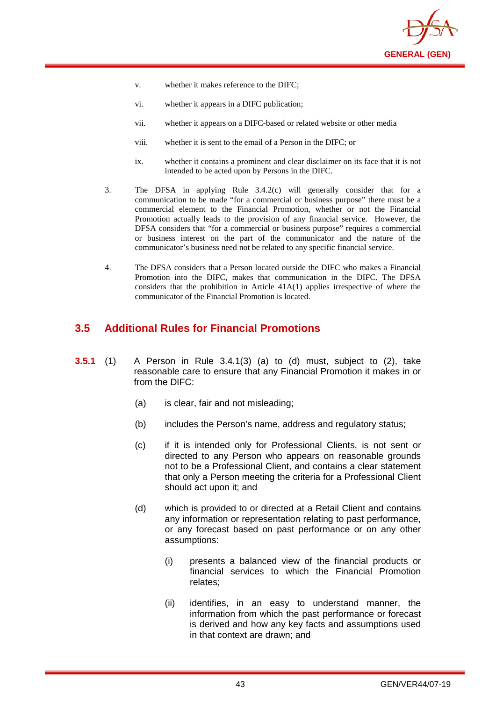

- v. whether it makes reference to the DIFC;
- vi. whether it appears in a DIFC publication;
- vii. whether it appears on a DIFC-based or related website or other media
- viii. whether it is sent to the email of a Person in the DIFC; or
- ix. whether it contains a prominent and clear disclaimer on its face that it is not intended to be acted upon by Persons in the DIFC.
- 3. The DFSA in applying Rule 3.4.2(c) will generally consider that for a communication to be made "for a commercial or business purpose" there must be a commercial element to the Financial Promotion, whether or not the Financial Promotion actually leads to the provision of any financial service. However, the DFSA considers that "for a commercial or business purpose" requires a commercial or business interest on the part of the communicator and the nature of the communicator's business need not be related to any specific financial service.
- 4. The DFSA considers that a Person located outside the DIFC who makes a Financial Promotion into the DIFC, makes that communication in the DIFC. The DFSA considers that the prohibition in Article 41A(1) applies irrespective of where the communicator of the Financial Promotion is located.

## **3.5 Additional Rules for Financial Promotions**

- **3.5.1** (1) A Person in Rule 3.4.1(3) (a) to (d) must, subject to (2), take reasonable care to ensure that any Financial Promotion it makes in or from the DIFC:
	- (a) is clear, fair and not misleading;
	- (b) includes the Person's name, address and regulatory status;
	- (c) if it is intended only for Professional Clients, is not sent or directed to any Person who appears on reasonable grounds not to be a Professional Client, and contains a clear statement that only a Person meeting the criteria for a Professional Client should act upon it; and
	- (d) which is provided to or directed at a Retail Client and contains any information or representation relating to past performance, or any forecast based on past performance or on any other assumptions:
		- (i) presents a balanced view of the financial products or financial services to which the Financial Promotion relates;
		- (ii) identifies, in an easy to understand manner, the information from which the past performance or forecast is derived and how any key facts and assumptions used in that context are drawn; and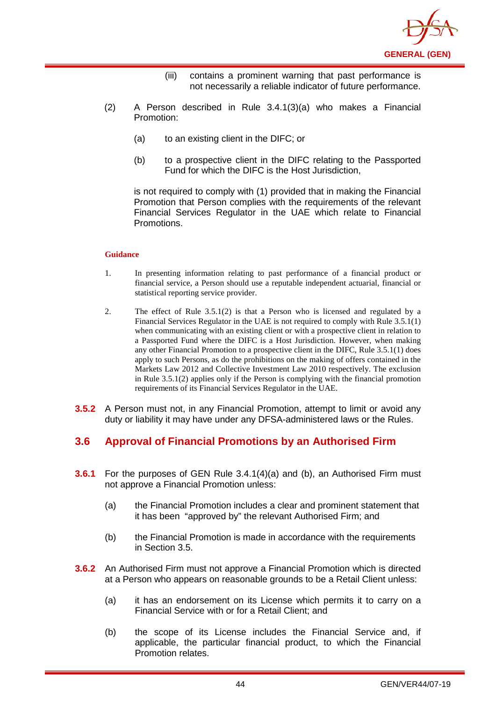

- (iii) contains a prominent warning that past performance is not necessarily a reliable indicator of future performance.
- (2) A Person described in Rule 3.4.1(3)(a) who makes a Financial Promotion:
	- (a) to an existing client in the DIFC; or
	- (b) to a prospective client in the DIFC relating to the Passported Fund for which the DIFC is the Host Jurisdiction,

is not required to comply with (1) provided that in making the Financial Promotion that Person complies with the requirements of the relevant Financial Services Regulator in the UAE which relate to Financial Promotions.

#### **Guidance**

- 1. In presenting information relating to past performance of a financial product or financial service, a Person should use a reputable independent actuarial, financial or statistical reporting service provider.
- 2. The effect of Rule 3.5.1(2) is that a Person who is licensed and regulated by a Financial Services Regulator in the UAE is not required to comply with Rule 3.5.1(1) when communicating with an existing client or with a prospective client in relation to a Passported Fund where the DIFC is a Host Jurisdiction. However, when making any other Financial Promotion to a prospective client in the DIFC, Rule 3.5.1(1) does apply to such Persons, as do the prohibitions on the making of offers contained in the Markets Law 2012 and Collective Investment Law 2010 respectively. The exclusion in Rule 3.5.1(2) applies only if the Person is complying with the financial promotion requirements of its Financial Services Regulator in the UAE.
- **3.5.2** A Person must not, in any Financial Promotion, attempt to limit or avoid any duty or liability it may have under any DFSA-administered laws or the Rules.

### **3.6 Approval of Financial Promotions by an Authorised Firm**

- **3.6.1** For the purposes of GEN Rule 3.4.1(4)(a) and (b), an Authorised Firm must not approve a Financial Promotion unless:
	- (a) the Financial Promotion includes a clear and prominent statement that it has been "approved by" the relevant Authorised Firm; and
	- (b) the Financial Promotion is made in accordance with the requirements in Section 3.5.
- **3.6.2** An Authorised Firm must not approve a Financial Promotion which is directed at a Person who appears on reasonable grounds to be a Retail Client unless:
	- (a) it has an endorsement on its License which permits it to carry on a Financial Service with or for a Retail Client; and
	- (b) the scope of its License includes the Financial Service and, if applicable, the particular financial product, to which the Financial Promotion relates.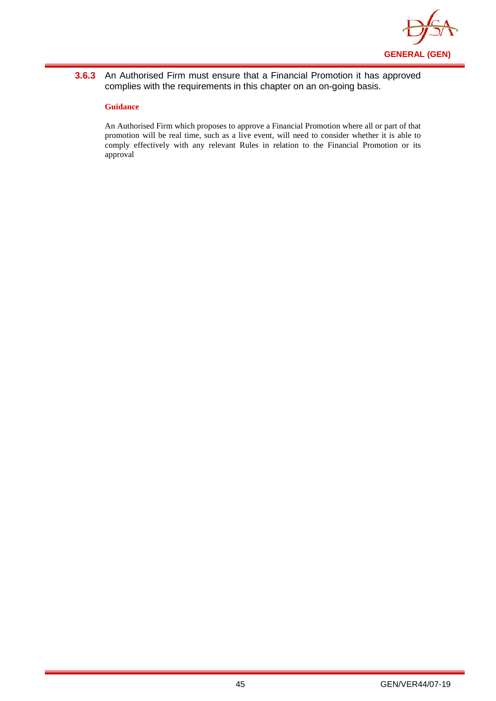

**3.6.3** An Authorised Firm must ensure that a Financial Promotion it has approved complies with the requirements in this chapter on an on-going basis.

#### **Guidance**

An Authorised Firm which proposes to approve a Financial Promotion where all or part of that promotion will be real time, such as a live event, will need to consider whether it is able to comply effectively with any relevant Rules in relation to the Financial Promotion or its approval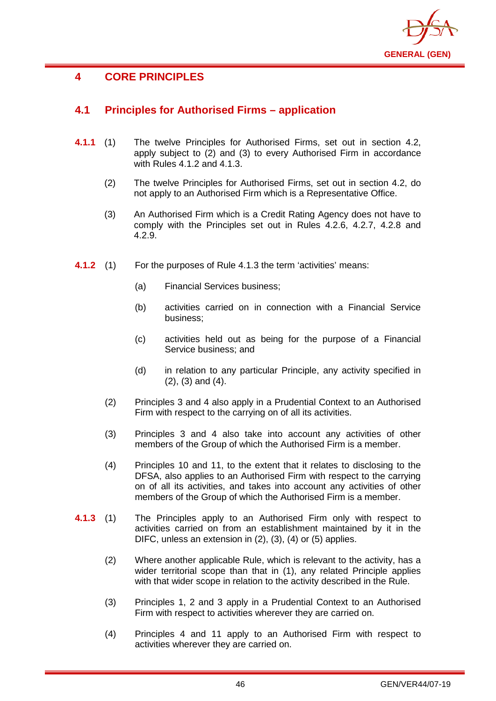

# **4 CORE PRINCIPLES**

# **4.1 Principles for Authorised Firms – application**

- **4.1.1** (1) The twelve Principles for Authorised Firms, set out in section 4.2, apply subject to (2) and (3) to every Authorised Firm in accordance with Rules 4.1.2 and 4.1.3.
	- (2) The twelve Principles for Authorised Firms, set out in section 4.2, do not apply to an Authorised Firm which is a Representative Office.
	- (3) An Authorised Firm which is a Credit Rating Agency does not have to comply with the Principles set out in Rules 4.2.6, 4.2.7, 4.2.8 and 4.2.9.
- **4.1.2** (1) For the purposes of Rule 4.1.3 the term 'activities' means:
	- (a) Financial Services business;
	- (b) activities carried on in connection with a Financial Service business;
	- (c) activities held out as being for the purpose of a Financial Service business; and
	- (d) in relation to any particular Principle, any activity specified in (2), (3) and (4).
	- (2) Principles 3 and 4 also apply in a Prudential Context to an Authorised Firm with respect to the carrying on of all its activities.
	- (3) Principles 3 and 4 also take into account any activities of other members of the Group of which the Authorised Firm is a member.
	- (4) Principles 10 and 11, to the extent that it relates to disclosing to the DFSA, also applies to an Authorised Firm with respect to the carrying on of all its activities, and takes into account any activities of other members of the Group of which the Authorised Firm is a member.
- **4.1.3** (1) The Principles apply to an Authorised Firm only with respect to activities carried on from an establishment maintained by it in the DIFC, unless an extension in (2), (3), (4) or (5) applies.
	- (2) Where another applicable Rule, which is relevant to the activity, has a wider territorial scope than that in (1), any related Principle applies with that wider scope in relation to the activity described in the Rule.
	- (3) Principles 1, 2 and 3 apply in a Prudential Context to an Authorised Firm with respect to activities wherever they are carried on.
	- (4) Principles 4 and 11 apply to an Authorised Firm with respect to activities wherever they are carried on.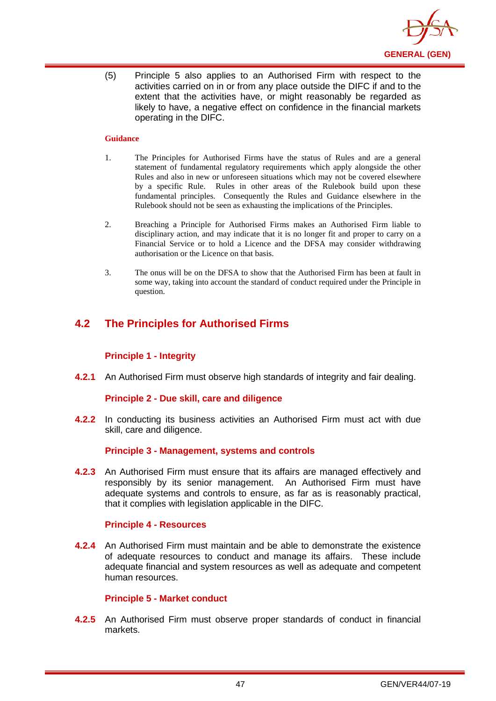

(5) Principle 5 also applies to an Authorised Firm with respect to the activities carried on in or from any place outside the DIFC if and to the extent that the activities have, or might reasonably be regarded as likely to have, a negative effect on confidence in the financial markets operating in the DIFC.

#### **Guidance**

- 1. The Principles for Authorised Firms have the status of Rules and are a general statement of fundamental regulatory requirements which apply alongside the other Rules and also in new or unforeseen situations which may not be covered elsewhere by a specific Rule. Rules in other areas of the Rulebook build upon these fundamental principles. Consequently the Rules and Guidance elsewhere in the Rulebook should not be seen as exhausting the implications of the Principles.
- 2. Breaching a Principle for Authorised Firms makes an Authorised Firm liable to disciplinary action, and may indicate that it is no longer fit and proper to carry on a Financial Service or to hold a Licence and the DFSA may consider withdrawing authorisation or the Licence on that basis.
- 3. The onus will be on the DFSA to show that the Authorised Firm has been at fault in some way, taking into account the standard of conduct required under the Principle in question.

## **4.2 The Principles for Authorised Firms**

### **Principle 1 - Integrity**

**4.2.1** An Authorised Firm must observe high standards of integrity and fair dealing.

#### **Principle 2 - Due skill, care and diligence**

**4.2.2** In conducting its business activities an Authorised Firm must act with due skill, care and diligence.

#### **Principle 3 - Management, systems and controls**

**4.2.3** An Authorised Firm must ensure that its affairs are managed effectively and responsibly by its senior management. An Authorised Firm must have adequate systems and controls to ensure, as far as is reasonably practical, that it complies with legislation applicable in the DIFC.

#### **Principle 4 - Resources**

**4.2.4** An Authorised Firm must maintain and be able to demonstrate the existence of adequate resources to conduct and manage its affairs. These include adequate financial and system resources as well as adequate and competent human resources.

#### **Principle 5 - Market conduct**

**4.2.5** An Authorised Firm must observe proper standards of conduct in financial markets.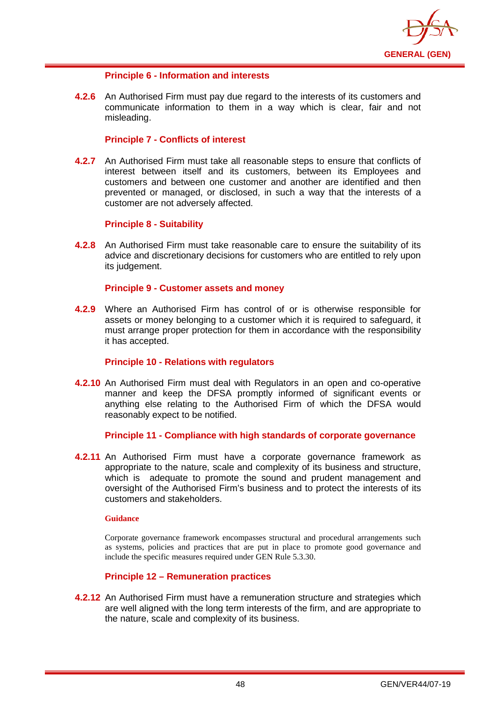

### **Principle 6 - Information and interests**

**4.2.6** An Authorised Firm must pay due regard to the interests of its customers and communicate information to them in a way which is clear, fair and not misleading.

### **Principle 7 - Conflicts of interest**

**4.2.7** An Authorised Firm must take all reasonable steps to ensure that conflicts of interest between itself and its customers, between its Employees and customers and between one customer and another are identified and then prevented or managed, or disclosed, in such a way that the interests of a customer are not adversely affected.

### **Principle 8 - Suitability**

**4.2.8** An Authorised Firm must take reasonable care to ensure the suitability of its advice and discretionary decisions for customers who are entitled to rely upon its judgement.

#### **Principle 9 - Customer assets and money**

**4.2.9** Where an Authorised Firm has control of or is otherwise responsible for assets or money belonging to a customer which it is required to safeguard, it must arrange proper protection for them in accordance with the responsibility it has accepted.

#### **Principle 10 - Relations with regulators**

**4.2.10** An Authorised Firm must deal with Regulators in an open and co-operative manner and keep the DFSA promptly informed of significant events or anything else relating to the Authorised Firm of which the DFSA would reasonably expect to be notified.

#### **Principle 11 - Compliance with high standards of corporate governance**

**4.2.11** An Authorised Firm must have a corporate governance framework as appropriate to the nature, scale and complexity of its business and structure, which is adequate to promote the sound and prudent management and oversight of the Authorised Firm's business and to protect the interests of its customers and stakeholders.

#### **Guidance**

Corporate governance framework encompasses structural and procedural arrangements such as systems, policies and practices that are put in place to promote good governance and include the specific measures required under GEN Rule 5.3.30.

### **Principle 12 – Remuneration practices**

**4.2.12** An Authorised Firm must have a remuneration structure and strategies which are well aligned with the long term interests of the firm, and are appropriate to the nature, scale and complexity of its business.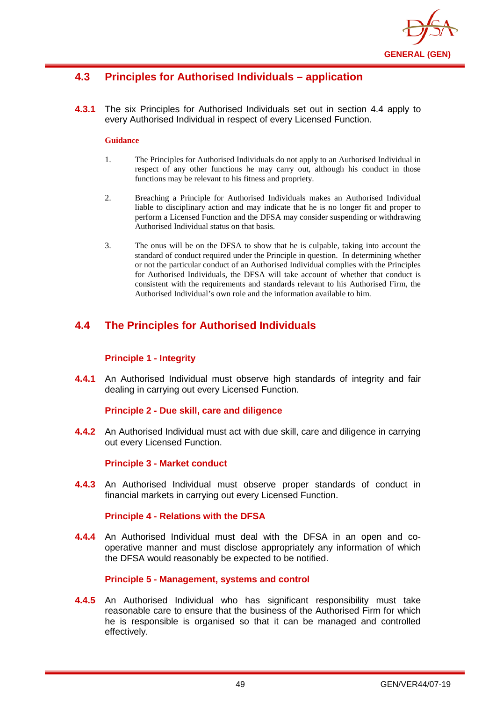

# **4.3 Principles for Authorised Individuals – application**

**4.3.1** The six Principles for Authorised Individuals set out in section 4.4 apply to every Authorised Individual in respect of every Licensed Function.

#### **Guidance**

- 1. The Principles for Authorised Individuals do not apply to an Authorised Individual in respect of any other functions he may carry out, although his conduct in those functions may be relevant to his fitness and propriety.
- 2. Breaching a Principle for Authorised Individuals makes an Authorised Individual liable to disciplinary action and may indicate that he is no longer fit and proper to perform a Licensed Function and the DFSA may consider suspending or withdrawing Authorised Individual status on that basis.
- 3. The onus will be on the DFSA to show that he is culpable, taking into account the standard of conduct required under the Principle in question. In determining whether or not the particular conduct of an Authorised Individual complies with the Principles for Authorised Individuals, the DFSA will take account of whether that conduct is consistent with the requirements and standards relevant to his Authorised Firm, the Authorised Individual's own role and the information available to him.

## **4.4 The Principles for Authorised Individuals**

### **Principle 1 - Integrity**

**4.4.1** An Authorised Individual must observe high standards of integrity and fair dealing in carrying out every Licensed Function.

### **Principle 2 - Due skill, care and diligence**

**4.4.2** An Authorised Individual must act with due skill, care and diligence in carrying out every Licensed Function.

### **Principle 3 - Market conduct**

**4.4.3** An Authorised Individual must observe proper standards of conduct in financial markets in carrying out every Licensed Function.

#### **Principle 4 - Relations with the DFSA**

**4.4.4** An Authorised Individual must deal with the DFSA in an open and cooperative manner and must disclose appropriately any information of which the DFSA would reasonably be expected to be notified.

#### **Principle 5 - Management, systems and control**

**4.4.5** An Authorised Individual who has significant responsibility must take reasonable care to ensure that the business of the Authorised Firm for which he is responsible is organised so that it can be managed and controlled effectively.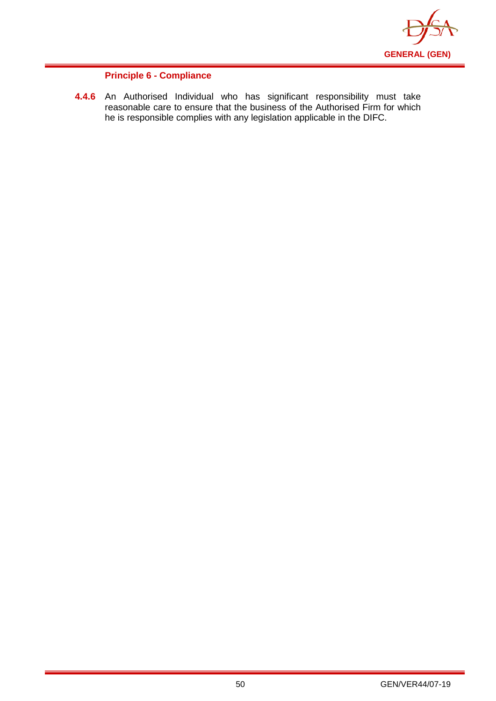

## **Principle 6 - Compliance**

**4.4.6** An Authorised Individual who has significant responsibility must take reasonable care to ensure that the business of the Authorised Firm for which he is responsible complies with any legislation applicable in the DIFC.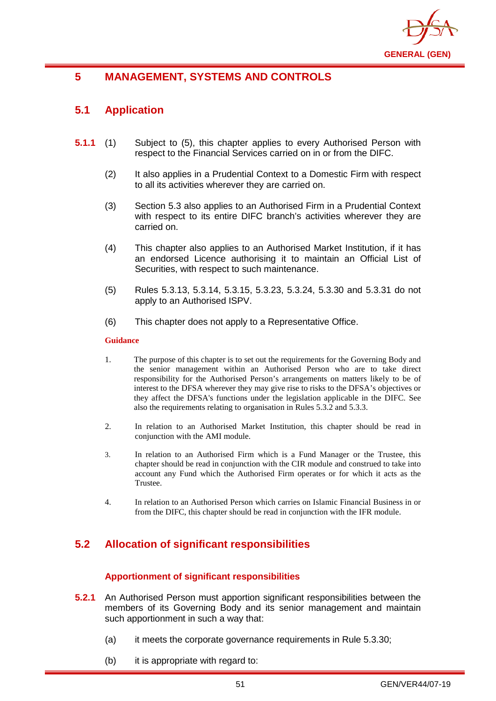

# **5 MANAGEMENT, SYSTEMS AND CONTROLS**

# **5.1 Application**

- **5.1.1** (1) Subject to (5), this chapter applies to every Authorised Person with respect to the Financial Services carried on in or from the DIFC.
	- (2) It also applies in a Prudential Context to a Domestic Firm with respect to all its activities wherever they are carried on.
	- (3) Section 5.3 also applies to an Authorised Firm in a Prudential Context with respect to its entire DIFC branch's activities wherever they are carried on.
	- (4) This chapter also applies to an Authorised Market Institution, if it has an endorsed Licence authorising it to maintain an Official List of Securities, with respect to such maintenance.
	- (5) Rules 5.3.13, 5.3.14, 5.3.15, 5.3.23, 5.3.24, 5.3.30 and 5.3.31 do not apply to an Authorised ISPV.
	- (6) This chapter does not apply to a Representative Office.

#### **Guidance**

- 1. The purpose of this chapter is to set out the requirements for the Governing Body and the senior management within an Authorised Person who are to take direct responsibility for the [Authorised Person's](http://www.fsa.gov.uk/handbook/hbk_glossary.pdf) arrangements on matters likely to be of interest to the DFSA wherever they may give rise to risks to the DFSA's objectives or they affect [the DFSA's](http://www.fsa.gov.uk/handbook/hbk_glossary.pdf) functions under the legislation applicable in the DIFC. See also the requirements relating to organisation in Rules 5.3.2 and 5.3.3.
- 2. In relation to an Authorised Market Institution, this chapter should be read in conjunction with the AMI module.
- 3. In relation to an Authorised Firm which is a Fund Manager or the Trustee, this chapter should be read in conjunction with the CIR module and construed to take into account any Fund which the Authorised Firm operates or for which it acts as the Trustee.
- 4. In relation to an Authorised Person which carries on Islamic Financial Business in or from the DIFC, this chapter should be read in conjunction with the IFR module.

## **5.2 Allocation of significant responsibilities**

### **Apportionment of significant responsibilities**

- **5.2.1** An Authorised Person must apportion significant responsibilities between the members of its Governing Body and its senior management and maintain such apportionment in such a way that:
	- (a) it meets the corporate governance requirements in Rule 5.3.30;
	- (b) it is appropriate with regard to: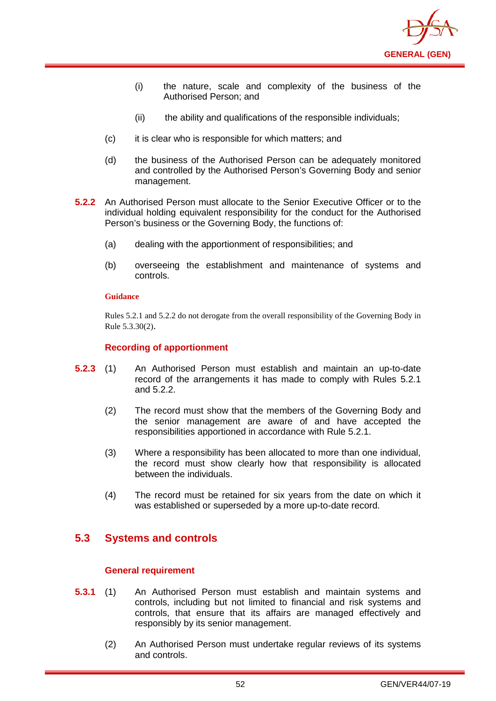

- (i) the nature, scale and complexity of the business of the Authorised Person; and
- (ii) the ability and qualifications of the responsible individuals;
- (c) it is clear who is responsible for which matters; and
- (d) the business of the Authorised Person can be adequately monitored and controlled by the Authorised Person's Governing Body and senior management.
- **5.2.2** An Authorised Person must allocate to the Senior Executive Officer or to the individual holding equivalent responsibility for the conduct for the Authorised Person's business or the Governing Body, the functions of:
	- (a) dealing with the apportionment of responsibilities; and
	- (b) overseeing the establishment and maintenance of systems and controls.

Rules 5.2.1 and 5.2.2 do not derogate from the overall responsibility of the Governing Body in Rule 5.3.30(2).

#### **Recording of apportionment**

- **5.2.3** (1) An Authorised Person must establish and maintain an up-to-date record of the arrangements it has made to comply with Rules 5.2.1 and 5.2.2.
	- (2) The record must show that the members of the Governing Body and the senior management are aware of and have accepted the responsibilities apportioned in accordance with Rule 5.2.1.
	- (3) Where a responsibility has been allocated to more than one individual, the record must show clearly how that responsibility is allocated between the individuals.
	- (4) The record must be retained for six years from the date on which it was established or superseded by a more up-to-date record.

## **5.3 Systems and controls**

#### **General requirement**

- **5.3.1** (1) An Authorised Person must establish and maintain systems and controls, including but not limited to financial and risk systems and controls, that ensure that its affairs are managed effectively and responsibly by its senior management.
	- (2) An Authorised Person must undertake regular reviews of its systems and controls.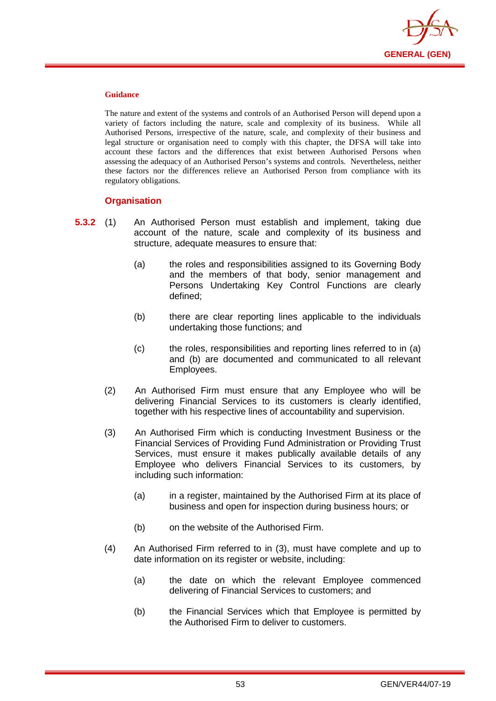

The nature and extent of the systems and controls of an Authorised Person will depend upon a variety of factors including the nature, scale and complexity of its business. While all Authorised Persons, irrespective of the nature, scale, and complexity of their business and legal structure or organisation need to comply with this chapter, the DFSA will take into account these factors and the differences that exist between Authorised Persons when assessing the adequacy of an Authorised Person's systems and controls. Nevertheless, neither these factors nor the differences relieve an Authorised Person from compliance with its regulatory obligations.

### **Organisation**

- **5.3.2** (1) An Authorised Person must establish and implement, taking due account of the nature, scale and complexity of its business and structure, adequate measures to ensure that:
	- (a) the roles and responsibilities assigned to its Governing Body and the members of that body, senior management and Persons Undertaking Key Control Functions are clearly defined;
	- (b) there are clear reporting lines applicable to the individuals undertaking those functions; and
	- (c) the roles, responsibilities and reporting lines referred to in (a) and (b) are documented and communicated to all relevant Employees.
	- (2) An Authorised Firm must ensure that any Employee who will be delivering Financial Services to its customers is clearly identified, together with his respective lines of accountability and supervision.
	- (3) An Authorised Firm which is conducting Investment Business or the Financial Services of Providing Fund Administration or Providing Trust Services, must ensure it makes publically available details of any Employee who delivers Financial Services to its customers, by including such information:
		- (a) in a register, maintained by the Authorised Firm at its place of business and open for inspection during business hours; or
		- (b) on the website of the Authorised Firm.
	- (4) An Authorised Firm referred to in (3), must have complete and up to date information on its register or website, including:
		- (a) the date on which the relevant Employee commenced delivering of Financial Services to customers; and
		- (b) the Financial Services which that Employee is permitted by the Authorised Firm to deliver to customers.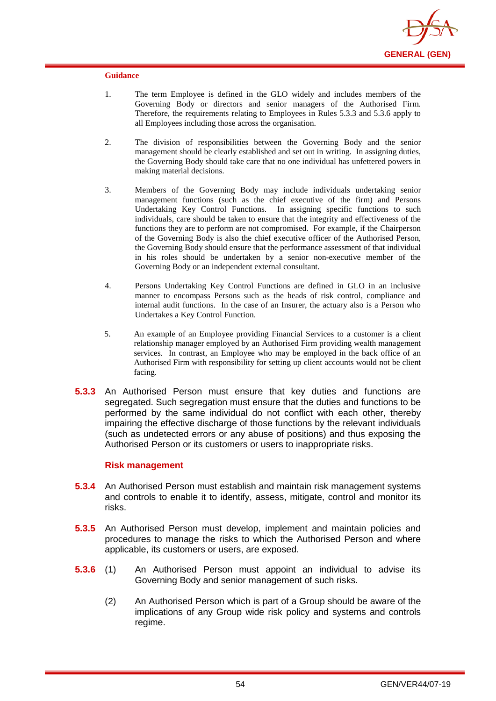

- 1. The term Employee is defined in the GLO widely and includes members of the Governing Body or directors and senior managers of the Authorised Firm. Therefore, the requirements relating to Employees in Rules 5.3.3 and 5.3.6 apply to all Employees including those across the organisation.
- 2. The division of responsibilities between the Governing Body and the senior management should be clearly established and set out in writing. In assigning duties, the Governing Body should take care that no one individual has unfettered powers in making material decisions.
- 3. Members of the Governing Body may include individuals undertaking senior management functions (such as the chief executive of the firm) and Persons Undertaking Key Control Functions. In assigning specific functions to such individuals, care should be taken to ensure that the integrity and effectiveness of the functions they are to perform are not compromised. For example, if the Chairperson of the Governing Body is also the chief executive officer of the Authorised Person, the Governing Body should ensure that the performance assessment of that individual in his roles should be undertaken by a senior non-executive member of the Governing Body or an independent external consultant.
- 4. Persons Undertaking Key Control Functions are defined in GLO in an inclusive manner to encompass Persons such as the heads of risk control, compliance and internal audit functions. In the case of an Insurer, the actuary also is a Person who Undertakes a Key Control Function.
- 5. An example of an Employee providing Financial Services to a customer is a client relationship manager employed by an Authorised Firm providing wealth management services. In contrast, an Employee who may be employed in the back office of an Authorised Firm with responsibility for setting up client accounts would not be client facing.
- **5.3.3** An Authorised Person must ensure that key duties and functions are segregated. Such segregation must ensure that the duties and functions to be performed by the same individual do not conflict with each other, thereby impairing the effective discharge of those functions by the relevant individuals (such as undetected errors or any abuse of positions) and thus exposing the Authorised Person or its customers or users to inappropriate risks.

#### **Risk management**

- **5.3.4** An Authorised Person must establish and maintain risk management systems and controls to enable it to identify, assess, mitigate, control and monitor its risks.
- **5.3.5** An Authorised Person must develop, implement and maintain policies and procedures to manage the risks to which the Authorised Person and where applicable, its customers or users, are exposed.
- **5.3.6** (1) An Authorised Person must appoint an individual to advise its Governing Body and senior management of such risks.
	- (2) An Authorised Person which is part of a Group should be aware of the implications of any Group wide risk policy and systems and controls regime.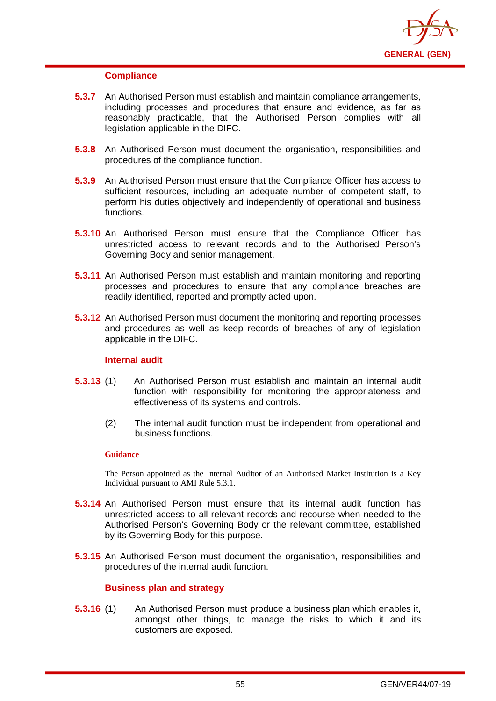

### **Compliance**

- **5.3.7** An Authorised Person must establish and maintain compliance arrangements, including processes and procedures that ensure and evidence, as far as reasonably practicable, that the Authorised Person complies with all legislation applicable in the DIFC.
- **5.3.8** An Authorised Person must document the organisation, responsibilities and procedures of the compliance function.
- **5.3.9** An Authorised Person must ensure that the Compliance Officer has access to sufficient resources, including an adequate number of competent staff, to perform his duties objectively and independently of operational and business functions.
- **5.3.10** An Authorised Person must ensure that the Compliance Officer has unrestricted access to relevant records and to the Authorised Person's Governing Body and senior management.
- **5.3.11** An Authorised Person must establish and maintain monitoring and reporting processes and procedures to ensure that any compliance breaches are readily identified, reported and promptly acted upon.
- **5.3.12** An Authorised Person must document the monitoring and reporting processes and procedures as well as keep records of breaches of any of legislation applicable in the DIFC.

### **Internal audit**

- **5.3.13** (1) An Authorised Person must establish and maintain an internal audit function with responsibility for monitoring the appropriateness and effectiveness of its systems and controls.
	- (2) The internal audit function must be independent from operational and business functions.

#### **Guidance**

The Person appointed as the Internal Auditor of an Authorised Market Institution is a Key Individual pursuant to AMI Rule 5.3.1.

- **5.3.14** An Authorised Person must ensure that its internal audit function has unrestricted access to all relevant records and recourse when needed to the Authorised Person's Governing Body or the relevant committee, established by its Governing Body for this purpose.
- **5.3.15** An Authorised Person must document the organisation, responsibilities and procedures of the internal audit function.

### **Business plan and strategy**

**5.3.16** (1) An Authorised Person must produce a business plan which enables it, amongst other things, to manage the risks to which it and its customers are exposed.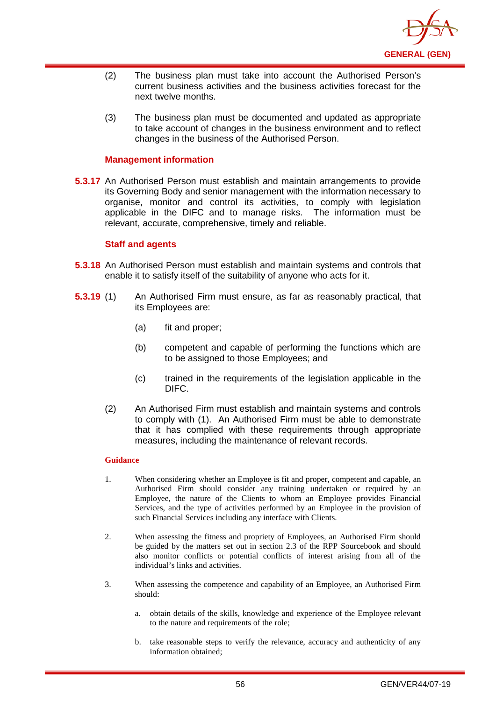

- (2) The business plan must take into account the Authorised Person's current business activities and the business activities forecast for the next twelve months.
- (3) The business plan must be documented and updated as appropriate to take account of changes in the business environment and to reflect changes in the business of the Authorised Person.

### **Management information**

**5.3.17** An Authorised Person must establish and maintain arrangements to provide its Governing Body and senior management with the information necessary to organise, monitor and control its activities, to comply with legislation applicable in the DIFC and to manage risks. The information must be relevant, accurate, comprehensive, timely and reliable.

#### **Staff and agents**

- **5.3.18** An Authorised Person must establish and maintain systems and controls that enable it to satisfy itself of the suitability of anyone who acts for it.
- **5.3.19** (1) An Authorised Firm must ensure, as far as reasonably practical, that its Employees are:
	- (a) fit and proper;
	- (b) competent and capable of performing the functions which are to be assigned to those Employees; and
	- (c) trained in the requirements of the legislation applicable in the DIFC.
	- (2) An Authorised Firm must establish and maintain systems and controls to comply with (1). An Authorised Firm must be able to demonstrate that it has complied with these requirements through appropriate measures, including the maintenance of relevant records.

#### **Guidance**

- 1. When considering whether an Employee is fit and proper, competent and capable, an Authorised Firm should consider any training undertaken or required by an Employee, the nature of the Clients to whom an Employee provides Financial Services, and the type of activities performed by an Employee in the provision of such Financial Services including any interface with Clients.
- 2. When assessing the fitness and propriety of Employees, an Authorised Firm should be guided by the matters set out in section 2.3 of the RPP Sourcebook and should also monitor conflicts or potential conflicts of interest arising from all of the individual's links and activities.
- 3. When assessing the competence and capability of an Employee, an Authorised Firm should:
	- a. obtain details of the skills, knowledge and experience of the Employee relevant to the nature and requirements of the role;
	- b. take reasonable steps to verify the relevance, accuracy and authenticity of any information obtained;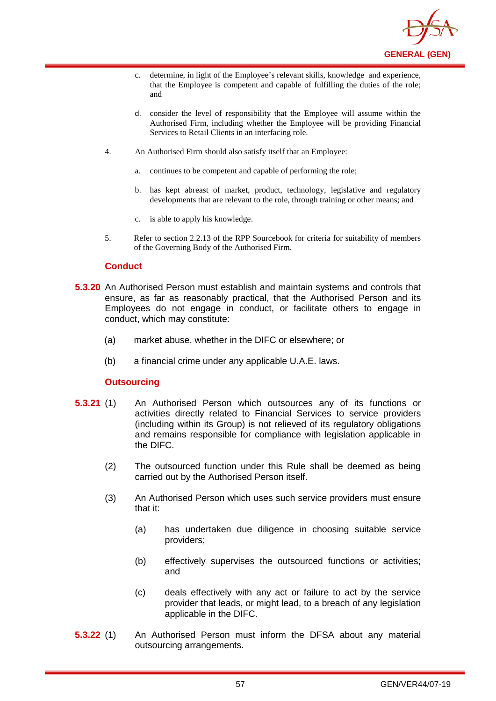

- c. determine, in light of the Employee's relevant skills, knowledge and experience, that the Employee is competent and capable of fulfilling the duties of the role; and
- d. consider the level of responsibility that the Employee will assume within the Authorised Firm, including whether the Employee will be providing Financial Services to Retail Clients in an interfacing role.
- 4. An Authorised Firm should also satisfy itself that an Employee:
	- a. continues to be competent and capable of performing the role;
	- b. has kept abreast of market, product, technology, legislative and regulatory developments that are relevant to the role, through training or other means; and
	- c. is able to apply his knowledge.
- 5. Refer to section 2.2.13 of the RPP Sourcebook for criteria for suitability of members of the Governing Body of the Authorised Firm.

#### **Conduct**

- **5.3.20** An Authorised Person must establish and maintain systems and controls that ensure, as far as reasonably practical, that the Authorised Person and its Employees do not engage in conduct, or facilitate others to engage in conduct, which may constitute:
	- (a) market abuse, whether in the DIFC or elsewhere; or
	- (b) a financial crime under any applicable U.A.E. laws.

#### **Outsourcing**

- **5.3.21** (1) An Authorised Person which outsources any of its functions or activities directly related to Financial Services to service providers (including within its Group) is not relieved of its regulatory obligations and remains responsible for compliance with legislation applicable in the DIFC.
	- (2) The outsourced function under this Rule shall be deemed as being carried out by the Authorised Person itself.
	- (3) An Authorised Person which uses such service providers must ensure that it:
		- (a) has undertaken due diligence in choosing suitable service providers;
		- (b) effectively supervises the outsourced functions or activities; and
		- (c) deals effectively with any act or failure to act by the service provider that leads, or might lead, to a breach of any legislation applicable in the DIFC.
- **5.3.22** (1) An Authorised Person must inform the DFSA about any material outsourcing arrangements.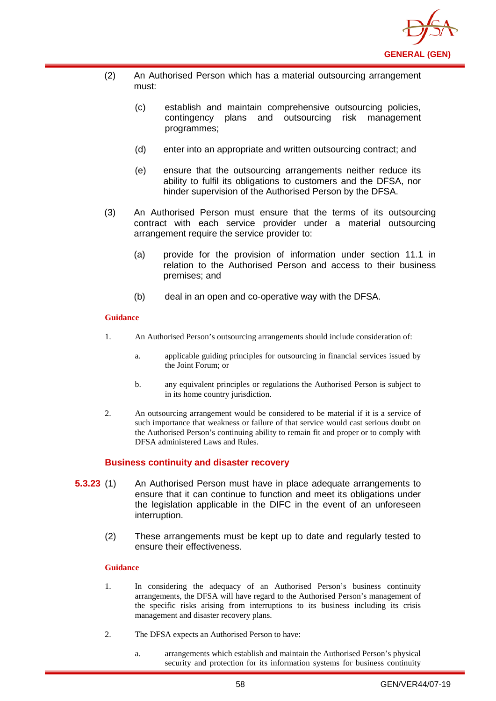

- (2) An Authorised Person which has a material outsourcing arrangement must:
	- (c) establish and maintain comprehensive outsourcing policies, contingency plans and outsourcing risk management programmes;
	- (d) enter into an appropriate and written outsourcing contract; and
	- (e) ensure that the outsourcing arrangements neither reduce its ability to fulfil its obligations to customers and the DFSA, nor hinder supervision of the Authorised Person by the DFSA.
- (3) An Authorised Person must ensure that the terms of its outsourcing contract with each service provider under a material outsourcing arrangement require the service provider to:
	- (a) provide for the provision of information under section 11.1 in relation to the Authorised Person and access to their business premises; and
	- (b) deal in an open and co-operative way with the DFSA.

- 1. An Authorised Person's outsourcing arrangements should include consideration of:
	- a. applicable guiding principles for outsourcing in financial services issued by the Joint Forum; or
	- b. any equivalent principles or regulations the Authorised Person is subject to in its home country jurisdiction.
- 2. An outsourcing arrangement would be considered to be material if it is a service of such importance that weakness or failure of that service would cast serious doubt on the Authorised Person's continuing ability to remain fit and proper or to comply with DFSA administered Laws and Rules.

#### **Business continuity and disaster recovery**

- **5.3.23** (1) An Authorised Person must have in place adequate arrangements to ensure that it can continue to function and meet its obligations under the legislation applicable in the DIFC in the event of an unforeseen interruption.
	- (2) These arrangements must be kept up to date and regularly tested to ensure their effectiveness.

#### **Guidance**

- 1. In considering the adequacy of an Authorised Person's business continuity arrangements, the DFSA will have regard to the Authorised Person's management of the specific risks arising from interruptions to its business including its crisis management and disaster recovery plans.
- 2. The DFSA expects an Authorised Person to have:
	- a. arrangements which establish and maintain the Authorised Person's physical security and protection for its information systems for business continuity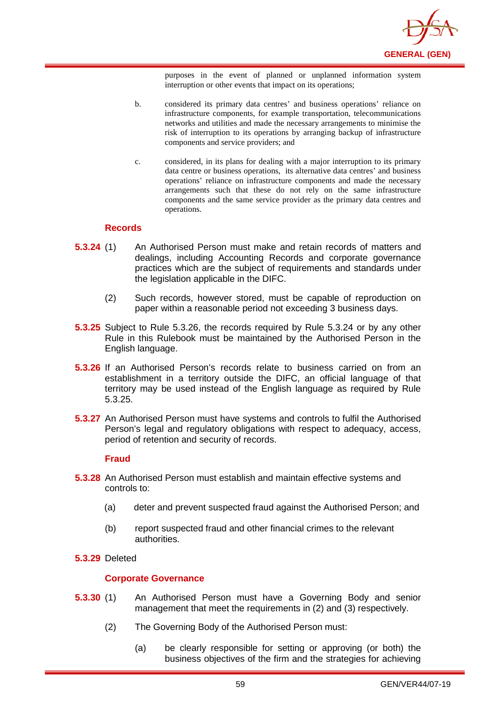

purposes in the event of planned or unplanned information system interruption or other events that impact on its operations;

- b. considered its primary data centres' and business operations' reliance on infrastructure components, for example transportation, telecommunications networks and utilities and made the necessary arrangements to minimise the risk of interruption to its operations by arranging backup of infrastructure components and service providers; and
- c. considered, in its plans for dealing with a major interruption to its primary data centre or business operations, its alternative data centres' and business operations' reliance on infrastructure components and made the necessary arrangements such that these do not rely on the same infrastructure components and the same service provider as the primary data centres and operations.

#### **Records**

- **5.3.24** (1) An Authorised Person must make and retain records of matters and dealings, including Accounting Records and corporate governance practices which are the subject of requirements and standards under the legislation applicable in the DIFC.
	- (2) Such records, however stored, must be capable of reproduction on paper within a reasonable period not exceeding 3 business days.
- **5.3.25** Subject to Rule 5.3.26, the records required by Rule 5.3.24 or by any other Rule in this Rulebook must be maintained by the Authorised Person in the English language.
- **5.3.26** If an Authorised Person's records relate to business carried on from an establishment in a territory outside the DIFC, an official language of that territory may be used instead of the English language as required by Rule 5.3.25.
- **5.3.27** An Authorised Person must have systems and controls to fulfil the Authorised Person's legal and regulatory obligations with respect to adequacy, access, period of retention and security of records.

#### **Fraud**

- **5.3.28** An Authorised Person must establish and maintain effective systems and controls to:
	- (a) deter and prevent suspected fraud against the Authorised Person; and
	- (b) report suspected fraud and other financial crimes to the relevant authorities.
- **5.3.29** Deleted

#### **Corporate Governance**

- **5.3.30** (1) An Authorised Person must have a Governing Body and senior management that meet the requirements in (2) and (3) respectively.
	- (2) The Governing Body of the Authorised Person must:
		- (a) be clearly responsible for setting or approving (or both) the business objectives of the firm and the strategies for achieving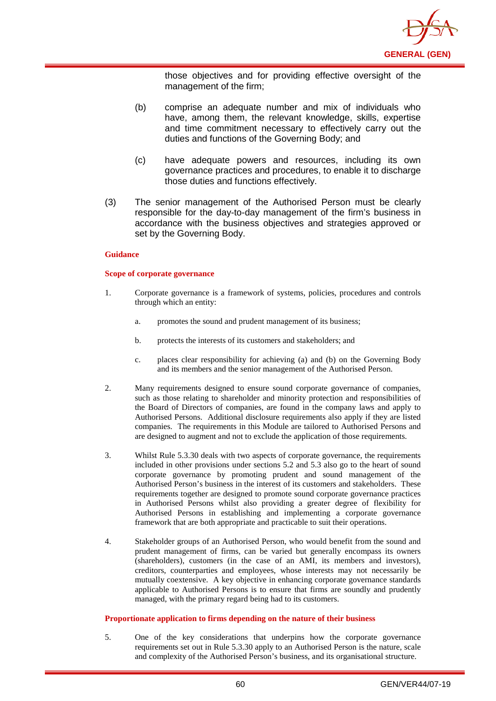

those objectives and for providing effective oversight of the management of the firm;

- (b) comprise an adequate number and mix of individuals who have, among them, the relevant knowledge, skills, expertise and time commitment necessary to effectively carry out the duties and functions of the Governing Body; and
- (c) have adequate powers and resources, including its own governance practices and procedures, to enable it to discharge those duties and functions effectively.
- (3) The senior management of the Authorised Person must be clearly responsible for the day-to-day management of the firm's business in accordance with the business objectives and strategies approved or set by the Governing Body.

#### **Guidance**

#### **Scope of corporate governance**

- 1. Corporate governance is a framework of systems, policies, procedures and controls through which an entity:
	- a. promotes the sound and prudent management of its business;
	- b. protects the interests of its customers and stakeholders; and
	- c. places clear responsibility for achieving (a) and (b) on the Governing Body and its members and the senior management of the Authorised Person.
- 2. Many requirements designed to ensure sound corporate governance of companies, such as those relating to shareholder and minority protection and responsibilities of the Board of Directors of companies, are found in the company laws and apply to Authorised Persons. Additional disclosure requirements also apply if they are listed companies. The requirements in this Module are tailored to Authorised Persons and are designed to augment and not to exclude the application of those requirements.
- 3. Whilst Rule 5.3.30 deals with two aspects of corporate governance, the requirements included in other provisions under sections 5.2 and 5.3 also go to the heart of sound corporate governance by promoting prudent and sound management of the Authorised Person's business in the interest of its customers and stakeholders. These requirements together are designed to promote sound corporate governance practices in Authorised Persons whilst also providing a greater degree of flexibility for Authorised Persons in establishing and implementing a corporate governance framework that are both appropriate and practicable to suit their operations.
- 4. Stakeholder groups of an Authorised Person, who would benefit from the sound and prudent management of firms, can be varied but generally encompass its owners (shareholders), customers (in the case of an AMI, its members and investors), creditors, counterparties and employees, whose interests may not necessarily be mutually coextensive. A key objective in enhancing corporate governance standards applicable to Authorised Persons is to ensure that firms are soundly and prudently managed, with the primary regard being had to its customers.

#### **Proportionate application to firms depending on the nature of their business**

5. One of the key considerations that underpins how the corporate governance requirements set out in Rule 5.3.30 apply to an Authorised Person is the nature, scale and complexity of the Authorised Person's business, and its organisational structure.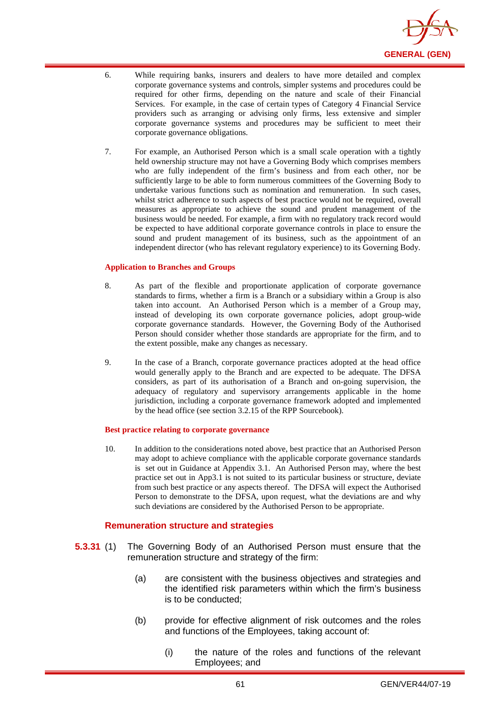

- 6. While requiring banks, insurers and dealers to have more detailed and complex corporate governance systems and controls, simpler systems and procedures could be required for other firms, depending on the nature and scale of their Financial Services. For example, in the case of certain types of Category 4 Financial Service providers such as arranging or advising only firms, less extensive and simpler corporate governance systems and procedures may be sufficient to meet their corporate governance obligations.
- 7. For example, an Authorised Person which is a small scale operation with a tightly held ownership structure may not have a Governing Body which comprises members who are fully independent of the firm's business and from each other, nor be sufficiently large to be able to form numerous committees of the Governing Body to undertake various functions such as nomination and remuneration. In such cases, whilst strict adherence to such aspects of best practice would not be required, overall measures as appropriate to achieve the sound and prudent management of the business would be needed. For example, a firm with no regulatory track record would be expected to have additional corporate governance controls in place to ensure the sound and prudent management of its business, such as the appointment of an independent director (who has relevant regulatory experience) to its Governing Body.

#### **Application to Branches and Groups**

- 8. As part of the flexible and proportionate application of corporate governance standards to firms, whether a firm is a Branch or a subsidiary within a Group is also taken into account. An Authorised Person which is a member of a Group may, instead of developing its own corporate governance policies, adopt group-wide corporate governance standards. However, the Governing Body of the Authorised Person should consider whether those standards are appropriate for the firm, and to the extent possible, make any changes as necessary.
- 9. In the case of a Branch, corporate governance practices adopted at the head office would generally apply to the Branch and are expected to be adequate. The DFSA considers, as part of its authorisation of a Branch and on-going supervision, the adequacy of regulatory and supervisory arrangements applicable in the home jurisdiction, including a corporate governance framework adopted and implemented by the head office (see section 3.2.15 of the RPP Sourcebook).

#### **Best practice relating to corporate governance**

10. In addition to the considerations noted above, best practice that an Authorised Person may adopt to achieve compliance with the applicable corporate governance standards is set out in Guidance at Appendix 3.1. An Authorised Person may, where the best practice set out in App3.1 is not suited to its particular business or structure, deviate from such best practice or any aspects thereof. The DFSA will expect the Authorised Person to demonstrate to the DFSA, upon request, what the deviations are and why such deviations are considered by the Authorised Person to be appropriate.

#### **Remuneration structure and strategies**

- **5.3.31** (1) The Governing Body of an Authorised Person must ensure that the remuneration structure and strategy of the firm:
	- (a) are consistent with the business objectives and strategies and the identified risk parameters within which the firm's business is to be conducted;
	- (b) provide for effective alignment of risk outcomes and the roles and functions of the Employees, taking account of:
		- (i) the nature of the roles and functions of the relevant Employees; and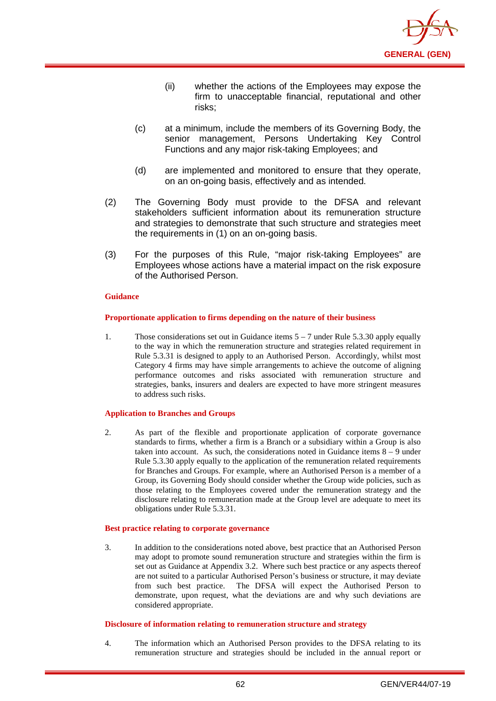

- (ii) whether the actions of the Employees may expose the firm to unacceptable financial, reputational and other risks;
- (c) at a minimum, include the members of its Governing Body, the senior management, Persons Undertaking Key Control Functions and any major risk-taking Employees; and
- (d) are implemented and monitored to ensure that they operate, on an on-going basis, effectively and as intended.
- (2) The Governing Body must provide to the DFSA and relevant stakeholders sufficient information about its remuneration structure and strategies to demonstrate that such structure and strategies meet the requirements in (1) on an on-going basis.
- (3) For the purposes of this Rule, "major risk-taking Employees" are Employees whose actions have a material impact on the risk exposure of the Authorised Person.

#### **Proportionate application to firms depending on the nature of their business**

1. Those considerations set out in Guidance items 5 – 7 under Rule 5.3.30 apply equally to the way in which the remuneration structure and strategies related requirement in Rule 5.3.31 is designed to apply to an Authorised Person. Accordingly, whilst most Category 4 firms may have simple arrangements to achieve the outcome of aligning performance outcomes and risks associated with remuneration structure and strategies, banks, insurers and dealers are expected to have more stringent measures to address such risks.

#### **Application to Branches and Groups**

2. As part of the flexible and proportionate application of corporate governance standards to firms, whether a firm is a Branch or a subsidiary within a Group is also taken into account. As such, the considerations noted in Guidance items  $8 - 9$  under Rule 5.3.30 apply equally to the application of the remuneration related requirements for Branches and Groups. For example, where an Authorised Person is a member of a Group, its Governing Body should consider whether the Group wide policies, such as those relating to the Employees covered under the remuneration strategy and the disclosure relating to remuneration made at the Group level are adequate to meet its obligations under Rule 5.3.31.

#### **Best practice relating to corporate governance**

3. In addition to the considerations noted above, best practice that an Authorised Person may adopt to promote sound remuneration structure and strategies within the firm is set out as Guidance at Appendix 3.2. Where such best practice or any aspects thereof are not suited to a particular Authorised Person's business or structure, it may deviate from such best practice. The DFSA will expect the Authorised Person to demonstrate, upon request, what the deviations are and why such deviations are considered appropriate.

#### **Disclosure of information relating to remuneration structure and strategy**

4. The information which an Authorised Person provides to the DFSA relating to its remuneration structure and strategies should be included in the annual report or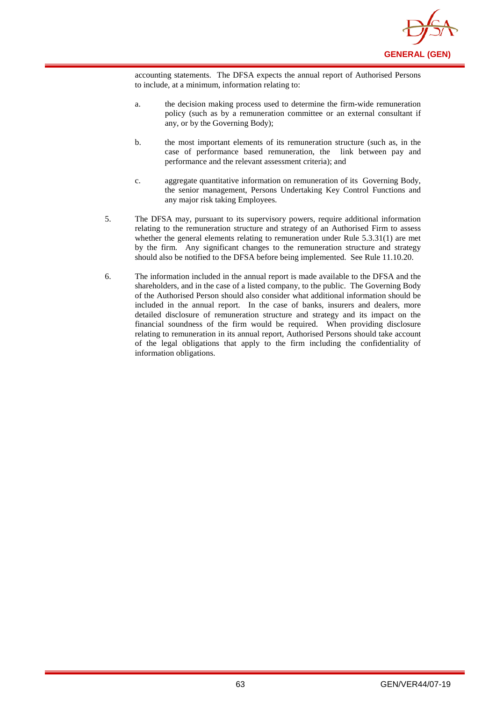

accounting statements. The DFSA expects the annual report of Authorised Persons to include, at a minimum, information relating to:

- a. the decision making process used to determine the firm-wide remuneration policy (such as by a remuneration committee or an external consultant if any, or by the Governing Body);
- b. the most important elements of its remuneration structure (such as, in the case of performance based remuneration, the link between pay and performance and the relevant assessment criteria); and
- c. aggregate quantitative information on remuneration of its Governing Body, the senior management, Persons Undertaking Key Control Functions and any major risk taking Employees.
- 5. The DFSA may, pursuant to its supervisory powers, require additional information relating to the remuneration structure and strategy of an Authorised Firm to assess whether the general elements relating to remuneration under Rule 5.3.31(1) are met by the firm. Any significant changes to the remuneration structure and strategy should also be notified to the DFSA before being implemented. See Rule 11.10.20.
- 6. The information included in the annual report is made available to the DFSA and the shareholders, and in the case of a listed company, to the public. The Governing Body of the Authorised Person should also consider what additional information should be included in the annual report. In the case of banks, insurers and dealers, more detailed disclosure of remuneration structure and strategy and its impact on the financial soundness of the firm would be required. When providing disclosure relating to remuneration in its annual report, Authorised Persons should take account of the legal obligations that apply to the firm including the confidentiality of information obligations.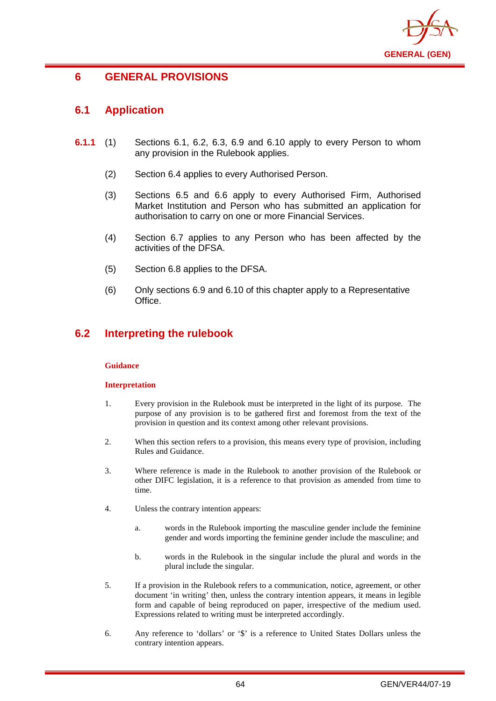

## **6 GENERAL PROVISIONS**

# **6.1 Application**

- **6.1.1** (1) Sections 6.1, 6.2, 6.3, 6.9 and 6.10 apply to every Person to whom any provision in the Rulebook applies.
	- (2) Section 6.4 applies to every Authorised Person.
	- (3) Sections 6.5 and 6.6 apply to every Authorised Firm, Authorised Market Institution and Person who has submitted an application for authorisation to carry on one or more Financial Services.
	- (4) Section 6.7 applies to any Person who has been affected by the activities of the DFSA.
	- (5) Section 6.8 applies to the DFSA.
	- (6) Only sections 6.9 and 6.10 of this chapter apply to a Representative Office.

# **6.2 Interpreting the rulebook**

#### **Guidance**

#### **Interpretation**

- 1. Every provision in the Rulebook must be interpreted in the light of its purpose. The purpose of any provision is to be gathered first and foremost from the text of the provision in question and its context among other relevant provisions.
- 2. When this section refers to a provision, this means every type of provision, including Rules and Guidance.
- 3. Where reference is made in the Rulebook to another provision of the Rulebook or other DIFC legislation, it is a reference to that provision as amended from time to time.
- 4. Unless the contrary intention appears:
	- a. words in the Rulebook importing the masculine gender include the feminine gender and words importing the feminine gender include the masculine; and
	- b. words in the Rulebook in the singular include the plural and words in the plural include the singular.
- 5. If a provision in the Rulebook refers to a communication, notice, agreement, or other document 'in writing' then, unless the contrary intention appears, it means in legible form and capable of being reproduced on paper, irrespective of the medium used. Expressions related to writing must be interpreted accordingly.
- 6. Any reference to 'dollars' or '\$' is a reference to United States Dollars unless the contrary intention appears.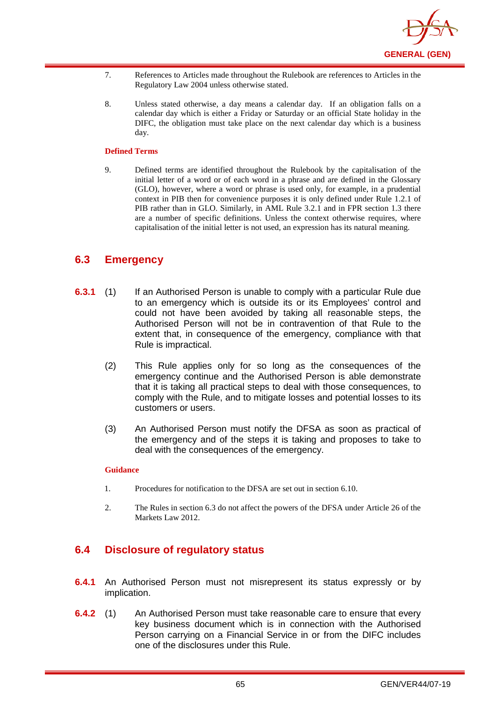

- 7. References to Articles made throughout the Rulebook are references to Articles in the Regulatory Law 2004 unless otherwise stated.
- 8. Unless stated otherwise, a day means a calendar day. If an obligation falls on a calendar day which is either a Friday or Saturday or an official State holiday in the DIFC, the obligation must take place on the next calendar day which is a business day.

#### **Defined Terms**

9. Defined terms are identified throughout the Rulebook by the capitalisation of the initial letter of a word or of each word in a phrase and are defined in the Glossary (GLO), however, where a word or phrase is used only, for example, in a prudential context in PIB then for convenience purposes it is only defined under Rule 1.2.1 of PIB rather than in GLO. Similarly, in AML Rule 3.2.1 and in FPR section 1.3 there are a number of specific definitions. Unless the context otherwise requires, where capitalisation of the initial letter is not used, an expression has its natural meaning.

### **6.3 Emergency**

- **6.3.1** (1) If an Authorised Person is unable to comply with a particular Rule due to an emergency which is outside its or its Employees' control and could not have been avoided by taking all reasonable steps, the Authorised Person will not be in contravention of that Rule to the extent that, in consequence of the emergency, compliance with that Rule is impractical.
	- (2) This Rule applies only for so long as the consequences of the emergency continue and the Authorised Person is able demonstrate that it is taking all practical steps to deal with those consequences, to comply with the Rule, and to mitigate losses and potential losses to its customers or users.
	- (3) An Authorised Person must notify the DFSA as soon as practical of the emergency and of the steps it is taking and proposes to take to deal with the consequences of the emergency.

#### **Guidance**

- 1. Procedures for notification to the DFSA are set out in section 6.10.
- 2. The Rules in section 6.3 do not affect the powers of the DFSA under Article 26 of the Markets Law 2012.

### **6.4 Disclosure of regulatory status**

- **6.4.1** An Authorised Person must not misrepresent its status expressly or by implication.
- **6.4.2** (1) An Authorised Person must take reasonable care to ensure that every key business document which is in connection with the Authorised Person carrying on a Financial Service in or from the DIFC includes one of the disclosures under this Rule.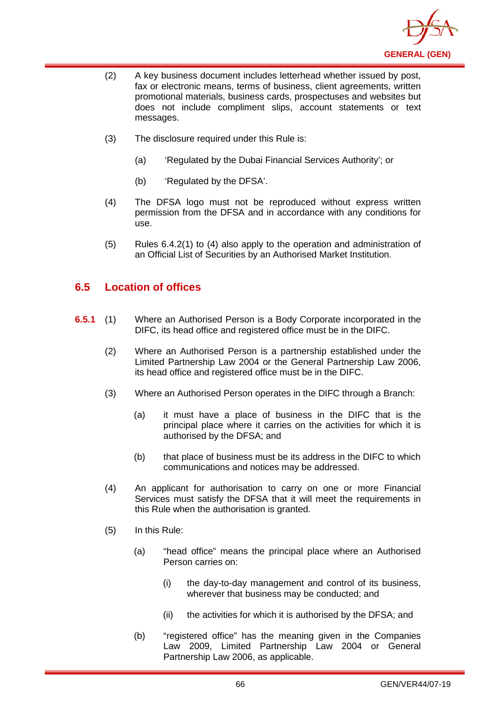

- (2) A key business document includes letterhead whether issued by post, fax or electronic means, terms of business, client agreements, written promotional materials, business cards, prospectuses and websites but does not include compliment slips, account statements or text messages.
- (3) The disclosure required under this Rule is:
	- (a) 'Regulated by the Dubai Financial Services Authority'; or
	- (b) 'Regulated by the DFSA'.
- (4) The DFSA logo must not be reproduced without express written permission from the DFSA and in accordance with any conditions for use.
- (5) Rules 6.4.2(1) to (4) also apply to the operation and administration of an Official List of Securities by an Authorised Market Institution.

## **6.5 Location of offices**

- **6.5.1** (1) Where an Authorised Person is a Body Corporate incorporated in the DIFC, its head office and registered office must be in the DIFC.
	- (2) Where an Authorised Person is a partnership established under the Limited Partnership Law 2004 or the General Partnership Law 2006, its head office and registered office must be in the DIFC.
	- (3) Where an Authorised Person operates in the DIFC through a Branch:
		- (a) it must have a place of business in the DIFC that is the principal place where it carries on the activities for which it is authorised by the DFSA; and
		- (b) that place of business must be its address in the DIFC to which communications and notices may be addressed.
	- (4) An applicant for authorisation to carry on one or more Financial Services must satisfy the DFSA that it will meet the requirements in this Rule when the authorisation is granted.
	- (5) In this Rule:
		- (a) "head office" means the principal place where an Authorised Person carries on:
			- (i) the day-to-day management and control of its business, wherever that business may be conducted; and
			- (ii) the activities for which it is authorised by the DFSA; and
		- (b) "registered office" has the meaning given in the Companies Law 2009, Limited Partnership Law 2004 or General Partnership Law 2006, as applicable.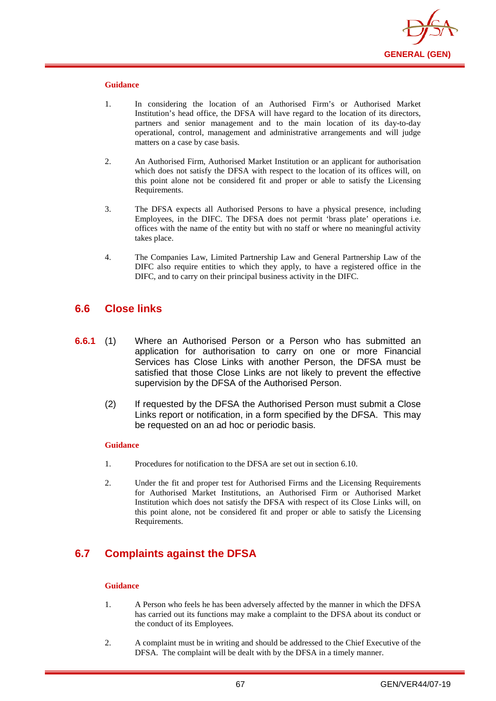

- 1. In considering the location of an Authorised Firm's or Authorised Market Institution's head office, the DFSA will have regard to the location of its directors, partners and senior management and to the main location of its day-to-day operational, control, management and administrative arrangements and will judge matters on a case by case basis.
- 2. An Authorised Firm, Authorised Market Institution or an applicant for authorisation which does not satisfy the DFSA with respect to the location of its offices will, on this point alone not be considered fit and proper or able to satisfy the Licensing Requirements.
- 3. The DFSA expects all Authorised Persons to have a physical presence, including Employees, in the DIFC. The DFSA does not permit 'brass plate' operations i.e. offices with the name of the entity but with no staff or where no meaningful activity takes place.
- 4. The Companies Law, Limited Partnership Law and General Partnership Law of the DIFC also require entities to which they apply, to have a registered office in the DIFC, and to carry on their principal business activity in the DIFC.

## **6.6 Close links**

- **6.6.1** (1) Where an Authorised Person or a Person who has submitted an application for authorisation to carry on one or more Financial Services has Close Links with another Person, the DFSA must be satisfied that those Close Links are not likely to prevent the effective supervision by the DFSA of the Authorised Person.
	- (2) If requested by the DFSA the Authorised Person must submit a Close Links report or notification, in a form specified by the DFSA. This may be requested on an ad hoc or periodic basis.

#### **Guidance**

- 1. Procedures for notification to the DFSA are set out in section 6.10.
- 2. Under the fit and proper test for Authorised Firms and the Licensing Requirements for Authorised Market Institutions, an Authorised Firm or Authorised Market Institution which does not satisfy the DFSA with respect of its Close Links will, on this point alone, not be considered fit and proper or able to satisfy the Licensing Requirements.

# **6.7 Complaints against the DFSA**

#### **Guidance**

- 1. A Person who feels he has been adversely affected by the manner in which the DFSA has carried out its functions may make a complaint to the DFSA about its conduct or the conduct of its Employees.
- 2. A complaint must be in writing and should be addressed to the Chief Executive of the DFSA. The complaint will be dealt with by the DFSA in a timely manner.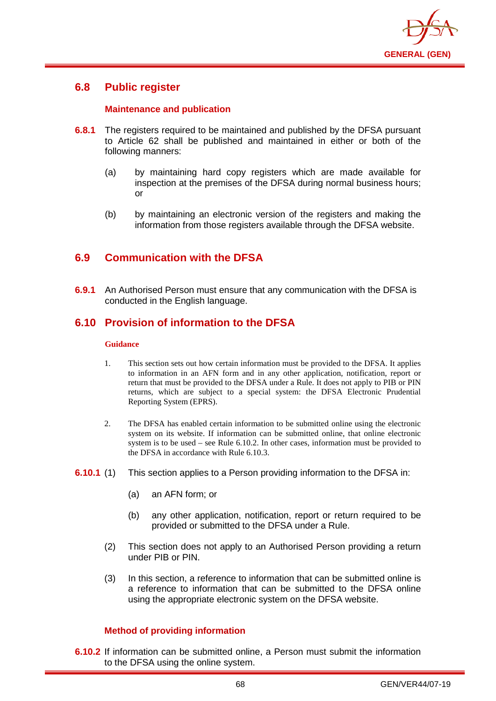

## **6.8 Public register**

### **Maintenance and publication**

- **6.8.1** The registers required to be maintained and published by the DFSA pursuant to Article 62 shall be published and maintained in either or both of the following manners:
	- (a) by maintaining hard copy registers which are made available for inspection at the premises of the DFSA during normal business hours; or
	- (b) by maintaining an electronic version of the registers and making the information from those registers available through the DFSA website.

# **6.9 Communication with the DFSA**

**6.9.1** An Authorised Person must ensure that any communication with the DFSA is conducted in the English language.

## **6.10 Provision of information to the DFSA**

#### **Guidance**

- 1. This section sets out how certain information must be provided to the DFSA. It applies to information in an AFN form and in any other application, notification, report or return that must be provided to the DFSA under a Rule. It does not apply to PIB or PIN returns, which are subject to a special system: the DFSA Electronic Prudential Reporting System (EPRS).
- 2. The DFSA has enabled certain information to be submitted online using the electronic system on its website. If information can be submitted online, that online electronic system is to be used – see Rule 6.10.2. In other cases, information must be provided to the DFSA in accordance with Rule 6.10.3.
- **6.10.1** (1) This section applies to a Person providing information to the DFSA in:
	- (a) an AFN form; or
	- (b) any other application, notification, report or return required to be provided or submitted to the DFSA under a Rule.
	- (2) This section does not apply to an Authorised Person providing a return under PIB or PIN.
	- (3) In this section, a reference to information that can be submitted online is a reference to information that can be submitted to the DFSA online using the appropriate electronic system on the DFSA website.

### **Method of providing information**

**6.10.2** If information can be submitted online, a Person must submit the information to the DFSA using the online system.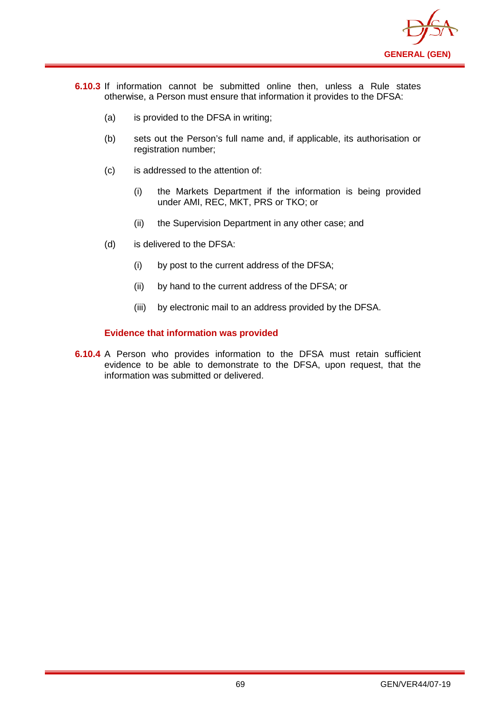

- **6.10.3** If information cannot be submitted online then, unless a Rule states otherwise, a Person must ensure that information it provides to the DFSA:
	- (a) is provided to the DFSA in writing;
	- (b) sets out the Person's full name and, if applicable, its authorisation or registration number;
	- (c) is addressed to the attention of:
		- (i) the Markets Department if the information is being provided under AMI, REC, MKT, PRS or TKO; or
		- (ii) the Supervision Department in any other case; and
	- (d) is delivered to the DFSA:
		- (i) by post to the current address of the DFSA;
		- (ii) by hand to the current address of the DFSA; or
		- (iii) by electronic mail to an address provided by the DFSA.

## **Evidence that information was provided**

**6.10.4** A Person who provides information to the DFSA must retain sufficient evidence to be able to demonstrate to the DFSA, upon request, that the information was submitted or delivered.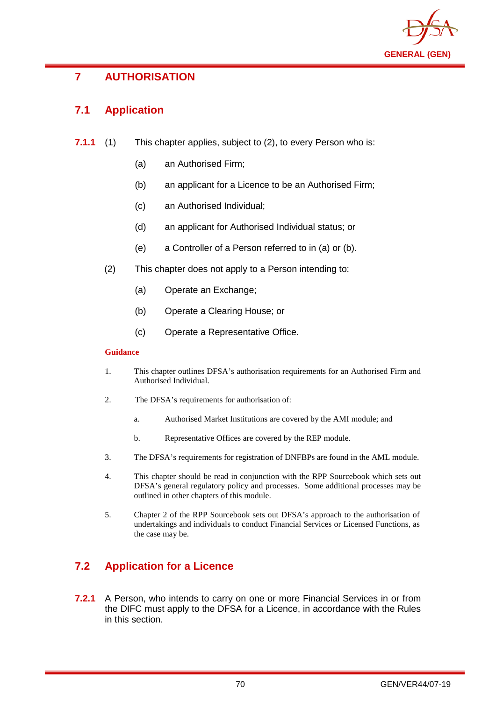

# **7 AUTHORISATION**

# **7.1 Application**

- **7.1.1** (1) This chapter applies, subject to (2), to every Person who is:
	- (a) an Authorised Firm;
	- (b) an applicant for a Licence to be an Authorised Firm;
	- (c) an Authorised Individual;
	- (d) an applicant for Authorised Individual status; or
	- (e) a Controller of a Person referred to in (a) or (b).
	- (2) This chapter does not apply to a Person intending to:
		- (a) Operate an Exchange;
		- (b) Operate a Clearing House; or
		- (c) Operate a Representative Office.

#### **Guidance**

- 1. This chapter outlines DFSA's authorisation requirements for an Authorised Firm and Authorised Individual.
- 2. The DFSA's requirements for authorisation of:
	- a. Authorised Market Institutions are covered by the AMI module; and
	- b. Representative Offices are covered by the REP module.
- 3. The DFSA's requirements for registration of DNFBPs are found in the AML module.
- 4. This chapter should be read in conjunction with the RPP Sourcebook which sets out DFSA's general regulatory policy and processes. Some additional processes may be outlined in other chapters of this module.
- 5. Chapter 2 of the RPP Sourcebook sets out DFSA's approach to the authorisation of undertakings and individuals to conduct Financial Services or Licensed Functions, as the case may be.

# **7.2 Application for a Licence**

**7.2.1** A Person, who intends to carry on one or more Financial Services in or from the DIFC must apply to the DFSA for a Licence, in accordance with the Rules in this section.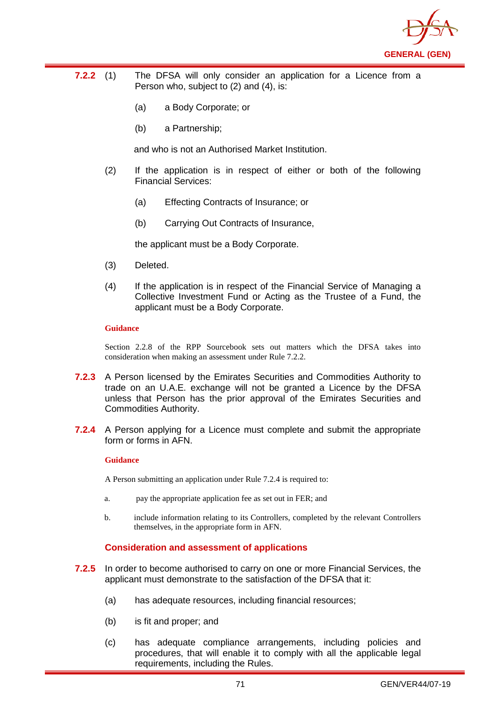

- **7.2.2** (1) The DFSA will only consider an application for a Licence from a Person who, subject to (2) and (4), is:
	- (a) a Body Corporate; or
	- (b) a Partnership;

and who is not an Authorised Market Institution.

- (2) If the application is in respect of either or both of the following Financial Services:
	- (a) Effecting Contracts of Insurance; or
	- (b) Carrying Out Contracts of Insurance,

the applicant must be a Body Corporate.

- (3) Deleted.
- (4) If the application is in respect of the Financial Service of Managing a Collective Investment Fund or Acting as the Trustee of a Fund, the applicant must be a Body Corporate.

#### **Guidance**

Section 2.2.8 of the RPP Sourcebook sets out matters which the DFSA takes into consideration when making an assessment under Rule 7.2.2.

- **7.2.3** A Person licensed by the Emirates Securities and Commodities Authority to trade on an U.A.E. exchange will not be granted a Licence by the DFSA unless that Person has the prior approval of the Emirates Securities and Commodities Authority.
- **7.2.4** A Person applying for a Licence must complete and submit the appropriate form or forms in AFN.

#### **Guidance**

A Person submitting an application under Rule 7.2.4 is required to:

- a. pay the appropriate application fee as set out in FER; and
- b. include information relating to its Controllers, completed by the relevant Controllers themselves, in the appropriate form in AFN.

## **Consideration and assessment of applications**

- **7.2.5** In order to become authorised to carry on one or more Financial Services, the applicant must demonstrate to the satisfaction of the DFSA that it:
	- (a) has adequate resources, including financial resources;
	- (b) is fit and proper; and
	- (c) has adequate compliance arrangements, including policies and procedures, that will enable it to comply with all the applicable legal requirements, including the Rules.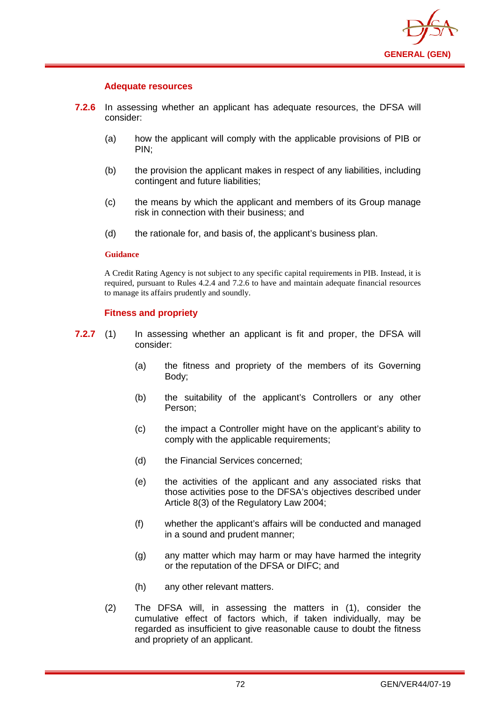

## **Adequate resources**

- **7.2.6** In assessing whether an applicant has adequate resources, the DFSA will consider:
	- (a) how the applicant will comply with the applicable provisions of PIB or PIN;
	- (b) the provision the applicant makes in respect of any liabilities, including contingent and future liabilities;
	- (c) the means by which the applicant and members of its Group manage risk in connection with their business; and
	- (d) the rationale for, and basis of, the applicant's business plan.

#### **Guidance**

A Credit Rating Agency is not subject to any specific capital requirements in PIB. Instead, it is required, pursuant to Rules 4.2.4 and 7.2.6 to have and maintain adequate financial resources to manage its affairs prudently and soundly.

## **Fitness and propriety**

- **7.2.7** (1) In assessing whether an applicant is fit and proper, the DFSA will consider:
	- (a) the fitness and propriety of the members of its Governing Body;
	- (b) the suitability of the applicant's Controllers or any other Person;
	- (c) the impact a Controller might have on the applicant's ability to comply with the applicable requirements;
	- (d) the Financial Services concerned;
	- (e) the activities of the applicant and any associated risks that those activities pose to the DFSA's objectives described under Article 8(3) of the Regulatory Law 2004;
	- (f) whether the applicant's affairs will be conducted and managed in a sound and prudent manner;
	- (g) any matter which may harm or may have harmed the integrity or the reputation of the DFSA or DIFC; and
	- (h) any other relevant matters.
	- (2) The DFSA will, in assessing the matters in (1), consider the cumulative effect of factors which, if taken individually, may be regarded as insufficient to give reasonable cause to doubt the fitness and propriety of an applicant.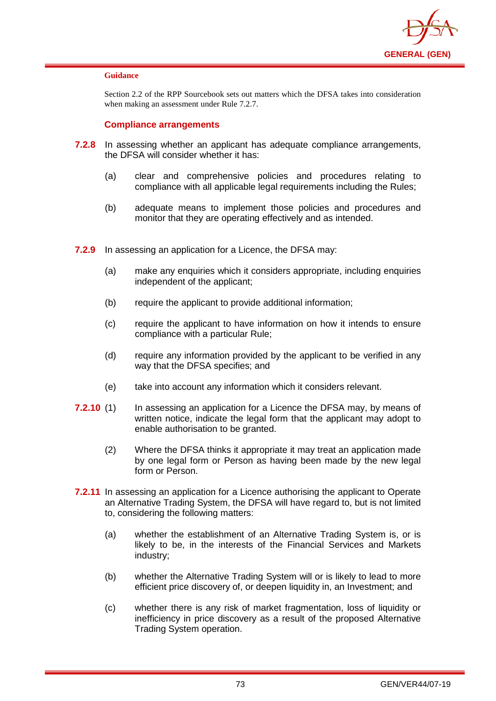

Section 2.2 of the RPP Sourcebook sets out matters which the DFSA takes into consideration when making an assessment under Rule 7.2.7.

## **Compliance arrangements**

- **7.2.8** In assessing whether an applicant has adequate compliance arrangements, the DFSA will consider whether it has:
	- (a) clear and comprehensive policies and procedures relating to compliance with all applicable legal requirements including the Rules;
	- (b) adequate means to implement those policies and procedures and monitor that they are operating effectively and as intended.
- **7.2.9** In assessing an application for a Licence, the DFSA may:
	- (a) make any enquiries which it considers appropriate, including enquiries independent of the applicant;
	- (b) require the applicant to provide additional information;
	- (c) require the applicant to have information on how it intends to ensure compliance with a particular Rule;
	- (d) require any information provided by the applicant to be verified in any way that the DFSA specifies; and
	- (e) take into account any information which it considers relevant.
- **7.2.10** (1) In assessing an application for a Licence the DFSA may, by means of written notice, indicate the legal form that the applicant may adopt to enable authorisation to be granted.
	- (2) Where the DFSA thinks it appropriate it may treat an application made by one legal form or Person as having been made by the new legal form or Person.
- **7.2.11** In assessing an application for a Licence authorising the applicant to Operate an Alternative Trading System, the DFSA will have regard to, but is not limited to, considering the following matters:
	- (a) whether the establishment of an Alternative Trading System is, or is likely to be, in the interests of the Financial Services and Markets industry;
	- (b) whether the Alternative Trading System will or is likely to lead to more efficient price discovery of, or deepen liquidity in, an Investment; and
	- (c) whether there is any risk of market fragmentation, loss of liquidity or inefficiency in price discovery as a result of the proposed Alternative Trading System operation.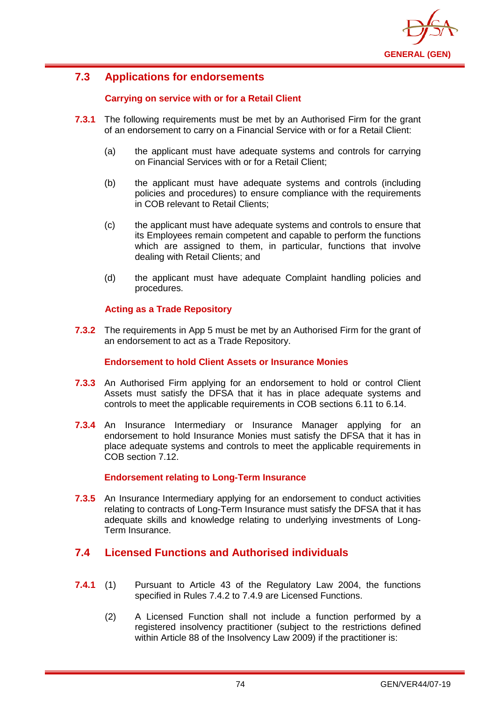

# **7.3 Applications for endorsements**

## **Carrying on service with or for a Retail Client**

- **7.3.1** The following requirements must be met by an Authorised Firm for the grant of an endorsement to carry on a Financial Service with or for a Retail Client:
	- (a) the applicant must have adequate systems and controls for carrying on Financial Services with or for a Retail Client;
	- (b) the applicant must have adequate systems and controls (including policies and procedures) to ensure compliance with the requirements in COB relevant to Retail Clients;
	- (c) the applicant must have adequate systems and controls to ensure that its Employees remain competent and capable to perform the functions which are assigned to them, in particular, functions that involve dealing with Retail Clients; and
	- (d) the applicant must have adequate Complaint handling policies and procedures.

## **Acting as a Trade Repository**

**7.3.2** The requirements in App 5 must be met by an Authorised Firm for the grant of an endorsement to act as a Trade Repository.

## **Endorsement to hold Client Assets or Insurance Monies**

- **7.3.3** An Authorised Firm applying for an endorsement to hold or control Client Assets must satisfy the DFSA that it has in place adequate systems and controls to meet the applicable requirements in COB sections 6.11 to 6.14.
- **7.3.4** An Insurance Intermediary or Insurance Manager applying for an endorsement to hold Insurance Monies must satisfy the DFSA that it has in place adequate systems and controls to meet the applicable requirements in COB section 7.12.

## **Endorsement relating to Long-Term Insurance**

**7.3.5** An Insurance Intermediary applying for an endorsement to conduct activities relating to contracts of Long-Term Insurance must satisfy the DFSA that it has adequate skills and knowledge relating to underlying investments of Long-Term Insurance.

## **7.4 Licensed Functions and Authorised individuals**

- **7.4.1** (1) Pursuant to Article 43 of the Regulatory Law 2004, the functions specified in Rules 7.4.2 to 7.4.9 are Licensed Functions.
	- (2) A Licensed Function shall not include a function performed by a registered insolvency practitioner (subject to the restrictions defined within Article 88 of the Insolvency Law 2009) if the practitioner is: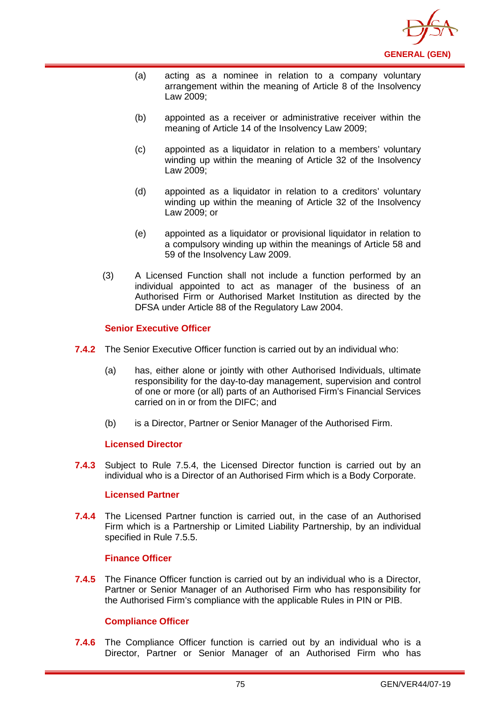

- (a) acting as a nominee in relation to a company voluntary arrangement within the meaning of Article 8 of the Insolvency Law 2009;
- (b) appointed as a receiver or administrative receiver within the meaning of Article 14 of the Insolvency Law 2009;
- (c) appointed as a liquidator in relation to a members' voluntary winding up within the meaning of Article 32 of the Insolvency Law 2009;
- (d) appointed as a liquidator in relation to a creditors' voluntary winding up within the meaning of Article 32 of the Insolvency Law 2009; or
- (e) appointed as a liquidator or provisional liquidator in relation to a compulsory winding up within the meanings of Article 58 and 59 of the Insolvency Law 2009.
- (3) A Licensed Function shall not include a function performed by an individual appointed to act as manager of the business of an Authorised Firm or Authorised Market Institution as directed by the DFSA under Article 88 of the Regulatory Law 2004.

## **Senior Executive Officer**

- **7.4.2** The Senior Executive Officer function is carried out by an individual who:
	- (a) has, either alone or jointly with other Authorised Individuals, ultimate responsibility for the day-to-day management, supervision and control of one or more (or all) parts of an Authorised Firm's Financial Services carried on in or from the DIFC; and
	- (b) is a Director, Partner or Senior Manager of the Authorised Firm.

## **Licensed Director**

**7.4.3** Subject to Rule 7.5.4, the Licensed Director function is carried out by an individual who is a Director of an Authorised Firm which is a Body Corporate.

## **Licensed Partner**

**7.4.4** The Licensed Partner function is carried out, in the case of an Authorised Firm which is a Partnership or Limited Liability Partnership, by an individual specified in Rule 7.5.5.

## **Finance Officer**

**7.4.5** The Finance Officer function is carried out by an individual who is a Director, Partner or Senior Manager of an Authorised Firm who has responsibility for the Authorised Firm's compliance with the applicable Rules in PIN or PIB.

## **Compliance Officer**

**7.4.6** The Compliance Officer function is carried out by an individual who is a Director, Partner or Senior Manager of an Authorised Firm who has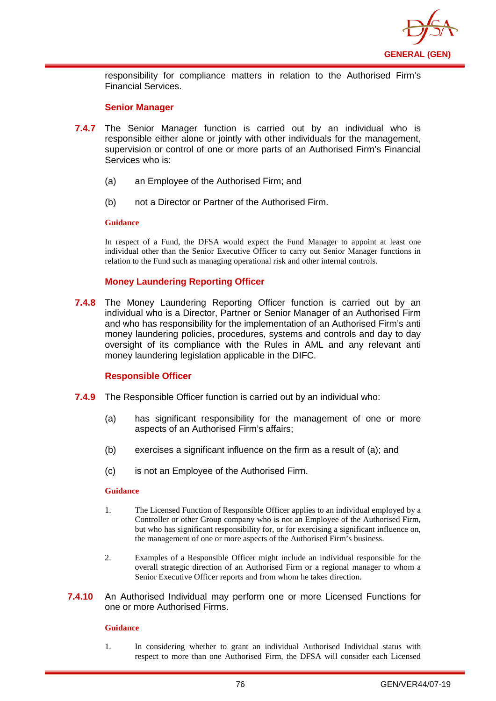

responsibility for compliance matters in relation to the Authorised Firm's Financial Services.

#### **Senior Manager**

- **7.4.7** The Senior Manager function is carried out by an individual who is responsible either alone or jointly with other individuals for the management, supervision or control of one or more parts of an Authorised Firm's Financial Services who is:
	- (a) an Employee of the Authorised Firm; and
	- (b) not a Director or Partner of the Authorised Firm.

#### **Guidance**

In respect of a Fund, the DFSA would expect the Fund Manager to appoint at least one individual other than the Senior Executive Officer to carry out Senior Manager functions in relation to the Fund such as managing operational risk and other internal controls.

## **Money Laundering Reporting Officer**

**7.4.8** The Money Laundering Reporting Officer function is carried out by an individual who is a Director, Partner or Senior Manager of an Authorised Firm and who has responsibility for the implementation of an Authorised Firm's anti money laundering policies, procedures, systems and controls and day to day oversight of its compliance with the Rules in AML and any relevant anti money laundering legislation applicable in the DIFC.

## **Responsible Officer**

- **7.4.9** The Responsible Officer function is carried out by an individual who:
	- (a) has significant responsibility for the management of one or more aspects of an Authorised Firm's affairs;
	- (b) exercises a significant influence on the firm as a result of (a); and
	- (c) is not an Employee of the Authorised Firm.

#### **Guidance**

- 1. The Licensed Function of Responsible Officer applies to an individual employed by a Controller or other Group company who is not an Employee of the Authorised Firm, but who has significant responsibility for, or for exercising a significant influence on, the management of one or more aspects of the Authorised Firm's business.
- 2. Examples of a Responsible Officer might include an individual responsible for the overall strategic direction of an Authorised Firm or a regional manager to whom a Senior Executive Officer reports and from whom he takes direction.
- **7.4.10** An Authorised Individual may perform one or more Licensed Functions for one or more Authorised Firms.

## **Guidance**

1. In considering whether to grant an individual Authorised Individual status with respect to more than one Authorised Firm, the DFSA will consider each Licensed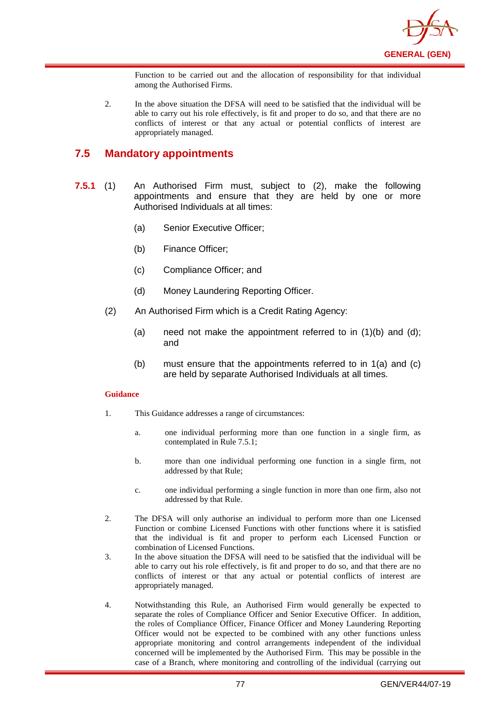

Function to be carried out and the allocation of responsibility for that individual among the Authorised Firms.

2. In the above situation the DFSA will need to be satisfied that the individual will be able to carry out his role effectively, is fit and proper to do so, and that there are no conflicts of interest or that any actual or potential conflicts of interest are appropriately managed.

## **7.5 Mandatory appointments**

- **7.5.1** (1) An Authorised Firm must, subject to (2), make the following appointments and ensure that they are held by one or more Authorised Individuals at all times:
	- (a) Senior Executive Officer;
	- (b) Finance Officer;
	- (c) Compliance Officer; and
	- (d) Money Laundering Reporting Officer.
	- (2) An Authorised Firm which is a Credit Rating Agency:
		- (a) need not make the appointment referred to in  $(1)(b)$  and  $(d)$ ; and
		- (b) must ensure that the appointments referred to in 1(a) and (c) are held by separate Authorised Individuals at all times.

#### **Guidance**

- 1. This Guidance addresses a range of circumstances:
	- a. one individual performing more than one function in a single firm, as contemplated in Rule 7.5.1;
	- b. more than one individual performing one function in a single firm, not addressed by that Rule;
	- c. one individual performing a single function in more than one firm, also not addressed by that Rule.
- 2. The DFSA will only authorise an individual to perform more than one Licensed Function or combine Licensed Functions with other functions where it is satisfied that the individual is fit and proper to perform each Licensed Function or combination of Licensed Functions.
- 3. In the above situation the DFSA will need to be satisfied that the individual will be able to carry out his role effectively, is fit and proper to do so, and that there are no conflicts of interest or that any actual or potential conflicts of interest are appropriately managed.
- 4. Notwithstanding this Rule, an Authorised Firm would generally be expected to separate the roles of Compliance Officer and Senior Executive Officer. In addition, the roles of Compliance Officer, Finance Officer and Money Laundering Reporting Officer would not be expected to be combined with any other functions unless appropriate monitoring and control arrangements independent of the individual concerned will be implemented by the Authorised Firm. This may be possible in the case of a Branch, where monitoring and controlling of the individual (carrying out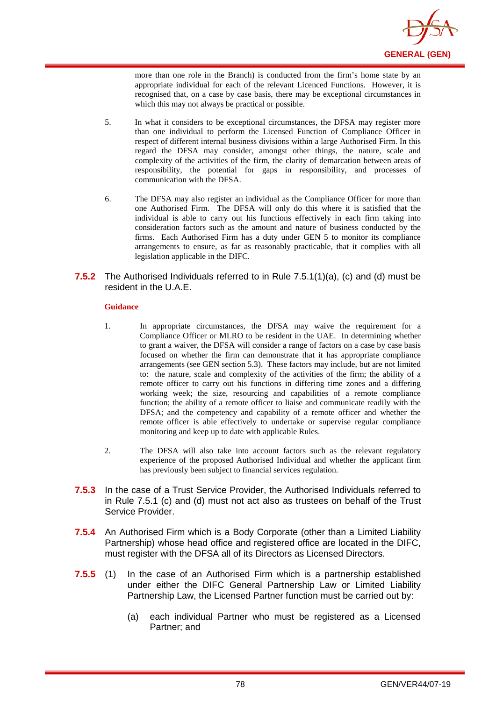

more than one role in the Branch) is conducted from the firm's home state by an appropriate individual for each of the relevant Licenced Functions. However, it is recognised that, on a case by case basis, there may be exceptional circumstances in which this may not always be practical or possible.

- 5. In what it considers to be exceptional circumstances, the DFSA may register more than one individual to perform the Licensed Function of Compliance Officer in respect of different internal business divisions within a large Authorised Firm. In this regard the DFSA may consider, amongst other things, the nature, scale and complexity of the activities of the firm, the clarity of demarcation between areas of responsibility, the potential for gaps in responsibility, and processes of communication with the DFSA.
- 6. The DFSA may also register an individual as the Compliance Officer for more than one Authorised Firm. The DFSA will only do this where it is satisfied that the individual is able to carry out his functions effectively in each firm taking into consideration factors such as the amount and nature of business conducted by the firms. Each Authorised Firm has a duty under GEN 5 to monitor its compliance arrangements to ensure, as far as reasonably practicable, that it complies with all legislation applicable in the DIFC.

## **7.5.2** The Authorised Individuals referred to in Rule 7.5.1(1)(a), (c) and (d) must be resident in the U.A.E.

#### **Guidance**

- 1. In appropriate circumstances, the DFSA may waive the requirement for a Compliance Officer or MLRO to be resident in the UAE. In determining whether to grant a waiver, the DFSA will consider a range of factors on a case by case basis focused on whether the firm can demonstrate that it has appropriate compliance arrangements (see GEN section 5.3). These factors may include, but are not limited to: the nature, scale and complexity of the activities of the firm; the ability of a remote officer to carry out his functions in differing time zones and a differing working week; the size, resourcing and capabilities of a remote compliance function; the ability of a remote officer to liaise and communicate readily with the DFSA; and the competency and capability of a remote officer and whether the remote officer is able effectively to undertake or supervise regular compliance monitoring and keep up to date with applicable Rules.
- 2. The DFSA will also take into account factors such as the relevant regulatory experience of the proposed Authorised Individual and whether the applicant firm has previously been subject to financial services regulation.
- **7.5.3** In the case of a Trust Service Provider, the Authorised Individuals referred to in Rule 7.5.1 (c) and (d) must not act also as trustees on behalf of the Trust Service Provider.
- **7.5.4** An Authorised Firm which is a Body Corporate (other than a Limited Liability Partnership) whose head office and registered office are located in the DIFC, must register with the DFSA all of its Directors as Licensed Directors.
- **7.5.5** (1) In the case of an Authorised Firm which is a partnership established under either the DIFC General Partnership Law or Limited Liability Partnership Law, the Licensed Partner function must be carried out by:
	- (a) each individual Partner who must be registered as a Licensed Partner; and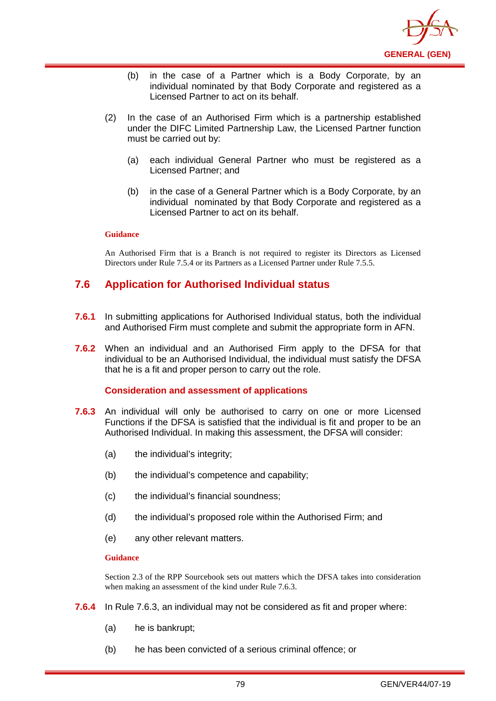

- (b) in the case of a Partner which is a Body Corporate, by an individual nominated by that Body Corporate and registered as a Licensed Partner to act on its behalf.
- (2) In the case of an Authorised Firm which is a partnership established under the DIFC Limited Partnership Law, the Licensed Partner function must be carried out by:
	- (a) each individual General Partner who must be registered as a Licensed Partner; and
	- (b) in the case of a General Partner which is a Body Corporate, by an individual nominated by that Body Corporate and registered as a Licensed Partner to act on its behalf.

An Authorised Firm that is a Branch is not required to register its Directors as Licensed Directors under Rule 7.5.4 or its Partners as a Licensed Partner under Rule 7.5.5.

# **7.6 Application for Authorised Individual status**

- **7.6.1** In submitting applications for Authorised Individual status, both the individual and Authorised Firm must complete and submit the appropriate form in AFN.
- **7.6.2** When an individual and an Authorised Firm apply to the DFSA for that individual to be an Authorised Individual, the individual must satisfy the DFSA that he is a fit and proper person to carry out the role.

## **Consideration and assessment of applications**

- **7.6.3** An individual will only be authorised to carry on one or more Licensed Functions if the DFSA is satisfied that the individual is fit and proper to be an Authorised Individual. In making this assessment, the DFSA will consider:
	- (a) the individual's integrity;
	- (b) the individual's competence and capability;
	- (c) the individual's financial soundness;
	- (d) the individual's proposed role within the Authorised Firm; and
	- (e) any other relevant matters.

#### **Guidance**

Section 2.3 of the RPP Sourcebook sets out matters which the DFSA takes into consideration when making an assessment of the kind under Rule 7.6.3.

- **7.6.4** In Rule 7.6.3, an individual may not be considered as fit and proper where:
	- (a) he is bankrupt;
	- (b) he has been convicted of a serious criminal offence; or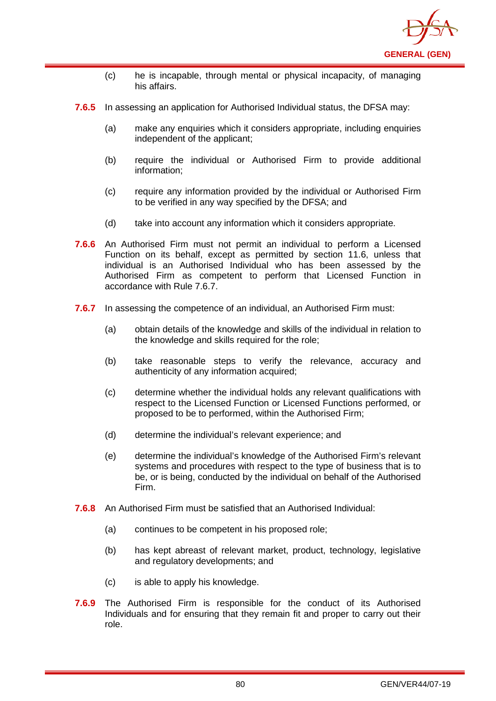

- (c) he is incapable, through mental or physical incapacity, of managing his affairs.
- **7.6.5** In assessing an application for Authorised Individual status, the DFSA may:
	- (a) make any enquiries which it considers appropriate, including enquiries independent of the applicant;
	- (b) require the individual or Authorised Firm to provide additional information;
	- (c) require any information provided by the individual or Authorised Firm to be verified in any way specified by the DFSA; and
	- (d) take into account any information which it considers appropriate.
- **7.6.6** An Authorised Firm must not permit an individual to perform a Licensed Function on its behalf, except as permitted by section 11.6, unless that individual is an Authorised Individual who has been assessed by the Authorised Firm as competent to perform that Licensed Function in accordance with Rule 7.6.7.
- **7.6.7** In assessing the competence of an individual, an Authorised Firm must:
	- (a) obtain details of the knowledge and skills of the individual in relation to the knowledge and skills required for the role;
	- (b) take reasonable steps to verify the relevance, accuracy and authenticity of any information acquired;
	- (c) determine whether the individual holds any relevant qualifications with respect to the Licensed Function or Licensed Functions performed, or proposed to be to performed, within the Authorised Firm;
	- (d) determine the individual's relevant experience; and
	- (e) determine the individual's knowledge of the Authorised Firm's relevant systems and procedures with respect to the type of business that is to be, or is being, conducted by the individual on behalf of the Authorised Firm.
- **7.6.8** An Authorised Firm must be satisfied that an Authorised Individual:
	- (a) continues to be competent in his proposed role;
	- (b) has kept abreast of relevant market, product, technology, legislative and regulatory developments; and
	- (c) is able to apply his knowledge.
- **7.6.9** The Authorised Firm is responsible for the conduct of its Authorised Individuals and for ensuring that they remain fit and proper to carry out their role.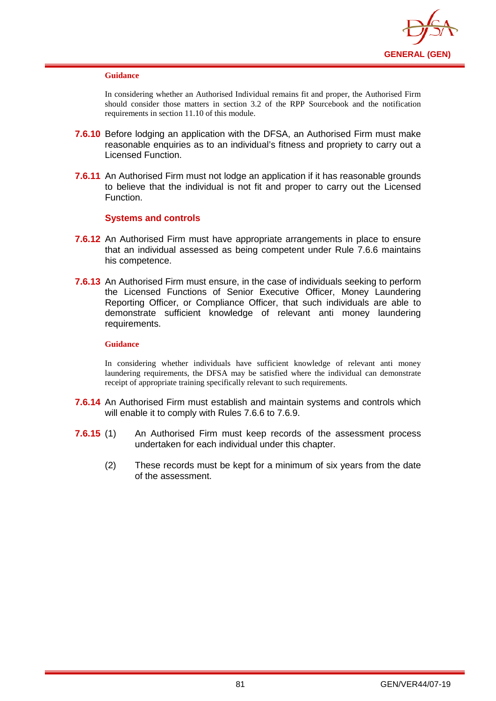

In considering whether an Authorised Individual remains fit and proper, the Authorised Firm should consider those matters in section 3.2 of the RPP Sourcebook and the notification requirements in section 11.10 of this module.

- **7.6.10** Before lodging an application with the DFSA, an Authorised Firm must make reasonable enquiries as to an individual's fitness and propriety to carry out a Licensed Function.
- **7.6.11** An Authorised Firm must not lodge an application if it has reasonable grounds to believe that the individual is not fit and proper to carry out the Licensed Function.

## **Systems and controls**

- **7.6.12** An Authorised Firm must have appropriate arrangements in place to ensure that an individual assessed as being competent under Rule 7.6.6 maintains his competence.
- **7.6.13** An Authorised Firm must ensure, in the case of individuals seeking to perform the Licensed Functions of Senior Executive Officer, Money Laundering Reporting Officer, or Compliance Officer, that such individuals are able to demonstrate sufficient knowledge of relevant anti money laundering requirements.

#### **Guidance**

In considering whether individuals have sufficient knowledge of relevant anti money laundering requirements, the DFSA may be satisfied where the individual can demonstrate receipt of appropriate training specifically relevant to such requirements.

- **7.6.14** An Authorised Firm must establish and maintain systems and controls which will enable it to comply with Rules 7.6.6 to 7.6.9.
- **7.6.15** (1) An Authorised Firm must keep records of the assessment process undertaken for each individual under this chapter.
	- (2) These records must be kept for a minimum of six years from the date of the assessment.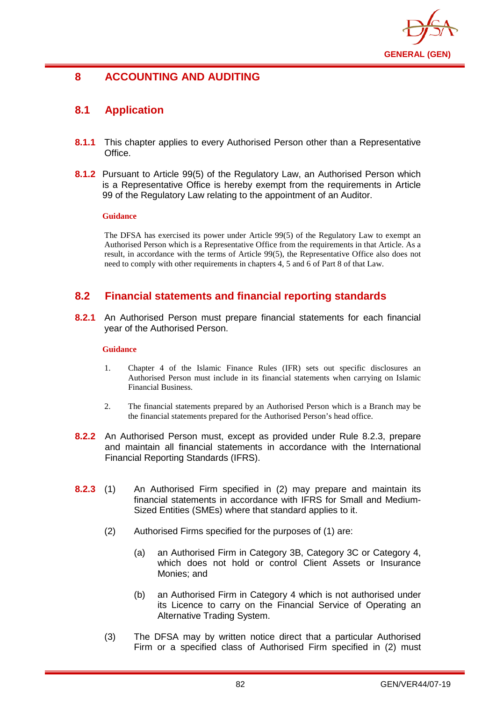

# **8 ACCOUNTING AND AUDITING**

# **8.1 Application**

- **8.1.1** This chapter applies to every Authorised Person other than a Representative Office.
- **8.1.2** Pursuant to Article 99(5) of the Regulatory Law, an Authorised Person which is a Representative Office is hereby exempt from the requirements in Article 99 of the Regulatory Law relating to the appointment of an Auditor.

## **Guidance**

The DFSA has exercised its power under Article 99(5) of the Regulatory Law to exempt an Authorised Person which is a Representative Office from the requirements in that Article. As a result, in accordance with the terms of Article 99(5), the Representative Office also does not need to comply with other requirements in chapters 4, 5 and 6 of Part 8 of that Law.

# **8.2 Financial statements and financial reporting standards**

**8.2.1** An Authorised Person must prepare financial statements for each financial year of the Authorised Person.

## **Guidance**

- 1. Chapter 4 of the Islamic Finance Rules (IFR) sets out specific disclosures an Authorised Person must include in its financial statements when carrying on Islamic Financial Business.
- 2. The financial statements prepared by an Authorised Person which is a Branch may be the financial statements prepared for the Authorised Person's head office.
- **8.2.2** An Authorised Person must, except as provided under Rule 8.2.3, prepare and maintain all financial statements in accordance with the International Financial Reporting Standards (IFRS).
- **8.2.3** (1) An Authorised Firm specified in (2) may prepare and maintain its financial statements in accordance with IFRS for Small and Medium-Sized Entities (SMEs) where that standard applies to it.
	- (2) Authorised Firms specified for the purposes of (1) are:
		- (a) an Authorised Firm in Category 3B, Category 3C or Category 4, which does not hold or control Client Assets or Insurance Monies; and
		- (b) an Authorised Firm in Category 4 which is not authorised under its Licence to carry on the Financial Service of Operating an Alternative Trading System.
	- (3) The DFSA may by written notice direct that a particular Authorised Firm or a specified class of Authorised Firm specified in (2) must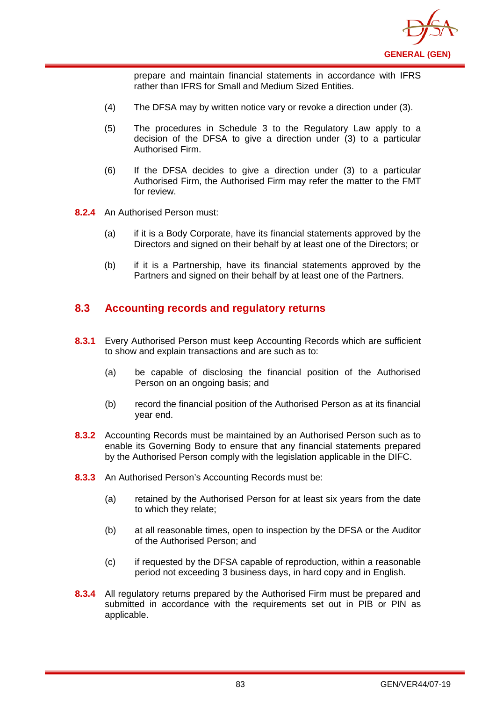

prepare and maintain financial statements in accordance with IFRS rather than IFRS for Small and Medium Sized Entities.

- (4) The DFSA may by written notice vary or revoke a direction under (3).
- (5) The procedures in Schedule 3 to the Regulatory Law apply to a decision of the DFSA to give a direction under (3) to a particular Authorised Firm.
- (6) If the DFSA decides to give a direction under (3) to a particular Authorised Firm, the Authorised Firm may refer the matter to the FMT for review.
- **8.2.4** An Authorised Person must:
	- (a) if it is a Body Corporate, have its financial statements approved by the Directors and signed on their behalf by at least one of the Directors; or
	- (b) if it is a Partnership, have its financial statements approved by the Partners and signed on their behalf by at least one of the Partners.

# **8.3 Accounting records and regulatory returns**

- **8.3.1** Every Authorised Person must keep Accounting Records which are sufficient to show and explain transactions and are such as to:
	- (a) be capable of disclosing the financial position of the Authorised Person on an ongoing basis; and
	- (b) record the financial position of the Authorised Person as at its financial year end.
- **8.3.2** Accounting Records must be maintained by an Authorised Person such as to enable its Governing Body to ensure that any financial statements prepared by the Authorised Person comply with the legislation applicable in the DIFC.
- **8.3.3** An Authorised Person's Accounting Records must be:
	- (a) retained by the Authorised Person for at least six years from the date to which they relate;
	- (b) at all reasonable times, open to inspection by the DFSA or the Auditor of the Authorised Person; and
	- (c) if requested by the DFSA capable of reproduction, within a reasonable period not exceeding 3 business days, in hard copy and in English.
- **8.3.4** All regulatory returns prepared by the Authorised Firm must be prepared and submitted in accordance with the requirements set out in PIB or PIN as applicable.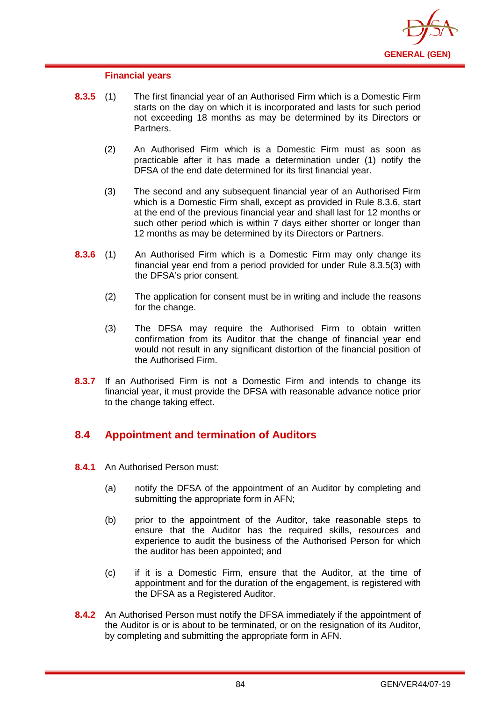

## **Financial years**

- **8.3.5** (1) The first financial year of an Authorised Firm which is a Domestic Firm starts on the day on which it is incorporated and lasts for such period not exceeding 18 months as may be determined by its Directors or Partners.
	- (2) An Authorised Firm which is a Domestic Firm must as soon as practicable after it has made a determination under (1) notify the DFSA of the end date determined for its first financial year.
	- (3) The second and any subsequent financial year of an Authorised Firm which is a Domestic Firm shall, except as provided in Rule 8.3.6, start at the end of the previous financial year and shall last for 12 months or such other period which is within 7 days either shorter or longer than 12 months as may be determined by its Directors or Partners.
- **8.3.6** (1) An Authorised Firm which is a Domestic Firm may only change its financial year end from a period provided for under Rule 8.3.5(3) with the DFSA's prior consent.
	- (2) The application for consent must be in writing and include the reasons for the change.
	- (3) The DFSA may require the Authorised Firm to obtain written confirmation from its Auditor that the change of financial year end would not result in any significant distortion of the financial position of the Authorised Firm.
- **8.3.7** If an Authorised Firm is not a Domestic Firm and intends to change its financial year, it must provide the DFSA with reasonable advance notice prior to the change taking effect.

# **8.4 Appointment and termination of Auditors**

- **8.4.1** An Authorised Person must:
	- (a) notify the DFSA of the appointment of an Auditor by completing and submitting the appropriate form in AFN;
	- (b) prior to the appointment of the Auditor, take reasonable steps to ensure that the Auditor has the required skills, resources and experience to audit the business of the Authorised Person for which the auditor has been appointed; and
	- (c) if it is a Domestic Firm, ensure that the Auditor, at the time of appointment and for the duration of the engagement, is registered with the DFSA as a Registered Auditor.
- **8.4.2** An Authorised Person must notify the DFSA immediately if the appointment of the Auditor is or is about to be terminated, or on the resignation of its Auditor, by completing and submitting the appropriate form in AFN.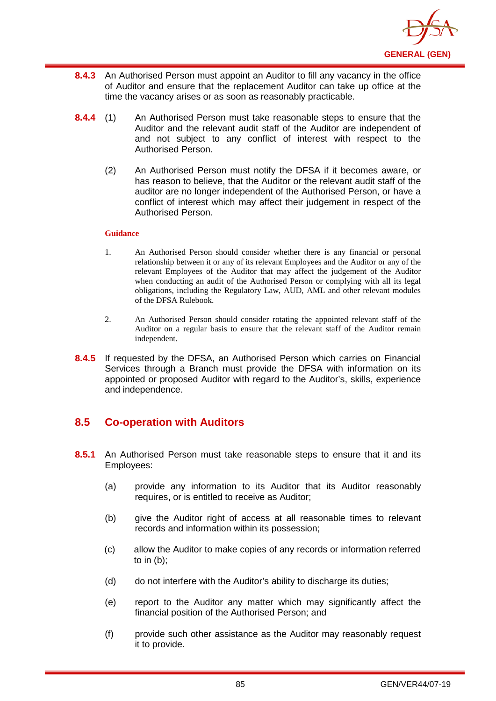

- **8.4.3** An Authorised Person must appoint an Auditor to fill any vacancy in the office of Auditor and ensure that the replacement Auditor can take up office at the time the vacancy arises or as soon as reasonably practicable.
- **8.4.4** (1) An Authorised Person must take reasonable steps to ensure that the Auditor and the relevant audit staff of the Auditor are independent of and not subject to any conflict of interest with respect to the Authorised Person.
	- (2) An Authorised Person must notify the DFSA if it becomes aware, or has reason to believe, that the Auditor or the relevant audit staff of the auditor are no longer independent of the Authorised Person, or have a conflict of interest which may affect their judgement in respect of the Authorised Person.

- 1. An Authorised Person should consider whether there is any financial or personal relationship between it or any of its relevant Employees and the Auditor or any of the relevant Employees of the Auditor that may affect the judgement of the Auditor when conducting an audit of the Authorised Person or complying with all its legal obligations, including the Regulatory Law, AUD, AML and other relevant modules of the DFSA Rulebook.
- 2. An Authorised Person should consider rotating the appointed relevant staff of the Auditor on a regular basis to ensure that the relevant staff of the Auditor remain independent.
- **8.4.5** If requested by the DFSA, an Authorised Person which carries on Financial Services through a Branch must provide the DFSA with information on its appointed or proposed Auditor with regard to the Auditor's, skills, experience and independence.

# **8.5 Co-operation with Auditors**

- **8.5.1** An Authorised Person must take reasonable steps to ensure that it and its Employees:
	- (a) provide any information to its Auditor that its Auditor reasonably requires, or is entitled to receive as Auditor;
	- (b) give the Auditor right of access at all reasonable times to relevant records and information within its possession;
	- (c) allow the Auditor to make copies of any records or information referred to in (b);
	- (d) do not interfere with the Auditor's ability to discharge its duties;
	- (e) report to the Auditor any matter which may significantly affect the financial position of the Authorised Person; and
	- (f) provide such other assistance as the Auditor may reasonably request it to provide.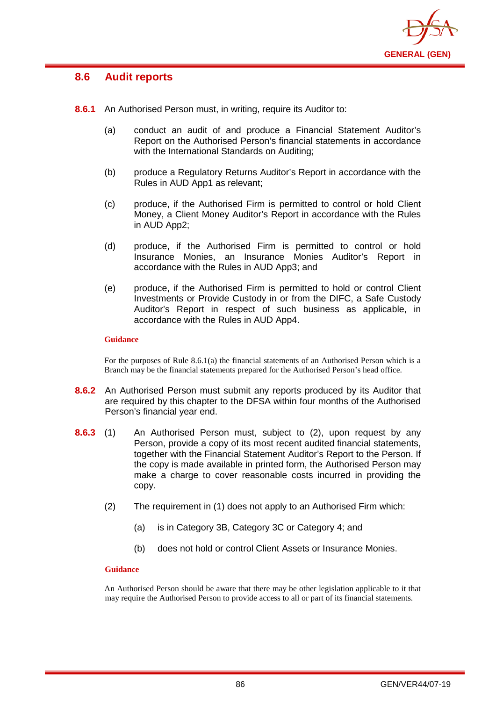

## **8.6 Audit reports**

- **8.6.1** An Authorised Person must, in writing, require its Auditor to:
	- (a) conduct an audit of and produce a Financial Statement Auditor's Report on the Authorised Person's financial statements in accordance with the International Standards on Auditing:
	- (b) produce a Regulatory Returns Auditor's Report in accordance with the Rules in AUD App1 as relevant;
	- (c) produce, if the Authorised Firm is permitted to control or hold Client Money, a Client Money Auditor's Report in accordance with the Rules in AUD App2;
	- (d) produce, if the Authorised Firm is permitted to control or hold Insurance Monies, an Insurance Monies Auditor's Report in accordance with the Rules in AUD App3; and
	- (e) produce, if the Authorised Firm is permitted to hold or control Client Investments or Provide Custody in or from the DIFC, a Safe Custody Auditor's Report in respect of such business as applicable, in accordance with the Rules in AUD App4.

## **Guidance**

For the purposes of Rule 8.6.1(a) the financial statements of an Authorised Person which is a Branch may be the financial statements prepared for the Authorised Person's head office.

- **8.6.2** An Authorised Person must submit any reports produced by its Auditor that are required by this chapter to the DFSA within four months of the Authorised Person's financial year end.
- **8.6.3** (1) An Authorised Person must, subject to (2), upon request by any Person, provide a copy of its most recent audited financial statements, together with the Financial Statement Auditor's Report to the Person. If the copy is made available in printed form, the Authorised Person may make a charge to cover reasonable costs incurred in providing the copy.
	- (2) The requirement in (1) does not apply to an Authorised Firm which:
		- (a) is in Category 3B, Category 3C or Category 4; and
		- (b) does not hold or control Client Assets or Insurance Monies.

## **Guidance**

An Authorised Person should be aware that there may be other legislation applicable to it that may require the Authorised Person to provide access to all or part of its financial statements.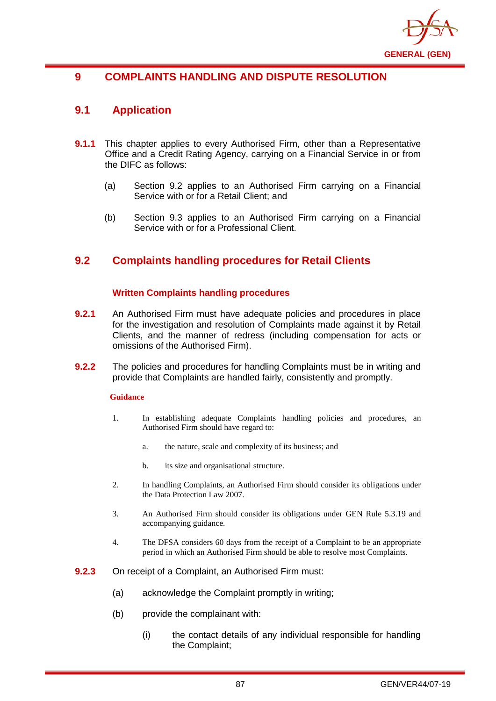

# **9 COMPLAINTS HANDLING AND DISPUTE RESOLUTION**

## **9.1 Application**

- **9.1.1** This chapter applies to every Authorised Firm, other than a Representative Office and a Credit Rating Agency, carrying on a Financial Service in or from the DIFC as follows:
	- (a) Section 9.2 applies to an Authorised Firm carrying on a Financial Service with or for a Retail Client; and
	- (b) Section 9.3 applies to an Authorised Firm carrying on a Financial Service with or for a Professional Client.

# **9.2 Complaints handling procedures for Retail Clients**

## **Written Complaints handling procedures**

- **9.2.1** An Authorised Firm must have adequate policies and procedures in place for the investigation and resolution of Complaints made against it by Retail Clients, and the manner of redress (including compensation for acts or omissions of the Authorised Firm).
- **9.2.2** The policies and procedures for handling Complaints must be in writing and provide that Complaints are handled fairly, consistently and promptly.

## **Guidance**

- 1. In establishing adequate Complaints handling policies and procedures, an Authorised Firm should have regard to:
	- a. the nature, scale and complexity of its business; and
	- b. its size and organisational structure.
- 2. In handling Complaints, an Authorised Firm should consider its obligations under the Data Protection Law 2007.
- 3. An Authorised Firm should consider its obligations under GEN Rule 5.3.19 and accompanying guidance.
- 4. The DFSA considers 60 days from the receipt of a Complaint to be an appropriate period in which an Authorised Firm should be able to resolve most Complaints.
- **9.2.3** On receipt of a Complaint, an Authorised Firm must:
	- (a) acknowledge the Complaint promptly in writing;
	- (b) provide the complainant with:
		- (i) the contact details of any individual responsible for handling the Complaint;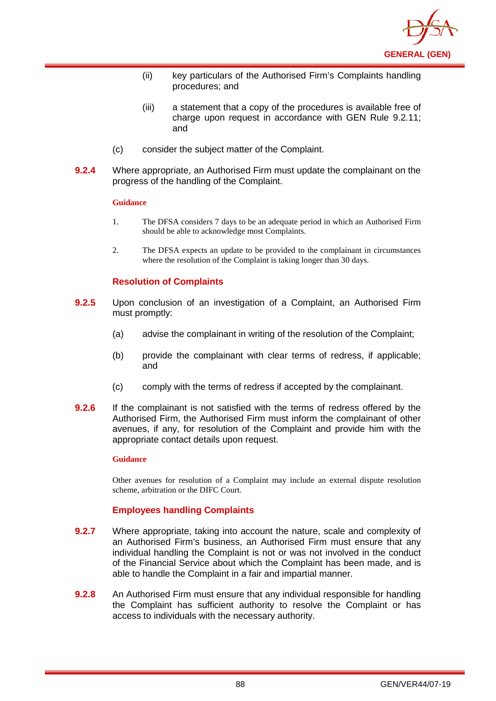

- (ii) key particulars of the Authorised Firm's Complaints handling procedures; and
- (iii) a statement that a copy of the procedures is available free of charge upon request in accordance with GEN Rule 9.2.11; and
- (c) consider the subject matter of the Complaint.
- **9.2.4** Where appropriate, an Authorised Firm must update the complainant on the progress of the handling of the Complaint.

- 1. The DFSA considers 7 days to be an adequate period in which an Authorised Firm should be able to acknowledge most Complaints.
- 2. The DFSA expects an update to be provided to the complainant in circumstances where the resolution of the Complaint is taking longer than 30 days.

## **Resolution of Complaints**

- **9.2.5** Upon conclusion of an investigation of a Complaint, an Authorised Firm must promptly:
	- (a) advise the complainant in writing of the resolution of the Complaint;
	- (b) provide the complainant with clear terms of redress, if applicable; and
	- (c) comply with the terms of redress if accepted by the complainant.
- **9.2.6** If the complainant is not satisfied with the terms of redress offered by the Authorised Firm, the Authorised Firm must inform the complainant of other avenues, if any, for resolution of the Complaint and provide him with the appropriate contact details upon request.

#### **Guidance**

Other avenues for resolution of a Complaint may include an external dispute resolution scheme, arbitration or the DIFC Court.

## **Employees handling Complaints**

- **9.2.7** Where appropriate, taking into account the nature, scale and complexity of an Authorised Firm's business, an Authorised Firm must ensure that any individual handling the Complaint is not or was not involved in the conduct of the Financial Service about which the Complaint has been made, and is able to handle the Complaint in a fair and impartial manner.
- **9.2.8** An Authorised Firm must ensure that any individual responsible for handling the Complaint has sufficient authority to resolve the Complaint or has access to individuals with the necessary authority.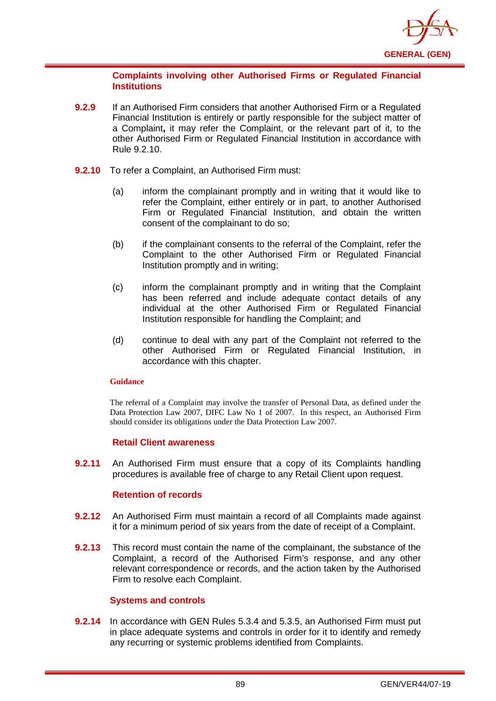

## **Complaints involving other Authorised Firms or Regulated Financial Institutions**

- **9.2.9** If an Authorised Firm considers that another Authorised Firm or a Regulated Financial Institution is entirely or partly responsible for the subject matter of a Complaint**,** it may refer the Complaint, or the relevant part of it, to the other Authorised Firm or Regulated Financial Institution in accordance with Rule 9.2.10.
- **9.2.10** To refer a Complaint, an Authorised Firm must:
	- (a) inform the complainant promptly and in writing that it would like to refer the Complaint, either entirely or in part, to another Authorised Firm or Regulated Financial Institution, and obtain the written consent of the complainant to do so;
	- (b) if the complainant consents to the referral of the Complaint, refer the Complaint to the other Authorised Firm or Regulated Financial Institution promptly and in writing;
	- (c) inform the complainant promptly and in writing that the Complaint has been referred and include adequate contact details of any individual at the other Authorised Firm or Regulated Financial Institution responsible for handling the Complaint; and
	- (d) continue to deal with any part of the Complaint not referred to the other Authorised Firm or Regulated Financial Institution, in accordance with this chapter.

## **Guidance**

The referral of a Complaint may involve the transfer of Personal Data, as defined under the Data Protection Law 2007, DIFC Law No 1 of 2007. In this respect, an Authorised Firm should consider its obligations under the Data Protection Law 2007.

## **Retail Client awareness**

**9.2.11** An Authorised Firm must ensure that a copy of its Complaints handling procedures is available free of charge to any Retail Client upon request.

## **Retention of records**

- **9.2.12** An Authorised Firm must maintain a record of all Complaints made against it for a minimum period of six years from the date of receipt of a Complaint.
- **9.2.13** This record must contain the name of the complainant, the substance of the Complaint, a record of the Authorised Firm's response, and any other relevant correspondence or records, and the action taken by the Authorised Firm to resolve each Complaint.

## **Systems and controls**

**9.2.14** In accordance with GEN Rules 5.3.4 and 5.3.5, an Authorised Firm must put in place adequate systems and controls in order for it to identify and remedy any recurring or systemic problems identified from Complaints.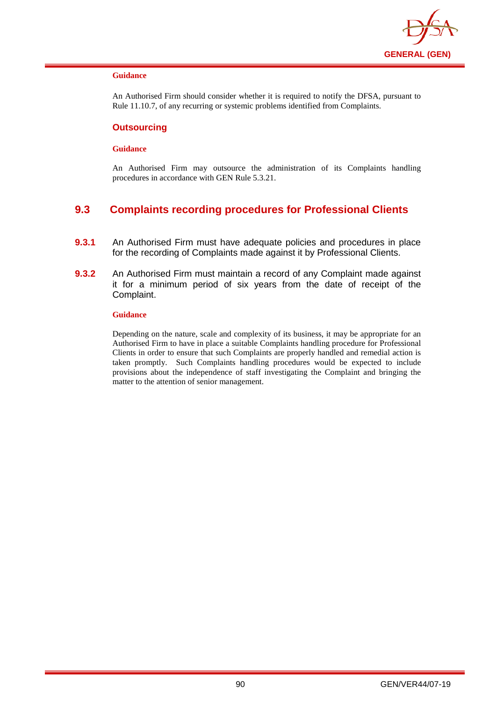

An Authorised Firm should consider whether it is required to notify the DFSA, pursuant to Rule 11.10.7, of any recurring or systemic problems identified from Complaints.

## **Outsourcing**

#### **Guidance**

An Authorised Firm may outsource the administration of its Complaints handling procedures in accordance with GEN Rule 5.3.21.

# **9.3 Complaints recording procedures for Professional Clients**

- **9.3.1** An Authorised Firm must have adequate policies and procedures in place for the recording of Complaints made against it by Professional Clients.
- **9.3.2** An Authorised Firm must maintain a record of any Complaint made against it for a minimum period of six years from the date of receipt of the Complaint.

#### **Guidance**

Depending on the nature, scale and complexity of its business, it may be appropriate for an Authorised Firm to have in place a suitable Complaints handling procedure for Professional Clients in order to ensure that such Complaints are properly handled and remedial action is taken promptly. Such Complaints handling procedures would be expected to include provisions about the independence of staff investigating the Complaint and bringing the matter to the attention of senior management.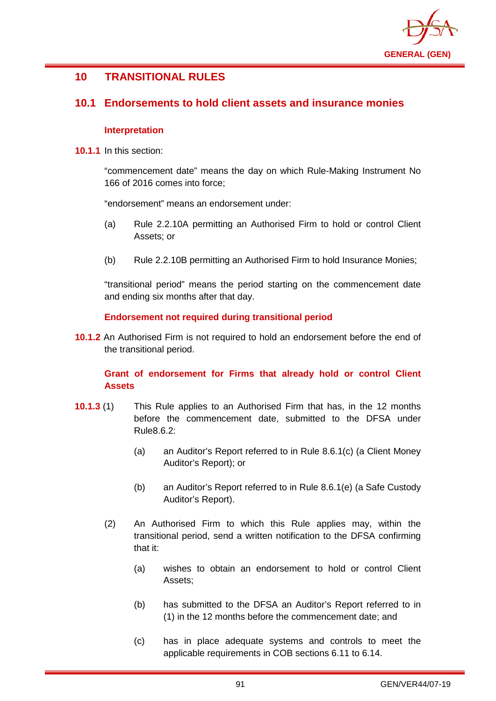

# **10 TRANSITIONAL RULES**

## **10.1 Endorsements to hold client assets and insurance monies**

## **Interpretation**

**10.1.1** In this section:

"commencement date" means the day on which Rule-Making Instrument No 166 of 2016 comes into force;

"endorsement" means an endorsement under:

- (a) Rule 2.2.10A permitting an Authorised Firm to hold or control Client Assets; or
- (b) Rule 2.2.10B permitting an Authorised Firm to hold Insurance Monies;

"transitional period" means the period starting on the commencement date and ending six months after that day.

## **Endorsement not required during transitional period**

**10.1.2** An Authorised Firm is not required to hold an endorsement before the end of the transitional period.

## **Grant of endorsement for Firms that already hold or control Client Assets**

- **10.1.3** (1) This Rule applies to an Authorised Firm that has, in the 12 months before the commencement date, submitted to the DFSA under Rule8.6.2:
	- (a) an Auditor's Report referred to in Rule 8.6.1(c) (a Client Money Auditor's Report); or
	- (b) an Auditor's Report referred to in Rule 8.6.1(e) (a Safe Custody Auditor's Report).
	- (2) An Authorised Firm to which this Rule applies may, within the transitional period, send a written notification to the DFSA confirming that it:
		- (a) wishes to obtain an endorsement to hold or control Client Assets;
		- (b) has submitted to the DFSA an Auditor's Report referred to in (1) in the 12 months before the commencement date; and
		- (c) has in place adequate systems and controls to meet the applicable requirements in COB sections 6.11 to 6.14.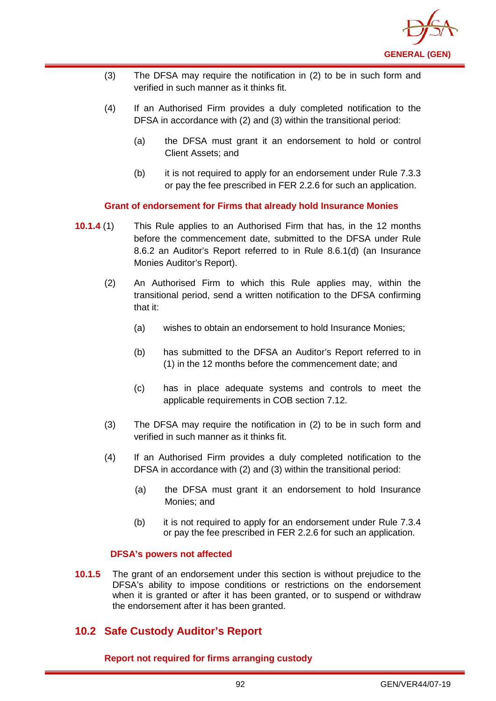

- (3) The DFSA may require the notification in (2) to be in such form and verified in such manner as it thinks fit.
- (4) If an Authorised Firm provides a duly completed notification to the DFSA in accordance with (2) and (3) within the transitional period:
	- (a) the DFSA must grant it an endorsement to hold or control Client Assets; and
	- (b) it is not required to apply for an endorsement under Rule 7.3.3 or pay the fee prescribed in FER 2.2.6 for such an application.

**Grant of endorsement for Firms that already hold Insurance Monies**

- **10.1.4** (1) This Rule applies to an Authorised Firm that has, in the 12 months before the commencement date, submitted to the DFSA under Rule 8.6.2 an Auditor's Report referred to in Rule 8.6.1(d) (an Insurance Monies Auditor's Report).
	- (2) An Authorised Firm to which this Rule applies may, within the transitional period, send a written notification to the DFSA confirming that it:
		- (a) wishes to obtain an endorsement to hold Insurance Monies;
		- (b) has submitted to the DFSA an Auditor's Report referred to in (1) in the 12 months before the commencement date; and
		- (c) has in place adequate systems and controls to meet the applicable requirements in COB section 7.12.
	- (3) The DFSA may require the notification in (2) to be in such form and verified in such manner as it thinks fit.
	- (4) If an Authorised Firm provides a duly completed notification to the DFSA in accordance with (2) and (3) within the transitional period:
		- (a) the DFSA must grant it an endorsement to hold Insurance Monies; and
		- (b) it is not required to apply for an endorsement under Rule 7.3.4 or pay the fee prescribed in FER 2.2.6 for such an application.

## **DFSA's powers not affected**

**10.1.5** The grant of an endorsement under this section is without prejudice to the DFSA's ability to impose conditions or restrictions on the endorsement when it is granted or after it has been granted, or to suspend or withdraw the endorsement after it has been granted.

# **10.2 Safe Custody Auditor's Report**

**Report not required for firms arranging custody**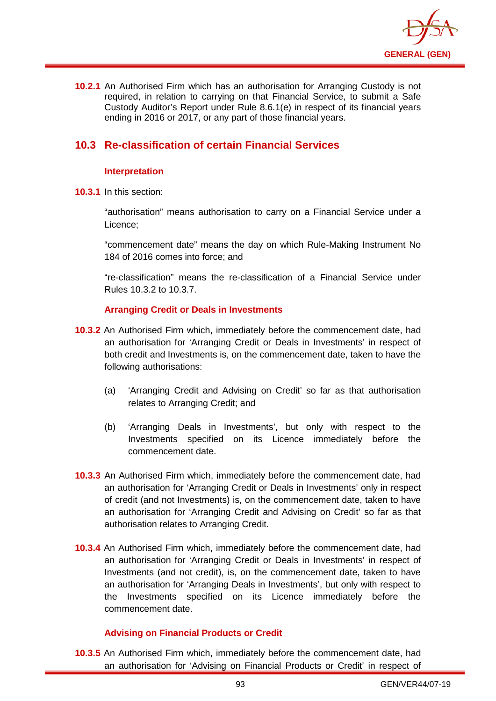

**10.2.1** An Authorised Firm which has an authorisation for Arranging Custody is not required, in relation to carrying on that Financial Service, to submit a Safe Custody Auditor's Report under Rule 8.6.1(e) in respect of its financial years ending in 2016 or 2017, or any part of those financial years.

# **10.3 Re-classification of certain Financial Services**

## **Interpretation**

**10.3.1** In this section:

"authorisation" means authorisation to carry on a Financial Service under a Licence;

"commencement date" means the day on which Rule-Making Instrument No 184 of 2016 comes into force; and

"re-classification" means the re-classification of a Financial Service under Rules 10.3.2 to 10.3.7.

## **Arranging Credit or Deals in Investments**

- **10.3.2** An Authorised Firm which, immediately before the commencement date, had an authorisation for 'Arranging Credit or Deals in Investments' in respect of both credit and Investments is, on the commencement date, taken to have the following authorisations:
	- (a) 'Arranging Credit and Advising on Credit' so far as that authorisation relates to Arranging Credit; and
	- (b) 'Arranging Deals in Investments', but only with respect to the Investments specified on its Licence immediately before the commencement date.
- **10.3.3** An Authorised Firm which, immediately before the commencement date, had an authorisation for 'Arranging Credit or Deals in Investments' only in respect of credit (and not Investments) is, on the commencement date, taken to have an authorisation for 'Arranging Credit and Advising on Credit' so far as that authorisation relates to Arranging Credit.
- **10.3.4** An Authorised Firm which, immediately before the commencement date, had an authorisation for 'Arranging Credit or Deals in Investments' in respect of Investments (and not credit), is, on the commencement date, taken to have an authorisation for 'Arranging Deals in Investments', but only with respect to the Investments specified on its Licence immediately before the commencement date.

## **Advising on Financial Products or Credit**

**10.3.5** An Authorised Firm which, immediately before the commencement date, had an authorisation for 'Advising on Financial Products or Credit' in respect of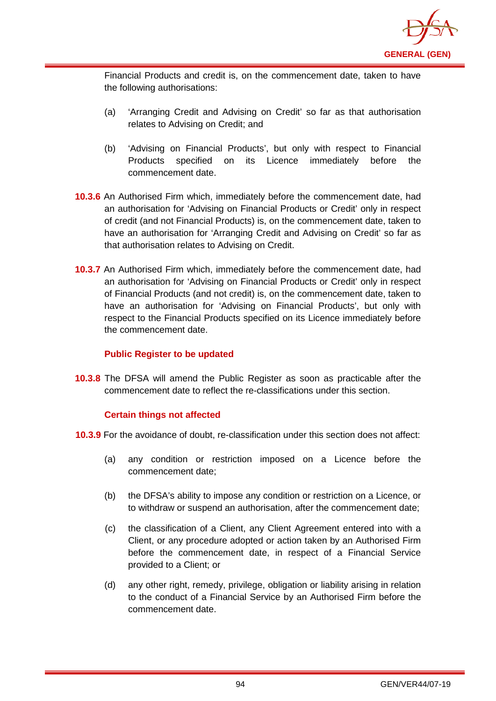

Financial Products and credit is, on the commencement date, taken to have the following authorisations:

- (a) 'Arranging Credit and Advising on Credit' so far as that authorisation relates to Advising on Credit; and
- (b) 'Advising on Financial Products', but only with respect to Financial Products specified on its Licence immediately before the commencement date.
- **10.3.6** An Authorised Firm which, immediately before the commencement date, had an authorisation for 'Advising on Financial Products or Credit' only in respect of credit (and not Financial Products) is, on the commencement date, taken to have an authorisation for 'Arranging Credit and Advising on Credit' so far as that authorisation relates to Advising on Credit.
- **10.3.7** An Authorised Firm which, immediately before the commencement date, had an authorisation for 'Advising on Financial Products or Credit' only in respect of Financial Products (and not credit) is, on the commencement date, taken to have an authorisation for 'Advising on Financial Products', but only with respect to the Financial Products specified on its Licence immediately before the commencement date.

## **Public Register to be updated**

**10.3.8** The DFSA will amend the Public Register as soon as practicable after the commencement date to reflect the re-classifications under this section.

## **Certain things not affected**

- **10.3.9** For the avoidance of doubt, re-classification under this section does not affect:
	- (a) any condition or restriction imposed on a Licence before the commencement date;
	- (b) the DFSA's ability to impose any condition or restriction on a Licence, or to withdraw or suspend an authorisation, after the commencement date;
	- (c) the classification of a Client, any Client Agreement entered into with a Client, or any procedure adopted or action taken by an Authorised Firm before the commencement date, in respect of a Financial Service provided to a Client; or
	- (d) any other right, remedy, privilege, obligation or liability arising in relation to the conduct of a Financial Service by an Authorised Firm before the commencement date.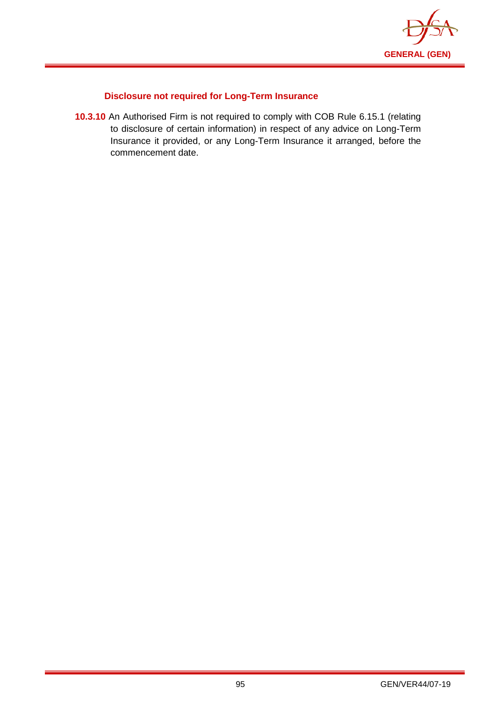

## **Disclosure not required for Long-Term Insurance**

**10.3.10** An Authorised Firm is not required to comply with COB Rule 6.15.1 (relating to disclosure of certain information) in respect of any advice on Long-Term Insurance it provided, or any Long-Term Insurance it arranged, before the commencement date.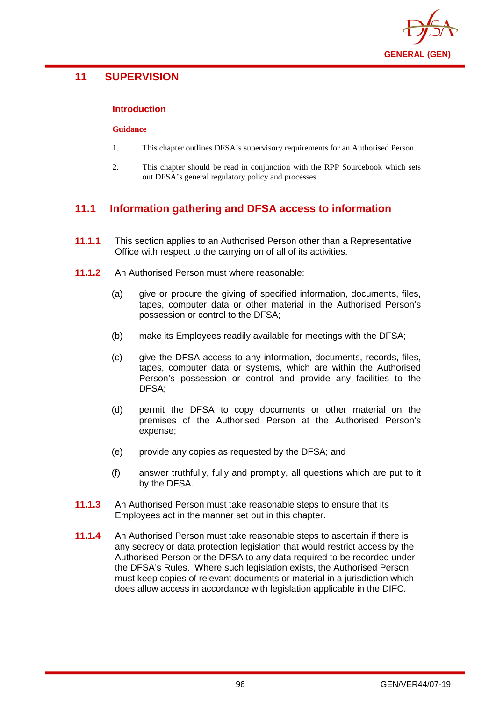

# **11 SUPERVISION**

## **Introduction**

#### **Guidance**

- 1. This chapter outlines DFSA's supervisory requirements for an Authorised Person.
- 2. This chapter should be read in conjunction with the RPP Sourcebook which sets out DFSA's general regulatory policy and processes.

# **11.1 Information gathering and DFSA access to information**

- **11.1.1** This section applies to an Authorised Person other than a Representative Office with respect to the carrying on of all of its activities.
- **11.1.2** An Authorised Person must where reasonable:
	- (a) give or procure the giving of specified information, documents, files, tapes, computer data or other material in the Authorised Person's possession or control to the DFSA;
	- (b) make its Employees readily available for meetings with the DFSA;
	- (c) give the DFSA access to any information, documents, records, files, tapes, computer data or systems, which are within the Authorised Person's possession or control and provide any facilities to the DFSA;
	- (d) permit the DFSA to copy documents or other material on the premises of the Authorised Person at the Authorised Person's expense;
	- (e) provide any copies as requested by the DFSA; and
	- (f) answer truthfully, fully and promptly, all questions which are put to it by the DFSA.
- **11.1.3** An Authorised Person must take reasonable steps to ensure that its Employees act in the manner set out in this chapter.
- **11.1.4** An Authorised Person must take reasonable steps to ascertain if there is any secrecy or data protection legislation that would restrict access by the Authorised Person or the DFSA to any data required to be recorded under the DFSA's Rules. Where such legislation exists, the Authorised Person must keep copies of relevant documents or material in a jurisdiction which does allow access in accordance with legislation applicable in the DIFC.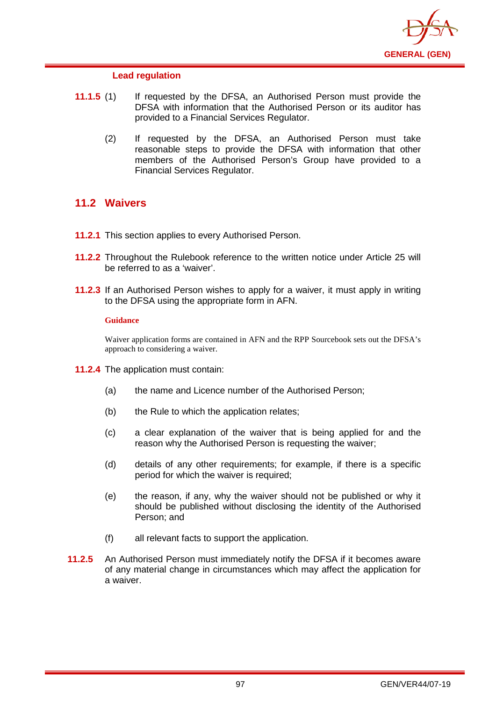

## **Lead regulation**

- **11.1.5** (1) If requested by the DFSA, an Authorised Person must provide the DFSA with information that the Authorised Person or its auditor has provided to a Financial Services Regulator.
	- (2) If requested by the DFSA, an Authorised Person must take reasonable steps to provide the DFSA with information that other members of the Authorised Person's Group have provided to a Financial Services Regulator.

## **11.2 Waivers**

- **11.2.1** This section applies to every Authorised Person.
- **11.2.2** Throughout the Rulebook reference to the written notice under Article 25 will be referred to as a 'waiver'.
- **11.2.3** If an Authorised Person wishes to apply for a waiver, it must apply in writing to the DFSA using the appropriate form in AFN.

#### **Guidance**

Waiver application forms are contained in AFN and the RPP Sourcebook sets out the DFSA's approach to considering a waiver.

- **11.2.4** The application must contain:
	- (a) the name and Licence number of the Authorised Person;
	- (b) the Rule to which the application relates;
	- (c) a clear explanation of the waiver that is being applied for and the reason why the Authorised Person is requesting the waiver;
	- (d) details of any other requirements; for example, if there is a specific period for which the waiver is required;
	- (e) the reason, if any, why the waiver should not be published or why it should be published without disclosing the identity of the Authorised Person; and
	- (f) all relevant facts to support the application.
- **11.2.5** An Authorised Person must immediately notify the DFSA if it becomes aware of any material change in circumstances which may affect the application for a waiver.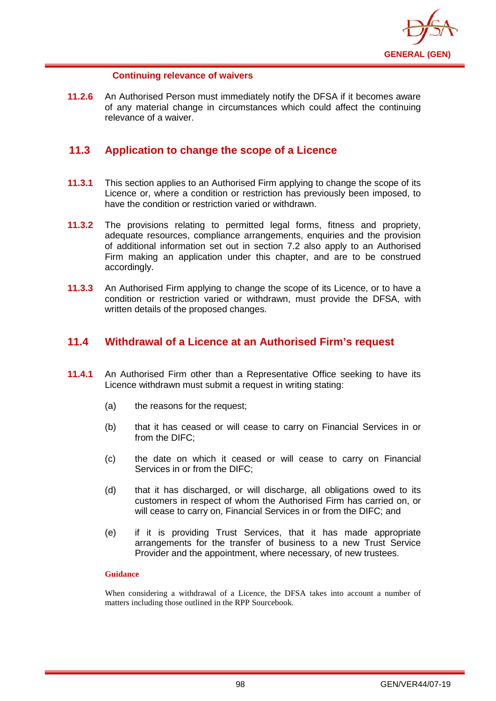

## **Continuing relevance of waivers**

**11.2.6** An Authorised Person must immediately notify the DFSA if it becomes aware of any material change in circumstances which could affect the continuing relevance of a waiver.

## **11.3 Application to change the scope of a Licence**

- **11.3.1** This section applies to an Authorised Firm applying to change the scope of its Licence or, where a condition or restriction has previously been imposed, to have the condition or restriction varied or withdrawn.
- **11.3.2** The provisions relating to permitted legal forms, fitness and propriety, adequate resources, compliance arrangements, enquiries and the provision of additional information set out in section 7.2 also apply to an Authorised Firm making an application under this chapter, and are to be construed accordingly.
- **11.3.3** An Authorised Firm applying to change the scope of its Licence, or to have a condition or restriction varied or withdrawn, must provide the DFSA, with written details of the proposed changes.

## **11.4 Withdrawal of a Licence at an Authorised Firm's request**

- **11.4.1** An Authorised Firm other than a Representative Office seeking to have its Licence withdrawn must submit a request in writing stating:
	- (a) the reasons for the request;
	- (b) that it has ceased or will cease to carry on Financial Services in or from the DIFC;
	- (c) the date on which it ceased or will cease to carry on Financial Services in or from the DIFC;
	- (d) that it has discharged, or will discharge, all obligations owed to its customers in respect of whom the Authorised Firm has carried on, or will cease to carry on, Financial Services in or from the DIFC; and
	- (e) if it is providing Trust Services, that it has made appropriate arrangements for the transfer of business to a new Trust Service Provider and the appointment, where necessary, of new trustees.

#### **Guidance**

When considering a withdrawal of a Licence, the DFSA takes into account a number of matters including those outlined in the RPP Sourcebook.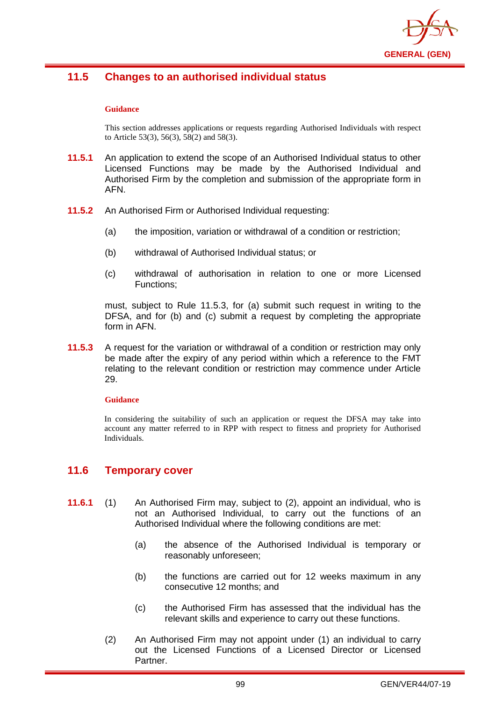

# **11.5 Changes to an authorised individual status**

## **Guidance**

This section addresses applications or requests regarding Authorised Individuals with respect to Article 53(3), 56(3), 58(2) and 58(3).

- **11.5.1** An application to extend the scope of an Authorised Individual status to other Licensed Functions may be made by the Authorised Individual and Authorised Firm by the completion and submission of the appropriate form in AFN.
- **11.5.2** An Authorised Firm or Authorised Individual requesting:
	- (a) the imposition, variation or withdrawal of a condition or restriction;
	- (b) withdrawal of Authorised Individual status; or
	- (c) withdrawal of authorisation in relation to one or more Licensed Functions;

must, subject to Rule 11.5.3, for (a) submit such request in writing to the DFSA, and for (b) and (c) submit a request by completing the appropriate form in AFN.

**11.5.3** A request for the variation or withdrawal of a condition or restriction may only be made after the expiry of any period within which a reference to the FMT relating to the relevant condition or restriction may commence under Article 29.

#### **Guidance**

In considering the suitability of such an application or request the DFSA may take into account any matter referred to in RPP with respect to fitness and propriety for Authorised Individuals.

## **11.6 Temporary cover**

- **11.6.1** (1) An Authorised Firm may, subject to (2), appoint an individual, who is not an Authorised Individual, to carry out the functions of an Authorised Individual where the following conditions are met:
	- (a) the absence of the Authorised Individual is temporary or reasonably unforeseen;
	- (b) the functions are carried out for 12 weeks maximum in any consecutive 12 months; and
	- (c) the Authorised Firm has assessed that the individual has the relevant skills and experience to carry out these functions.
	- (2) An Authorised Firm may not appoint under (1) an individual to carry out the Licensed Functions of a Licensed Director or Licensed Partner.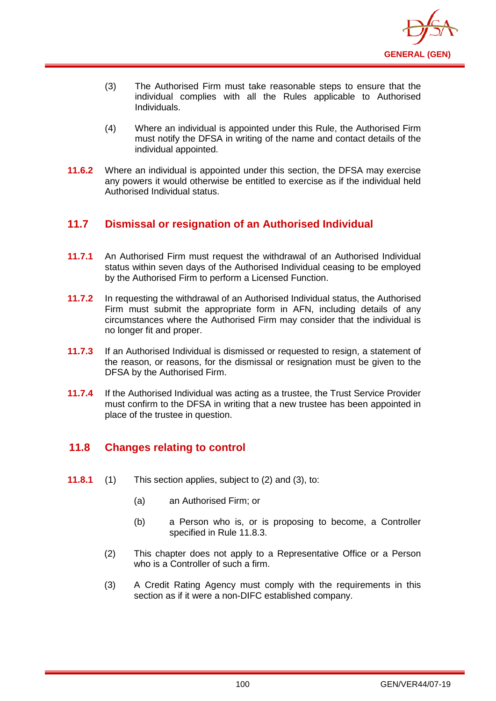

- (3) The Authorised Firm must take reasonable steps to ensure that the individual complies with all the Rules applicable to Authorised Individuals.
- (4) Where an individual is appointed under this Rule, the Authorised Firm must notify the DFSA in writing of the name and contact details of the individual appointed.
- **11.6.2** Where an individual is appointed under this section, the DFSA may exercise any powers it would otherwise be entitled to exercise as if the individual held Authorised Individual status.

# **11.7 Dismissal or resignation of an Authorised Individual**

- **11.7.1** An Authorised Firm must request the withdrawal of an Authorised Individual status within seven days of the Authorised Individual ceasing to be employed by the Authorised Firm to perform a Licensed Function.
- **11.7.2** In requesting the withdrawal of an Authorised Individual status, the Authorised Firm must submit the appropriate form in AFN, including details of any circumstances where the Authorised Firm may consider that the individual is no longer fit and proper.
- **11.7.3** If an Authorised Individual is dismissed or requested to resign, a statement of the reason, or reasons, for the dismissal or resignation must be given to the DFSA by the Authorised Firm.
- **11.7.4** If the Authorised Individual was acting as a trustee, the Trust Service Provider must confirm to the DFSA in writing that a new trustee has been appointed in place of the trustee in question.

# **11.8 Changes relating to control**

- **11.8.1** (1) This section applies, subject to (2) and (3), to:
	- (a) an Authorised Firm; or
	- (b) a Person who is, or is proposing to become, a Controller specified in Rule 11.8.3.
	- (2) This chapter does not apply to a Representative Office or a Person who is a Controller of such a firm.
	- (3) A Credit Rating Agency must comply with the requirements in this section as if it were a non-DIFC established company.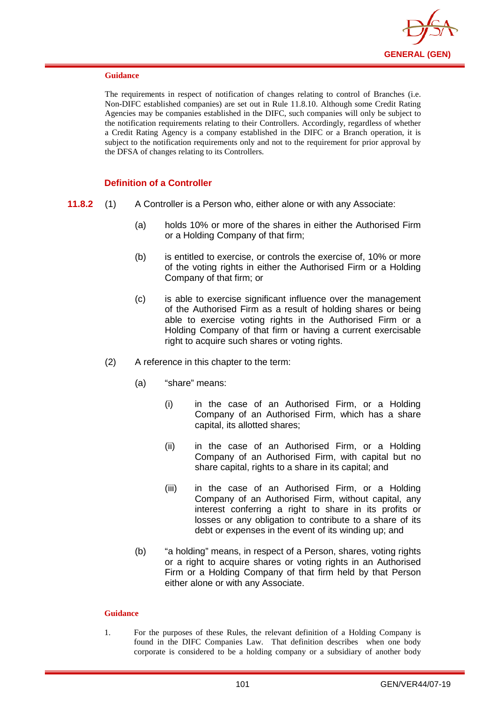

The requirements in respect of notification of changes relating to control of Branches (i.e. Non-DIFC established companies) are set out in Rule 11.8.10. Although some Credit Rating Agencies may be companies established in the DIFC, such companies will only be subject to the notification requirements relating to their Controllers. Accordingly, regardless of whether a Credit Rating Agency is a company established in the DIFC or a Branch operation, it is subject to the notification requirements only and not to the requirement for prior approval by the DFSA of changes relating to its Controllers.

## **Definition of a Controller**

- **11.8.2** (1) A Controller is a Person who, either alone or with any Associate:
	- (a) holds 10% or more of the shares in either the Authorised Firm or a Holding Company of that firm;
	- (b) is entitled to exercise, or controls the exercise of, 10% or more of the voting rights in either the Authorised Firm or a Holding Company of that firm; or
	- (c) is able to exercise significant influence over the management of the Authorised Firm as a result of holding shares or being able to exercise voting rights in the Authorised Firm or a Holding Company of that firm or having a current exercisable right to acquire such shares or voting rights.
	- (2) A reference in this chapter to the term:
		- (a) "share" means:
			- (i) in the case of an Authorised Firm, or a Holding Company of an Authorised Firm, which has a share capital, its allotted shares;
			- (ii) in the case of an Authorised Firm, or a Holding Company of an Authorised Firm, with capital but no share capital, rights to a share in its capital; and
			- (iii) in the case of an Authorised Firm, or a Holding Company of an Authorised Firm, without capital, any interest conferring a right to share in its profits or losses or any obligation to contribute to a share of its debt or expenses in the event of its winding up; and
		- (b) "a holding" means, in respect of a Person, shares, voting rights or a right to acquire shares or voting rights in an Authorised Firm or a Holding Company of that firm held by that Person either alone or with any Associate.

#### **Guidance**

1. For the purposes of these Rules, the relevant definition of a Holding Company is found in the DIFC Companies Law. That definition describes when one body corporate is considered to be a holding company or a subsidiary of another body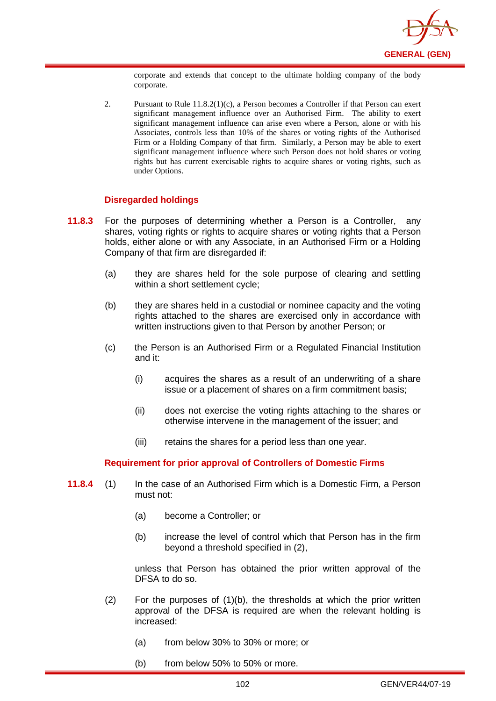

corporate and extends that concept to the ultimate holding company of the body corporate.

2. Pursuant to Rule 11.8.2(1)(c), a Person becomes a Controller if that Person can exert significant management influence over an Authorised Firm. The ability to exert significant management influence can arise even where a Person, alone or with his Associates, controls less than 10% of the shares or voting rights of the Authorised Firm or a Holding Company of that firm. Similarly, a Person may be able to exert significant management influence where such Person does not hold shares or voting rights but has current exercisable rights to acquire shares or voting rights, such as under Options.

## **Disregarded holdings**

- **11.8.3** For the purposes of determining whether a Person is a Controller, any shares, voting rights or rights to acquire shares or voting rights that a Person holds, either alone or with any Associate, in an Authorised Firm or a Holding Company of that firm are disregarded if:
	- (a) they are shares held for the sole purpose of clearing and settling within a short settlement cycle;
	- (b) they are shares held in a custodial or nominee capacity and the voting rights attached to the shares are exercised only in accordance with written instructions given to that Person by another Person; or
	- (c) the Person is an Authorised Firm or a Regulated Financial Institution and it:
		- (i) acquires the shares as a result of an underwriting of a share issue or a placement of shares on a firm commitment basis;
		- (ii) does not exercise the voting rights attaching to the shares or otherwise intervene in the management of the issuer; and
		- (iii) retains the shares for a period less than one year.

## **Requirement for prior approval of Controllers of Domestic Firms**

- **11.8.4** (1) In the case of an Authorised Firm which is a Domestic Firm, a Person must not:
	- (a) become a Controller; or
	- (b) increase the level of control which that Person has in the firm beyond a threshold specified in (2),

unless that Person has obtained the prior written approval of the DFSA to do so.

- $(2)$  For the purposes of  $(1)(b)$ , the thresholds at which the prior written approval of the DFSA is required are when the relevant holding is increased:
	- (a) from below 30% to 30% or more; or
	- (b) from below 50% to 50% or more.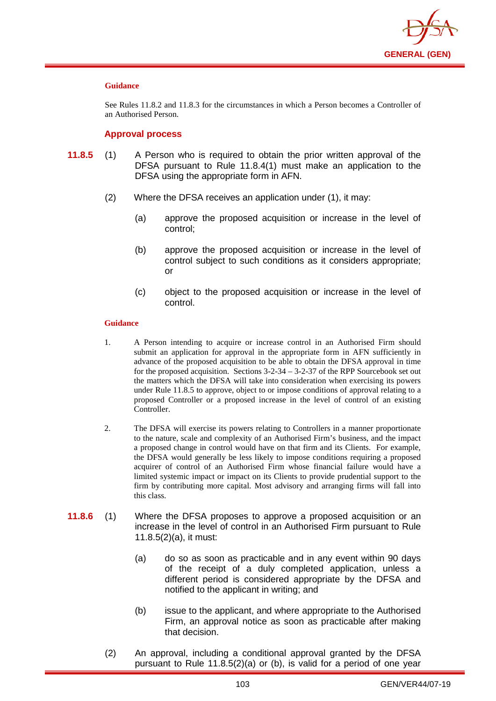

See Rules 11.8.2 and 11.8.3 for the circumstances in which a Person becomes a Controller of an Authorised Person.

## **Approval process**

- **11.8.5** (1) A Person who is required to obtain the prior written approval of the DFSA pursuant to Rule 11.8.4(1) must make an application to the DFSA using the appropriate form in AFN.
	- (2) Where the DFSA receives an application under (1), it may:
		- (a) approve the proposed acquisition or increase in the level of control;
		- (b) approve the proposed acquisition or increase in the level of control subject to such conditions as it considers appropriate; or
		- (c) object to the proposed acquisition or increase in the level of control.

#### **Guidance**

- 1. A Person intending to acquire or increase control in an Authorised Firm should submit an application for approval in the appropriate form in AFN sufficiently in advance of the proposed acquisition to be able to obtain the DFSA approval in time for the proposed acquisition. Sections 3-2-34 – 3-2-37 of the RPP Sourcebook set out the matters which the DFSA will take into consideration when exercising its powers under Rule 11.8.5 to approve, object to or impose conditions of approval relating to a proposed Controller or a proposed increase in the level of control of an existing Controller.
- 2. The DFSA will exercise its powers relating to Controllers in a manner proportionate to the nature, scale and complexity of an Authorised Firm's business, and the impact a proposed change in control would have on that firm and its Clients. For example, the DFSA would generally be less likely to impose conditions requiring a proposed acquirer of control of an Authorised Firm whose financial failure would have a limited systemic impact or impact on its Clients to provide prudential support to the firm by contributing more capital. Most advisory and arranging firms will fall into this class.
- **11.8.6** (1) Where the DFSA proposes to approve a proposed acquisition or an increase in the level of control in an Authorised Firm pursuant to Rule 11.8.5(2)(a), it must:
	- (a) do so as soon as practicable and in any event within 90 days of the receipt of a duly completed application, unless a different period is considered appropriate by the DFSA and notified to the applicant in writing; and
	- (b) issue to the applicant, and where appropriate to the Authorised Firm, an approval notice as soon as practicable after making that decision.
	- (2) An approval, including a conditional approval granted by the DFSA pursuant to Rule 11.8.5(2)(a) or (b), is valid for a period of one year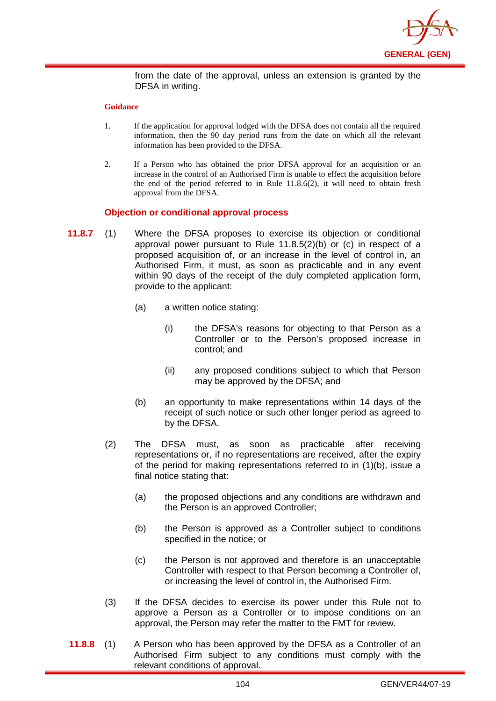

from the date of the approval, unless an extension is granted by the DFSA in writing.

#### **Guidance**

- 1. If the application for approval lodged with the DFSA does not contain all the required information, then the 90 day period runs from the date on which all the relevant information has been provided to the DFSA.
- 2. If a Person who has obtained the prior DFSA approval for an acquisition or an increase in the control of an Authorised Firm is unable to effect the acquisition before the end of the period referred to in Rule 11.8.6(2), it will need to obtain fresh approval from the DFSA.

## **Objection or conditional approval process**

- **11.8.7** (1) Where the DFSA proposes to exercise its objection or conditional approval power pursuant to Rule 11.8.5(2)(b) or (c) in respect of a proposed acquisition of, or an increase in the level of control in, an Authorised Firm, it must, as soon as practicable and in any event within 90 days of the receipt of the duly completed application form, provide to the applicant:
	- (a) a written notice stating:
		- (i) the DFSA's reasons for objecting to that Person as a Controller or to the Person's proposed increase in control; and
		- (ii) any proposed conditions subject to which that Person may be approved by the DFSA; and
	- (b) an opportunity to make representations within 14 days of the receipt of such notice or such other longer period as agreed to by the DFSA.
	- (2) The DFSA must, as soon as practicable after receiving representations or, if no representations are received, after the expiry of the period for making representations referred to in (1)(b), issue a final notice stating that:
		- (a) the proposed objections and any conditions are withdrawn and the Person is an approved Controller;
		- (b) the Person is approved as a Controller subject to conditions specified in the notice; or
		- (c) the Person is not approved and therefore is an unacceptable Controller with respect to that Person becoming a Controller of, or increasing the level of control in, the Authorised Firm.
	- (3) If the DFSA decides to exercise its power under this Rule not to approve a Person as a Controller or to impose conditions on an approval, the Person may refer the matter to the FMT for review.
- **11.8.8** (1) A Person who has been approved by the DFSA as a Controller of an Authorised Firm subject to any conditions must comply with the relevant conditions of approval.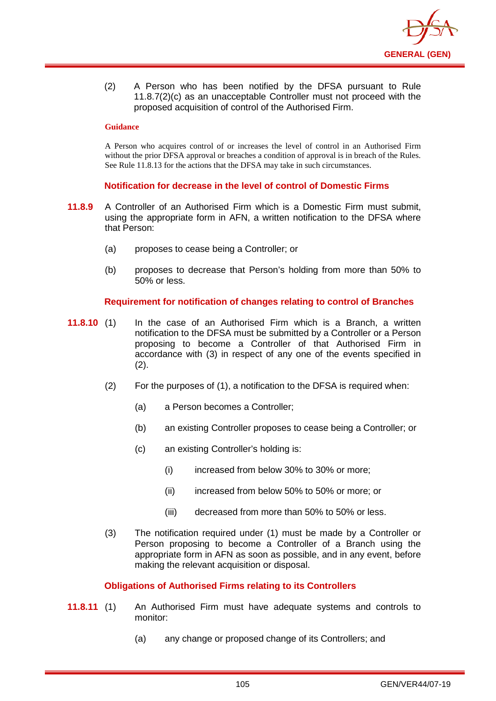

(2) A Person who has been notified by the DFSA pursuant to Rule 11.8.7(2)(c) as an unacceptable Controller must not proceed with the proposed acquisition of control of the Authorised Firm.

### **Guidance**

A Person who acquires control of or increases the level of control in an Authorised Firm without the prior DFSA approval or breaches a condition of approval is in breach of the Rules. See Rule 11.8.13 for the actions that the DFSA may take in such circumstances.

## **Notification for decrease in the level of control of Domestic Firms**

- **11.8.9** A Controller of an Authorised Firm which is a Domestic Firm must submit, using the appropriate form in AFN, a written notification to the DFSA where that Person:
	- (a) proposes to cease being a Controller; or
	- (b) proposes to decrease that Person's holding from more than 50% to 50% or less.

## **Requirement for notification of changes relating to control of Branches**

- **11.8.10** (1) In the case of an Authorised Firm which is a Branch, a written notification to the DFSA must be submitted by a Controller or a Person proposing to become a Controller of that Authorised Firm in accordance with (3) in respect of any one of the events specified in (2).
	- (2) For the purposes of (1), a notification to the DFSA is required when:
		- (a) a Person becomes a Controller;
		- (b) an existing Controller proposes to cease being a Controller; or
		- (c) an existing Controller's holding is:
			- (i) increased from below 30% to 30% or more;
			- (ii) increased from below 50% to 50% or more; or
			- (iii) decreased from more than 50% to 50% or less.
	- (3) The notification required under (1) must be made by a Controller or Person proposing to become a Controller of a Branch using the appropriate form in AFN as soon as possible, and in any event, before making the relevant acquisition or disposal.

## **Obligations of Authorised Firms relating to its Controllers**

- **11.8.11** (1) An Authorised Firm must have adequate systems and controls to monitor:
	- (a) any change or proposed change of its Controllers; and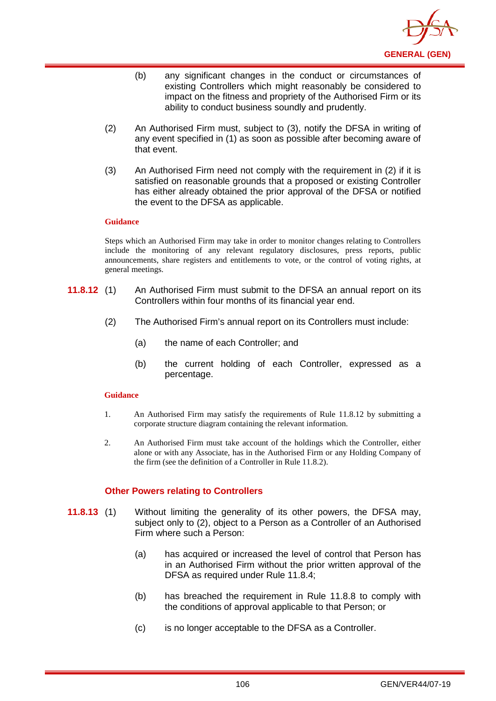

- (b) any significant changes in the conduct or circumstances of existing Controllers which might reasonably be considered to impact on the fitness and propriety of the Authorised Firm or its ability to conduct business soundly and prudently.
- (2) An Authorised Firm must, subject to (3), notify the DFSA in writing of any event specified in (1) as soon as possible after becoming aware of that event.
- (3) An Authorised Firm need not comply with the requirement in (2) if it is satisfied on reasonable grounds that a proposed or existing Controller has either already obtained the prior approval of the DFSA or notified the event to the DFSA as applicable.

Steps which an Authorised Firm may take in order to monitor changes relating to Controllers include the monitoring of any relevant regulatory disclosures, press reports, public announcements, share registers and entitlements to vote, or the control of voting rights, at general meetings.

- **11.8.12** (1) An Authorised Firm must submit to the DFSA an annual report on its Controllers within four months of its financial year end.
	- (2) The Authorised Firm's annual report on its Controllers must include:
		- (a) the name of each Controller; and
		- (b) the current holding of each Controller, expressed as a percentage.

## **Guidance**

- 1. An Authorised Firm may satisfy the requirements of Rule 11.8.12 by submitting a corporate structure diagram containing the relevant information.
- 2. An Authorised Firm must take account of the holdings which the Controller, either alone or with any Associate, has in the Authorised Firm or any Holding Company of the firm (see the definition of a Controller in Rule 11.8.2).

## **Other Powers relating to Controllers**

- **11.8.13** (1) Without limiting the generality of its other powers, the DFSA may, subject only to (2), object to a Person as a Controller of an Authorised Firm where such a Person:
	- (a) has acquired or increased the level of control that Person has in an Authorised Firm without the prior written approval of the DFSA as required under Rule 11.8.4;
	- (b) has breached the requirement in Rule 11.8.8 to comply with the conditions of approval applicable to that Person; or
	- (c) is no longer acceptable to the DFSA as a Controller.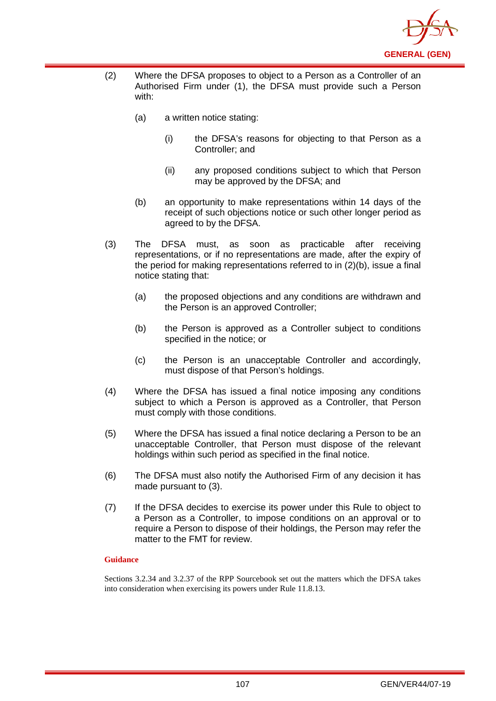

- (2) Where the DFSA proposes to object to a Person as a Controller of an Authorised Firm under (1), the DFSA must provide such a Person with:
	- (a) a written notice stating:
		- (i) the DFSA's reasons for objecting to that Person as a Controller; and
		- (ii) any proposed conditions subject to which that Person may be approved by the DFSA; and
	- (b) an opportunity to make representations within 14 days of the receipt of such objections notice or such other longer period as agreed to by the DFSA.
- (3) The DFSA must, as soon as practicable after receiving representations, or if no representations are made, after the expiry of the period for making representations referred to in (2)(b), issue a final notice stating that:
	- (a) the proposed objections and any conditions are withdrawn and the Person is an approved Controller;
	- (b) the Person is approved as a Controller subject to conditions specified in the notice; or
	- (c) the Person is an unacceptable Controller and accordingly, must dispose of that Person's holdings.
- (4) Where the DFSA has issued a final notice imposing any conditions subject to which a Person is approved as a Controller, that Person must comply with those conditions.
- (5) Where the DFSA has issued a final notice declaring a Person to be an unacceptable Controller, that Person must dispose of the relevant holdings within such period as specified in the final notice.
- (6) The DFSA must also notify the Authorised Firm of any decision it has made pursuant to (3).
- (7) If the DFSA decides to exercise its power under this Rule to object to a Person as a Controller, to impose conditions on an approval or to require a Person to dispose of their holdings, the Person may refer the matter to the FMT for review.

Sections 3.2.34 and 3.2.37 of the RPP Sourcebook set out the matters which the DFSA takes into consideration when exercising its powers under Rule 11.8.13.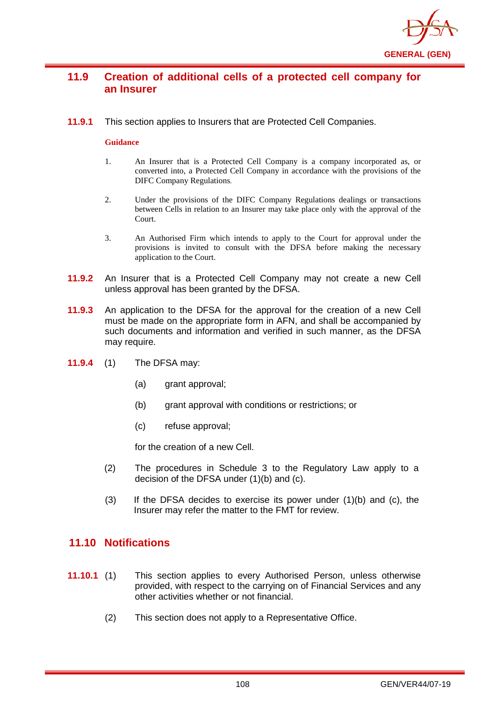

# **11.9 Creation of additional cells of a protected cell company for an Insurer**

**11.9.1** This section applies to Insurers that are Protected Cell Companies.

## **Guidance**

- 1. An Insurer that is a Protected Cell Company is a company incorporated as, or converted into, a Protected Cell Company in accordance with the provisions of the DIFC Company Regulations.
- 2. Under the provisions of the DIFC Company Regulations dealings or transactions between Cells in relation to an Insurer may take place only with the approval of the Court.
- 3. An Authorised Firm which intends to apply to the Court for approval under the provisions is invited to consult with the DFSA before making the necessary application to the Court.
- **11.9.2** An Insurer that is a Protected Cell Company may not create a new Cell unless approval has been granted by the DFSA.
- **11.9.3** An application to the DFSA for the approval for the creation of a new Cell must be made on the appropriate form in AFN, and shall be accompanied by such documents and information and verified in such manner, as the DFSA may require.
- **11.9.4** (1) The DFSA may:
	- (a) grant approval;
	- (b) grant approval with conditions or restrictions; or
	- (c) refuse approval;

for the creation of a new Cell.

- (2) The procedures in Schedule 3 to the Regulatory Law apply to a decision of the DFSA under (1)(b) and (c).
- $(3)$  If the DFSA decides to exercise its power under  $(1)(b)$  and  $(c)$ , the Insurer may refer the matter to the FMT for review.

## **11.10 Notifications**

- **11.10.1** (1) This section applies to every Authorised Person, unless otherwise provided, with respect to the carrying on of Financial Services and any other activities whether or not financial.
	- (2) This section does not apply to a Representative Office.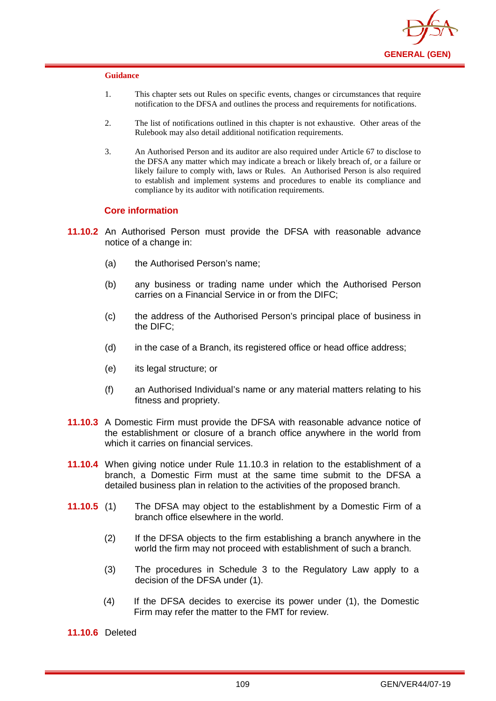

- 1. This chapter sets out Rules on specific events, changes or circumstances that require notification to the DFSA and outlines the process and requirements for notifications.
- 2. The list of notifications outlined in this chapter is not exhaustive. Other areas of the Rulebook may also detail additional notification requirements.
- 3. An Authorised Person and its auditor are also required under Article 67 to disclose to the DFSA any matter which may indicate a breach or likely breach of, or a failure or likely failure to comply with, laws or Rules. An Authorised Person is also required to establish and implement systems and procedures to enable its compliance and compliance by its auditor with notification requirements.

## **Core information**

- **11.10.2** An Authorised Person must provide the DFSA with reasonable advance notice of a change in:
	- (a) the Authorised Person's name;
	- (b) any business or trading name under which the Authorised Person carries on a Financial Service in or from the DIFC;
	- (c) the address of the Authorised Person's principal place of business in the DIFC;
	- (d) in the case of a Branch, its registered office or head office address;
	- (e) its legal structure; or
	- (f) an Authorised Individual's name or any material matters relating to his fitness and propriety.
- **11.10.3** A Domestic Firm must provide the DFSA with reasonable advance notice of the establishment or closure of a branch office anywhere in the world from which it carries on financial services.
- **11.10.4** When giving notice under Rule 11.10.3 in relation to the establishment of a branch, a Domestic Firm must at the same time submit to the DFSA a detailed business plan in relation to the activities of the proposed branch.
- **11.10.5** (1) The DFSA may object to the establishment by a Domestic Firm of a branch office elsewhere in the world.
	- (2) If the DFSA objects to the firm establishing a branch anywhere in the world the firm may not proceed with establishment of such a branch.
	- (3) The procedures in Schedule 3 to the Regulatory Law apply to a decision of the DFSA under (1).
	- (4) If the DFSA decides to exercise its power under (1), the Domestic Firm may refer the matter to the FMT for review.

**11.10.6** Deleted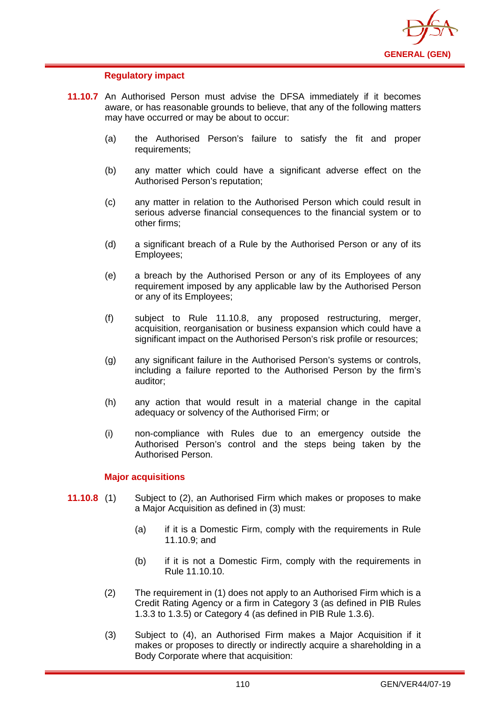

## **Regulatory impact**

- **11.10.7** An Authorised Person must advise the DFSA immediately if it becomes aware, or has reasonable grounds to believe, that any of the following matters may have occurred or may be about to occur:
	- (a) the Authorised Person's failure to satisfy the fit and proper requirements;
	- (b) any matter which could have a significant adverse effect on the Authorised Person's reputation;
	- (c) any matter in relation to the Authorised Person which could result in serious adverse financial consequences to the financial system or to other firms;
	- (d) a significant breach of a Rule by the Authorised Person or any of its Employees;
	- (e) a breach by the Authorised Person or any of its Employees of any requirement imposed by any applicable law by the Authorised Person or any of its Employees;
	- (f) subject to Rule 11.10.8, any proposed restructuring, merger, acquisition, reorganisation or business expansion which could have a significant impact on the Authorised Person's risk profile or resources;
	- (g) any significant failure in the Authorised Person's systems or controls, including a failure reported to the Authorised Person by the firm's auditor;
	- (h) any action that would result in a material change in the capital adequacy or solvency of the Authorised Firm; or
	- (i) non-compliance with Rules due to an emergency outside the Authorised Person's control and the steps being taken by the Authorised Person.

## **Major acquisitions**

- **11.10.8** (1) Subject to (2), an Authorised Firm which makes or proposes to make a Major Acquisition as defined in (3) must:
	- (a) if it is a Domestic Firm, comply with the requirements in Rule 11.10.9; and
	- (b) if it is not a Domestic Firm, comply with the requirements in Rule 11.10.10.
	- (2) The requirement in (1) does not apply to an Authorised Firm which is a Credit Rating Agency or a firm in Category 3 (as defined in PIB Rules 1.3.3 to 1.3.5) or Category 4 (as defined in PIB Rule 1.3.6).
	- (3) Subject to (4), an Authorised Firm makes a Major Acquisition if it makes or proposes to directly or indirectly acquire a shareholding in a Body Corporate where that acquisition: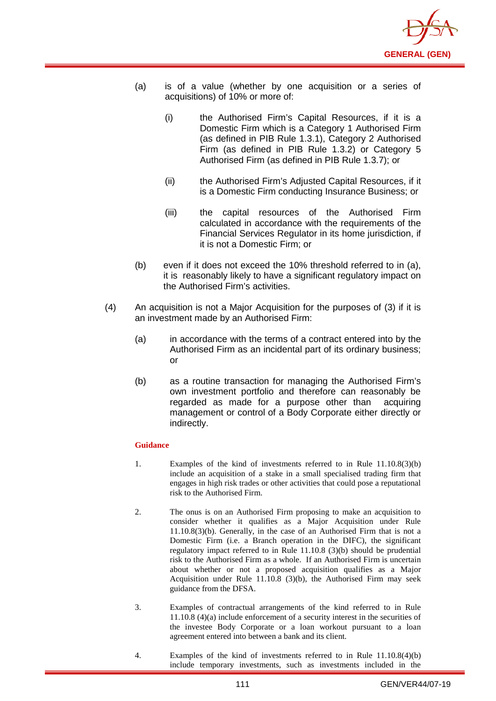

- (a) is of a value (whether by one acquisition or a series of acquisitions) of 10% or more of:
	- (i) the Authorised Firm's Capital Resources, if it is a Domestic Firm which is a Category 1 Authorised Firm (as defined in PIB Rule 1.3.1), Category 2 Authorised Firm (as defined in PIB Rule 1.3.2) or Category 5 Authorised Firm (as defined in PIB Rule 1.3.7); or
	- (ii) the Authorised Firm's Adjusted Capital Resources, if it is a Domestic Firm conducting Insurance Business; or
	- (iii) the capital resources of the Authorised Firm calculated in accordance with the requirements of the Financial Services Regulator in its home jurisdiction, if it is not a Domestic Firm; or
- (b) even if it does not exceed the 10% threshold referred to in (a), it is reasonably likely to have a significant regulatory impact on the Authorised Firm's activities.
- (4) An acquisition is not a Major Acquisition for the purposes of (3) if it is an investment made by an Authorised Firm:
	- (a) in accordance with the terms of a contract entered into by the Authorised Firm as an incidental part of its ordinary business; or
	- (b) as a routine transaction for managing the Authorised Firm's own investment portfolio and therefore can reasonably be regarded as made for a purpose other than acquiring management or control of a Body Corporate either directly or indirectly.

- 1. Examples of the kind of investments referred to in Rule 11.10.8(3)(b) include an acquisition of a stake in a small specialised trading firm that engages in high risk trades or other activities that could pose a reputational risk to the Authorised Firm.
- 2. The onus is on an Authorised Firm proposing to make an acquisition to consider whether it qualifies as a Major Acquisition under Rule 11.10.8(3)(b). Generally, in the case of an Authorised Firm that is not a Domestic Firm (i.e. a Branch operation in the DIFC), the significant regulatory impact referred to in Rule 11.10.8 (3)(b) should be prudential risk to the Authorised Firm as a whole. If an Authorised Firm is uncertain about whether or not a proposed acquisition qualifies as a Major Acquisition under Rule 11.10.8 (3)(b), the Authorised Firm may seek guidance from the DFSA.
- 3. Examples of contractual arrangements of the kind referred to in Rule 11.10.8 (4)(a) include enforcement of a security interest in the securities of the investee Body Corporate or a loan workout pursuant to a loan agreement entered into between a bank and its client.
- 4. Examples of the kind of investments referred to in Rule 11.10.8(4)(b) include temporary investments, such as investments included in the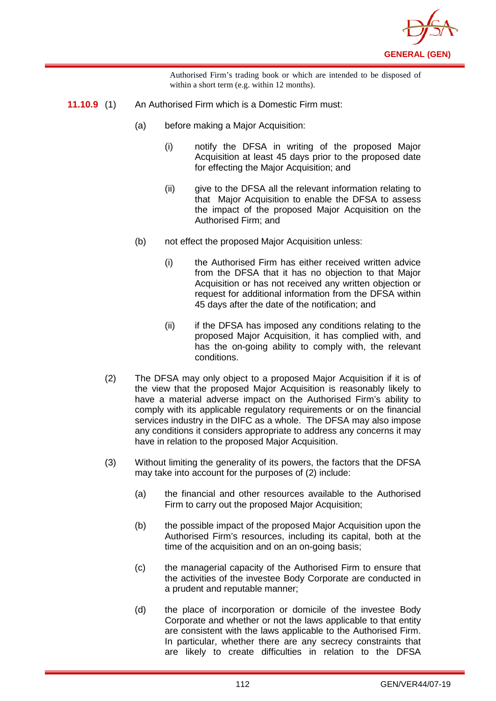

Authorised Firm's trading book or which are intended to be disposed of within a short term (e.g. within 12 months).

- **11.10.9** (1) An Authorised Firm which is a Domestic Firm must:
	- (a) before making a Major Acquisition:
		- (i) notify the DFSA in writing of the proposed Major Acquisition at least 45 days prior to the proposed date for effecting the Major Acquisition; and
		- (ii) give to the DFSA all the relevant information relating to that Major Acquisition to enable the DFSA to assess the impact of the proposed Major Acquisition on the Authorised Firm; and
	- (b) not effect the proposed Major Acquisition unless:
		- (i) the Authorised Firm has either received written advice from the DFSA that it has no objection to that Major Acquisition or has not received any written objection or request for additional information from the DFSA within 45 days after the date of the notification; and
		- (ii) if the DFSA has imposed any conditions relating to the proposed Major Acquisition, it has complied with, and has the on-going ability to comply with, the relevant conditions.
	- (2) The DFSA may only object to a proposed Major Acquisition if it is of the view that the proposed Major Acquisition is reasonably likely to have a material adverse impact on the Authorised Firm's ability to comply with its applicable regulatory requirements or on the financial services industry in the DIFC as a whole. The DFSA may also impose any conditions it considers appropriate to address any concerns it may have in relation to the proposed Major Acquisition.
	- (3) Without limiting the generality of its powers, the factors that the DFSA may take into account for the purposes of (2) include:
		- (a) the financial and other resources available to the Authorised Firm to carry out the proposed Major Acquisition;
		- (b) the possible impact of the proposed Major Acquisition upon the Authorised Firm's resources, including its capital, both at the time of the acquisition and on an on-going basis;
		- (c) the managerial capacity of the Authorised Firm to ensure that the activities of the investee Body Corporate are conducted in a prudent and reputable manner;
		- (d) the place of incorporation or domicile of the investee Body Corporate and whether or not the laws applicable to that entity are consistent with the laws applicable to the Authorised Firm. In particular, whether there are any secrecy constraints that are likely to create difficulties in relation to the DFSA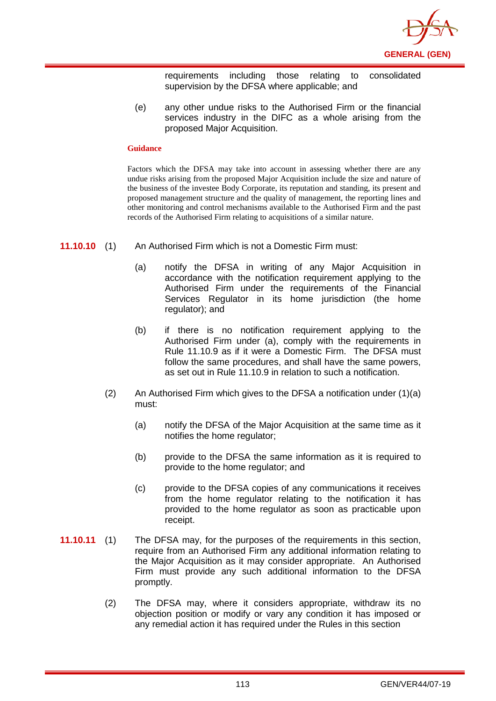

requirements including those relating to consolidated supervision by the DFSA where applicable; and

(e) any other undue risks to the Authorised Firm or the financial services industry in the DIFC as a whole arising from the proposed Major Acquisition.

### **Guidance**

Factors which the DFSA may take into account in assessing whether there are any undue risks arising from the proposed Major Acquisition include the size and nature of the business of the investee Body Corporate, its reputation and standing, its present and proposed management structure and the quality of management, the reporting lines and other monitoring and control mechanisms available to the Authorised Firm and the past records of the Authorised Firm relating to acquisitions of a similar nature.

- **11.10.10** (1) An Authorised Firm which is not a Domestic Firm must:
	- (a) notify the DFSA in writing of any Major Acquisition in accordance with the notification requirement applying to the Authorised Firm under the requirements of the Financial Services Regulator in its home jurisdiction (the home regulator); and
	- (b) if there is no notification requirement applying to the Authorised Firm under (a), comply with the requirements in Rule 11.10.9 as if it were a Domestic Firm. The DFSA must follow the same procedures, and shall have the same powers. as set out in Rule 11.10.9 in relation to such a notification.
	- (2) An Authorised Firm which gives to the DFSA a notification under  $(1)(a)$ must:
		- (a) notify the DFSA of the Major Acquisition at the same time as it notifies the home regulator;
		- (b) provide to the DFSA the same information as it is required to provide to the home regulator; and
		- (c) provide to the DFSA copies of any communications it receives from the home regulator relating to the notification it has provided to the home regulator as soon as practicable upon receipt.
- **11.10.11** (1) The DFSA may, for the purposes of the requirements in this section, require from an Authorised Firm any additional information relating to the Major Acquisition as it may consider appropriate. An Authorised Firm must provide any such additional information to the DFSA promptly.
	- (2) The DFSA may, where it considers appropriate, withdraw its no objection position or modify or vary any condition it has imposed or any remedial action it has required under the Rules in this section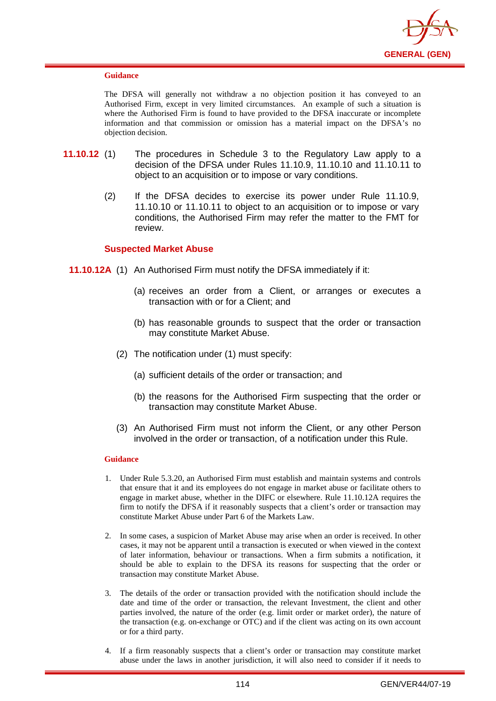

The DFSA will generally not withdraw a no objection position it has conveyed to an Authorised Firm, except in very limited circumstances. An example of such a situation is where the Authorised Firm is found to have provided to the DFSA inaccurate or incomplete information and that commission or omission has a material impact on the DFSA's no objection decision.

- **11.10.12** (1) The procedures in Schedule 3 to the Regulatory Law apply to a decision of the DFSA under Rules 11.10.9, 11.10.10 and 11.10.11 to object to an acquisition or to impose or vary conditions.
	- (2) If the DFSA decides to exercise its power under Rule 11.10.9, 11.10.10 or 11.10.11 to object to an acquisition or to impose or vary conditions, the Authorised Firm may refer the matter to the FMT for review.

### **Suspected Market Abuse**

- **11.10.12A** (1) An Authorised Firm must notify the DFSA immediately if it:
	- (a) receives an order from a Client, or arranges or executes a transaction with or for a Client; and
	- (b) has reasonable grounds to suspect that the order or transaction may constitute Market Abuse.
	- (2) The notification under (1) must specify:
		- (a) sufficient details of the order or transaction; and
		- (b) the reasons for the Authorised Firm suspecting that the order or transaction may constitute Market Abuse.
	- (3) An Authorised Firm must not inform the Client, or any other Person involved in the order or transaction, of a notification under this Rule.

- 1. Under Rule 5.3.20, an Authorised Firm must establish and maintain systems and controls that ensure that it and its employees do not engage in market abuse or facilitate others to engage in market abuse, whether in the DIFC or elsewhere. Rule 11.10.12A requires the firm to notify the DFSA if it reasonably suspects that a client's order or transaction may constitute Market Abuse under Part 6 of the Markets Law.
- 2. In some cases, a suspicion of Market Abuse may arise when an order is received. In other cases, it may not be apparent until a transaction is executed or when viewed in the context of later information, behaviour or transactions. When a firm submits a notification, it should be able to explain to the DFSA its reasons for suspecting that the order or transaction may constitute Market Abuse.
- 3. The details of the order or transaction provided with the notification should include the date and time of the order or transaction, the relevant Investment, the client and other parties involved, the nature of the order (e.g. limit order or market order), the nature of the transaction (e.g. on-exchange or OTC) and if the client was acting on its own account or for a third party.
- 4. If a firm reasonably suspects that a client's order or transaction may constitute market abuse under the laws in another jurisdiction, it will also need to consider if it needs to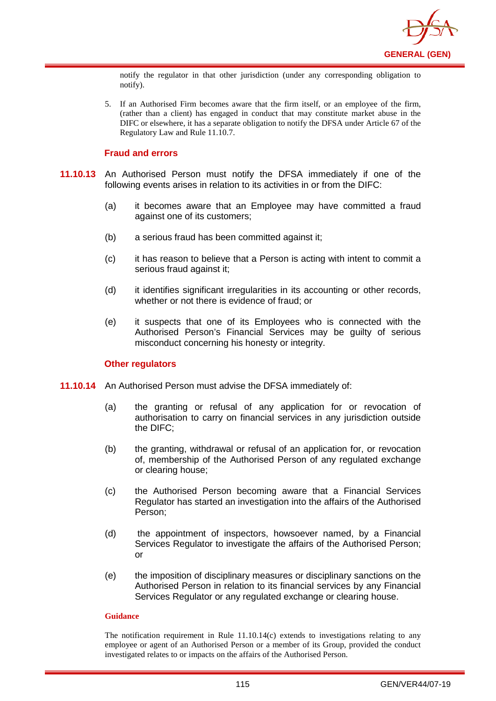

notify the regulator in that other jurisdiction (under any corresponding obligation to notify).

5. If an Authorised Firm becomes aware that the firm itself, or an employee of the firm, (rather than a client) has engaged in conduct that may constitute market abuse in the DIFC or elsewhere, it has a separate obligation to notify the DFSA under Article 67 of the Regulatory Law and Rule 11.10.7.

## **Fraud and errors**

- **11.10.13** An Authorised Person must notify the DFSA immediately if one of the following events arises in relation to its activities in or from the DIFC:
	- (a) it becomes aware that an Employee may have committed a fraud against one of its customers;
	- (b) a serious fraud has been committed against it;
	- (c) it has reason to believe that a Person is acting with intent to commit a serious fraud against it;
	- (d) it identifies significant irregularities in its accounting or other records, whether or not there is evidence of fraud; or
	- (e) it suspects that one of its Employees who is connected with the Authorised Person's Financial Services may be guilty of serious misconduct concerning his honesty or integrity.

## **Other regulators**

- **11.10.14** An Authorised Person must advise the DFSA immediately of:
	- (a) the granting or refusal of any application for or revocation of authorisation to carry on financial services in any jurisdiction outside the DIFC;
	- (b) the granting, withdrawal or refusal of an application for, or revocation of, membership of the Authorised Person of any regulated exchange or clearing house;
	- (c) the Authorised Person becoming aware that a Financial Services Regulator has started an investigation into the affairs of the Authorised Person;
	- (d) the appointment of inspectors, howsoever named, by a Financial Services Regulator to investigate the affairs of the Authorised Person: or
	- (e) the imposition of disciplinary measures or disciplinary sanctions on the Authorised Person in relation to its financial services by any Financial Services Regulator or any regulated exchange or clearing house.

### **Guidance**

The notification requirement in Rule 11.10.14(c) extends to investigations relating to any employee or agent of an Authorised Person or a member of its Group, provided the conduct investigated relates to or impacts on the affairs of the Authorised Person.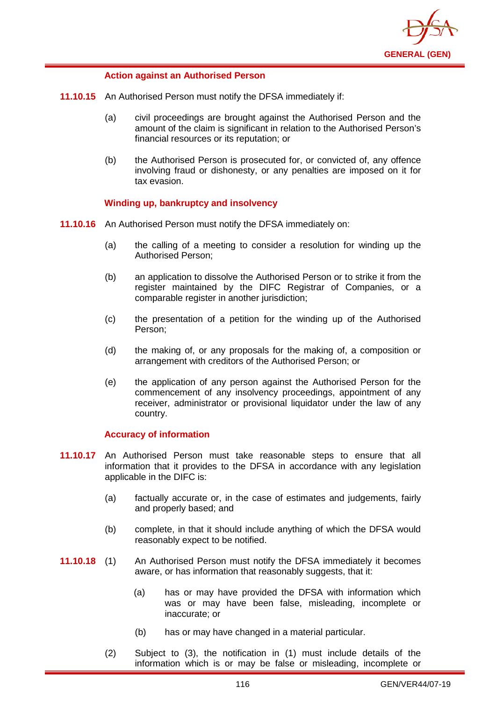

## **Action against an Authorised Person**

- **11.10.15** An Authorised Person must notify the DFSA immediately if:
	- (a) civil proceedings are brought against the Authorised Person and the amount of the claim is significant in relation to the Authorised Person's financial resources or its reputation; or
	- (b) the Authorised Person is prosecuted for, or convicted of, any offence involving fraud or dishonesty, or any penalties are imposed on it for tax evasion.

## **Winding up, bankruptcy and insolvency**

- **11.10.16** An Authorised Person must notify the DFSA immediately on:
	- (a) the calling of a meeting to consider a resolution for winding up the Authorised Person;
	- (b) an application to dissolve the Authorised Person or to strike it from the register maintained by the DIFC Registrar of Companies, or a comparable register in another jurisdiction;
	- (c) the presentation of a petition for the winding up of the Authorised Person;
	- (d) the making of, or any proposals for the making of, a composition or arrangement with creditors of the Authorised Person; or
	- (e) the application of any person against the Authorised Person for the commencement of any insolvency proceedings, appointment of any receiver, administrator or provisional liquidator under the law of any country.

## **Accuracy of information**

- **11.10.17** An Authorised Person must take reasonable steps to ensure that all information that it provides to the DFSA in accordance with any legislation applicable in the DIFC is:
	- (a) factually accurate or, in the case of estimates and judgements, fairly and properly based; and
	- (b) complete, in that it should include anything of which the DFSA would reasonably expect to be notified.
- **11.10.18** (1) An Authorised Person must notify the DFSA immediately it becomes aware, or has information that reasonably suggests, that it:
	- (a) has or may have provided the DFSA with information which was or may have been false, misleading, incomplete or inaccurate; or
	- (b) has or may have changed in a material particular.
	- (2) Subject to (3), the notification in (1) must include details of the information which is or may be false or misleading, incomplete or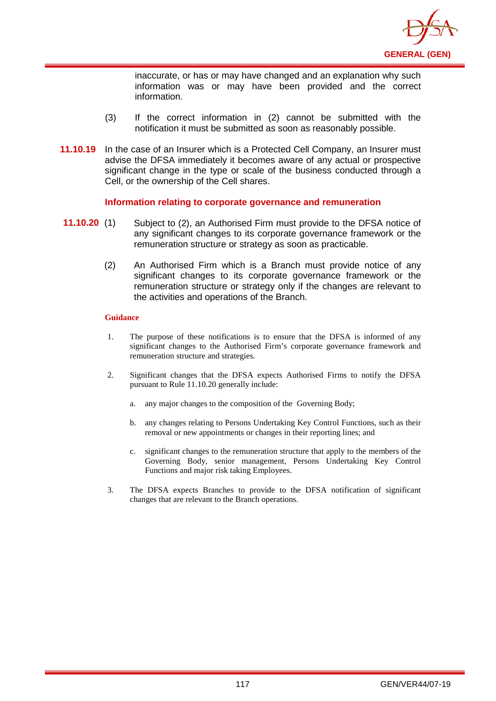

inaccurate, or has or may have changed and an explanation why such information was or may have been provided and the correct information.

- (3) If the correct information in (2) cannot be submitted with the notification it must be submitted as soon as reasonably possible.
- **11.10.19** In the case of an Insurer which is a Protected Cell Company, an Insurer must advise the DFSA immediately it becomes aware of any actual or prospective significant change in the type or scale of the business conducted through a Cell, or the ownership of the Cell shares.

## **Information relating to corporate governance and remuneration**

- **11.10.20** (1) Subject to (2), an Authorised Firm must provide to the DFSA notice of any significant changes to its corporate governance framework or the remuneration structure or strategy as soon as practicable.
	- (2) An Authorised Firm which is a Branch must provide notice of any significant changes to its corporate governance framework or the remuneration structure or strategy only if the changes are relevant to the activities and operations of the Branch.

- 1. The purpose of these notifications is to ensure that the DFSA is informed of any significant changes to the Authorised Firm's corporate governance framework and remuneration structure and strategies.
- 2. Significant changes that the DFSA expects Authorised Firms to notify the DFSA pursuant to Rule 11.10.20 generally include:
	- a. any major changes to the composition of the Governing Body;
	- b. any changes relating to Persons Undertaking Key Control Functions, such as their removal or new appointments or changes in their reporting lines; and
	- c. significant changes to the remuneration structure that apply to the members of the Governing Body, senior management, Persons Undertaking Key Control Functions and major risk taking Employees.
- 3. The DFSA expects Branches to provide to the DFSA notification of significant changes that are relevant to the Branch operations.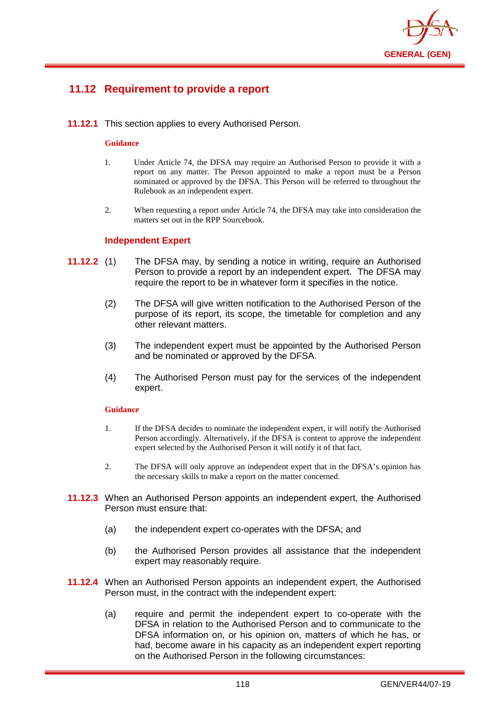

# **11.12 Requirement to provide a report**

**11.12.1** This section applies to every Authorised Person.

### **Guidance**

- 1. Under Article 74, the DFSA may require an Authorised Person to provide it with a report on any matter. The Person appointed to make a report must be a Person nominated or approved by the DFSA. This Person will be referred to throughout the Rulebook as an independent expert.
- 2. When requesting a report under Article 74, the DFSA may take into consideration the matters set out in the RPP Sourcebook.

## **Independent Expert**

- **11.12.2** (1) The DFSA may, by sending a notice in writing, require an Authorised Person to provide a report by an independent expert. The DFSA may require the report to be in whatever form it specifies in the notice.
	- (2) The DFSA will give written notification to the Authorised Person of the purpose of its report, its scope, the timetable for completion and any other relevant matters.
	- (3) The independent expert must be appointed by the Authorised Person and be nominated or approved by the DFSA.
	- (4) The Authorised Person must pay for the services of the independent expert.

- 1. If the DFSA decides to nominate the independent expert, it will notify the Authorised Person accordingly. Alternatively, if the DFSA is content to approve the independent expert selected by the Authorised Person it will notify it of that fact.
- 2. The DFSA will only approve an independent expert that in the DFSA's opinion has the necessary skills to make a report on the matter concerned.
- **11.12.3** When an Authorised Person appoints an independent expert, the Authorised Person must ensure that:
	- (a) the independent expert co-operates with the DFSA; and
	- (b) the Authorised Person provides all assistance that the independent expert may reasonably require.
- **11.12.4** When an Authorised Person appoints an independent expert, the Authorised Person must, in the contract with the independent expert:
	- (a) require and permit the independent expert to co-operate with the DFSA in relation to the Authorised Person and to communicate to the DFSA information on, or his opinion on, matters of which he has, or had, become aware in his capacity as an independent expert reporting on the Authorised Person in the following circumstances: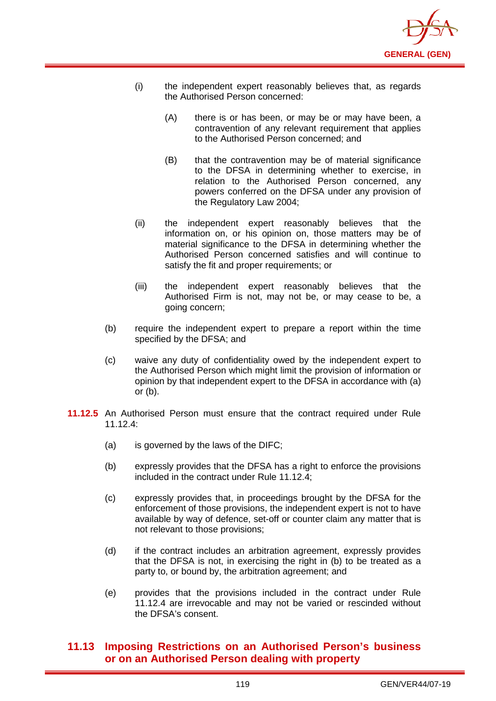

- (i) the independent expert reasonably believes that, as regards the Authorised Person concerned:
	- (A) there is or has been, or may be or may have been, a contravention of any relevant requirement that applies to the Authorised Person concerned; and
	- (B) that the contravention may be of material significance to the DFSA in determining whether to exercise, in relation to the Authorised Person concerned, any powers conferred on the DFSA under any provision of the Regulatory Law 2004;
- (ii) the independent expert reasonably believes that the information on, or his opinion on, those matters may be of material significance to the DFSA in determining whether the Authorised Person concerned satisfies and will continue to satisfy the fit and proper requirements; or
- (iii) the independent expert reasonably believes that the Authorised Firm is not, may not be, or may cease to be, a going concern;
- (b) require the independent expert to prepare a report within the time specified by the DFSA; and
- (c) waive any duty of confidentiality owed by the independent expert to the Authorised Person which might limit the provision of information or opinion by that independent expert to the DFSA in accordance with (a) or  $(b)$ .
- **11.12.5** An Authorised Person must ensure that the contract required under Rule 11.12.4:
	- (a) is governed by the laws of the DIFC;
	- (b) expressly provides that the DFSA has a right to enforce the provisions included in the contract under Rule 11.12.4;
	- (c) expressly provides that, in proceedings brought by the DFSA for the enforcement of those provisions, the independent expert is not to have available by way of defence, set-off or counter claim any matter that is not relevant to those provisions;
	- (d) if the contract includes an arbitration agreement, expressly provides that the DFSA is not, in exercising the right in (b) to be treated as a party to, or bound by, the arbitration agreement; and
	- (e) provides that the provisions included in the contract under Rule 11.12.4 are irrevocable and may not be varied or rescinded without the DFSA's consent.

## **11.13 Imposing Restrictions on an Authorised Person's business or on an Authorised Person dealing with property**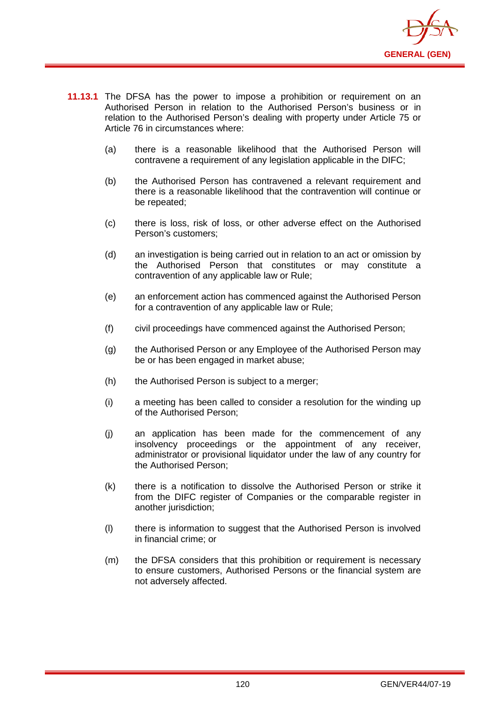

- **11.13.1** The DFSA has the power to impose a prohibition or requirement on an Authorised Person in relation to the Authorised Person's business or in relation to the Authorised Person's dealing with property under Article 75 or Article 76 in circumstances where:
	- (a) there is a reasonable likelihood that the Authorised Person will contravene a requirement of any legislation applicable in the DIFC;
	- (b) the Authorised Person has contravened a relevant requirement and there is a reasonable likelihood that the contravention will continue or be repeated;
	- (c) there is loss, risk of loss, or other adverse effect on the Authorised Person's customers;
	- (d) an investigation is being carried out in relation to an act or omission by the Authorised Person that constitutes or may constitute a contravention of any applicable law or Rule;
	- (e) an enforcement action has commenced against the Authorised Person for a contravention of any applicable law or Rule;
	- (f) civil proceedings have commenced against the Authorised Person;
	- (g) the Authorised Person or any Employee of the Authorised Person may be or has been engaged in market abuse;
	- (h) the Authorised Person is subject to a merger;
	- (i) a meeting has been called to consider a resolution for the winding up of the Authorised Person;
	- (j) an application has been made for the commencement of any insolvency proceedings or the appointment of any receiver, administrator or provisional liquidator under the law of any country for the Authorised Person;
	- (k) there is a notification to dissolve the Authorised Person or strike it from the DIFC register of Companies or the comparable register in another jurisdiction;
	- (l) there is information to suggest that the Authorised Person is involved in financial crime; or
	- (m) the DFSA considers that this prohibition or requirement is necessary to ensure customers, Authorised Persons or the financial system are not adversely affected.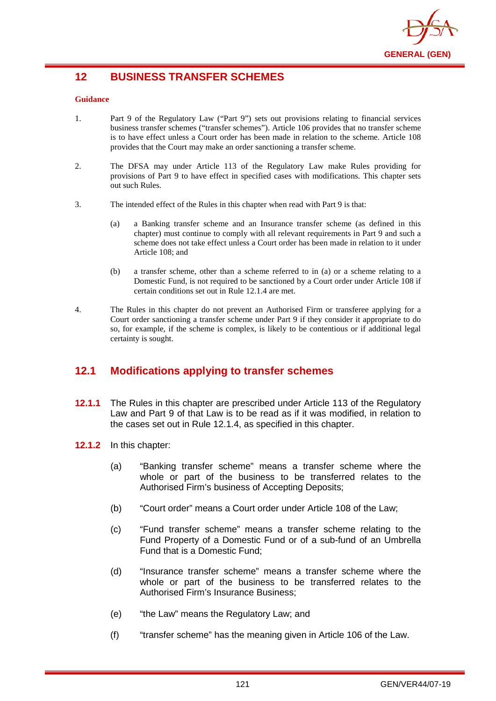

# **12 BUSINESS TRANSFER SCHEMES**

### **Guidance**

- 1. Part 9 of the Regulatory Law ("Part 9") sets out provisions relating to financial services business transfer schemes ("transfer schemes"). Article 106 provides that no transfer scheme is to have effect unless a Court order has been made in relation to the scheme. Article 108 provides that the Court may make an order sanctioning a transfer scheme.
- 2. The DFSA may under Article 113 of the Regulatory Law make Rules providing for provisions of Part 9 to have effect in specified cases with modifications. This chapter sets out such Rules.
- 3. The intended effect of the Rules in this chapter when read with Part 9 is that:
	- (a) a Banking transfer scheme and an Insurance transfer scheme (as defined in this chapter) must continue to comply with all relevant requirements in Part 9 and such a scheme does not take effect unless a Court order has been made in relation to it under Article 108; and
	- (b) a transfer scheme, other than a scheme referred to in (a) or a scheme relating to a Domestic Fund, is not required to be sanctioned by a Court order under Article 108 if certain conditions set out in Rule 12.1.4 are met.
- 4. The Rules in this chapter do not prevent an Authorised Firm or transferee applying for a Court order sanctioning a transfer scheme under Part 9 if they consider it appropriate to do so, for example, if the scheme is complex, is likely to be contentious or if additional legal certainty is sought.

# **12.1 Modifications applying to transfer schemes**

- **12.1.1** The Rules in this chapter are prescribed under Article 113 of the Regulatory Law and Part 9 of that Law is to be read as if it was modified, in relation to the cases set out in Rule 12.1.4, as specified in this chapter.
- **12.1.2** In this chapter:
	- (a) "Banking transfer scheme" means a transfer scheme where the whole or part of the business to be transferred relates to the Authorised Firm's business of Accepting Deposits;
	- (b) "Court order" means a Court order under Article 108 of the Law;
	- (c) "Fund transfer scheme" means a transfer scheme relating to the Fund Property of a Domestic Fund or of a sub-fund of an Umbrella Fund that is a Domestic Fund;
	- (d) "Insurance transfer scheme" means a transfer scheme where the whole or part of the business to be transferred relates to the Authorised Firm's Insurance Business;
	- (e) "the Law" means the Regulatory Law; and
	- (f) "transfer scheme" has the meaning given in Article 106 of the Law.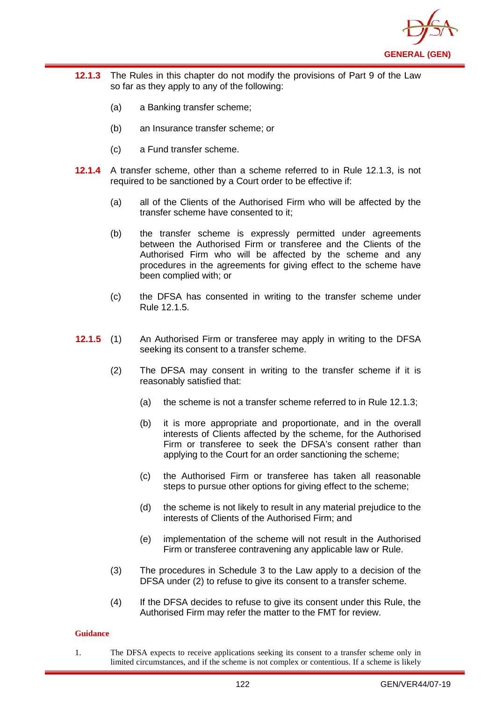

- **12.1.3** The Rules in this chapter do not modify the provisions of Part 9 of the Law so far as they apply to any of the following:
	- (a) a Banking transfer scheme;
	- (b) an Insurance transfer scheme; or
	- (c) a Fund transfer scheme.
- **12.1.4** A transfer scheme, other than a scheme referred to in Rule 12.1.3, is not required to be sanctioned by a Court order to be effective if:
	- (a) all of the Clients of the Authorised Firm who will be affected by the transfer scheme have consented to it;
	- (b) the transfer scheme is expressly permitted under agreements between the Authorised Firm or transferee and the Clients of the Authorised Firm who will be affected by the scheme and any procedures in the agreements for giving effect to the scheme have been complied with; or
	- (c) the DFSA has consented in writing to the transfer scheme under Rule 12.1.5.
- **12.1.5** (1) An Authorised Firm or transferee may apply in writing to the DFSA seeking its consent to a transfer scheme.
	- (2) The DFSA may consent in writing to the transfer scheme if it is reasonably satisfied that:
		- (a) the scheme is not a transfer scheme referred to in Rule 12.1.3;
		- (b) it is more appropriate and proportionate, and in the overall interests of Clients affected by the scheme, for the Authorised Firm or transferee to seek the DFSA's consent rather than applying to the Court for an order sanctioning the scheme;
		- (c) the Authorised Firm or transferee has taken all reasonable steps to pursue other options for giving effect to the scheme;
		- (d) the scheme is not likely to result in any material prejudice to the interests of Clients of the Authorised Firm; and
		- (e) implementation of the scheme will not result in the Authorised Firm or transferee contravening any applicable law or Rule.
	- (3) The procedures in Schedule 3 to the Law apply to a decision of the DFSA under (2) to refuse to give its consent to a transfer scheme.
	- (4) If the DFSA decides to refuse to give its consent under this Rule, the Authorised Firm may refer the matter to the FMT for review.

1. The DFSA expects to receive applications seeking its consent to a transfer scheme only in limited circumstances, and if the scheme is not complex or contentious. If a scheme is likely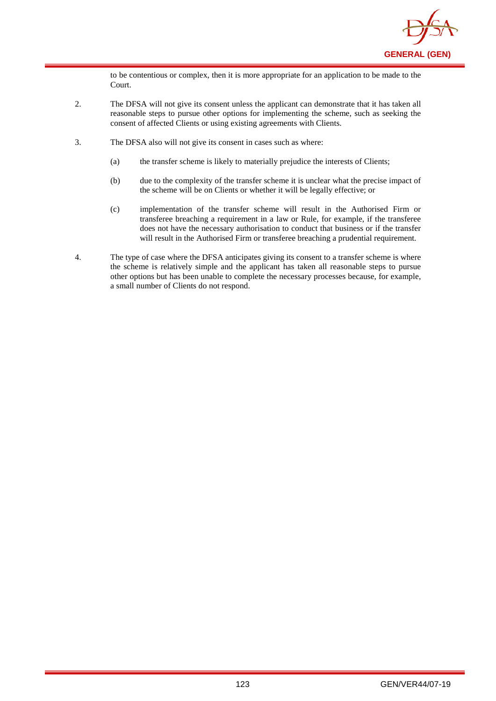

to be contentious or complex, then it is more appropriate for an application to be made to the Court.

- 2. The DFSA will not give its consent unless the applicant can demonstrate that it has taken all reasonable steps to pursue other options for implementing the scheme, such as seeking the consent of affected Clients or using existing agreements with Clients.
- 3. The DFSA also will not give its consent in cases such as where:
	- (a) the transfer scheme is likely to materially prejudice the interests of Clients;
	- (b) due to the complexity of the transfer scheme it is unclear what the precise impact of the scheme will be on Clients or whether it will be legally effective; or
	- (c) implementation of the transfer scheme will result in the Authorised Firm or transferee breaching a requirement in a law or Rule, for example, if the transferee does not have the necessary authorisation to conduct that business or if the transfer will result in the Authorised Firm or transferee breaching a prudential requirement.
- 4. The type of case where the DFSA anticipates giving its consent to a transfer scheme is where the scheme is relatively simple and the applicant has taken all reasonable steps to pursue other options but has been unable to complete the necessary processes because, for example, a small number of Clients do not respond.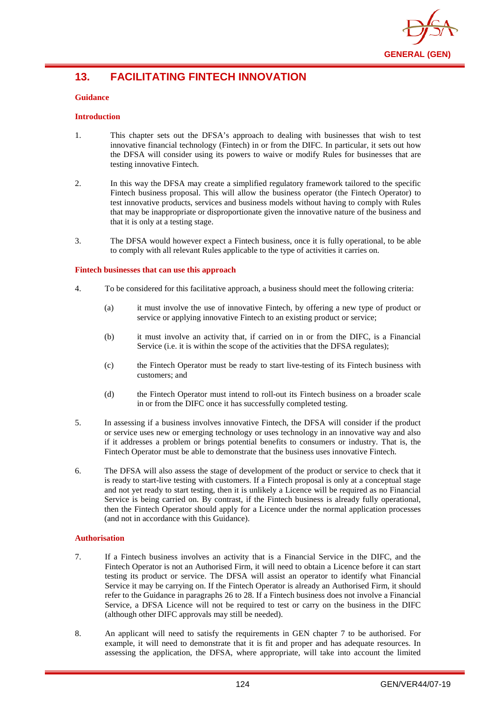

# **13. FACILITATING FINTECH INNOVATION**

### **Guidance**

### **Introduction**

- 1. This chapter sets out the DFSA's approach to dealing with businesses that wish to test innovative financial technology (Fintech) in or from the DIFC. In particular, it sets out how the DFSA will consider using its powers to waive or modify Rules for businesses that are testing innovative Fintech.
- 2. In this way the DFSA may create a simplified regulatory framework tailored to the specific Fintech business proposal. This will allow the business operator (the Fintech Operator) to test innovative products, services and business models without having to comply with Rules that may be inappropriate or disproportionate given the innovative nature of the business and that it is only at a testing stage.
- 3. The DFSA would however expect a Fintech business, once it is fully operational, to be able to comply with all relevant Rules applicable to the type of activities it carries on.

### **Fintech businesses that can use this approach**

- 4. To be considered for this facilitative approach, a business should meet the following criteria:
	- (a) it must involve the use of innovative Fintech, by offering a new type of product or service or applying innovative Fintech to an existing product or service;
	- (b) it must involve an activity that, if carried on in or from the DIFC, is a Financial Service (i.e. it is within the scope of the activities that the DFSA regulates);
	- (c) the Fintech Operator must be ready to start live-testing of its Fintech business with customers; and
	- (d) the Fintech Operator must intend to roll-out its Fintech business on a broader scale in or from the DIFC once it has successfully completed testing.
- 5. In assessing if a business involves innovative Fintech, the DFSA will consider if the product or service uses new or emerging technology or uses technology in an innovative way and also if it addresses a problem or brings potential benefits to consumers or industry. That is, the Fintech Operator must be able to demonstrate that the business uses innovative Fintech.
- 6. The DFSA will also assess the stage of development of the product or service to check that it is ready to start-live testing with customers. If a Fintech proposal is only at a conceptual stage and not yet ready to start testing, then it is unlikely a Licence will be required as no Financial Service is being carried on. By contrast, if the Fintech business is already fully operational, then the Fintech Operator should apply for a Licence under the normal application processes (and not in accordance with this Guidance).

### **Authorisation**

- 7. If a Fintech business involves an activity that is a Financial Service in the DIFC, and the Fintech Operator is not an Authorised Firm, it will need to obtain a Licence before it can start testing its product or service. The DFSA will assist an operator to identify what Financial Service it may be carrying on. If the Fintech Operator is already an Authorised Firm, it should refer to the Guidance in paragraphs 26 to 28. If a Fintech business does not involve a Financial Service, a DFSA Licence will not be required to test or carry on the business in the DIFC (although other DIFC approvals may still be needed).
- 8. An applicant will need to satisfy the requirements in GEN chapter 7 to be authorised. For example, it will need to demonstrate that it is fit and proper and has adequate resources. In assessing the application, the DFSA, where appropriate, will take into account the limited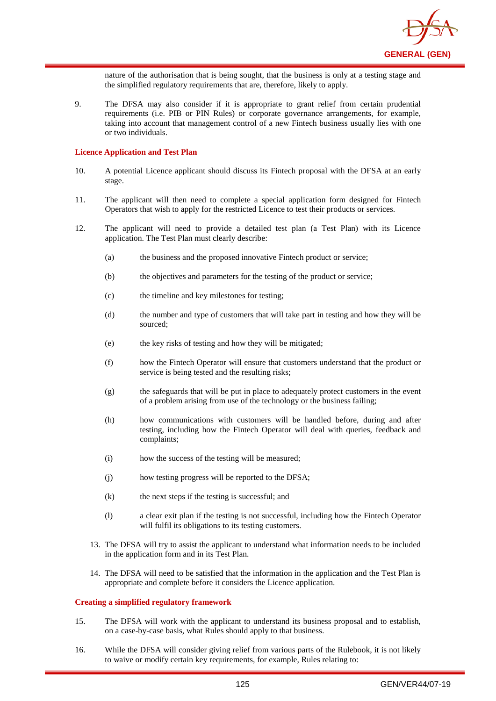

nature of the authorisation that is being sought, that the business is only at a testing stage and the simplified regulatory requirements that are, therefore, likely to apply.

9. The DFSA may also consider if it is appropriate to grant relief from certain prudential requirements (i.e. PIB or PIN Rules) or corporate governance arrangements, for example, taking into account that management control of a new Fintech business usually lies with one or two individuals.

### **Licence Application and Test Plan**

- 10. A potential Licence applicant should discuss its Fintech proposal with the DFSA at an early stage.
- 11. The applicant will then need to complete a special application form designed for Fintech Operators that wish to apply for the restricted Licence to test their products or services.
- 12. The applicant will need to provide a detailed test plan (a Test Plan) with its Licence application. The Test Plan must clearly describe:
	- (a) the business and the proposed innovative Fintech product or service;
	- (b) the objectives and parameters for the testing of the product or service;
	- (c) the timeline and key milestones for testing;
	- (d) the number and type of customers that will take part in testing and how they will be sourced;
	- (e) the key risks of testing and how they will be mitigated;
	- (f) how the Fintech Operator will ensure that customers understand that the product or service is being tested and the resulting risks;
	- (g) the safeguards that will be put in place to adequately protect customers in the event of a problem arising from use of the technology or the business failing;
	- (h) how communications with customers will be handled before, during and after testing, including how the Fintech Operator will deal with queries, feedback and complaints;
	- (i) how the success of the testing will be measured;
	- (j) how testing progress will be reported to the DFSA;
	- (k) the next steps if the testing is successful; and
	- (l) a clear exit plan if the testing is not successful, including how the Fintech Operator will fulfil its obligations to its testing customers.
	- 13. The DFSA will try to assist the applicant to understand what information needs to be included in the application form and in its Test Plan.
	- 14. The DFSA will need to be satisfied that the information in the application and the Test Plan is appropriate and complete before it considers the Licence application.

#### **Creating a simplified regulatory framework**

- 15. The DFSA will work with the applicant to understand its business proposal and to establish, on a case-by-case basis, what Rules should apply to that business.
- 16. While the DFSA will consider giving relief from various parts of the Rulebook, it is not likely to waive or modify certain key requirements, for example, Rules relating to: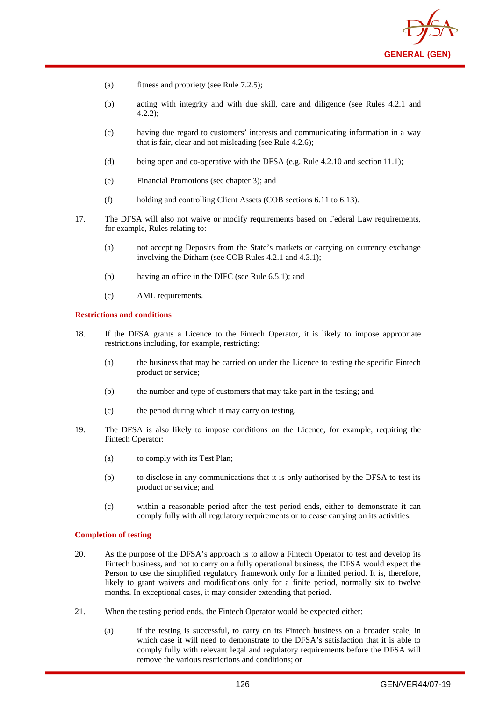

- (a) fitness and propriety (see Rule 7.2.5);
- (b) acting with integrity and with due skill, care and diligence (see Rules 4.2.1 and 4.2.2);
- (c) having due regard to customers' interests and communicating information in a way that is fair, clear and not misleading (see Rule 4.2.6);
- (d) being open and co-operative with the DFSA (e.g. Rule 4.2.10 and section 11.1);
- (e) Financial Promotions (see chapter 3); and
- (f) holding and controlling Client Assets (COB sections 6.11 to 6.13).
- 17. The DFSA will also not waive or modify requirements based on Federal Law requirements, for example, Rules relating to:
	- (a) not accepting Deposits from the State's markets or carrying on currency exchange involving the Dirham (see COB Rules 4.2.1 and 4.3.1);
	- (b) having an office in the DIFC (see Rule 6.5.1); and
	- (c) AML requirements.

#### **Restrictions and conditions**

- 18. If the DFSA grants a Licence to the Fintech Operator, it is likely to impose appropriate restrictions including, for example, restricting:
	- (a) the business that may be carried on under the Licence to testing the specific Fintech product or service;
	- (b) the number and type of customers that may take part in the testing; and
	- (c) the period during which it may carry on testing.
- 19. The DFSA is also likely to impose conditions on the Licence, for example, requiring the Fintech Operator:
	- (a) to comply with its Test Plan;
	- (b) to disclose in any communications that it is only authorised by the DFSA to test its product or service; and
	- (c) within a reasonable period after the test period ends, either to demonstrate it can comply fully with all regulatory requirements or to cease carrying on its activities.

### **Completion of testing**

- 20. As the purpose of the DFSA's approach is to allow a Fintech Operator to test and develop its Fintech business, and not to carry on a fully operational business, the DFSA would expect the Person to use the simplified regulatory framework only for a limited period. It is, therefore, likely to grant waivers and modifications only for a finite period, normally six to twelve months. In exceptional cases, it may consider extending that period.
- 21. When the testing period ends, the Fintech Operator would be expected either:
	- (a) if the testing is successful, to carry on its Fintech business on a broader scale, in which case it will need to demonstrate to the DFSA's satisfaction that it is able to comply fully with relevant legal and regulatory requirements before the DFSA will remove the various restrictions and conditions; or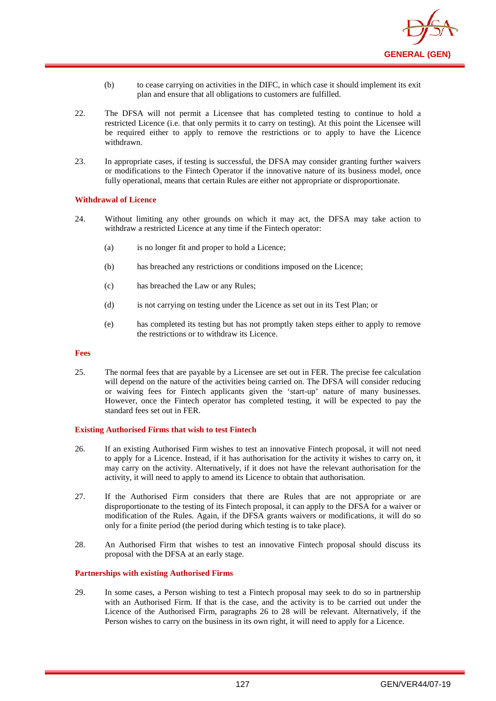

- (b) to cease carrying on activities in the DIFC, in which case it should implement its exit plan and ensure that all obligations to customers are fulfilled.
- 22. The DFSA will not permit a Licensee that has completed testing to continue to hold a restricted Licence (i.e. that only permits it to carry on testing). At this point the Licensee will be required either to apply to remove the restrictions or to apply to have the Licence withdrawn.
- 23. In appropriate cases, if testing is successful, the DFSA may consider granting further waivers or modifications to the Fintech Operator if the innovative nature of its business model, once fully operational, means that certain Rules are either not appropriate or disproportionate.

### **Withdrawal of Licence**

- 24. Without limiting any other grounds on which it may act, the DFSA may take action to withdraw a restricted Licence at any time if the Fintech operator:
	- (a) is no longer fit and proper to hold a Licence;
	- (b) has breached any restrictions or conditions imposed on the Licence;
	- (c) has breached the Law or any Rules;
	- (d) is not carrying on testing under the Licence as set out in its Test Plan; or
	- (e) has completed its testing but has not promptly taken steps either to apply to remove the restrictions or to withdraw its Licence.

#### **Fees**

25. The normal fees that are payable by a Licensee are set out in FER. The precise fee calculation will depend on the nature of the activities being carried on. The DFSA will consider reducing or waiving fees for Fintech applicants given the 'start-up' nature of many businesses. However, once the Fintech operator has completed testing, it will be expected to pay the standard fees set out in FER.

#### **Existing Authorised Firms that wish to test Fintech**

- 26. If an existing Authorised Firm wishes to test an innovative Fintech proposal, it will not need to apply for a Licence. Instead, if it has authorisation for the activity it wishes to carry on, it may carry on the activity. Alternatively, if it does not have the relevant authorisation for the activity, it will need to apply to amend its Licence to obtain that authorisation.
- 27. If the Authorised Firm considers that there are Rules that are not appropriate or are disproportionate to the testing of its Fintech proposal, it can apply to the DFSA for a waiver or modification of the Rules. Again, if the DFSA grants waivers or modifications, it will do so only for a finite period (the period during which testing is to take place).
- 28. An Authorised Firm that wishes to test an innovative Fintech proposal should discuss its proposal with the DFSA at an early stage.

#### **Partnerships with existing Authorised Firms**

29. In some cases, a Person wishing to test a Fintech proposal may seek to do so in partnership with an Authorised Firm. If that is the case, and the activity is to be carried out under the Licence of the Authorised Firm, paragraphs 26 to 28 will be relevant. Alternatively, if the Person wishes to carry on the business in its own right, it will need to apply for a Licence.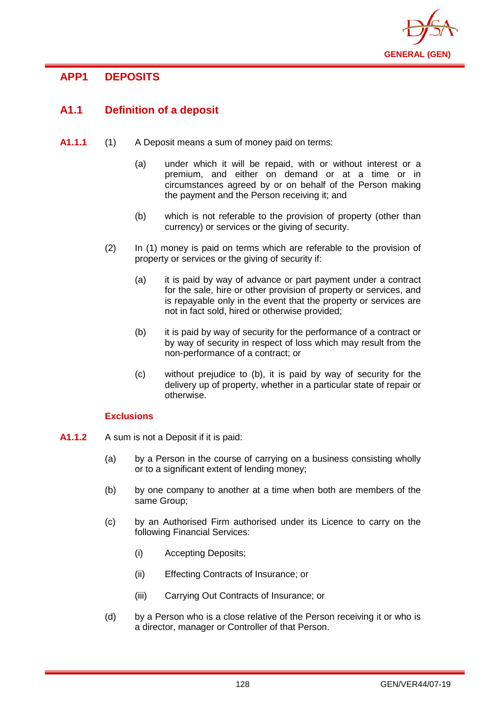

# **APP1 DEPOSITS**

# **A1.1 Definition of a deposit**

- **A1.1.1** (1) A Deposit means a sum of money paid on terms:
	- (a) under which it will be repaid, with or without interest or a premium, and either on demand or at a time or in circumstances agreed by or on behalf of the Person making the payment and the Person receiving it; and
	- (b) which is not referable to the provision of property (other than currency) or services or the giving of security.
	- (2) In (1) money is paid on terms which are referable to the provision of property or services or the giving of security if:
		- (a) it is paid by way of advance or part payment under a contract for the sale, hire or other provision of property or services, and is repayable only in the event that the property or services are not in fact sold, hired or otherwise provided;
		- (b) it is paid by way of security for the performance of a contract or by way of security in respect of loss which may result from the non-performance of a contract; or
		- (c) without prejudice to (b), it is paid by way of security for the delivery up of property, whether in a particular state of repair or otherwise.

## **Exclusions**

- **A1.1.2** A sum is not a Deposit if it is paid:
	- (a) by a Person in the course of carrying on a business consisting wholly or to a significant extent of lending money;
	- (b) by one company to another at a time when both are members of the same Group;
	- (c) by an Authorised Firm authorised under its Licence to carry on the following Financial Services:
		- (i) Accepting Deposits;
		- (ii) Effecting Contracts of Insurance; or
		- (iii) Carrying Out Contracts of Insurance; or
	- (d) by a Person who is a close relative of the Person receiving it or who is a director, manager or Controller of that Person.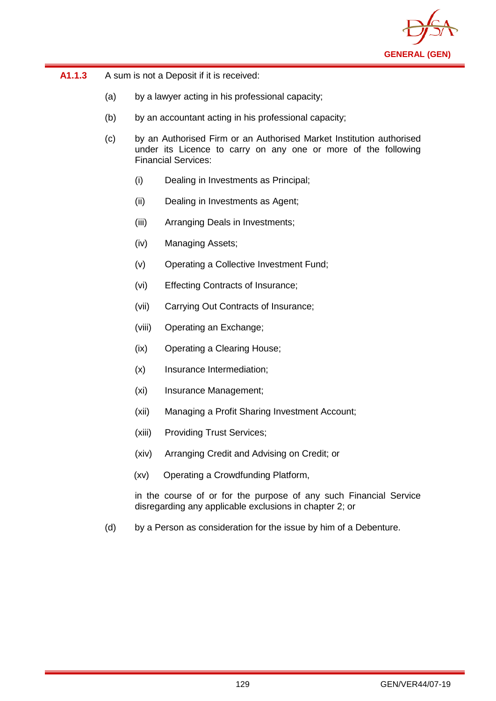

| A1.1.3 | A sum is not a Deposit if it is received: |
|--------|-------------------------------------------|
|--------|-------------------------------------------|

- (a) by a lawyer acting in his professional capacity;
- (b) by an accountant acting in his professional capacity;
- (c) by an Authorised Firm or an Authorised Market Institution authorised under its Licence to carry on any one or more of the following Financial Services:
	- (i) Dealing in Investments as Principal;
	- (ii) Dealing in Investments as Agent;
	- (iii) Arranging Deals in Investments;
	- (iv) Managing Assets;
	- (v) Operating a Collective Investment Fund;
	- (vi) Effecting Contracts of Insurance;
	- (vii) Carrying Out Contracts of Insurance;
	- (viii) Operating an Exchange;
	- (ix) Operating a Clearing House;
	- (x) Insurance Intermediation;
	- (xi) Insurance Management;
	- (xii) Managing a Profit Sharing Investment Account;
	- (xiii) Providing Trust Services;
	- (xiv) Arranging Credit and Advising on Credit; or
	- (xv) Operating a Crowdfunding Platform,

in the course of or for the purpose of any such Financial Service disregarding any applicable exclusions in chapter 2; or

(d) by a Person as consideration for the issue by him of a Debenture.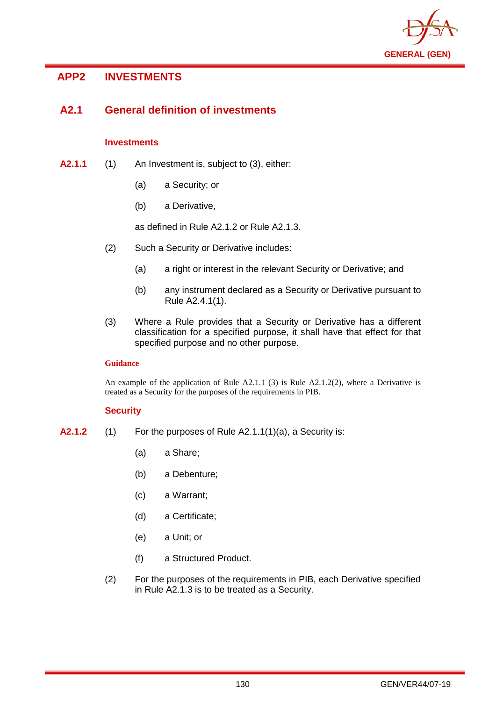

# **APP2 INVESTMENTS**

# **A2.1 General definition of investments**

## **Investments**

- **A2.1.1** (1) An Investment is, subject to (3), either:
	- (a) a Security; or
	- (b) a Derivative,

as defined in Rule A2.1.2 or Rule A2.1.3.

- (2) Such a Security or Derivative includes:
	- (a) a right or interest in the relevant Security or Derivative; and
	- (b) any instrument declared as a Security or Derivative pursuant to Rule A2.4.1(1).
- (3) Where a Rule provides that a Security or Derivative has a different classification for a specified purpose, it shall have that effect for that specified purpose and no other purpose.

## **Guidance**

An example of the application of Rule  $A2.1.1$  (3) is Rule  $A2.1.2(2)$ , where a Derivative is treated as a Security for the purposes of the requirements in PIB.

## **Security**

- **A2.1.2** (1) For the purposes of Rule A2.1.1(1)(a), a Security is:
	- (a) a Share;
	- (b) a Debenture;
	- (c) a Warrant;
	- (d) a Certificate;
	- (e) a Unit; or
	- (f) a Structured Product.
	- (2) For the purposes of the requirements in PIB, each Derivative specified in Rule A2.1.3 is to be treated as a Security.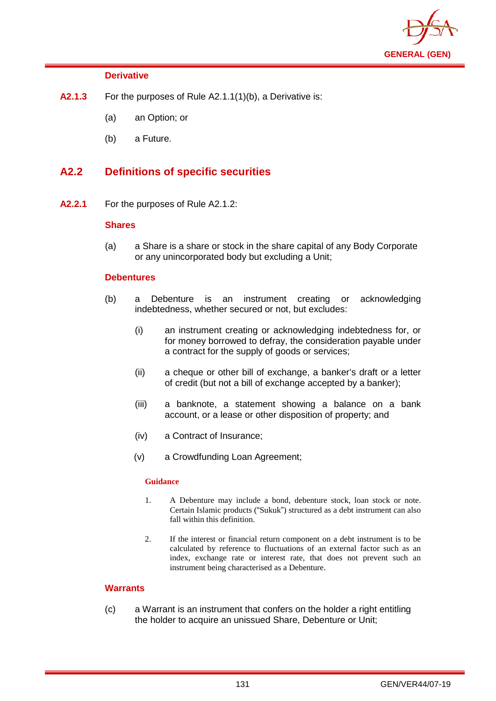

## **Derivative**

- **A2.1.3** For the purposes of Rule A2.1.1(1)(b), a Derivative is:
	- (a) an Option; or
	- (b) a Future.

## **A2.2 Definitions of specific securities**

**A2.2.1** For the purposes of Rule A2.1.2:

## **Shares**

(a) a Share is a share or stock in the share capital of any Body Corporate or any unincorporated body but excluding a Unit;

## **Debentures**

- (b) a Debenture is an instrument creating or acknowledging indebtedness, whether secured or not, but excludes:
	- (i) an instrument creating or acknowledging indebtedness for, or for money borrowed to defray, the consideration payable under a contract for the supply of goods or services;
	- (ii) a cheque or other bill of exchange, a banker's draft or a letter of credit (but not a bill of exchange accepted by a banker);
	- (iii) a banknote, a statement showing a balance on a bank account, or a lease or other disposition of property; and
	- (iv) a Contract of Insurance;
	- (v) a Crowdfunding Loan Agreement;

## **Guidance**

- 1. A Debenture may include a bond, debenture stock, loan stock or note. Certain Islamic products ("Sukuk") structured as a debt instrument can also fall within this definition.
- 2. If the interest or financial return component on a debt instrument is to be calculated by reference to fluctuations of an external factor such as an index, exchange rate or interest rate, that does not prevent such an instrument being characterised as a Debenture.

## **Warrants**

(c) a Warrant is an instrument that confers on the holder a right entitling the holder to acquire an unissued Share, Debenture or Unit;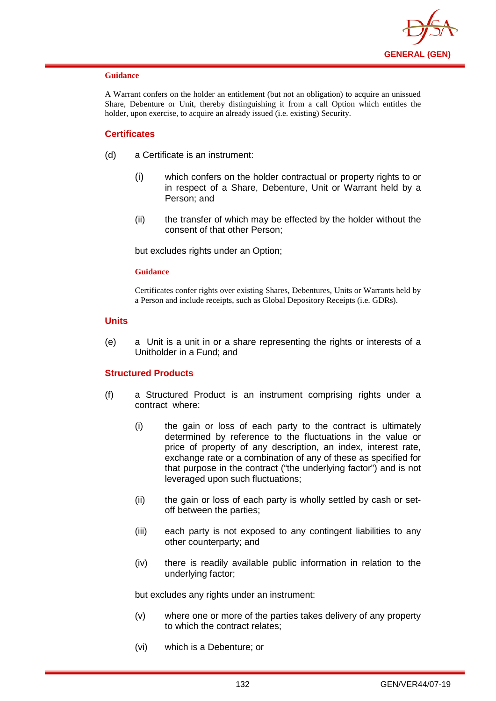

A Warrant confers on the holder an entitlement (but not an obligation) to acquire an unissued Share, Debenture or Unit, thereby distinguishing it from a call Option which entitles the holder, upon exercise, to acquire an already issued (i.e. existing) Security.

## **Certificates**

- (d) a Certificate is an instrument:
	- (i) which confers on the holder contractual or property rights to or in respect of a Share, Debenture, Unit or Warrant held by a Person; and
	- (ii) the transfer of which may be effected by the holder without the consent of that other Person;

but excludes rights under an Option;

### **Guidance**

Certificates confer rights over existing Shares, Debentures, Units or Warrants held by a Person and include receipts, such as Global Depository Receipts (i.e. GDRs).

## **Units**

(e) a Unit is a unit in or a share representing the rights or interests of a Unitholder in a Fund; and

## **Structured Products**

- (f) a Structured Product is an instrument comprising rights under a contract where:
	- (i) the gain or loss of each party to the contract is ultimately determined by reference to the fluctuations in the value or price of property of any description, an index, interest rate, exchange rate or a combination of any of these as specified for that purpose in the contract ("the underlying factor") and is not leveraged upon such fluctuations;
	- (ii) the gain or loss of each party is wholly settled by cash or setoff between the parties;
	- (iii) each party is not exposed to any contingent liabilities to any other counterparty; and
	- (iv) there is readily available public information in relation to the underlying factor;

but excludes any rights under an instrument:

- (v) where one or more of the parties takes delivery of any property to which the contract relates;
- (vi) which is a Debenture; or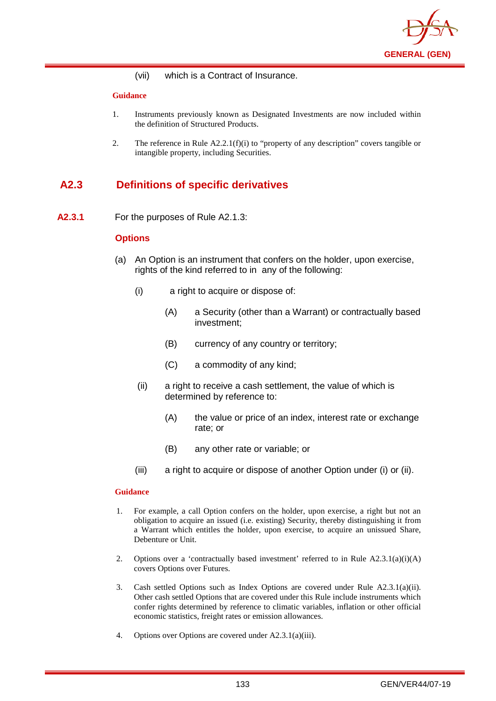

(vii) which is a Contract of Insurance.

### **Guidance**

- 1. Instruments previously known as Designated Investments are now included within the definition of Structured Products.
- 2. The reference in Rule A2.2.1(f)(i) to "property of any description" covers tangible or intangible property, including Securities.

# **A2.3 Definitions of specific derivatives**

**A2.3.1** For the purposes of Rule A2.1.3:

## **Options**

- (a) An Option is an instrument that confers on the holder, upon exercise, rights of the kind referred to in any of the following:
	- (i) a right to acquire or dispose of:
		- (A) a Security (other than a Warrant) or contractually based investment;
		- (B) currency of any country or territory;
		- (C) a commodity of any kind;
	- (ii) a right to receive a cash settlement, the value of which is determined by reference to:
		- (A) the value or price of an index, interest rate or exchange rate; or
		- (B) any other rate or variable; or
	- (iii) a right to acquire or dispose of another Option under (i) or (ii).

- 1. For example, a call Option confers on the holder, upon exercise, a right but not an obligation to acquire an issued (i.e. existing) Security, thereby distinguishing it from a Warrant which entitles the holder, upon exercise, to acquire an unissued Share, Debenture or Unit.
- 2. Options over a 'contractually based investment' referred to in Rule A2.3.1(a)(i)(A) covers Options over Futures.
- 3. Cash settled Options such as Index Options are covered under Rule A2.3.1(a)(ii). Other cash settled Options that are covered under this Rule include instruments which confer rights determined by reference to climatic variables, inflation or other official economic statistics, freight rates or emission allowances.
- 4. Options over Options are covered under A2.3.1(a)(iii).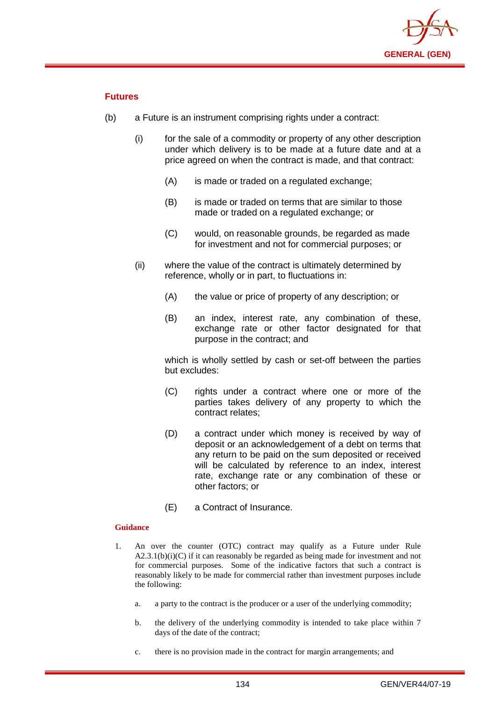

## **Futures**

- (b) a Future is an instrument comprising rights under a contract:
	- (i) for the sale of a commodity or property of any other description under which delivery is to be made at a future date and at a price agreed on when the contract is made, and that contract:
		- (A) is made or traded on a regulated exchange;
		- (B) is made or traded on terms that are similar to those made or traded on a regulated exchange; or
		- (C) would, on reasonable grounds, be regarded as made for investment and not for commercial purposes; or
	- (ii) where the value of the contract is ultimately determined by reference, wholly or in part, to fluctuations in:
		- (A) the value or price of property of any description; or
		- (B) an index, interest rate, any combination of these, exchange rate or other factor designated for that purpose in the contract; and

which is wholly settled by cash or set-off between the parties but excludes:

- (C) rights under a contract where one or more of the parties takes delivery of any property to which the contract relates;
- (D) a contract under which money is received by way of deposit or an acknowledgement of a debt on terms that any return to be paid on the sum deposited or received will be calculated by reference to an index, interest rate, exchange rate or any combination of these or other factors; or
- (E) a Contract of Insurance.

- 1. An over the counter (OTC) contract may qualify as a Future under Rule  $A2.3.1(b)(i)(C)$  if it can reasonably be regarded as being made for investment and not for commercial purposes. Some of the indicative factors that such a contract is reasonably likely to be made for commercial rather than investment purposes include the following:
	- a. a party to the contract is the producer or a user of the underlying commodity;
	- b. the delivery of the underlying commodity is intended to take place within 7 days of the date of the contract;
	- c. there is no provision made in the contract for margin arrangements; and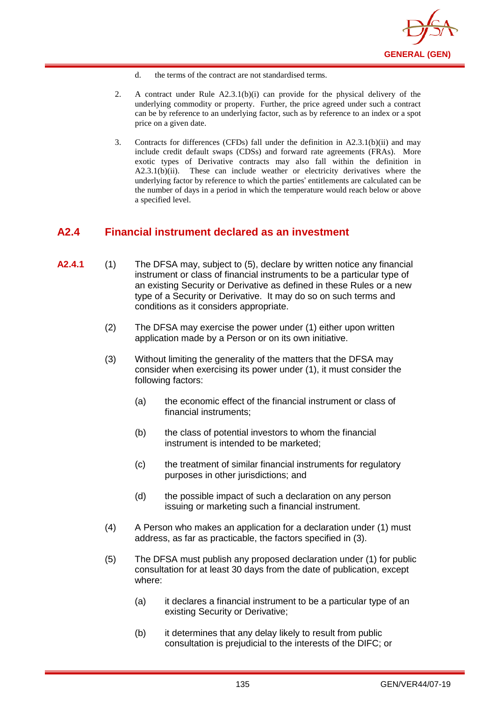

- d. the terms of the contract are not standardised terms.
- 2. A contract under Rule A2.3.1(b)(i) can provide for the physical delivery of the underlying commodity or property. Further, the price agreed under such a contract can be by reference to an underlying factor, such as by reference to an index or a spot price on a given date.
- 3. Contracts for differences (CFDs) fall under the definition in A2.3.1(b)(ii) and may include credit default swaps (CDSs) and forward rate agreements (FRAs). More exotic types of Derivative contracts may also fall within the definition in A2.3.1(b)(ii). These can include weather or electricity derivatives where the underlying factor by reference to which the parties' entitlements are calculated can be the number of days in a period in which the temperature would reach below or above a specified level.

## **A2.4 Financial instrument declared as an investment**

- **A2.4.1** (1) The DFSA may, subject to (5), declare by written notice any financial instrument or class of financial instruments to be a particular type of an existing Security or Derivative as defined in these Rules or a new type of a Security or Derivative. It may do so on such terms and conditions as it considers appropriate.
	- (2) The DFSA may exercise the power under (1) either upon written application made by a Person or on its own initiative.
	- (3) Without limiting the generality of the matters that the DFSA may consider when exercising its power under (1), it must consider the following factors:
		- (a) the economic effect of the financial instrument or class of financial instruments;
		- (b) the class of potential investors to whom the financial instrument is intended to be marketed;
		- (c) the treatment of similar financial instruments for regulatory purposes in other jurisdictions; and
		- (d) the possible impact of such a declaration on any person issuing or marketing such a financial instrument.
	- (4) A Person who makes an application for a declaration under (1) must address, as far as practicable, the factors specified in (3).
	- (5) The DFSA must publish any proposed declaration under (1) for public consultation for at least 30 days from the date of publication, except where:
		- (a) it declares a financial instrument to be a particular type of an existing Security or Derivative;
		- (b) it determines that any delay likely to result from public consultation is prejudicial to the interests of the DIFC; or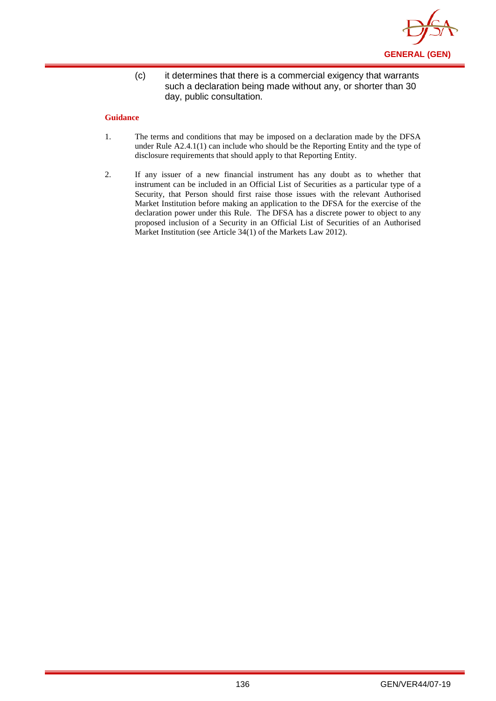

(c) it determines that there is a commercial exigency that warrants such a declaration being made without any, or shorter than 30 day, public consultation.

- 1. The terms and conditions that may be imposed on a declaration made by the DFSA under Rule A2.4.1(1) can include who should be the Reporting Entity and the type of disclosure requirements that should apply to that Reporting Entity.
- 2. If any issuer of a new financial instrument has any doubt as to whether that instrument can be included in an Official List of Securities as a particular type of a Security, that Person should first raise those issues with the relevant Authorised Market Institution before making an application to the DFSA for the exercise of the declaration power under this Rule. The DFSA has a discrete power to object to any proposed inclusion of a Security in an Official List of Securities of an Authorised Market Institution (see Article 34(1) of the Markets Law 2012).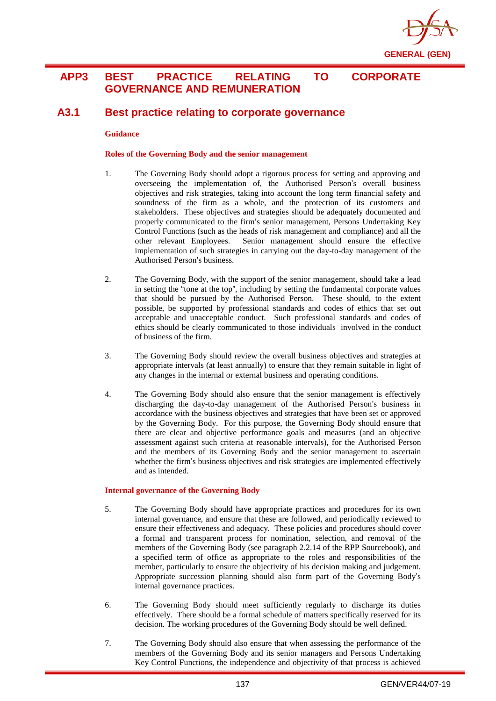

## **APP3 BEST PRACTICE RELATING TO CORPORATE GOVERNANCE AND REMUNERATION**

## **A3.1 Best practice relating to corporate governance**

### **Guidance**

### **Roles of the Governing Body and the senior management**

- 1. The Governing Body should adopt a rigorous process for setting and approving and overseeing the implementation of, the Authorised Person's overall business objectives and risk strategies, taking into account the long term financial safety and soundness of the firm as a whole, and the protection of its customers and stakeholders. These objectives and strategies should be adequately documented and properly communicated to the firm's senior management, Persons Undertaking Key Control Functions (such as the heads of risk management and compliance) and all the other relevant Employees. Senior management should ensure the effective implementation of such strategies in carrying out the day-to-day management of the Authorised Person's business.
- 2. The Governing Body, with the support of the senior management, should take a lead in setting the "tone at the top", including by setting the fundamental corporate values that should be pursued by the Authorised Person. These should, to the extent possible, be supported by professional standards and codes of ethics that set out acceptable and unacceptable conduct. Such professional standards and codes of ethics should be clearly communicated to those individuals involved in the conduct of business of the firm.
- 3. The Governing Body should review the overall business objectives and strategies at appropriate intervals (at least annually) to ensure that they remain suitable in light of any changes in the internal or external business and operating conditions.
- 4. The Governing Body should also ensure that the senior management is effectively discharging the day-to-day management of the Authorised Person's business in accordance with the business objectives and strategies that have been set or approved by the Governing Body. For this purpose, the Governing Body should ensure that there are clear and objective performance goals and measures (and an objective assessment against such criteria at reasonable intervals), for the Authorised Person and the members of its Governing Body and the senior management to ascertain whether the firm's business objectives and risk strategies are implemented effectively and as intended.

### **Internal governance of the Governing Body**

- 5. The Governing Body should have appropriate practices and procedures for its own internal governance, and ensure that these are followed, and periodically reviewed to ensure their effectiveness and adequacy. These policies and procedures should cover a formal and transparent process for nomination, selection, and removal of the members of the Governing Body (see paragraph 2.2.14 of the RPP Sourcebook), and a specified term of office as appropriate to the roles and responsibilities of the member, particularly to ensure the objectivity of his decision making and judgement. Appropriate succession planning should also form part of the Governing Body's internal governance practices.
- 6. The Governing Body should meet sufficiently regularly to discharge its duties effectively. There should be a formal schedule of matters specifically reserved for its decision. The working procedures of the Governing Body should be well defined.
- 7. The Governing Body should also ensure that when assessing the performance of the members of the Governing Body and its senior managers and Persons Undertaking Key Control Functions, the independence and objectivity of that process is achieved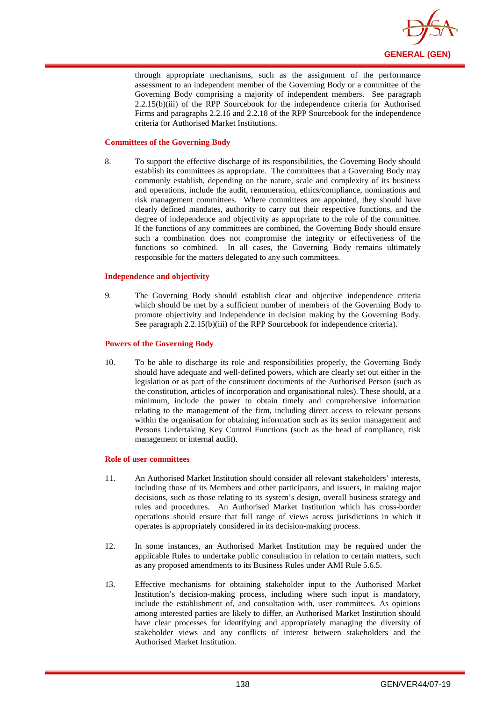

through appropriate mechanisms, such as the assignment of the performance assessment to an independent member of the Governing Body or a committee of the Governing Body comprising a majority of independent members. See paragraph 2.2.15(b)(iii) of the RPP Sourcebook for the independence criteria for Authorised Firms and paragraphs 2.2.16 and 2.2.18 of the RPP Sourcebook for the independence criteria for Authorised Market Institutions.

### **Committees of the Governing Body**

8. To support the effective discharge of its responsibilities, the Governing Body should establish its committees as appropriate. The committees that a Governing Body may commonly establish, depending on the nature, scale and complexity of its business and operations, include the audit, remuneration, ethics/compliance, nominations and risk management committees. Where committees are appointed, they should have clearly defined mandates, authority to carry out their respective functions, and the degree of independence and objectivity as appropriate to the role of the committee. If the functions of any committees are combined, the Governing Body should ensure such a combination does not compromise the integrity or effectiveness of the functions so combined. In all cases, the Governing Body remains ultimately responsible for the matters delegated to any such committees.

### **Independence and objectivity**

9. The Governing Body should establish clear and objective independence criteria which should be met by a sufficient number of members of the Governing Body to promote objectivity and independence in decision making by the Governing Body. See paragraph 2.2.15(b)(iii) of the RPP Sourcebook for independence criteria).

#### **Powers of the Governing Body**

10. To be able to discharge its role and responsibilities properly, the Governing Body should have adequate and well-defined powers, which are clearly set out either in the legislation or as part of the constituent documents of the Authorised Person (such as the constitution, articles of incorporation and organisational rules). These should, at a minimum, include the power to obtain timely and comprehensive information relating to the management of the firm, including direct access to relevant persons within the organisation for obtaining information such as its senior management and Persons Undertaking Key Control Functions (such as the head of compliance, risk management or internal audit).

#### **Role of user committees**

- 11. An Authorised Market Institution should consider all relevant stakeholders' interests, including those of its Members and other participants, and issuers, in making major decisions, such as those relating to its system's design, overall business strategy and rules and procedures. An Authorised Market Institution which has cross-border operations should ensure that full range of views across jurisdictions in which it operates is appropriately considered in its decision-making process.
- 12. In some instances, an Authorised Market Institution may be required under the applicable Rules to undertake public consultation in relation to certain matters, such as any proposed amendments to its Business Rules under AMI Rule 5.6.5.
- 13. Effective mechanisms for obtaining stakeholder input to the Authorised Market Institution's decision-making process, including where such input is mandatory, include the establishment of, and consultation with, user committees. As opinions among interested parties are likely to differ, an Authorised Market Institution should have clear processes for identifying and appropriately managing the diversity of stakeholder views and any conflicts of interest between stakeholders and the Authorised Market Institution.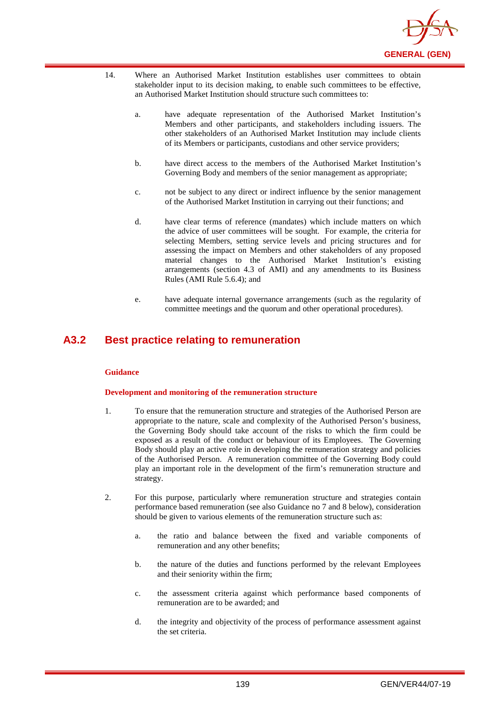

- 14. Where an Authorised Market Institution establishes user committees to obtain stakeholder input to its decision making, to enable such committees to be effective, an Authorised Market Institution should structure such committees to:
	- a. have adequate representation of the Authorised Market Institution's Members and other participants, and stakeholders including issuers. The other stakeholders of an Authorised Market Institution may include clients of its Members or participants, custodians and other service providers;
	- b. have direct access to the members of the Authorised Market Institution's Governing Body and members of the senior management as appropriate;
	- c. not be subject to any direct or indirect influence by the senior management of the Authorised Market Institution in carrying out their functions; and
	- d. have clear terms of reference (mandates) which include matters on which the advice of user committees will be sought. For example, the criteria for selecting Members, setting service levels and pricing structures and for assessing the impact on Members and other stakeholders of any proposed material changes to the Authorised Market Institution's existing arrangements (section 4.3 of AMI) and any amendments to its Business Rules (AMI Rule 5.6.4); and
	- e. have adequate internal governance arrangements (such as the regularity of committee meetings and the quorum and other operational procedures).

## **A3.2 Best practice relating to remuneration**

### **Guidance**

### **Development and monitoring of the remuneration structure**

- 1. To ensure that the remuneration structure and strategies of the Authorised Person are appropriate to the nature, scale and complexity of the Authorised Person's business, the Governing Body should take account of the risks to which the firm could be exposed as a result of the conduct or behaviour of its Employees. The Governing Body should play an active role in developing the remuneration strategy and policies of the Authorised Person. A remuneration committee of the Governing Body could play an important role in the development of the firm's remuneration structure and strategy.
- 2. For this purpose, particularly where remuneration structure and strategies contain performance based remuneration (see also Guidance no 7 and 8 below), consideration should be given to various elements of the remuneration structure such as:
	- a. the ratio and balance between the fixed and variable components of remuneration and any other benefits;
	- b. the nature of the duties and functions performed by the relevant Employees and their seniority within the firm;
	- c. the assessment criteria against which performance based components of remuneration are to be awarded; and
	- d. the integrity and objectivity of the process of performance assessment against the set criteria.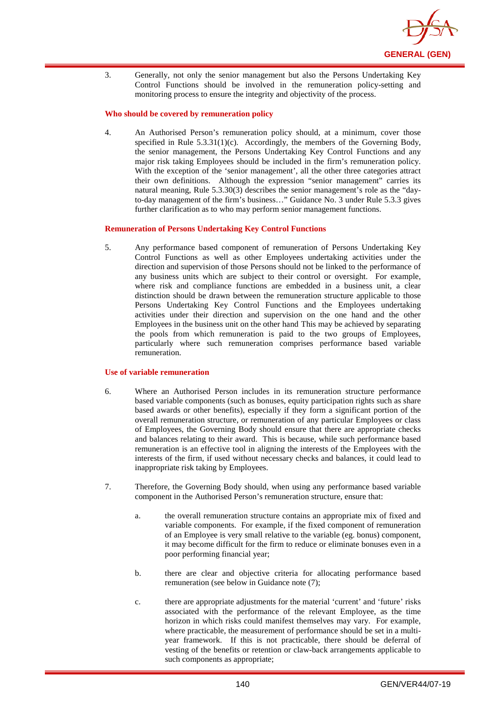

3. Generally, not only the senior management but also the Persons Undertaking Key Control Functions should be involved in the remuneration policy-setting and monitoring process to ensure the integrity and objectivity of the process.

### **Who should be covered by remuneration policy**

4. An Authorised Person's remuneration policy should, at a minimum, cover those specified in Rule  $5.3.31(1)(c)$ . Accordingly, the members of the Governing Body, the senior management, the Persons Undertaking Key Control Functions and any major risk taking Employees should be included in the firm's remuneration policy. With the exception of the 'senior management', all the other three categories attract their own definitions. Although the expression "senior management" carries its natural meaning, Rule 5.3.30(3) describes the senior management's role as the "dayto-day management of the firm's business…" Guidance No. 3 under Rule 5.3.3 gives further clarification as to who may perform senior management functions.

### **Remuneration of Persons Undertaking Key Control Functions**

5. Any performance based component of remuneration of Persons Undertaking Key Control Functions as well as other Employees undertaking activities under the direction and supervision of those Persons should not be linked to the performance of any business units which are subject to their control or oversight. For example, where risk and compliance functions are embedded in a business unit, a clear distinction should be drawn between the remuneration structure applicable to those Persons Undertaking Key Control Functions and the Employees undertaking activities under their direction and supervision on the one hand and the other Employees in the business unit on the other hand This may be achieved by separating the pools from which remuneration is paid to the two groups of Employees, particularly where such remuneration comprises performance based variable remuneration.

#### **Use of variable remuneration**

- 6. Where an Authorised Person includes in its remuneration structure performance based variable components (such as bonuses, equity participation rights such as share based awards or other benefits), especially if they form a significant portion of the overall remuneration structure, or remuneration of any particular Employees or class of Employees, the Governing Body should ensure that there are appropriate checks and balances relating to their award. This is because, while such performance based remuneration is an effective tool in aligning the interests of the Employees with the interests of the firm, if used without necessary checks and balances, it could lead to inappropriate risk taking by Employees.
- 7. Therefore, the Governing Body should, when using any performance based variable component in the Authorised Person's remuneration structure, ensure that:
	- a. the overall remuneration structure contains an appropriate mix of fixed and variable components. For example, if the fixed component of remuneration of an Employee is very small relative to the variable (eg. bonus) component, it may become difficult for the firm to reduce or eliminate bonuses even in a poor performing financial year;
	- b. there are clear and objective criteria for allocating performance based remuneration (see below in Guidance note (7);
	- c. there are appropriate adjustments for the material 'current' and 'future' risks associated with the performance of the relevant Employee, as the time horizon in which risks could manifest themselves may vary. For example, where practicable, the measurement of performance should be set in a multiyear framework. If this is not practicable, there should be deferral of vesting of the benefits or retention or claw-back arrangements applicable to such components as appropriate;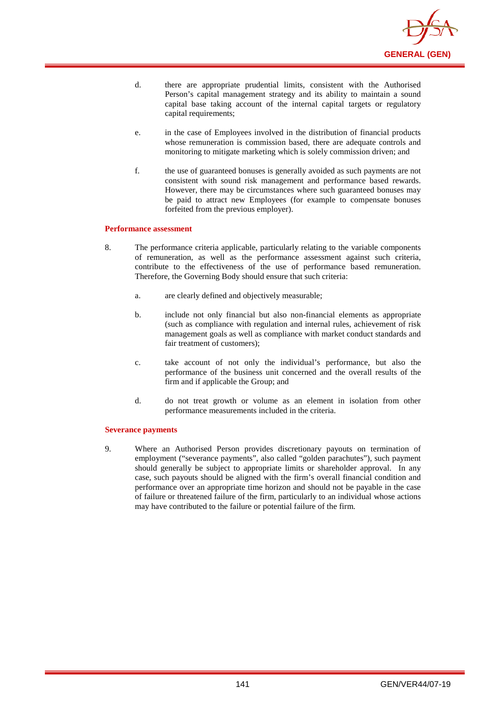

- d. there are appropriate prudential limits, consistent with the Authorised Person's capital management strategy and its ability to maintain a sound capital base taking account of the internal capital targets or regulatory capital requirements;
- e. in the case of Employees involved in the distribution of financial products whose remuneration is commission based, there are adequate controls and monitoring to mitigate marketing which is solely commission driven; and
- f. the use of guaranteed bonuses is generally avoided as such payments are not consistent with sound risk management and performance based rewards. However, there may be circumstances where such guaranteed bonuses may be paid to attract new Employees (for example to compensate bonuses forfeited from the previous employer).

#### **Performance assessment**

- 8. The performance criteria applicable, particularly relating to the variable components of remuneration, as well as the performance assessment against such criteria, contribute to the effectiveness of the use of performance based remuneration. Therefore, the Governing Body should ensure that such criteria:
	- a. are clearly defined and objectively measurable;
	- b. include not only financial but also non-financial elements as appropriate (such as compliance with regulation and internal rules, achievement of risk management goals as well as compliance with market conduct standards and fair treatment of customers);
	- c. take account of not only the individual's performance, but also the performance of the business unit concerned and the overall results of the firm and if applicable the Group; and
	- d. do not treat growth or volume as an element in isolation from other performance measurements included in the criteria.

#### **Severance payments**

9. Where an Authorised Person provides discretionary payouts on termination of employment ("severance payments", also called "golden parachutes"), such payment should generally be subject to appropriate limits or shareholder approval. In any case, such payouts should be aligned with the firm's overall financial condition and performance over an appropriate time horizon and should not be payable in the case of failure or threatened failure of the firm, particularly to an individual whose actions may have contributed to the failure or potential failure of the firm.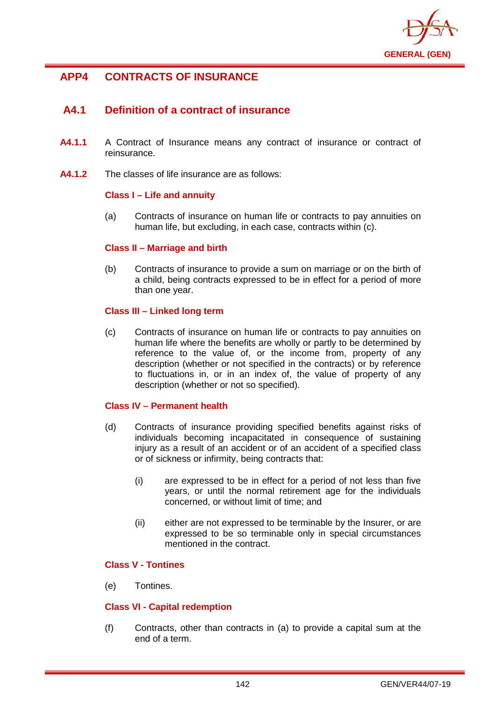

# **APP4 CONTRACTS OF INSURANCE**

# **A4.1 Definition of a contract of insurance**

- **A4.1.1** A Contract of Insurance means any contract of insurance or contract of reinsurance.
- **A4.1.2** The classes of life insurance are as follows:

#### **Class I – Life and annuity**

(a) Contracts of insurance on human life or contracts to pay annuities on human life, but excluding, in each case, contracts within (c).

#### **Class II – Marriage and birth**

(b) Contracts of insurance to provide a sum on marriage or on the birth of a child, being contracts expressed to be in effect for a period of more than one year.

#### **Class III – Linked long term**

(c) Contracts of insurance on human life or contracts to pay annuities on human life where the benefits are wholly or partly to be determined by reference to the value of, or the income from, property of any description (whether or not specified in the contracts) or by reference to fluctuations in, or in an index of, the value of property of any description (whether or not so specified).

## **Class IV – Permanent health**

- (d) Contracts of insurance providing specified benefits against risks of individuals becoming incapacitated in consequence of sustaining injury as a result of an accident or of an accident of a specified class or of sickness or infirmity, being contracts that:
	- (i) are expressed to be in effect for a period of not less than five years, or until the normal retirement age for the individuals concerned, or without limit of time; and
	- (ii) either are not expressed to be terminable by the Insurer, or are expressed to be so terminable only in special circumstances mentioned in the contract.

## **Class V - Tontines**

(e) Tontines.

## **Class VI - Capital redemption**

(f) Contracts, other than contracts in (a) to provide a capital sum at the end of a term.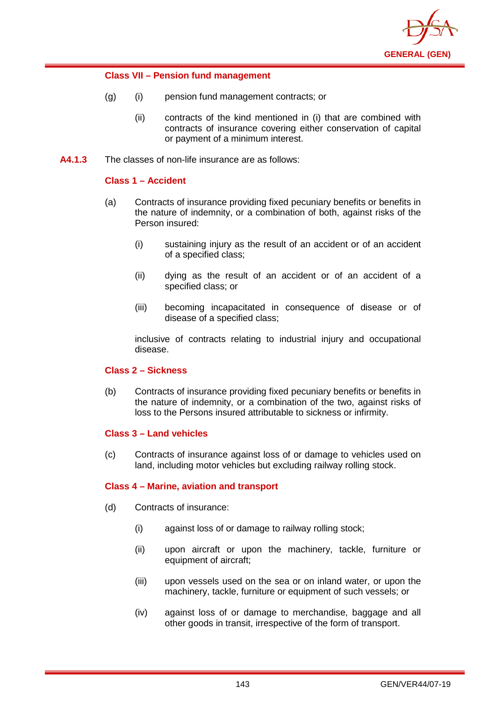

## **Class VII – Pension fund management**

- (g) (i) pension fund management contracts; or
	- (ii) contracts of the kind mentioned in (i) that are combined with contracts of insurance covering either conservation of capital or payment of a minimum interest.
- **A4.1.3** The classes of non-life insurance are as follows:

## **Class 1 – Accident**

- (a) Contracts of insurance providing fixed pecuniary benefits or benefits in the nature of indemnity, or a combination of both, against risks of the Person insured:
	- (i) sustaining injury as the result of an accident or of an accident of a specified class;
	- (ii) dying as the result of an accident or of an accident of a specified class; or
	- (iii) becoming incapacitated in consequence of disease or of disease of a specified class;

inclusive of contracts relating to industrial injury and occupational disease.

## **Class 2 – Sickness**

(b) Contracts of insurance providing fixed pecuniary benefits or benefits in the nature of indemnity, or a combination of the two, against risks of loss to the Persons insured attributable to sickness or infirmity.

## **Class 3 – Land vehicles**

(c) Contracts of insurance against loss of or damage to vehicles used on land, including motor vehicles but excluding railway rolling stock.

## **Class 4 – Marine, aviation and transport**

- (d) Contracts of insurance:
	- (i) against loss of or damage to railway rolling stock;
	- (ii) upon aircraft or upon the machinery, tackle, furniture or equipment of aircraft;
	- (iii) upon vessels used on the sea or on inland water, or upon the machinery, tackle, furniture or equipment of such vessels; or
	- (iv) against loss of or damage to merchandise, baggage and all other goods in transit, irrespective of the form of transport.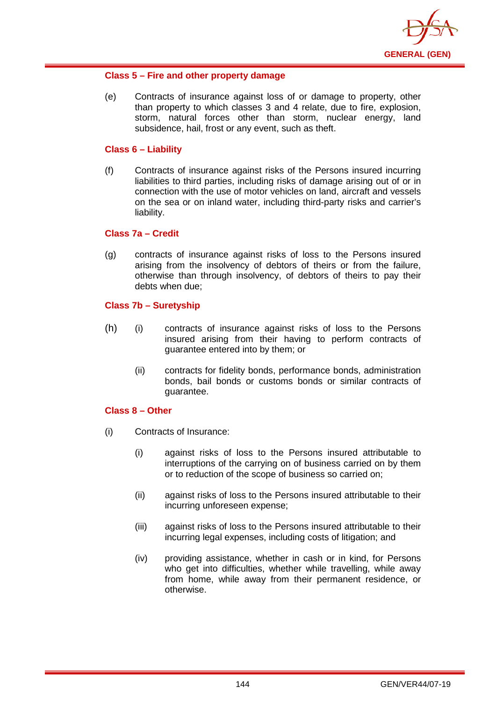

## **Class 5 – Fire and other property damage**

(e) Contracts of insurance against loss of or damage to property, other than property to which classes 3 and 4 relate, due to fire, explosion, storm, natural forces other than storm, nuclear energy, land subsidence, hail, frost or any event, such as theft.

#### **Class 6 – Liability**

(f) Contracts of insurance against risks of the Persons insured incurring liabilities to third parties, including risks of damage arising out of or in connection with the use of motor vehicles on land, aircraft and vessels on the sea or on inland water, including third-party risks and carrier's liability.

#### **Class 7a – Credit**

(g) contracts of insurance against risks of loss to the Persons insured arising from the insolvency of debtors of theirs or from the failure, otherwise than through insolvency, of debtors of theirs to pay their debts when due;

## **Class 7b – Suretyship**

- (h) (i) contracts of insurance against risks of loss to the Persons insured arising from their having to perform contracts of guarantee entered into by them; or
	- (ii) contracts for fidelity bonds, performance bonds, administration bonds, bail bonds or customs bonds or similar contracts of guarantee.

#### **Class 8 – Other**

- (i) Contracts of Insurance:
	- (i) against risks of loss to the Persons insured attributable to interruptions of the carrying on of business carried on by them or to reduction of the scope of business so carried on;
	- (ii) against risks of loss to the Persons insured attributable to their incurring unforeseen expense;
	- (iii) against risks of loss to the Persons insured attributable to their incurring legal expenses, including costs of litigation; and
	- (iv) providing assistance, whether in cash or in kind, for Persons who get into difficulties, whether while travelling, while away from home, while away from their permanent residence, or otherwise.